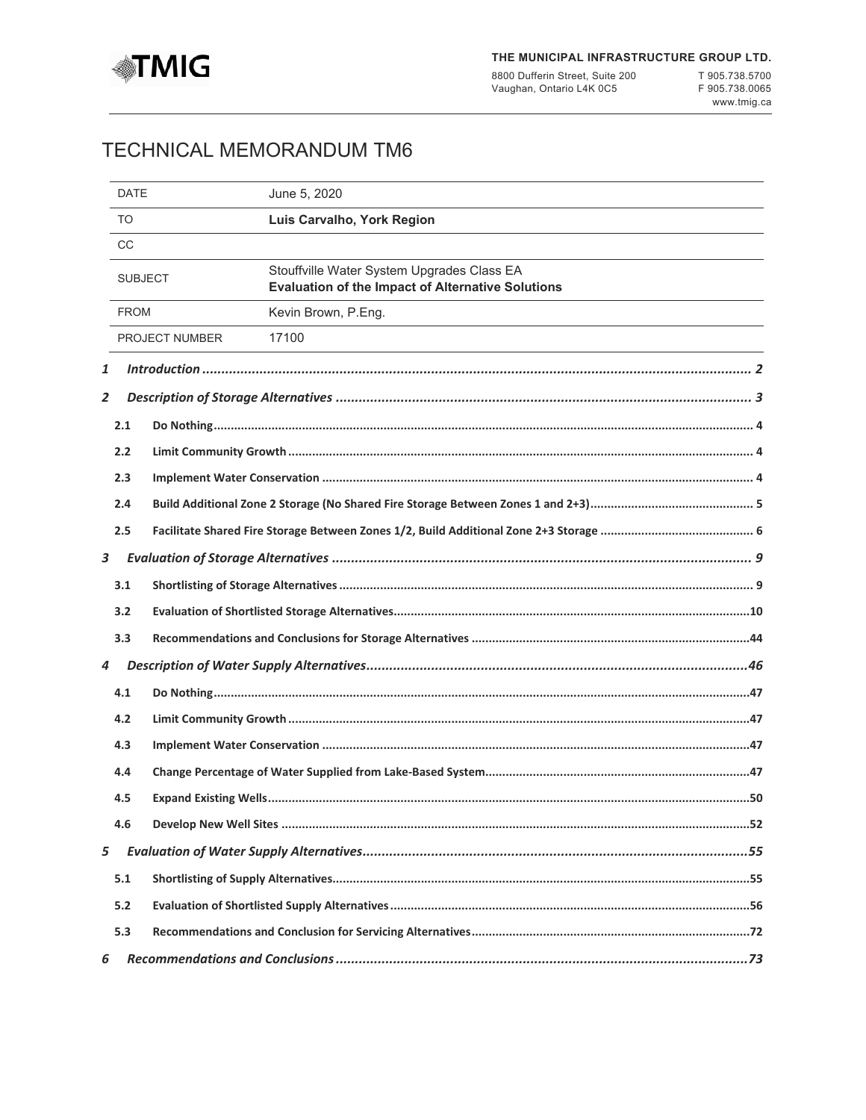

8800 Dufferin Street, Suite 200 Vaughan, Ontario L4K 0C5

T 905.738.5700 F 905.738.0065 [www.tmig.ca](http://www.tmig.ca)

# TECHNICAL MEMORANDUM TM6

|   | <b>DATE</b>    |                | June 5, 2020                                                                                           |  |  |
|---|----------------|----------------|--------------------------------------------------------------------------------------------------------|--|--|
|   | <b>TO</b>      |                | Luis Carvalho, York Region                                                                             |  |  |
|   | <b>CC</b>      |                |                                                                                                        |  |  |
|   | <b>SUBJECT</b> |                | Stouffville Water System Upgrades Class EA<br><b>Evaluation of the Impact of Alternative Solutions</b> |  |  |
|   | <b>FROM</b>    |                | Kevin Brown, P.Eng.                                                                                    |  |  |
|   |                | PROJECT NUMBER | 17100                                                                                                  |  |  |
| 1 |                |                |                                                                                                        |  |  |
| 2 |                |                |                                                                                                        |  |  |
|   | 2.1            |                |                                                                                                        |  |  |
|   | 2.2            |                |                                                                                                        |  |  |
|   | 2.3            |                |                                                                                                        |  |  |
|   | 2.4            |                |                                                                                                        |  |  |
|   | 2.5            |                |                                                                                                        |  |  |
| 3 |                |                |                                                                                                        |  |  |
|   | 3.1            |                |                                                                                                        |  |  |
|   | 3.2            |                |                                                                                                        |  |  |
|   | 3.3            |                |                                                                                                        |  |  |
| 4 |                |                |                                                                                                        |  |  |
|   | 4.1            |                |                                                                                                        |  |  |
|   | 4.2            |                |                                                                                                        |  |  |
|   | 4.3            |                |                                                                                                        |  |  |
|   | 4.4            |                |                                                                                                        |  |  |
|   | 4.5            |                |                                                                                                        |  |  |
|   | 4.6            |                |                                                                                                        |  |  |
| 5 |                |                |                                                                                                        |  |  |
|   | 5.1            |                |                                                                                                        |  |  |
|   | 5.2            |                |                                                                                                        |  |  |
|   | 5.3            |                |                                                                                                        |  |  |
| 6 |                |                |                                                                                                        |  |  |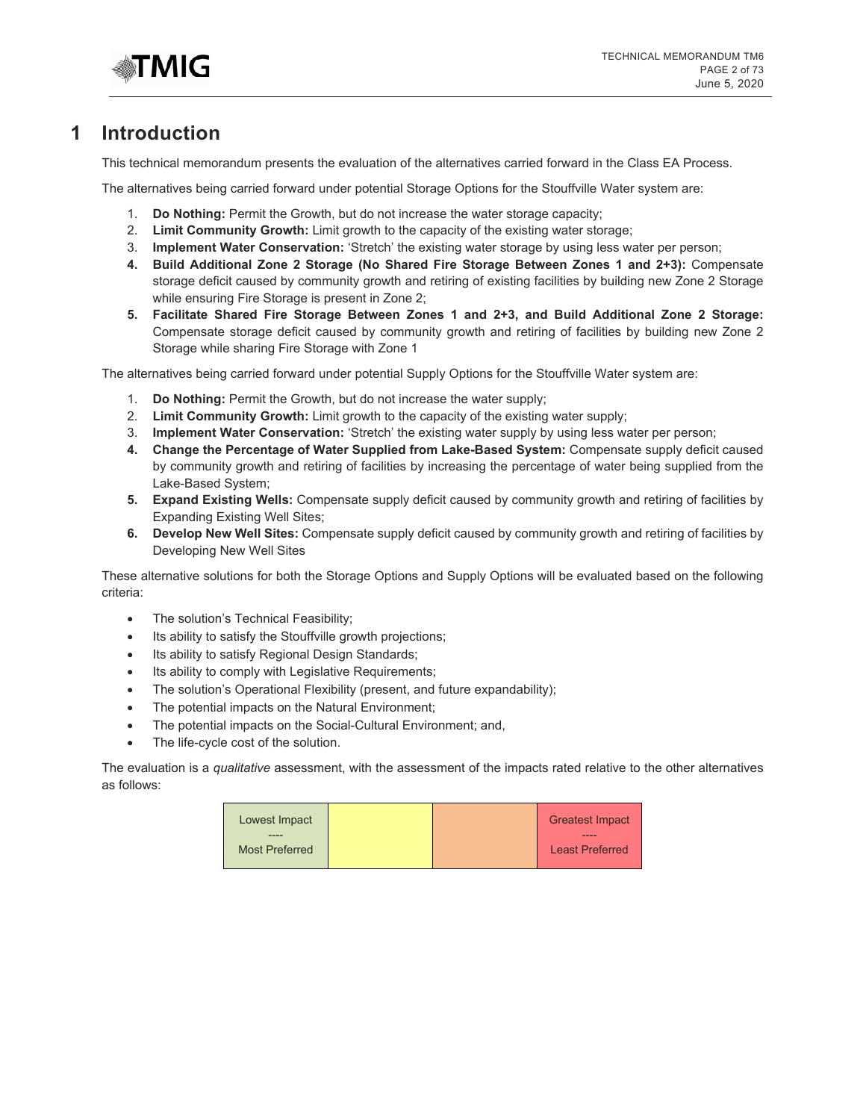

# <span id="page-1-0"></span>**1 Introduction**

This technical memorandum presents the evaluation of the alternatives carried forward in the Class EA Process.

The alternatives being carried forward under potential Storage Options for the Stouffville Water system are:

- 1. **Do Nothing:** Permit the Growth, but do not increase the water storage capacity;
- 2. **Limit Community Growth:** Limit growth to the capacity of the existing water storage;
- 3. **Implement Water Conservation:** 'Stretch' the existing water storage by using less water per person;
- **4. Build Additional Zone 2 Storage (No Shared Fire Storage Between Zones 1 and 2+3):** Compensate storage deficit caused by community growth and retiring of existing facilities by building new Zone 2 Storage while ensuring Fire Storage is present in Zone 2;
- **5. Facilitate Shared Fire Storage Between Zones 1 and 2+3, and Build Additional Zone 2 Storage:**  Compensate storage deficit caused by community growth and retiring of facilities by building new Zone 2 Storage while sharing Fire Storage with Zone 1

The alternatives being carried forward under potential Supply Options for the Stouffville Water system are:

- 1. **Do Nothing:** Permit the Growth, but do not increase the water supply;
- 2. **Limit Community Growth:** Limit growth to the capacity of the existing water supply;
- 3. **Implement Water Conservation:** 'Stretch' the existing water supply by using less water per person;
- **4. Change the Percentage of Water Supplied from Lake-Based System:** Compensate supply deficit caused by community growth and retiring of facilities by increasing the percentage of water being supplied from the Lake-Based System;
- **5. Expand Existing Wells:** Compensate supply deficit caused by community growth and retiring of facilities by Expanding Existing Well Sites;
- **6. Develop New Well Sites:** Compensate supply deficit caused by community growth and retiring of facilities by Developing New Well Sites

These alternative solutions for both the Storage Options and Supply Options will be evaluated based on the following criteria:

- The solution's Technical Feasibility;
- Its ability to satisfy the Stouffville growth projections;
- Its ability to satisfy Regional Design Standards;
- Its ability to comply with Legislative Requirements;
- The solution's Operational Flexibility (present, and future expandability);
- The potential impacts on the Natural Environment;
- The potential impacts on the Social-Cultural Environment; and,
- The life-cycle cost of the solution.

The evaluation is a *qualitative* assessment, with the assessment of the impacts rated relative to the other alternatives as follows:

| Lowest Impact         |  | <b>Greatest Impact</b> |
|-----------------------|--|------------------------|
| <b>Most Preferred</b> |  | <b>Least Preferred</b> |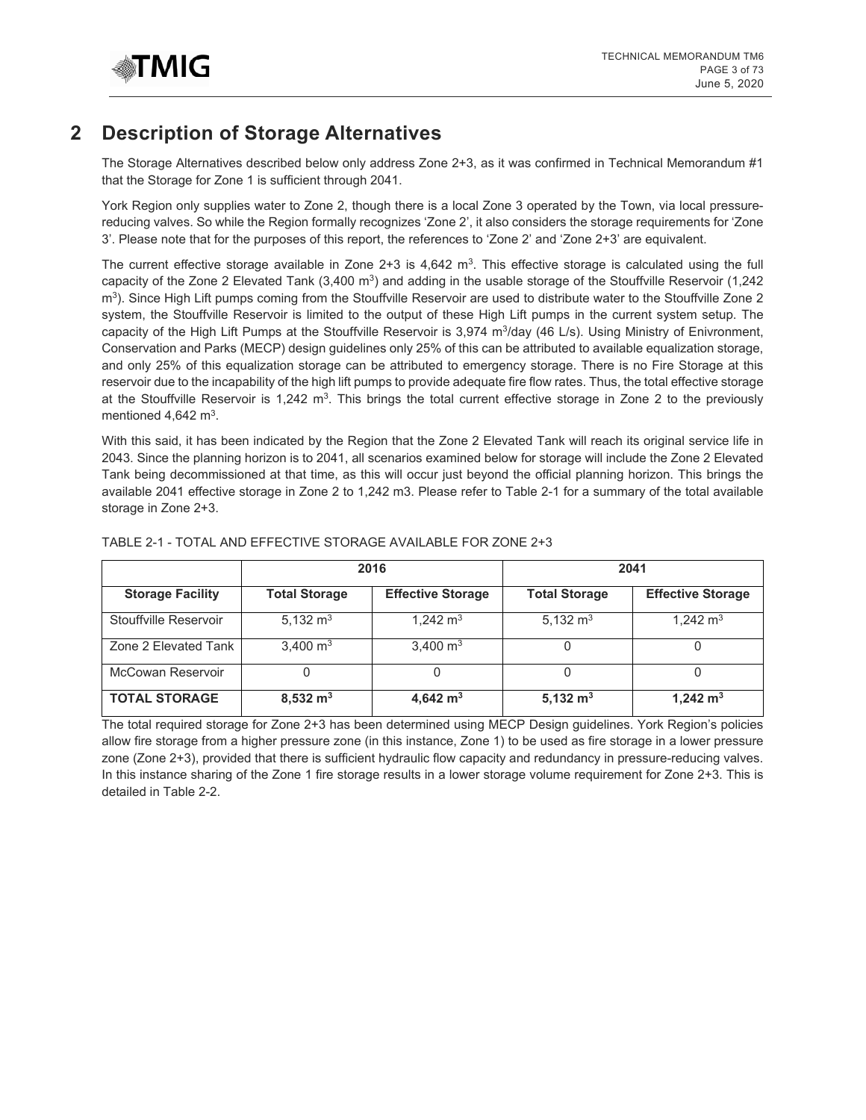

# <span id="page-2-0"></span>**2 Description of Storage Alternatives**

The Storage Alternatives described below only address Zone 2+3, as it was confirmed in Technical Memorandum #1 that the Storage for Zone 1 is sufficient through 2041.

York Region only supplies water to Zone 2, though there is a local Zone 3 operated by the Town, via local pressurereducing valves. So while the Region formally recognizes 'Zone 2', it also considers the storage requirements for 'Zone 3'. Please note that for the purposes of this report, the references to 'Zone 2' and 'Zone 2+3' are equivalent.

The current effective storage available in Zone  $2+3$  is  $4,642$  m<sup>3</sup>. This effective storage is calculated using the full capacity of the Zone 2 Elevated Tank  $(3,400 \text{ m}^3)$  and adding in the usable storage of the Stouffville Reservoir  $(1,242)$ m<sup>3</sup>). Since High Lift pumps coming from the Stouffville Reservoir are used to distribute water to the Stouffville Zone 2 system, the Stouffville Reservoir is limited to the output of these High Lift pumps in the current system setup. The capacity of the High Lift Pumps at the Stouffville Reservoir is  $3,974$  m<sup>3</sup>/day (46 L/s). Using Ministry of Enivronment, Conservation and Parks (MECP) design guidelines only 25% of this can be attributed to available equalization storage, and only 25% of this equalization storage can be attributed to emergency storage. There is no Fire Storage at this reservoir due to the incapability of the high lift pumps to provide adequate fire flow rates. Thus, the total effective storage at the Stouffville Reservoir is  $1,242$  m<sup>3</sup>. This brings the total current effective storage in Zone 2 to the previously mentioned  $4,642 \text{ m}^3$ .

With this said, it has been indicated by the Region that the Zone 2 Elevated Tank will reach its original service life in 2043. Since the planning horizon is to 2041, all scenarios examined below for storage will include the Zone 2 Elevated Tank being decommissioned at that time, as this will occur just beyond the official planning horizon. This brings the available 2041 effective storage in Zone 2 to 1,242 m3. Please refer to Table 2-1 for a summary of the total available storage in Zone 2+3.

|                         |                      | 2016                     | 2041                 |                          |  |
|-------------------------|----------------------|--------------------------|----------------------|--------------------------|--|
| <b>Storage Facility</b> | <b>Total Storage</b> | <b>Effective Storage</b> | <b>Total Storage</b> | <b>Effective Storage</b> |  |
| Stouffville Reservoir   | 5,132 $m3$           | 1.242 $m3$               | 5,132 $m3$           | 1,242 $m3$               |  |
| Zone 2 Elevated Tank    | 3,400 $m3$           | 3,400 $m3$               |                      |                          |  |
| McCowan Reservoir       |                      |                          |                      |                          |  |
| <b>TOTAL STORAGE</b>    | $8,532 \text{ m}^3$  | 4,642 $m3$               | 5,132 $m3$           | 1,242 $m3$               |  |

## TABLE 2-1 - TOTAL AND EFFECTIVE STORAGE AVAILABLE FOR ZONE 2+3

The total required storage for Zone 2+3 has been determined using MECP Design guidelines. York Region's policies allow fire storage from a higher pressure zone (in this instance, Zone 1) to be used as fire storage in a lower pressure zone (Zone 2+3), provided that there is sufficient hydraulic flow capacity and redundancy in pressure-reducing valves. In this instance sharing of the Zone 1 fire storage results in a lower storage volume requirement for Zone 2+3. This is detailed in Table 2-2.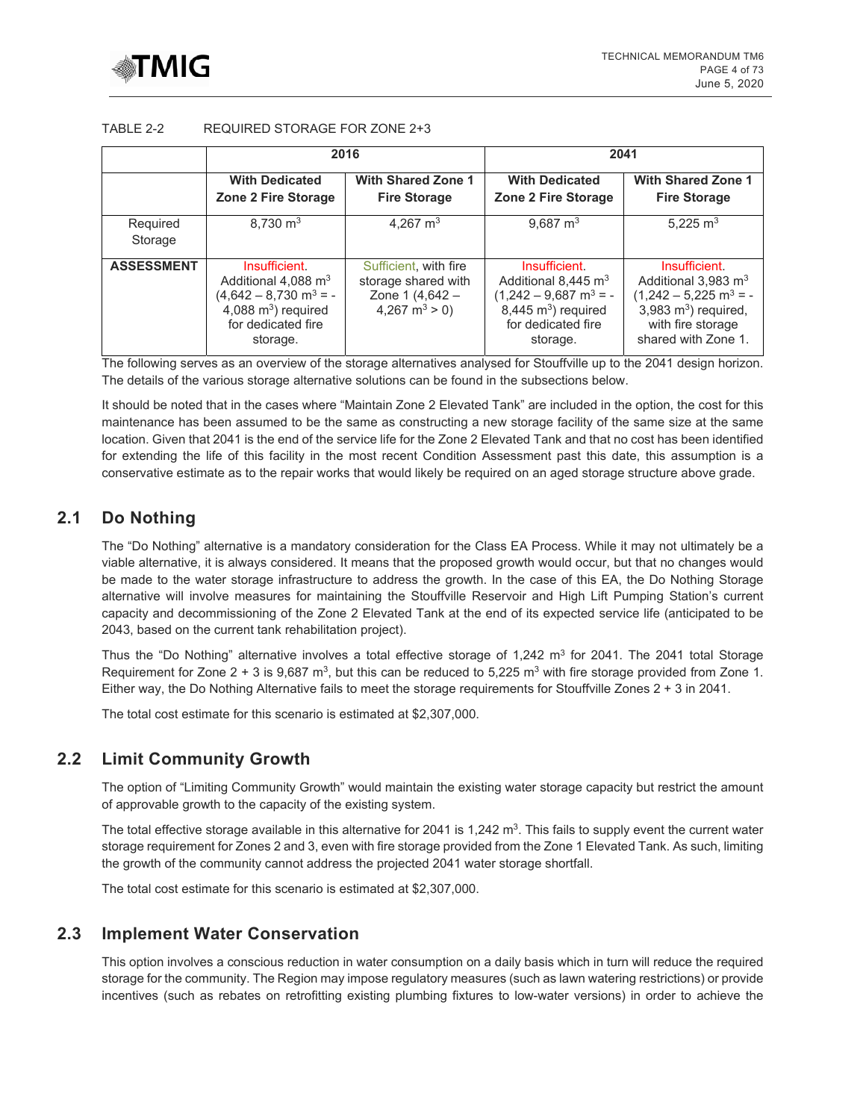

## TABLE 2-2 REQUIRED STORAGE FOR ZONE 2+3

|                     |                                                                                                                                       | 2016                                                                                 | 2041                                                                                                                                           |                                                                                                                                                                    |  |
|---------------------|---------------------------------------------------------------------------------------------------------------------------------------|--------------------------------------------------------------------------------------|------------------------------------------------------------------------------------------------------------------------------------------------|--------------------------------------------------------------------------------------------------------------------------------------------------------------------|--|
|                     | <b>With Dedicated</b><br>Zone 2 Fire Storage                                                                                          | <b>With Shared Zone 1</b><br><b>Fire Storage</b>                                     | <b>With Dedicated</b><br>Zone 2 Fire Storage                                                                                                   | <b>With Shared Zone 1</b><br><b>Fire Storage</b>                                                                                                                   |  |
| Required<br>Storage | $8.730 \text{ m}^3$                                                                                                                   | 4.267 $m3$                                                                           | 9.687 $m3$                                                                                                                                     | 5.225 $m3$                                                                                                                                                         |  |
| <b>ASSESSMENT</b>   | Insufficient.<br>Additional 4,088 $m3$<br>$(4,642 - 8,730 \text{ m}^3 = -$<br>4,088 $m3$ ) required<br>for dedicated fire<br>storage. | Sufficient, with fire<br>storage shared with<br>Zone 1 (4,642 -<br>4,267 $m^3 > 0$ ) | Insufficient.<br>Additional 8,445 $m3$<br>$(1,242 - 9,687 \text{ m}^3 = -$<br>$8,445 \text{ m}^3$ ) required<br>for dedicated fire<br>storage. | Insufficient.<br>Additional $3,983 \text{ m}^3$<br>$(1,242 - 5,225 \text{ m}^3 = -$<br>$3,983 \text{ m}^3$ ) required,<br>with fire storage<br>shared with Zone 1. |  |

The following serves as an overview of the storage alternatives analysed for Stouffville up to the 2041 design horizon. The details of the various storage alternative solutions can be found in the subsections below.

It should be noted that in the cases where "Maintain Zone 2 Elevated Tank" are included in the option, the cost for this maintenance has been assumed to be the same as constructing a new storage facility of the same size at the same location. Given that 2041 is the end of the service life for the Zone 2 Elevated Tank and that no cost has been identified for extending the life of this facility in the most recent Condition Assessment past this date, this assumption is a conservative estimate as to the repair works that would likely be required on an aged storage structure above grade.

# <span id="page-3-0"></span>**2.1 Do Nothing**

The "Do Nothing" alternative is a mandatory consideration for the Class EA Process. While it may not ultimately be a viable alternative, it is always considered. It means that the proposed growth would occur, but that no changes would be made to the water storage infrastructure to address the growth. In the case of this EA, the Do Nothing Storage alternative will involve measures for maintaining the Stouffville Reservoir and High Lift Pumping Station's current capacity and decommissioning of the Zone 2 Elevated Tank at the end of its expected service life (anticipated to be 2043, based on the current tank rehabilitation project).

Thus the "Do Nothing" alternative involves a total effective storage of 1,242  $m<sup>3</sup>$  for 2041. The 2041 total Storage Requirement for Zone  $2 + 3$  is 9,687 m<sup>3</sup>, but this can be reduced to 5,225 m<sup>3</sup> with fire storage provided from Zone 1. Either way, the Do Nothing Alternative fails to meet the storage requirements for Stouffville Zones 2 + 3 in 2041.

The total cost estimate for this scenario is estimated at \$2,307,000.

# <span id="page-3-1"></span>**2.2 Limit Community Growth**

The option of "Limiting Community Growth" would maintain the existing water storage capacity but restrict the amount of approvable growth to the capacity of the existing system.

The total effective storage available in this alternative for 2041 is 1,242  $m^3$ . This fails to supply event the current water storage requirement for Zones 2 and 3, even with fire storage provided from the Zone 1 Elevated Tank. As such, limiting the growth of the community cannot address the projected 2041 water storage shortfall.

The total cost estimate for this scenario is estimated at \$2,307,000.

# <span id="page-3-2"></span>**2.3 Implement Water Conservation**

This option involves a conscious reduction in water consumption on a daily basis which in turn will reduce the required storage for the community. The Region may impose regulatory measures (such as lawn watering restrictions) or provide incentives (such as rebates on retrofitting existing plumbing fixtures to low-water versions) in order to achieve the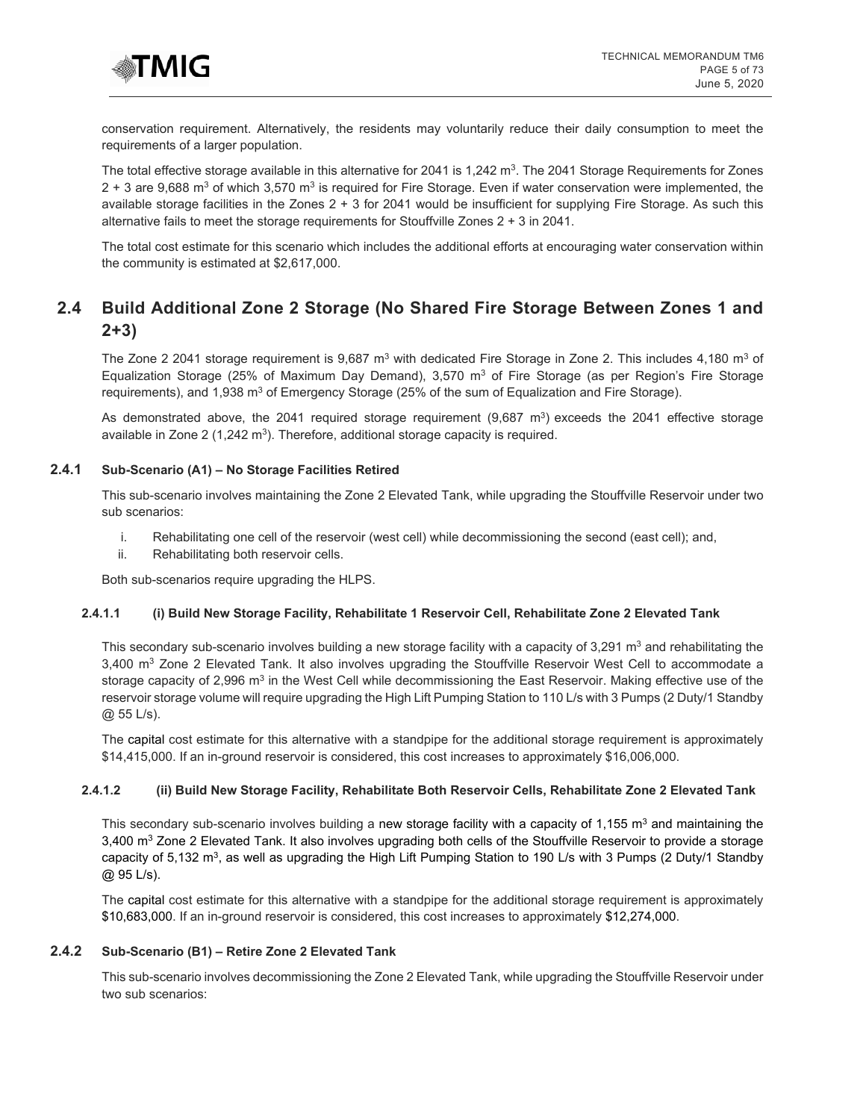

conservation requirement. Alternatively, the residents may voluntarily reduce their daily consumption to meet the requirements of a larger population.

The total effective storage available in this alternative for 2041 is 1,242  $m^3$ . The 2041 Storage Requirements for Zones  $2 + 3$  are 9,688 m<sup>3</sup> of which 3,570 m<sup>3</sup> is required for Fire Storage. Even if water conservation were implemented, the available storage facilities in the Zones 2 + 3 for 2041 would be insufficient for supplying Fire Storage. As such this alternative fails to meet the storage requirements for Stouffville Zones 2 + 3 in 2041.

The total cost estimate for this scenario which includes the additional efforts at encouraging water conservation within the community is estimated at \$2,617,000.

# <span id="page-4-0"></span>**2.4 Build Additional Zone 2 Storage (No Shared Fire Storage Between Zones 1 and 2+3)**

The Zone 2 2041 storage requirement is 9,687 m<sup>3</sup> with dedicated Fire Storage in Zone 2. This includes 4,180 m<sup>3</sup> of Equalization Storage (25% of Maximum Day Demand), 3,570  $m<sup>3</sup>$  of Fire Storage (as per Region's Fire Storage requirements), and 1,938  $\text{m}^3$  of Emergency Storage (25% of the sum of Equalization and Fire Storage).

As demonstrated above, the 2041 required storage requirement (9,687 m<sup>3</sup>) exceeds the 2041 effective storage available in Zone 2 (1,242  $m<sup>3</sup>$ ). Therefore, additional storage capacity is required.

#### **2.4.1 Sub-Scenario (A1) – No Storage Facilities Retired**

This sub-scenario involves maintaining the Zone 2 Elevated Tank, while upgrading the Stouffville Reservoir under two sub scenarios:

- i. Rehabilitating one cell of the reservoir (west cell) while decommissioning the second (east cell); and,
- ii. Rehabilitating both reservoir cells.

Both sub-scenarios require upgrading the HLPS.

#### **2.4.1.1 (i) Build New Storage Facility, Rehabilitate 1 Reservoir Cell, Rehabilitate Zone 2 Elevated Tank**

This secondary sub-scenario involves building a new storage facility with a capacity of 3,291 m<sup>3</sup> and rehabilitating the  $3,400$  m<sup>3</sup> Zone 2 Elevated Tank. It also involves upgrading the Stouffville Reservoir West Cell to accommodate a storage capacity of 2,996  $m<sup>3</sup>$  in the West Cell while decommissioning the East Reservoir. Making effective use of the reservoir storage volume will require upgrading the High Lift Pumping Station to 110 L/s with 3 Pumps (2 Duty/1 Standby @ 55 L/s).

The capital cost estimate for this alternative with a standpipe for the additional storage requirement is approximately \$14,415,000. If an in-ground reservoir is considered, this cost increases to approximately \$16,006,000.

## **2.4.1.2 (ii) Build New Storage Facility, Rehabilitate Both Reservoir Cells, Rehabilitate Zone 2 Elevated Tank**

This secondary sub-scenario involves building a new storage facility with a capacity of 1,155  $m^3$  and maintaining the 3,400 m<sup>3</sup> Zone 2 Elevated Tank. It also involves upgrading both cells of the Stouffville Reservoir to provide a storage capacity of 5,132 m<sup>3</sup>, as well as upgrading the High Lift Pumping Station to 190 L/s with 3 Pumps (2 Duty/1 Standby @ 95 L/s).

The capital cost estimate for this alternative with a standpipe for the additional storage requirement is approximately \$10,683,000. If an in-ground reservoir is considered, this cost increases to approximately \$12,274,000.

# **2.4.2 Sub-Scenario (B1) – Retire Zone 2 Elevated Tank**

This sub-scenario involves decommissioning the Zone 2 Elevated Tank, while upgrading the Stouffville Reservoir under two sub scenarios: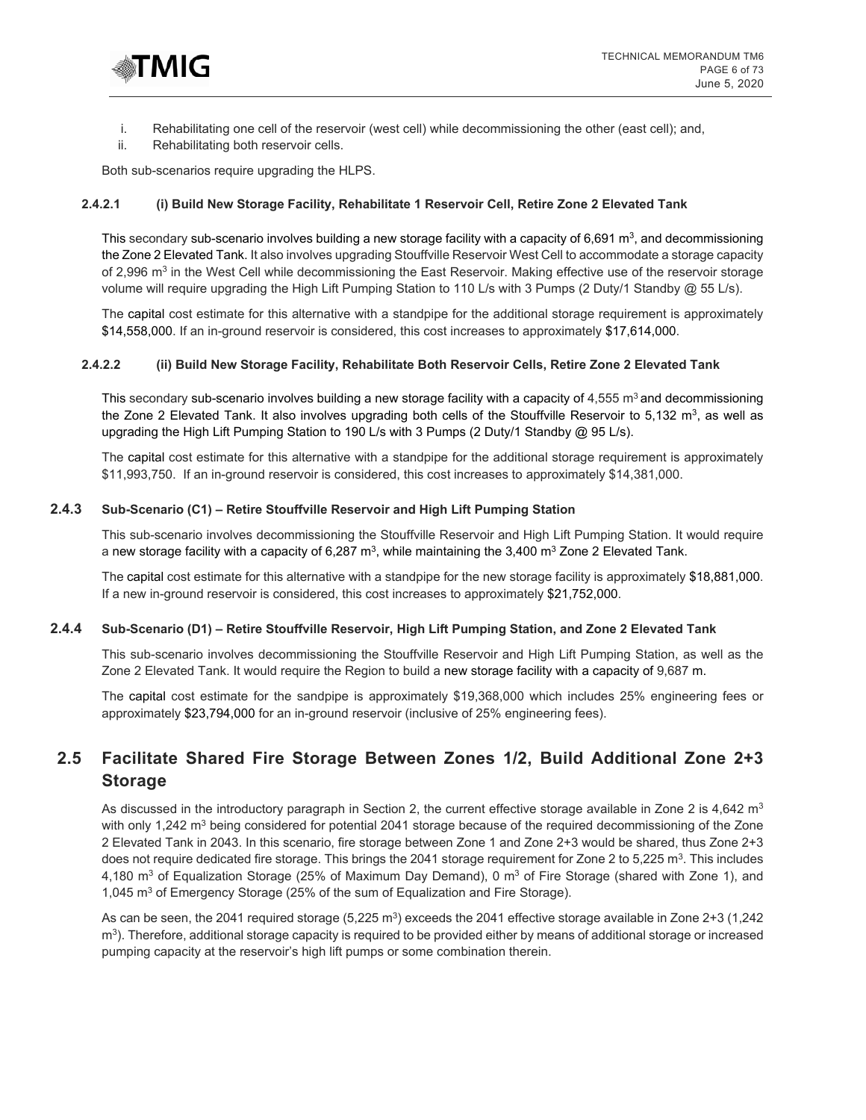

- i. Rehabilitating one cell of the reservoir (west cell) while decommissioning the other (east cell); and,
- ii. Rehabilitating both reservoir cells.

Both sub-scenarios require upgrading the HLPS.

#### **2.4.2.1 (i) Build New Storage Facility, Rehabilitate 1 Reservoir Cell, Retire Zone 2 Elevated Tank**

This secondary sub-scenario involves building a new storage facility with a capacity of 6,691  $\text{m}^3$ , and decommissioning the Zone 2 Elevated Tank. It also involves upgrading Stouffville Reservoir West Cell to accommodate a storage capacity of 2,996 m<sup>3</sup> in the West Cell while decommissioning the East Reservoir. Making effective use of the reservoir storage volume will require upgrading the High Lift Pumping Station to 110 L/s with 3 Pumps (2 Duty/1 Standby @ 55 L/s).

The capital cost estimate for this alternative with a standpipe for the additional storage requirement is approximately \$14,558,000. If an in-ground reservoir is considered, this cost increases to approximately \$17,614,000.

#### **2.4.2.2 (ii) Build New Storage Facility, Rehabilitate Both Reservoir Cells, Retire Zone 2 Elevated Tank**

This secondary sub-scenario involves building a new storage facility with a capacity of  $4,555$  m<sup>3</sup> and decommissioning the Zone 2 Elevated Tank. It also involves upgrading both cells of the Stouffville Reservoir to  $5,132 \text{ m}^3$ , as well as upgrading the High Lift Pumping Station to 190 L/s with 3 Pumps (2 Duty/1 Standby @ 95 L/s).

The capital cost estimate for this alternative with a standpipe for the additional storage requirement is approximately \$11,993,750. If an in-ground reservoir is considered, this cost increases to approximately \$14,381,000.

#### **2.4.3 Sub-Scenario (C1) – Retire Stouffville Reservoir and High Lift Pumping Station**

This sub-scenario involves decommissioning the Stouffville Reservoir and High Lift Pumping Station. It would require a new storage facility with a capacity of 6,287 m<sup>3</sup>, while maintaining the 3,400 m<sup>3</sup> Zone 2 Elevated Tank.

The capital cost estimate for this alternative with a standpipe for the new storage facility is approximately \$18,881,000. If a new in-ground reservoir is considered, this cost increases to approximately \$21,752,000.

#### **2.4.4 Sub-Scenario (D1) – Retire Stouffville Reservoir, High Lift Pumping Station, and Zone 2 Elevated Tank**

This sub-scenario involves decommissioning the Stouffville Reservoir and High Lift Pumping Station, as well as the Zone 2 Elevated Tank. It would require the Region to build a new storage facility with a capacity of 9,687 m.

The capital cost estimate for the sandpipe is approximately \$19,368,000 which includes 25% engineering fees or approximately \$23,794,000 for an in-ground reservoir (inclusive of 25% engineering fees).

# <span id="page-5-0"></span>**2.5 Facilitate Shared Fire Storage Between Zones 1/2, Build Additional Zone 2+3 Storage**

As discussed in the introductory paragraph in Section 2, the current effective storage available in Zone 2 is 4,642 m<sup>3</sup> with only 1,242 m<sup>3</sup> being considered for potential 2041 storage because of the required decommissioning of the Zone 2 Elevated Tank in 2043. In this scenario, fire storage between Zone 1 and Zone 2+3 would be shared, thus Zone 2+3 does not require dedicated fire storage. This brings the 2041 storage requirement for Zone 2 to 5,225 m<sup>3</sup>. This includes 4,180 m<sup>3</sup> of Equalization Storage (25% of Maximum Day Demand), 0 m<sup>3</sup> of Fire Storage (shared with Zone 1), and 1,045 m<sup>3</sup> of Emergency Storage (25% of the sum of Equalization and Fire Storage).

As can be seen, the 2041 required storage (5,225 m<sup>3</sup>) exceeds the 2041 effective storage available in Zone 2+3 (1,242  $m<sup>3</sup>$ . Therefore, additional storage capacity is required to be provided either by means of additional storage or increased pumping capacity at the reservoir's high lift pumps or some combination therein.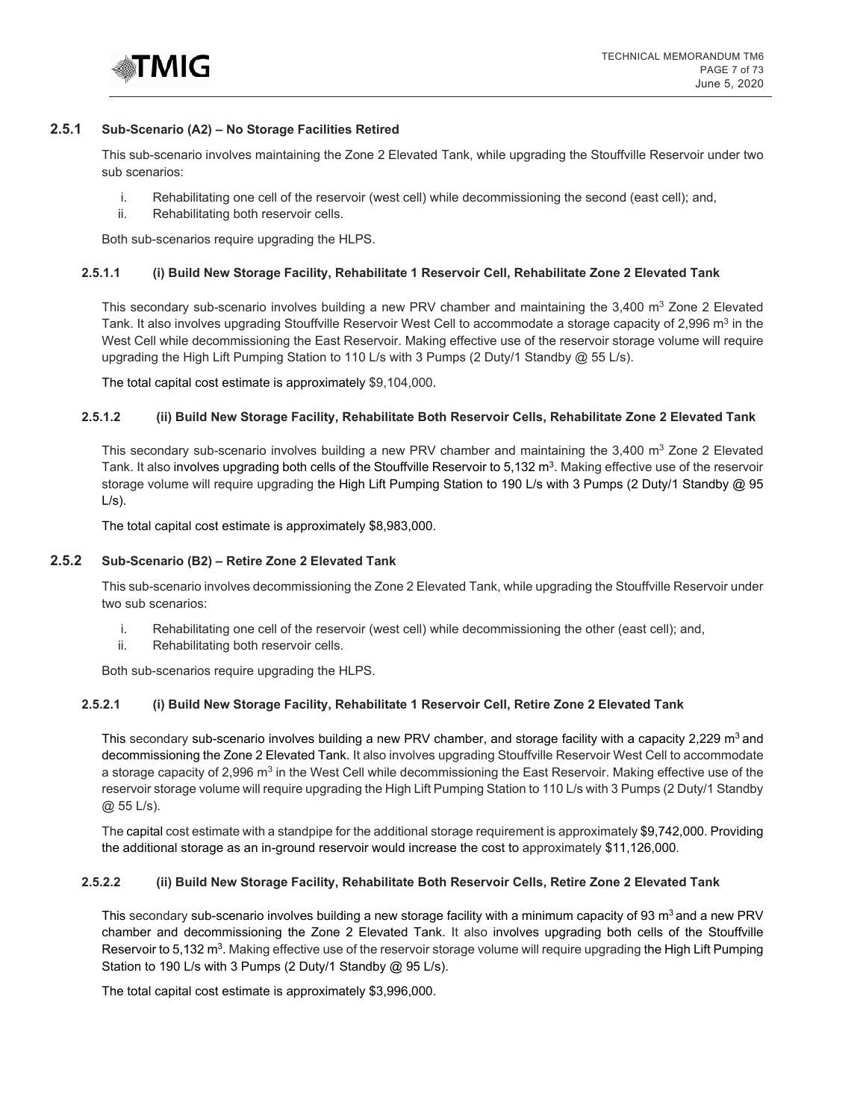

#### **2.5.1 Sub-Scenario (A2) – No Storage Facilities Retired**

This sub-scenario involves maintaining the Zone 2 Elevated Tank, while upgrading the Stouffville Reservoir under two sub scenarios:

- i. Rehabilitating one cell of the reservoir (west cell) while decommissioning the second (east cell); and,
- ii. Rehabilitating both reservoir cells.

Both sub-scenarios require upgrading the HLPS.

#### **2.5.1.1 (i) Build New Storage Facility, Rehabilitate 1 Reservoir Cell, Rehabilitate Zone 2 Elevated Tank**

This secondary sub-scenario involves building a new PRV chamber and maintaining the  $3,400$  m<sup>3</sup> Zone 2 Elevated Tank. It also involves upgrading Stouffville Reservoir West Cell to accommodate a storage capacity of 2,996 m<sup>3</sup> in the West Cell while decommissioning the East Reservoir. Making effective use of the reservoir storage volume will require upgrading the High Lift Pumping Station to 110 L/s with 3 Pumps (2 Duty/1 Standby @ 55 L/s).

The total capital cost estimate is approximately \$9,104,000.

#### **2.5.1.2 (ii) Build New Storage Facility, Rehabilitate Both Reservoir Cells, Rehabilitate Zone 2 Elevated Tank**

This secondary sub-scenario involves building a new PRV chamber and maintaining the  $3,400$  m<sup>3</sup> Zone 2 Elevated Tank. It also involves upgrading both cells of the Stouffville Reservoir to 5,132 m<sup>3</sup>. Making effective use of the reservoir storage volume will require upgrading the High Lift Pumping Station to 190 L/s with 3 Pumps (2 Duty/1 Standby @ 95  $L/s$ ).

The total capital cost estimate is approximately \$8,983,000.

#### **2.5.2 Sub-Scenario (B2) – Retire Zone 2 Elevated Tank**

This sub-scenario involves decommissioning the Zone 2 Elevated Tank, while upgrading the Stouffville Reservoir under two sub scenarios:

- i. Rehabilitating one cell of the reservoir (west cell) while decommissioning the other (east cell); and,
- ii. Rehabilitating both reservoir cells.

Both sub-scenarios require upgrading the HLPS.

#### **2.5.2.1 (i) Build New Storage Facility, Rehabilitate 1 Reservoir Cell, Retire Zone 2 Elevated Tank**

This secondary sub-scenario involves building a new PRV chamber, and storage facility with a capacity 2,229 m<sup>3</sup> and decommissioning the Zone 2 Elevated Tank. It also involves upgrading Stouffville Reservoir West Cell to accommodate a storage capacity of 2,996 m<sup>3</sup> in the West Cell while decommissioning the East Reservoir. Making effective use of the reservoir storage volume will require upgrading the High Lift Pumping Station to 110 L/s with 3 Pumps (2 Duty/1 Standby  $@.55$  L/s).

The capital cost estimate with a standpipe for the additional storage requirement is approximately \$9,742,000. Providing the additional storage as an in-ground reservoir would increase the cost to approximately \$11,126,000.

## **2.5.2.2 (ii) Build New Storage Facility, Rehabilitate Both Reservoir Cells, Retire Zone 2 Elevated Tank**

This secondary sub-scenario involves building a new storage facility with a minimum capacity of 93 m<sup>3</sup> and a new PRV chamber and decommissioning the Zone 2 Elevated Tank. It also involves upgrading both cells of the Stouffville Reservoir to 5,132 m<sup>3</sup>. Making effective use of the reservoir storage volume will require upgrading the High Lift Pumping Station to 190 L/s with 3 Pumps (2 Duty/1 Standby @ 95 L/s).

The total capital cost estimate is approximately \$3,996,000.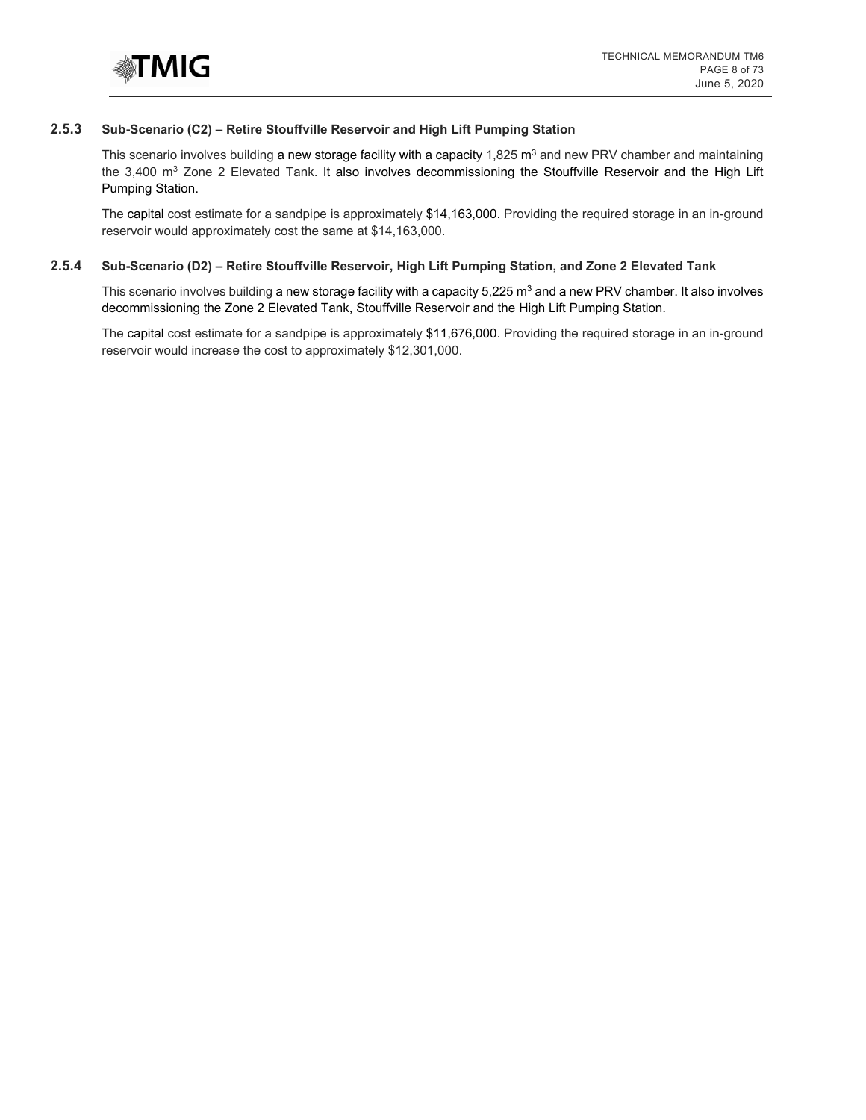

#### **2.5.3 Sub-Scenario (C2) – Retire Stouffville Reservoir and High Lift Pumping Station**

This scenario involves building a new storage facility with a capacity  $1,825 \text{ m}^3$  and new PRV chamber and maintaining the 3,400 m<sup>3</sup> Zone 2 Elevated Tank. It also involves decommissioning the Stouffville Reservoir and the High Lift Pumping Station.

The capital cost estimate for a sandpipe is approximately \$14,163,000. Providing the required storage in an in-ground reservoir would approximately cost the same at \$14,163,000.

#### **2.5.4 Sub-Scenario (D2) – Retire Stouffville Reservoir, High Lift Pumping Station, and Zone 2 Elevated Tank**

This scenario involves building a new storage facility with a capacity  $5,225 \text{ m}^3$  and a new PRV chamber. It also involves decommissioning the Zone 2 Elevated Tank, Stouffville Reservoir and the High Lift Pumping Station.

The capital cost estimate for a sandpipe is approximately \$11,676,000. Providing the required storage in an in-ground reservoir would increase the cost to approximately \$12,301,000.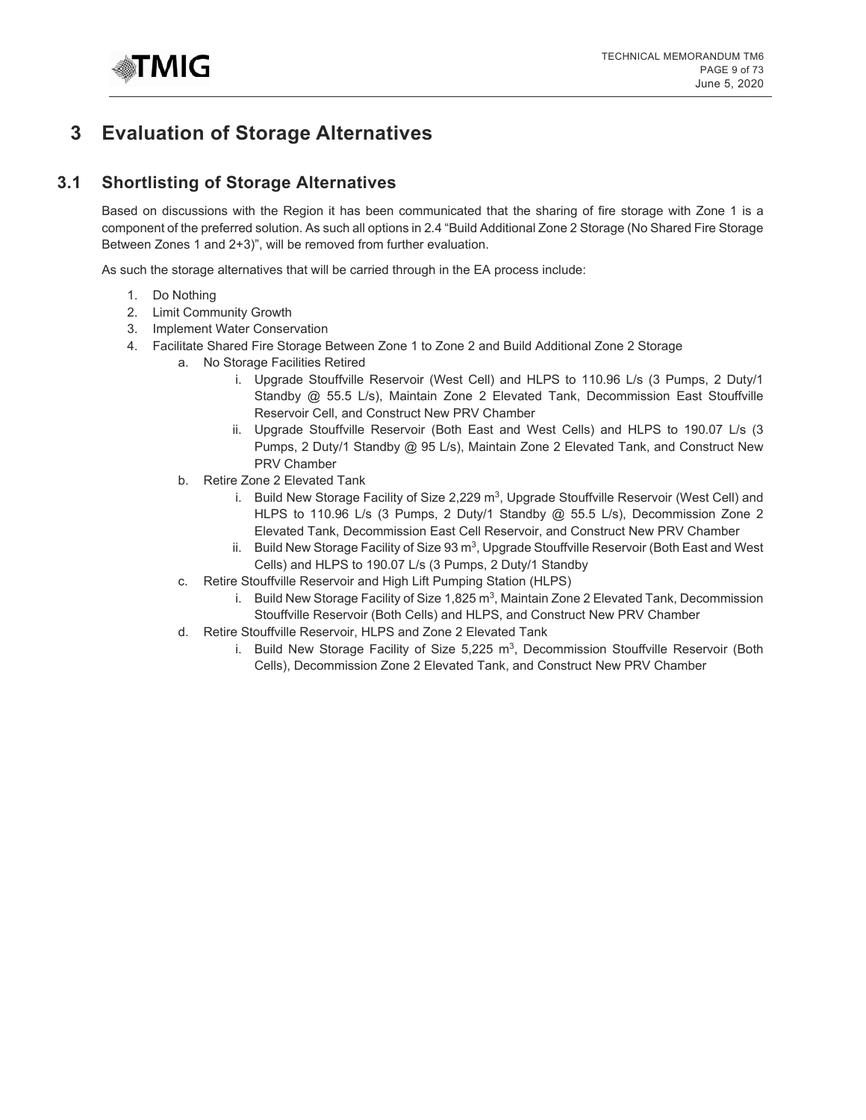

# <span id="page-8-0"></span>**3 Evaluation of Storage Alternatives**

# <span id="page-8-1"></span>**3.1 Shortlisting of Storage Alternatives**

Based on discussions with the Region it has been communicated that the sharing of fire storage with Zone 1 is a component of the preferred solution. As such all options in 2.4 "Build Additional Zone 2 Storage (No Shared Fire Storage Between Zones 1 and 2+3)", will be removed from further evaluation.

As such the storage alternatives that will be carried through in the EA process include:

- 1. Do Nothing
- 2. Limit Community Growth
- 3. Implement Water Conservation
- 4. Facilitate Shared Fire Storage Between Zone 1 to Zone 2 and Build Additional Zone 2 Storage
	- a. No Storage Facilities Retired
		- i. Upgrade Stouffville Reservoir (West Cell) and HLPS to 110.96 L/s (3 Pumps, 2 Duty/1 Standby @ 55.5 L/s), Maintain Zone 2 Elevated Tank, Decommission East Stouffville Reservoir Cell, and Construct New PRV Chamber
		- ii. Upgrade Stouffville Reservoir (Both East and West Cells) and HLPS to 190.07 L/s (3 Pumps, 2 Duty/1 Standby @ 95 L/s), Maintain Zone 2 Elevated Tank, and Construct New PRV Chamber
		- b. Retire Zone 2 Elevated Tank
			- i. Build New Storage Facility of Size 2,229  $m^3$ , Upgrade Stouffville Reservoir (West Cell) and HLPS to 110.96 L/s (3 Pumps, 2 Duty/1 Standby @ 55.5 L/s), Decommission Zone 2 Elevated Tank, Decommission East Cell Reservoir, and Construct New PRV Chamber
			- ii. Build New Storage Facility of Size  $93 \text{ m}^3$ , Upgrade Stouffville Reservoir (Both East and West Cells) and HLPS to 190.07 L/s (3 Pumps, 2 Duty/1 Standby
		- c. Retire Stouffville Reservoir and High Lift Pumping Station (HLPS)
			- i. Build New Storage Facility of Size  $1,825 \text{ m}^3$ , Maintain Zone 2 Elevated Tank, Decommission Stouffville Reservoir (Both Cells) and HLPS, and Construct New PRV Chamber
		- d. Retire Stouffville Reservoir, HLPS and Zone 2 Elevated Tank
			- i. Build New Storage Facility of Size  $5,225 \, \text{m}^3$ , Decommission Stouffville Reservoir (Both Cells), Decommission Zone 2 Elevated Tank, and Construct New PRV Chamber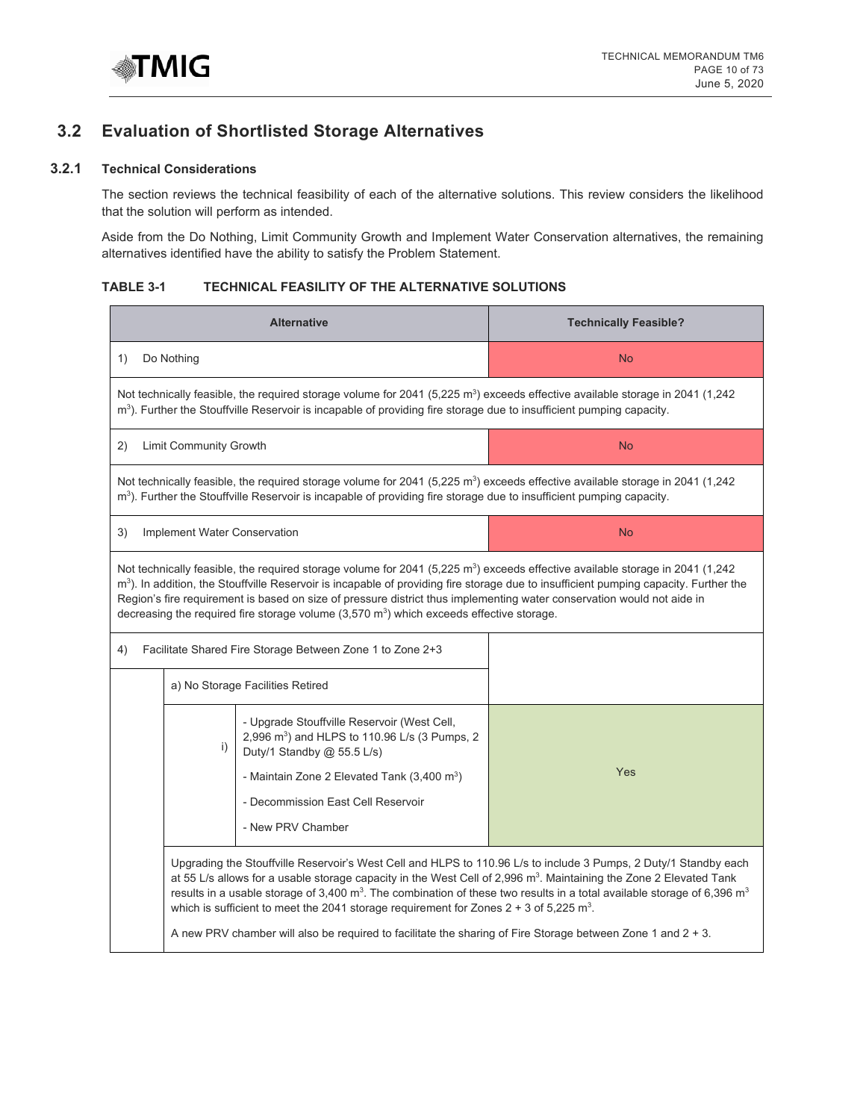

# <span id="page-9-0"></span>**3.2 Evaluation of Shortlisted Storage Alternatives**

# **3.2.1 Technical Considerations**

The section reviews the technical feasibility of each of the alternative solutions. This review considers the likelihood that the solution will perform as intended.

Aside from the Do Nothing, Limit Community Growth and Implement Water Conservation alternatives, the remaining alternatives identified have the ability to satisfy the Problem Statement.

## **TABLE 3-1 TECHNICAL FEASILITY OF THE ALTERNATIVE SOLUTIONS**

| <b>Alternative</b>                                                                                                                                                                                                                                                                                                                                                                                                                                                                                                             | <b>Technically Feasible?</b>                                                                                                                                                                                                                                                                                                                                                                                                                                                                                                                                                                                                    |  |  |  |  |  |
|--------------------------------------------------------------------------------------------------------------------------------------------------------------------------------------------------------------------------------------------------------------------------------------------------------------------------------------------------------------------------------------------------------------------------------------------------------------------------------------------------------------------------------|---------------------------------------------------------------------------------------------------------------------------------------------------------------------------------------------------------------------------------------------------------------------------------------------------------------------------------------------------------------------------------------------------------------------------------------------------------------------------------------------------------------------------------------------------------------------------------------------------------------------------------|--|--|--|--|--|
| Do Nothing<br>1)                                                                                                                                                                                                                                                                                                                                                                                                                                                                                                               | <b>No</b>                                                                                                                                                                                                                                                                                                                                                                                                                                                                                                                                                                                                                       |  |  |  |  |  |
| Not technically feasible, the required storage volume for 2041 (5,225 m <sup>3</sup> ) exceeds effective available storage in 2041 (1,242<br>m <sup>3</sup> ). Further the Stouffville Reservoir is incapable of providing fire storage due to insufficient pumping capacity.                                                                                                                                                                                                                                                  |                                                                                                                                                                                                                                                                                                                                                                                                                                                                                                                                                                                                                                 |  |  |  |  |  |
| Limit Community Growth<br>2)                                                                                                                                                                                                                                                                                                                                                                                                                                                                                                   | <b>No</b>                                                                                                                                                                                                                                                                                                                                                                                                                                                                                                                                                                                                                       |  |  |  |  |  |
| Not technically feasible, the required storage volume for 2041 (5,225 m <sup>3</sup> ) exceeds effective available storage in 2041 (1,242<br>m <sup>3</sup> ). Further the Stouffville Reservoir is incapable of providing fire storage due to insufficient pumping capacity.                                                                                                                                                                                                                                                  |                                                                                                                                                                                                                                                                                                                                                                                                                                                                                                                                                                                                                                 |  |  |  |  |  |
| 3)<br>Implement Water Conservation                                                                                                                                                                                                                                                                                                                                                                                                                                                                                             | <b>No</b>                                                                                                                                                                                                                                                                                                                                                                                                                                                                                                                                                                                                                       |  |  |  |  |  |
| Not technically feasible, the required storage volume for 2041 (5,225 m <sup>3</sup> ) exceeds effective available storage in 2041 (1,242<br>m <sup>3</sup> ). In addition, the Stouffville Reservoir is incapable of providing fire storage due to insufficient pumping capacity. Further the<br>Region's fire requirement is based on size of pressure district thus implementing water conservation would not aide in<br>decreasing the required fire storage volume $(3,570 \text{ m}^3)$ which exceeds effective storage. |                                                                                                                                                                                                                                                                                                                                                                                                                                                                                                                                                                                                                                 |  |  |  |  |  |
| Facilitate Shared Fire Storage Between Zone 1 to Zone 2+3<br>4)                                                                                                                                                                                                                                                                                                                                                                                                                                                                |                                                                                                                                                                                                                                                                                                                                                                                                                                                                                                                                                                                                                                 |  |  |  |  |  |
| a) No Storage Facilities Retired                                                                                                                                                                                                                                                                                                                                                                                                                                                                                               |                                                                                                                                                                                                                                                                                                                                                                                                                                                                                                                                                                                                                                 |  |  |  |  |  |
| - Upgrade Stouffville Reservoir (West Cell,<br>2,996 m <sup>3</sup> ) and HLPS to 110.96 L/s (3 Pumps, 2<br>i)<br>Duty/1 Standby @ 55.5 L/s)<br>- Maintain Zone 2 Elevated Tank $(3,400 \text{ m}^3)$<br>- Decommission East Cell Reservoir<br>- New PRV Chamber                                                                                                                                                                                                                                                               | Yes                                                                                                                                                                                                                                                                                                                                                                                                                                                                                                                                                                                                                             |  |  |  |  |  |
|                                                                                                                                                                                                                                                                                                                                                                                                                                                                                                                                | Upgrading the Stouffville Reservoir's West Cell and HLPS to 110.96 L/s to include 3 Pumps, 2 Duty/1 Standby each<br>at 55 L/s allows for a usable storage capacity in the West Cell of 2,996 m <sup>3</sup> . Maintaining the Zone 2 Elevated Tank<br>results in a usable storage of 3,400 m <sup>3</sup> . The combination of these two results in a total available storage of 6,396 m <sup>3</sup><br>which is sufficient to meet the 2041 storage requirement for Zones $2 + 3$ of 5,225 m <sup>3</sup> .<br>A new PRV chamber will also be required to facilitate the sharing of Fire Storage between Zone 1 and $2 + 3$ . |  |  |  |  |  |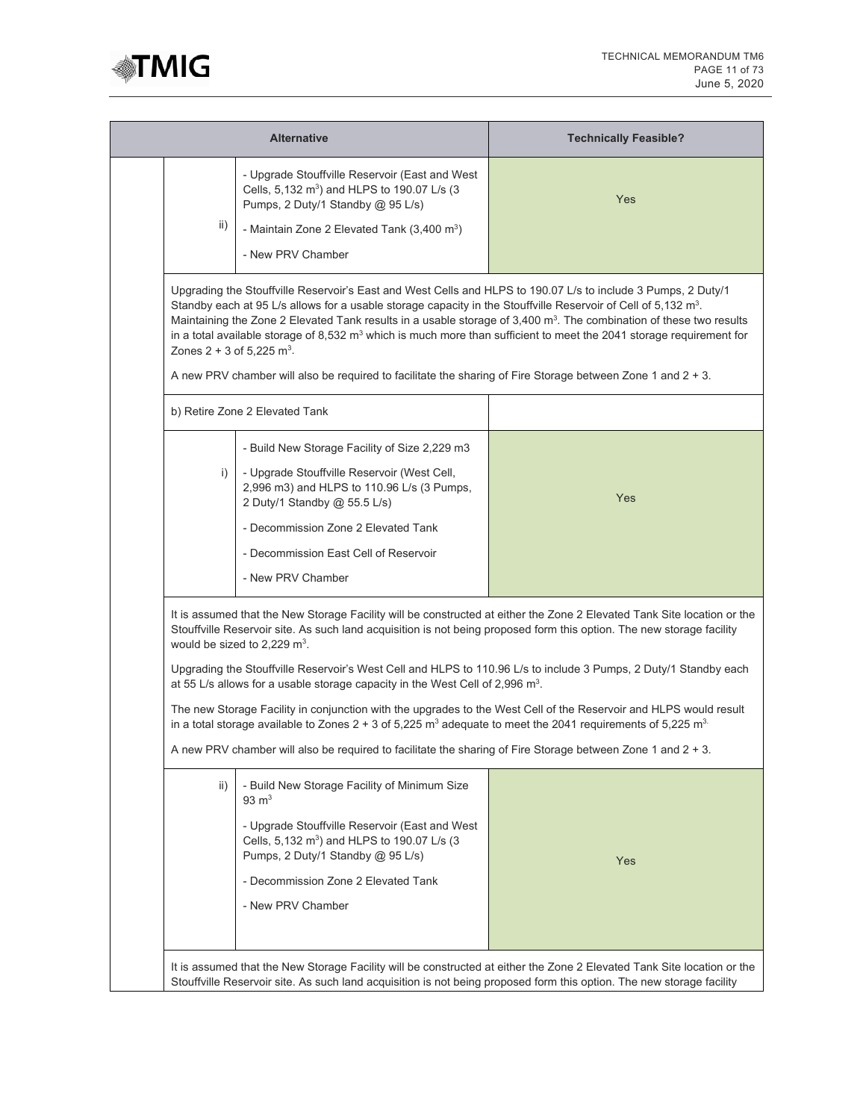

|                                                                                                                                                                                                                                                                                                                                                                                                                                                                                                                                                                                                                                                                                                                                                                                                                                                       | <b>Technically Feasible?</b>                                                                                                                                                                                                                              |  |  |
|-------------------------------------------------------------------------------------------------------------------------------------------------------------------------------------------------------------------------------------------------------------------------------------------------------------------------------------------------------------------------------------------------------------------------------------------------------------------------------------------------------------------------------------------------------------------------------------------------------------------------------------------------------------------------------------------------------------------------------------------------------------------------------------------------------------------------------------------------------|-----------------------------------------------------------------------------------------------------------------------------------------------------------------------------------------------------------------------------------------------------------|--|--|
| - Upgrade Stouffville Reservoir (East and West<br>Cells, 5,132 m <sup>3</sup> ) and HLPS to 190.07 L/s (3<br>Pumps, 2 Duty/1 Standby @ 95 L/s)<br>- Maintain Zone 2 Elevated Tank $(3,400 \text{ m}^3)$<br>- New PRV Chamber                                                                                                                                                                                                                                                                                                                                                                                                                                                                                                                                                                                                                          | Yes                                                                                                                                                                                                                                                       |  |  |
| Upgrading the Stouffville Reservoir's East and West Cells and HLPS to 190.07 L/s to include 3 Pumps, 2 Duty/1<br>Standby each at 95 L/s allows for a usable storage capacity in the Stouffville Reservoir of Cell of 5,132 m <sup>3</sup> .<br>A new PRV chamber will also be required to facilitate the sharing of Fire Storage between Zone 1 and 2 + 3.                                                                                                                                                                                                                                                                                                                                                                                                                                                                                            | Maintaining the Zone 2 Elevated Tank results in a usable storage of 3,400 m <sup>3</sup> . The combination of these two results<br>in a total available storage of 8,532 $m3$ which is much more than sufficient to meet the 2041 storage requirement for |  |  |
|                                                                                                                                                                                                                                                                                                                                                                                                                                                                                                                                                                                                                                                                                                                                                                                                                                                       |                                                                                                                                                                                                                                                           |  |  |
| - Build New Storage Facility of Size 2,229 m3<br>- Upgrade Stouffville Reservoir (West Cell,<br>2,996 m3) and HLPS to 110.96 L/s (3 Pumps,<br>2 Duty/1 Standby @ 55.5 L/s)<br>- Decommission Zone 2 Elevated Tank<br>- Decommission East Cell of Reservoir<br>- New PRV Chamber                                                                                                                                                                                                                                                                                                                                                                                                                                                                                                                                                                       | Yes                                                                                                                                                                                                                                                       |  |  |
| It is assumed that the New Storage Facility will be constructed at either the Zone 2 Elevated Tank Site location or the<br>Stouffville Reservoir site. As such land acquisition is not being proposed form this option. The new storage facility<br>would be sized to 2,229 $m^3$ .<br>Upgrading the Stouffville Reservoir's West Cell and HLPS to 110.96 L/s to include 3 Pumps, 2 Duty/1 Standby each<br>at 55 L/s allows for a usable storage capacity in the West Cell of 2,996 $m^3$ .<br>The new Storage Facility in conjunction with the upgrades to the West Cell of the Reservoir and HLPS would result<br>in a total storage available to Zones 2 + 3 of 5,225 $m^3$ adequate to meet the 2041 requirements of 5,225 $m^3$ .<br>A new PRV chamber will also be required to facilitate the sharing of Fire Storage between Zone 1 and 2 + 3. |                                                                                                                                                                                                                                                           |  |  |
| - Build New Storage Facility of Minimum Size<br>$93 \text{ m}^3$<br>- Upgrade Stouffville Reservoir (East and West<br>Cells, 5,132 m <sup>3</sup> ) and HLPS to 190.07 L/s (3<br>Pumps, 2 Duty/1 Standby @ 95 L/s)<br>- Decommission Zone 2 Elevated Tank<br>- New PRV Chamber                                                                                                                                                                                                                                                                                                                                                                                                                                                                                                                                                                        | Yes                                                                                                                                                                                                                                                       |  |  |
|                                                                                                                                                                                                                                                                                                                                                                                                                                                                                                                                                                                                                                                                                                                                                                                                                                                       | Zones $2 + 3$ of 5,225 m <sup>3</sup> .<br>b) Retire Zone 2 Elevated Tank                                                                                                                                                                                 |  |  |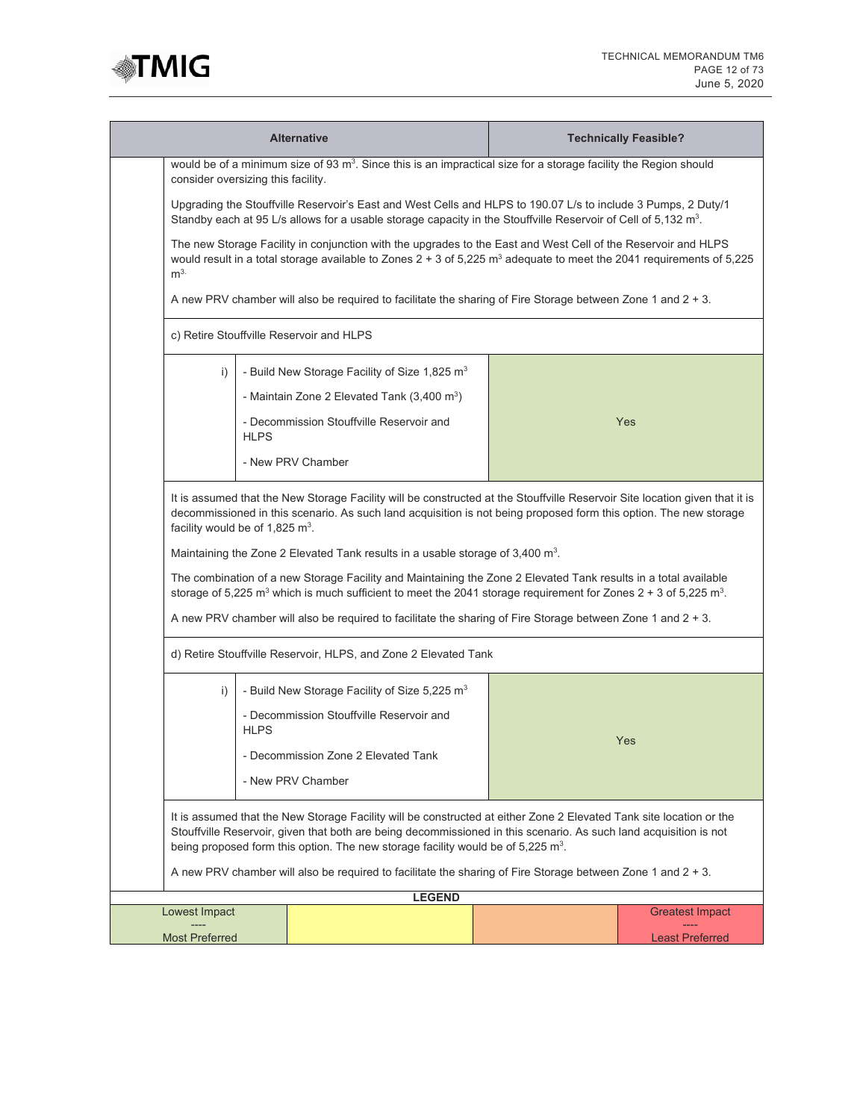

| <b>Alternative</b>                                                                                                                                                                                                                                                                                                                                                                   |             |                                                                                                                                                                                                                                                              |  | <b>Technically Feasible?</b> |
|--------------------------------------------------------------------------------------------------------------------------------------------------------------------------------------------------------------------------------------------------------------------------------------------------------------------------------------------------------------------------------------|-------------|--------------------------------------------------------------------------------------------------------------------------------------------------------------------------------------------------------------------------------------------------------------|--|------------------------------|
| consider oversizing this facility.                                                                                                                                                                                                                                                                                                                                                   |             | would be of a minimum size of 93 m <sup>3</sup> . Since this is an impractical size for a storage facility the Region should                                                                                                                                 |  |                              |
| Upgrading the Stouffville Reservoir's East and West Cells and HLPS to 190.07 L/s to include 3 Pumps, 2 Duty/1<br>Standby each at 95 L/s allows for a usable storage capacity in the Stouffville Reservoir of Cell of 5,132 m <sup>3</sup> .                                                                                                                                          |             |                                                                                                                                                                                                                                                              |  |                              |
| The new Storage Facility in conjunction with the upgrades to the East and West Cell of the Reservoir and HLPS<br>would result in a total storage available to Zones $2 + 3$ of 5,225 m <sup>3</sup> adequate to meet the 2041 requirements of 5,225<br>m <sup>3</sup>                                                                                                                |             |                                                                                                                                                                                                                                                              |  |                              |
| A new PRV chamber will also be required to facilitate the sharing of Fire Storage between Zone 1 and $2 + 3$ .                                                                                                                                                                                                                                                                       |             |                                                                                                                                                                                                                                                              |  |                              |
|                                                                                                                                                                                                                                                                                                                                                                                      |             | c) Retire Stouffville Reservoir and HLPS                                                                                                                                                                                                                     |  |                              |
| i)                                                                                                                                                                                                                                                                                                                                                                                   |             | - Build New Storage Facility of Size 1,825 m <sup>3</sup>                                                                                                                                                                                                    |  |                              |
|                                                                                                                                                                                                                                                                                                                                                                                      |             | - Maintain Zone 2 Elevated Tank (3,400 m <sup>3</sup> )                                                                                                                                                                                                      |  |                              |
|                                                                                                                                                                                                                                                                                                                                                                                      | <b>HLPS</b> | - Decommission Stouffville Reservoir and                                                                                                                                                                                                                     |  | Yes                          |
|                                                                                                                                                                                                                                                                                                                                                                                      |             | - New PRV Chamber                                                                                                                                                                                                                                            |  |                              |
| It is assumed that the New Storage Facility will be constructed at the Stouffville Reservoir Site location given that it is<br>decommissioned in this scenario. As such land acquisition is not being proposed form this option. The new storage<br>facility would be of 1,825 $m^3$ .<br>Maintaining the Zone 2 Elevated Tank results in a usable storage of 3,400 m <sup>3</sup> . |             |                                                                                                                                                                                                                                                              |  |                              |
|                                                                                                                                                                                                                                                                                                                                                                                      |             | The combination of a new Storage Facility and Maintaining the Zone 2 Elevated Tank results in a total available<br>storage of 5,225 m <sup>3</sup> which is much sufficient to meet the 2041 storage requirement for Zones $2 + 3$ of 5,225 m <sup>3</sup> . |  |                              |
|                                                                                                                                                                                                                                                                                                                                                                                      |             | A new PRV chamber will also be required to facilitate the sharing of Fire Storage between Zone 1 and $2 + 3$ .                                                                                                                                               |  |                              |
|                                                                                                                                                                                                                                                                                                                                                                                      |             | d) Retire Stouffville Reservoir, HLPS, and Zone 2 Elevated Tank                                                                                                                                                                                              |  |                              |
| i)                                                                                                                                                                                                                                                                                                                                                                                   |             | - Build New Storage Facility of Size 5,225 m <sup>3</sup>                                                                                                                                                                                                    |  |                              |
|                                                                                                                                                                                                                                                                                                                                                                                      | <b>HLPS</b> | - Decommission Stouffville Reservoir and                                                                                                                                                                                                                     |  | Yes                          |
|                                                                                                                                                                                                                                                                                                                                                                                      |             | - Decommission Zone 2 Elevated Tank                                                                                                                                                                                                                          |  |                              |
| - New PRV Chamber                                                                                                                                                                                                                                                                                                                                                                    |             |                                                                                                                                                                                                                                                              |  |                              |
| It is assumed that the New Storage Facility will be constructed at either Zone 2 Elevated Tank site location or the<br>Stouffville Reservoir, given that both are being decommissioned in this scenario. As such land acquisition is not<br>being proposed form this option. The new storage facility would be of 5,225 m <sup>3</sup> .                                             |             |                                                                                                                                                                                                                                                              |  |                              |
| A new PRV chamber will also be required to facilitate the sharing of Fire Storage between Zone 1 and $2 + 3$ .                                                                                                                                                                                                                                                                       |             |                                                                                                                                                                                                                                                              |  |                              |
| Lowest Impact                                                                                                                                                                                                                                                                                                                                                                        |             | <b>LEGEND</b>                                                                                                                                                                                                                                                |  | <b>Greatest Impact</b>       |
|                                                                                                                                                                                                                                                                                                                                                                                      |             |                                                                                                                                                                                                                                                              |  |                              |
| <b>Most Preferred</b>                                                                                                                                                                                                                                                                                                                                                                |             |                                                                                                                                                                                                                                                              |  | <b>Least Preferred</b>       |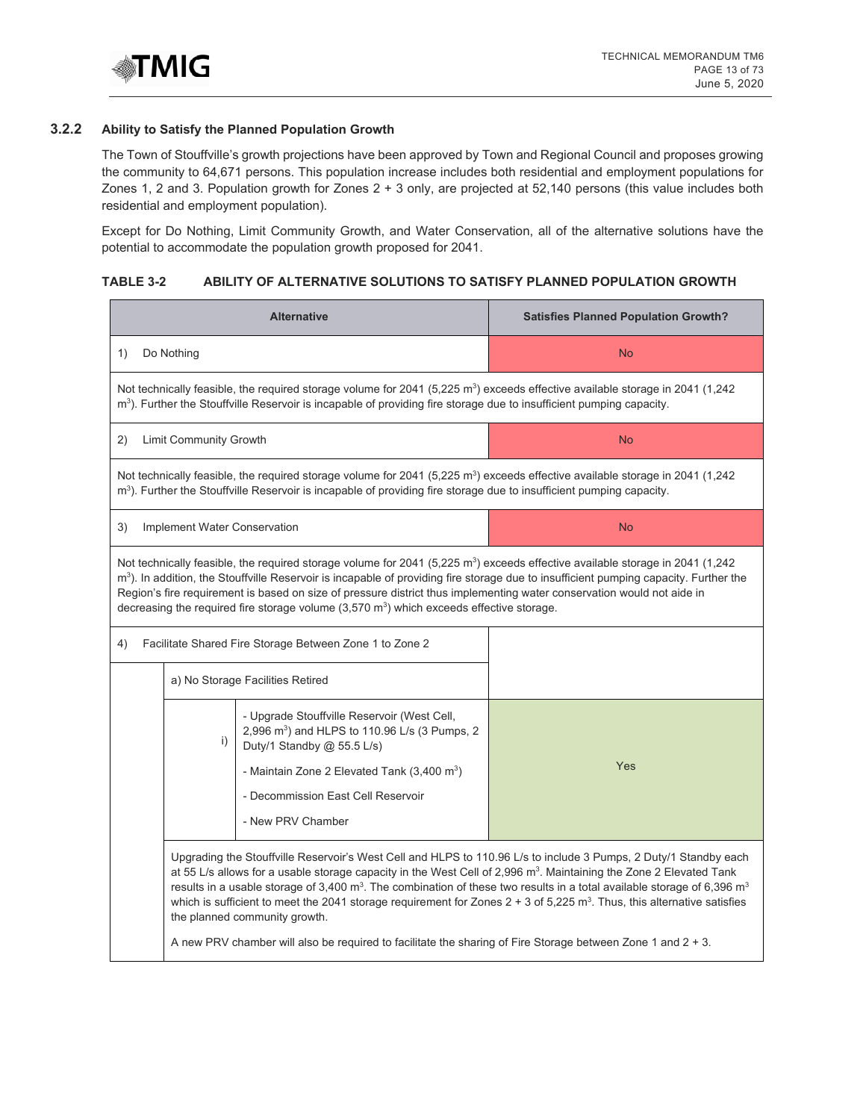

# **3.2.2 Ability to Satisfy the Planned Population Growth**

The Town of Stouffville's growth projections have been approved by Town and Regional Council and proposes growing the community to 64,671 persons. This population increase includes both residential and employment populations for Zones 1, 2 and 3. Population growth for Zones 2 + 3 only, are projected at 52,140 persons (this value includes both residential and employment population).

Except for Do Nothing, Limit Community Growth, and Water Conservation, all of the alternative solutions have the potential to accommodate the population growth proposed for 2041.

## **TABLE 3-2 ABILITY OF ALTERNATIVE SOLUTIONS TO SATISFY PLANNED POPULATION GROWTH**

| <b>Alternative</b>                                                                                                                                                                                                                                                                                                                                                                                                                                                                                                               | <b>Satisfies Planned Population Growth?</b>                                                                                                                                                                                                                                                                                                                                                                                                                                                                                                                                                                                                                      |  |  |  |  |  |
|----------------------------------------------------------------------------------------------------------------------------------------------------------------------------------------------------------------------------------------------------------------------------------------------------------------------------------------------------------------------------------------------------------------------------------------------------------------------------------------------------------------------------------|------------------------------------------------------------------------------------------------------------------------------------------------------------------------------------------------------------------------------------------------------------------------------------------------------------------------------------------------------------------------------------------------------------------------------------------------------------------------------------------------------------------------------------------------------------------------------------------------------------------------------------------------------------------|--|--|--|--|--|
| Do Nothing<br>1)                                                                                                                                                                                                                                                                                                                                                                                                                                                                                                                 | <b>No</b>                                                                                                                                                                                                                                                                                                                                                                                                                                                                                                                                                                                                                                                        |  |  |  |  |  |
| Not technically feasible, the required storage volume for 2041 (5,225 m <sup>3</sup> ) exceeds effective available storage in 2041 (1,242<br>m <sup>3</sup> ). Further the Stouffville Reservoir is incapable of providing fire storage due to insufficient pumping capacity.                                                                                                                                                                                                                                                    |                                                                                                                                                                                                                                                                                                                                                                                                                                                                                                                                                                                                                                                                  |  |  |  |  |  |
| Limit Community Growth<br>2)<br><b>No</b>                                                                                                                                                                                                                                                                                                                                                                                                                                                                                        |                                                                                                                                                                                                                                                                                                                                                                                                                                                                                                                                                                                                                                                                  |  |  |  |  |  |
| Not technically feasible, the required storage volume for 2041 (5,225 m <sup>3</sup> ) exceeds effective available storage in 2041 (1,242<br>m <sup>3</sup> ). Further the Stouffville Reservoir is incapable of providing fire storage due to insufficient pumping capacity.                                                                                                                                                                                                                                                    |                                                                                                                                                                                                                                                                                                                                                                                                                                                                                                                                                                                                                                                                  |  |  |  |  |  |
| 3)<br>Implement Water Conservation                                                                                                                                                                                                                                                                                                                                                                                                                                                                                               | <b>No</b>                                                                                                                                                                                                                                                                                                                                                                                                                                                                                                                                                                                                                                                        |  |  |  |  |  |
| Not technically feasible, the required storage volume for 2041 (5,225 m <sup>3</sup> ) exceeds effective available storage in 2041 (1,242<br>m <sup>3</sup> ). In addition, the Stouffville Reservoir is incapable of providing fire storage due to insufficient pumping capacity. Further the<br>Region's fire requirement is based on size of pressure district thus implementing water conservation would not aide in<br>decreasing the required fire storage volume (3,570 m <sup>3</sup> ) which exceeds effective storage. |                                                                                                                                                                                                                                                                                                                                                                                                                                                                                                                                                                                                                                                                  |  |  |  |  |  |
| Facilitate Shared Fire Storage Between Zone 1 to Zone 2<br>4)                                                                                                                                                                                                                                                                                                                                                                                                                                                                    |                                                                                                                                                                                                                                                                                                                                                                                                                                                                                                                                                                                                                                                                  |  |  |  |  |  |
| a) No Storage Facilities Retired                                                                                                                                                                                                                                                                                                                                                                                                                                                                                                 |                                                                                                                                                                                                                                                                                                                                                                                                                                                                                                                                                                                                                                                                  |  |  |  |  |  |
| - Upgrade Stouffville Reservoir (West Cell,<br>2,996 m <sup>3</sup> ) and HLPS to 110.96 L/s (3 Pumps, 2<br>i)<br>Duty/1 Standby @ 55.5 L/s)<br>- Maintain Zone 2 Elevated Tank $(3,400 \text{ m}^3)$<br>- Decommission East Cell Reservoir<br>- New PRV Chamber                                                                                                                                                                                                                                                                 | Yes                                                                                                                                                                                                                                                                                                                                                                                                                                                                                                                                                                                                                                                              |  |  |  |  |  |
| the planned community growth.                                                                                                                                                                                                                                                                                                                                                                                                                                                                                                    | Upgrading the Stouffville Reservoir's West Cell and HLPS to 110.96 L/s to include 3 Pumps, 2 Duty/1 Standby each<br>at 55 L/s allows for a usable storage capacity in the West Cell of 2,996 m <sup>3</sup> . Maintaining the Zone 2 Elevated Tank<br>results in a usable storage of 3,400 m <sup>3</sup> . The combination of these two results in a total available storage of 6,396 m <sup>3</sup><br>which is sufficient to meet the 2041 storage requirement for Zones $2 + 3$ of 5,225 m <sup>3</sup> . Thus, this alternative satisfies<br>A new PRV chamber will also be required to facilitate the sharing of Fire Storage between Zone 1 and $2 + 3$ . |  |  |  |  |  |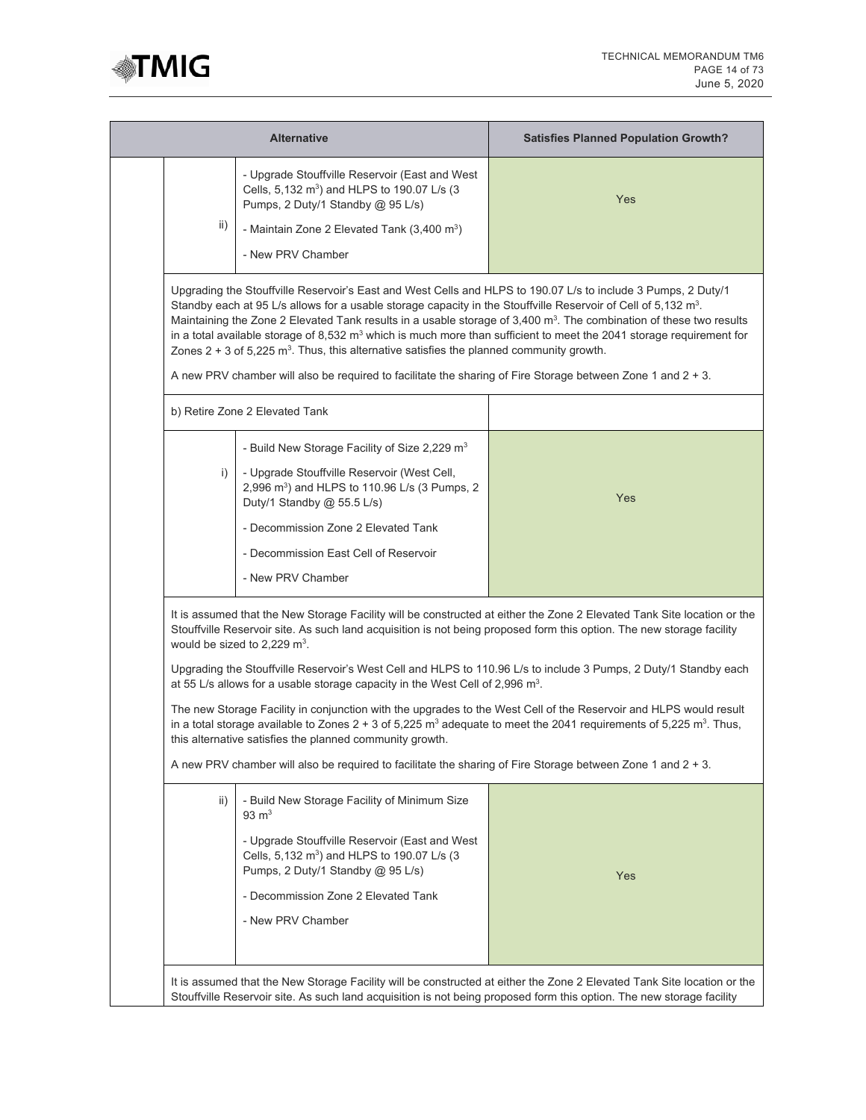

|     | <b>Alternative</b>                                                                                                                                                                                                                                                                                                                                                                                                                                                                                                                                                                                                           | <b>Satisfies Planned Population Growth?</b> |  |
|-----|------------------------------------------------------------------------------------------------------------------------------------------------------------------------------------------------------------------------------------------------------------------------------------------------------------------------------------------------------------------------------------------------------------------------------------------------------------------------------------------------------------------------------------------------------------------------------------------------------------------------------|---------------------------------------------|--|
|     | - Upgrade Stouffville Reservoir (East and West<br>Cells, 5,132 m <sup>3</sup> ) and HLPS to 190.07 L/s (3<br>Pumps, 2 Duty/1 Standby @ 95 L/s)                                                                                                                                                                                                                                                                                                                                                                                                                                                                               | Yes                                         |  |
| ii) | - Maintain Zone 2 Elevated Tank (3,400 m <sup>3</sup> )                                                                                                                                                                                                                                                                                                                                                                                                                                                                                                                                                                      |                                             |  |
|     | - New PRV Chamber                                                                                                                                                                                                                                                                                                                                                                                                                                                                                                                                                                                                            |                                             |  |
|     | Upgrading the Stouffville Reservoir's East and West Cells and HLPS to 190.07 L/s to include 3 Pumps, 2 Duty/1<br>Standby each at 95 L/s allows for a usable storage capacity in the Stouffville Reservoir of Cell of 5,132 m <sup>3</sup> .<br>Maintaining the Zone 2 Elevated Tank results in a usable storage of 3,400 m <sup>3</sup> . The combination of these two results<br>in a total available storage of 8,532 m <sup>3</sup> which is much more than sufficient to meet the 2041 storage requirement for<br>Zones $2 + 3$ of 5,225 m <sup>3</sup> . Thus, this alternative satisfies the planned community growth. |                                             |  |
|     | A new PRV chamber will also be required to facilitate the sharing of Fire Storage between Zone 1 and $2 + 3$ .                                                                                                                                                                                                                                                                                                                                                                                                                                                                                                               |                                             |  |
|     | b) Retire Zone 2 Elevated Tank                                                                                                                                                                                                                                                                                                                                                                                                                                                                                                                                                                                               |                                             |  |
|     | - Build New Storage Facility of Size 2,229 $m3$                                                                                                                                                                                                                                                                                                                                                                                                                                                                                                                                                                              |                                             |  |
| i)  | - Upgrade Stouffville Reservoir (West Cell,<br>2,996 m <sup>3</sup> ) and HLPS to 110.96 L/s (3 Pumps, 2<br>Duty/1 Standby @ 55.5 L/s)                                                                                                                                                                                                                                                                                                                                                                                                                                                                                       | Yes                                         |  |
|     | - Decommission Zone 2 Elevated Tank                                                                                                                                                                                                                                                                                                                                                                                                                                                                                                                                                                                          |                                             |  |
|     | - Decommission East Cell of Reservoir                                                                                                                                                                                                                                                                                                                                                                                                                                                                                                                                                                                        |                                             |  |
|     |                                                                                                                                                                                                                                                                                                                                                                                                                                                                                                                                                                                                                              |                                             |  |
|     | - New PRV Chamber                                                                                                                                                                                                                                                                                                                                                                                                                                                                                                                                                                                                            |                                             |  |
|     | It is assumed that the New Storage Facility will be constructed at either the Zone 2 Elevated Tank Site location or the<br>Stouffville Reservoir site. As such land acquisition is not being proposed form this option. The new storage facility<br>would be sized to 2,229 $m^3$ .<br>Upgrading the Stouffville Reservoir's West Cell and HLPS to 110.96 L/s to include 3 Pumps, 2 Duty/1 Standby each                                                                                                                                                                                                                      |                                             |  |
|     | at 55 L/s allows for a usable storage capacity in the West Cell of 2,996 $m^3$ .                                                                                                                                                                                                                                                                                                                                                                                                                                                                                                                                             |                                             |  |
|     | The new Storage Facility in conjunction with the upgrades to the West Cell of the Reservoir and HLPS would result<br>in a total storage available to Zones $2 + 3$ of 5,225 m <sup>3</sup> adequate to meet the 2041 requirements of 5,225 m <sup>3</sup> . Thus,<br>this alternative satisfies the planned community growth.                                                                                                                                                                                                                                                                                                |                                             |  |
|     | A new PRV chamber will also be required to facilitate the sharing of Fire Storage between Zone 1 and $2 + 3$ .                                                                                                                                                                                                                                                                                                                                                                                                                                                                                                               |                                             |  |
| ii) | - Build New Storage Facility of Minimum Size<br>$93 \text{ m}^3$                                                                                                                                                                                                                                                                                                                                                                                                                                                                                                                                                             |                                             |  |
|     | - Upgrade Stouffville Reservoir (East and West<br>Cells, 5,132 m <sup>3</sup> ) and HLPS to 190.07 L/s (3<br>Pumps, 2 Duty/1 Standby @ 95 L/s)                                                                                                                                                                                                                                                                                                                                                                                                                                                                               | Yes                                         |  |
|     | - Decommission Zone 2 Elevated Tank                                                                                                                                                                                                                                                                                                                                                                                                                                                                                                                                                                                          |                                             |  |
|     | - New PRV Chamber                                                                                                                                                                                                                                                                                                                                                                                                                                                                                                                                                                                                            |                                             |  |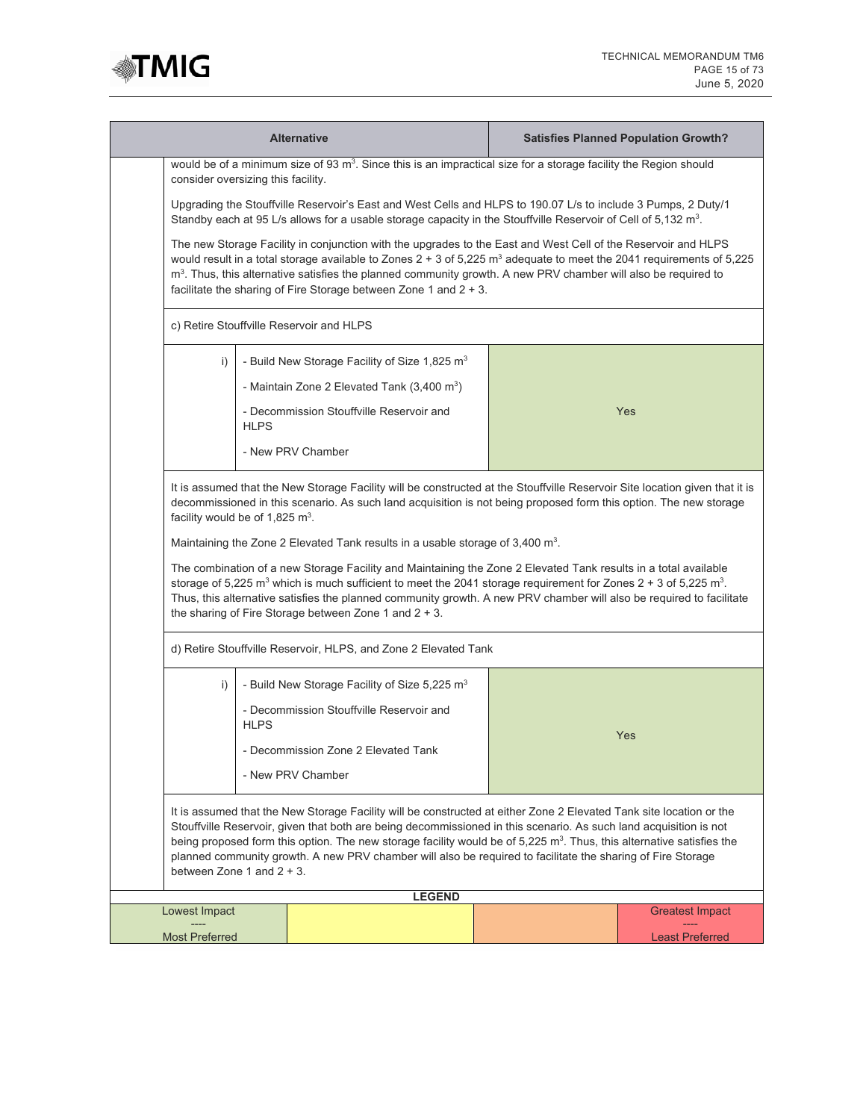

| <b>Alternative</b>                                                                                                                                                                                                                                                                                                                                                                                                                                                                                                                                                                                                                                                                                                                                                                                                                    |             |                                                                                                                              |  |  | <b>Satisfies Planned Population Growth?</b>      |
|---------------------------------------------------------------------------------------------------------------------------------------------------------------------------------------------------------------------------------------------------------------------------------------------------------------------------------------------------------------------------------------------------------------------------------------------------------------------------------------------------------------------------------------------------------------------------------------------------------------------------------------------------------------------------------------------------------------------------------------------------------------------------------------------------------------------------------------|-------------|------------------------------------------------------------------------------------------------------------------------------|--|--|--------------------------------------------------|
| consider oversizing this facility.                                                                                                                                                                                                                                                                                                                                                                                                                                                                                                                                                                                                                                                                                                                                                                                                    |             | would be of a minimum size of 93 m <sup>3</sup> . Since this is an impractical size for a storage facility the Region should |  |  |                                                  |
| Upgrading the Stouffville Reservoir's East and West Cells and HLPS to 190.07 L/s to include 3 Pumps, 2 Duty/1<br>Standby each at 95 L/s allows for a usable storage capacity in the Stouffville Reservoir of Cell of 5,132 m <sup>3</sup> .                                                                                                                                                                                                                                                                                                                                                                                                                                                                                                                                                                                           |             |                                                                                                                              |  |  |                                                  |
| The new Storage Facility in conjunction with the upgrades to the East and West Cell of the Reservoir and HLPS<br>would result in a total storage available to Zones $2 + 3$ of 5,225 m <sup>3</sup> adequate to meet the 2041 requirements of 5,225<br>m <sup>3</sup> . Thus, this alternative satisfies the planned community growth. A new PRV chamber will also be required to<br>facilitate the sharing of Fire Storage between Zone 1 and 2 + 3.                                                                                                                                                                                                                                                                                                                                                                                 |             |                                                                                                                              |  |  |                                                  |
| c) Retire Stouffville Reservoir and HLPS                                                                                                                                                                                                                                                                                                                                                                                                                                                                                                                                                                                                                                                                                                                                                                                              |             |                                                                                                                              |  |  |                                                  |
| i)                                                                                                                                                                                                                                                                                                                                                                                                                                                                                                                                                                                                                                                                                                                                                                                                                                    |             | - Build New Storage Facility of Size 1,825 m <sup>3</sup>                                                                    |  |  |                                                  |
|                                                                                                                                                                                                                                                                                                                                                                                                                                                                                                                                                                                                                                                                                                                                                                                                                                       |             | - Maintain Zone 2 Elevated Tank $(3,400 \text{ m}^3)$                                                                        |  |  |                                                  |
|                                                                                                                                                                                                                                                                                                                                                                                                                                                                                                                                                                                                                                                                                                                                                                                                                                       | <b>HLPS</b> | - Decommission Stouffville Reservoir and                                                                                     |  |  | Yes                                              |
|                                                                                                                                                                                                                                                                                                                                                                                                                                                                                                                                                                                                                                                                                                                                                                                                                                       |             | - New PRV Chamber                                                                                                            |  |  |                                                  |
| It is assumed that the New Storage Facility will be constructed at the Stouffville Reservoir Site location given that it is<br>decommissioned in this scenario. As such land acquisition is not being proposed form this option. The new storage<br>facility would be of 1,825 $m^3$ .<br>Maintaining the Zone 2 Elevated Tank results in a usable storage of $3,400 \text{ m}^3$ .<br>The combination of a new Storage Facility and Maintaining the Zone 2 Elevated Tank results in a total available<br>storage of 5,225 m <sup>3</sup> which is much sufficient to meet the 2041 storage requirement for Zones 2 + 3 of 5,225 m <sup>3</sup> .<br>Thus, this alternative satisfies the planned community growth. A new PRV chamber will also be required to facilitate<br>the sharing of Fire Storage between Zone 1 and $2 + 3$ . |             |                                                                                                                              |  |  |                                                  |
|                                                                                                                                                                                                                                                                                                                                                                                                                                                                                                                                                                                                                                                                                                                                                                                                                                       |             | d) Retire Stouffville Reservoir, HLPS, and Zone 2 Elevated Tank                                                              |  |  |                                                  |
| i)                                                                                                                                                                                                                                                                                                                                                                                                                                                                                                                                                                                                                                                                                                                                                                                                                                    |             | - Build New Storage Facility of Size 5,225 m <sup>3</sup>                                                                    |  |  |                                                  |
|                                                                                                                                                                                                                                                                                                                                                                                                                                                                                                                                                                                                                                                                                                                                                                                                                                       | <b>HLPS</b> | - Decommission Stouffville Reservoir and                                                                                     |  |  | Yes                                              |
|                                                                                                                                                                                                                                                                                                                                                                                                                                                                                                                                                                                                                                                                                                                                                                                                                                       |             | - Decommission Zone 2 Elevated Tank                                                                                          |  |  |                                                  |
| - New PRV Chamber                                                                                                                                                                                                                                                                                                                                                                                                                                                                                                                                                                                                                                                                                                                                                                                                                     |             |                                                                                                                              |  |  |                                                  |
| It is assumed that the New Storage Facility will be constructed at either Zone 2 Elevated Tank site location or the<br>Stouffville Reservoir, given that both are being decommissioned in this scenario. As such land acquisition is not<br>being proposed form this option. The new storage facility would be of 5,225 m <sup>3</sup> . Thus, this alternative satisfies the<br>planned community growth. A new PRV chamber will also be required to facilitate the sharing of Fire Storage<br>between Zone 1 and $2 + 3$ .                                                                                                                                                                                                                                                                                                          |             |                                                                                                                              |  |  |                                                  |
|                                                                                                                                                                                                                                                                                                                                                                                                                                                                                                                                                                                                                                                                                                                                                                                                                                       |             | <b>LEGEND</b>                                                                                                                |  |  |                                                  |
| Lowest Impact<br><b>Most Preferred</b>                                                                                                                                                                                                                                                                                                                                                                                                                                                                                                                                                                                                                                                                                                                                                                                                |             |                                                                                                                              |  |  | <b>Greatest Impact</b><br><b>Least Preferred</b> |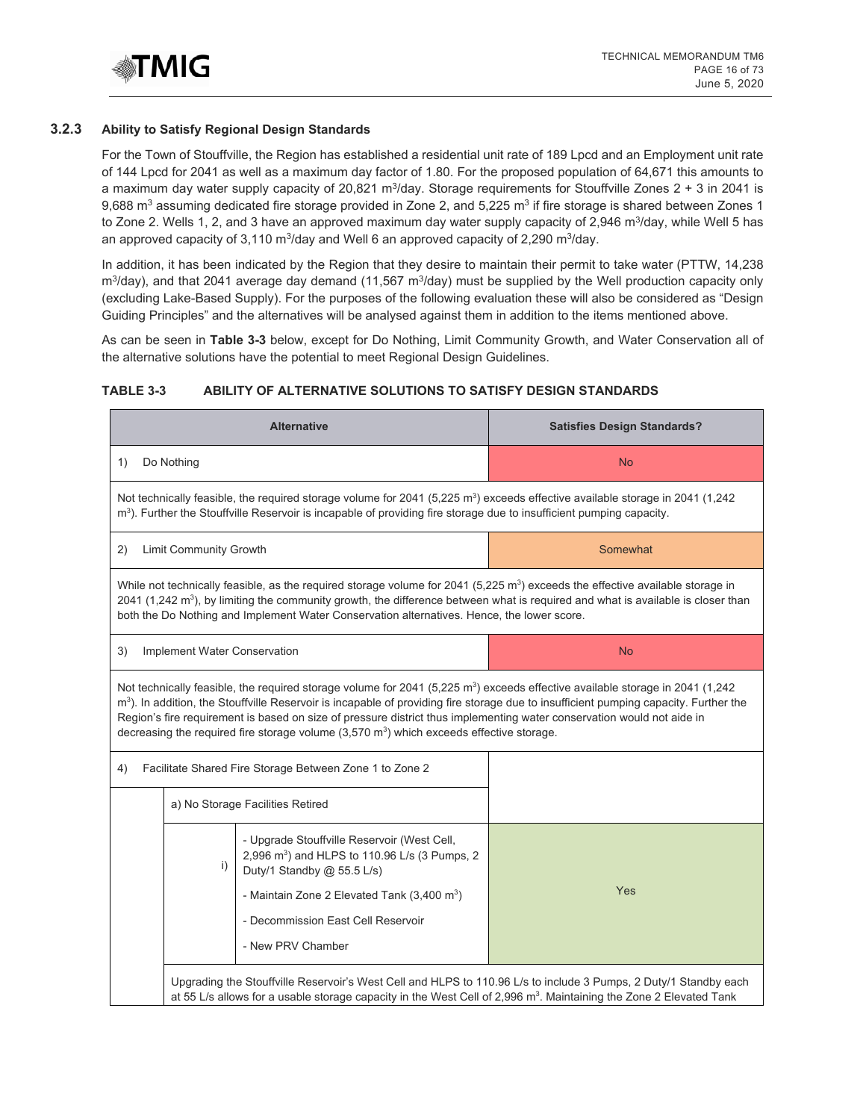

#### **3.2.3 Ability to Satisfy Regional Design Standards**

For the Town of Stouffville, the Region has established a residential unit rate of 189 Lpcd and an Employment unit rate of 144 Lpcd for 2041 as well as a maximum day factor of 1.80. For the proposed population of 64,671 this amounts to a maximum day water supply capacity of 20,821 m<sup>3</sup>/day. Storage requirements for Stouffville Zones  $2 + 3$  in 2041 is 9,688 m<sup>3</sup> assuming dedicated fire storage provided in Zone 2, and 5,225 m<sup>3</sup> if fire storage is shared between Zones 1 to Zone 2. Wells 1, 2, and 3 have an approved maximum day water supply capacity of 2,946 m<sup>3</sup>/day, while Well 5 has an approved capacity of 3,110 m<sup>3</sup>/day and Well 6 an approved capacity of 2,290 m<sup>3</sup>/day.

In addition, it has been indicated by the Region that they desire to maintain their permit to take water (PTTW, 14,238  $m^3$ /day), and that 2041 average day demand (11,567  $m^3$ /day) must be supplied by the Well production capacity only (excluding Lake-Based Supply). For the purposes of the following evaluation these will also be considered as "Design Guiding Principles" and the alternatives will be analysed against them in addition to the items mentioned above.

As can be seen in **Table 3-3** below, except for Do Nothing, Limit Community Growth, and Water Conservation all of the alternative solutions have the potential to meet Regional Design Guidelines.

## **TABLE 3-3 ABILITY OF ALTERNATIVE SOLUTIONS TO SATISFY DESIGN STANDARDS**

|    |                                                                                                                                                                                                                                                                               | <b>Alternative</b>                                                                                                                                                                                                                                                                                                                                                        | <b>Satisfies Design Standards?</b>                                                                                                                |  |  |  |
|----|-------------------------------------------------------------------------------------------------------------------------------------------------------------------------------------------------------------------------------------------------------------------------------|---------------------------------------------------------------------------------------------------------------------------------------------------------------------------------------------------------------------------------------------------------------------------------------------------------------------------------------------------------------------------|---------------------------------------------------------------------------------------------------------------------------------------------------|--|--|--|
| 1) | Do Nothing                                                                                                                                                                                                                                                                    |                                                                                                                                                                                                                                                                                                                                                                           | <b>No</b>                                                                                                                                         |  |  |  |
|    | Not technically feasible, the required storage volume for 2041 (5,225 m <sup>3</sup> ) exceeds effective available storage in 2041 (1,242<br>m <sup>3</sup> ). Further the Stouffville Reservoir is incapable of providing fire storage due to insufficient pumping capacity. |                                                                                                                                                                                                                                                                                                                                                                           |                                                                                                                                                   |  |  |  |
| 2) | Somewhat<br><b>Limit Community Growth</b>                                                                                                                                                                                                                                     |                                                                                                                                                                                                                                                                                                                                                                           |                                                                                                                                                   |  |  |  |
|    |                                                                                                                                                                                                                                                                               | While not technically feasible, as the required storage volume for 2041 (5,225 $m3$ ) exceeds the effective available storage in<br>both the Do Nothing and Implement Water Conservation alternatives. Hence, the lower score.                                                                                                                                            | 2041 (1,242 m <sup>3</sup> ), by limiting the community growth, the difference between what is required and what is available is closer than      |  |  |  |
| 3) | Implement Water Conservation                                                                                                                                                                                                                                                  |                                                                                                                                                                                                                                                                                                                                                                           | <b>No</b>                                                                                                                                         |  |  |  |
|    |                                                                                                                                                                                                                                                                               | Not technically feasible, the required storage volume for 2041 (5,225 m <sup>3</sup> ) exceeds effective available storage in 2041 (1,242<br>Region's fire requirement is based on size of pressure district thus implementing water conservation would not aide in<br>decreasing the required fire storage volume $(3,570 \text{ m}^3)$ which exceeds effective storage. | m <sup>3</sup> ). In addition, the Stouffville Reservoir is incapable of providing fire storage due to insufficient pumping capacity. Further the |  |  |  |
| 4) |                                                                                                                                                                                                                                                                               | Facilitate Shared Fire Storage Between Zone 1 to Zone 2                                                                                                                                                                                                                                                                                                                   |                                                                                                                                                   |  |  |  |
|    |                                                                                                                                                                                                                                                                               | a) No Storage Facilities Retired                                                                                                                                                                                                                                                                                                                                          |                                                                                                                                                   |  |  |  |
|    | i)                                                                                                                                                                                                                                                                            | - Upgrade Stouffville Reservoir (West Cell,<br>2,996 m <sup>3</sup> ) and HLPS to 110.96 L/s (3 Pumps, 2<br>Duty/1 Standby @ 55.5 L/s)<br>- Maintain Zone 2 Elevated Tank $(3,400 \text{ m}^3)$<br>- Decommission East Cell Reservoir<br>- New PRV Chamber                                                                                                                | Yes                                                                                                                                               |  |  |  |
|    |                                                                                                                                                                                                                                                                               | at 55 L/s allows for a usable storage capacity in the West Cell of 2,996 m <sup>3</sup> . Maintaining the Zone 2 Elevated Tank                                                                                                                                                                                                                                            | Upgrading the Stouffville Reservoir's West Cell and HLPS to 110.96 L/s to include 3 Pumps, 2 Duty/1 Standby each                                  |  |  |  |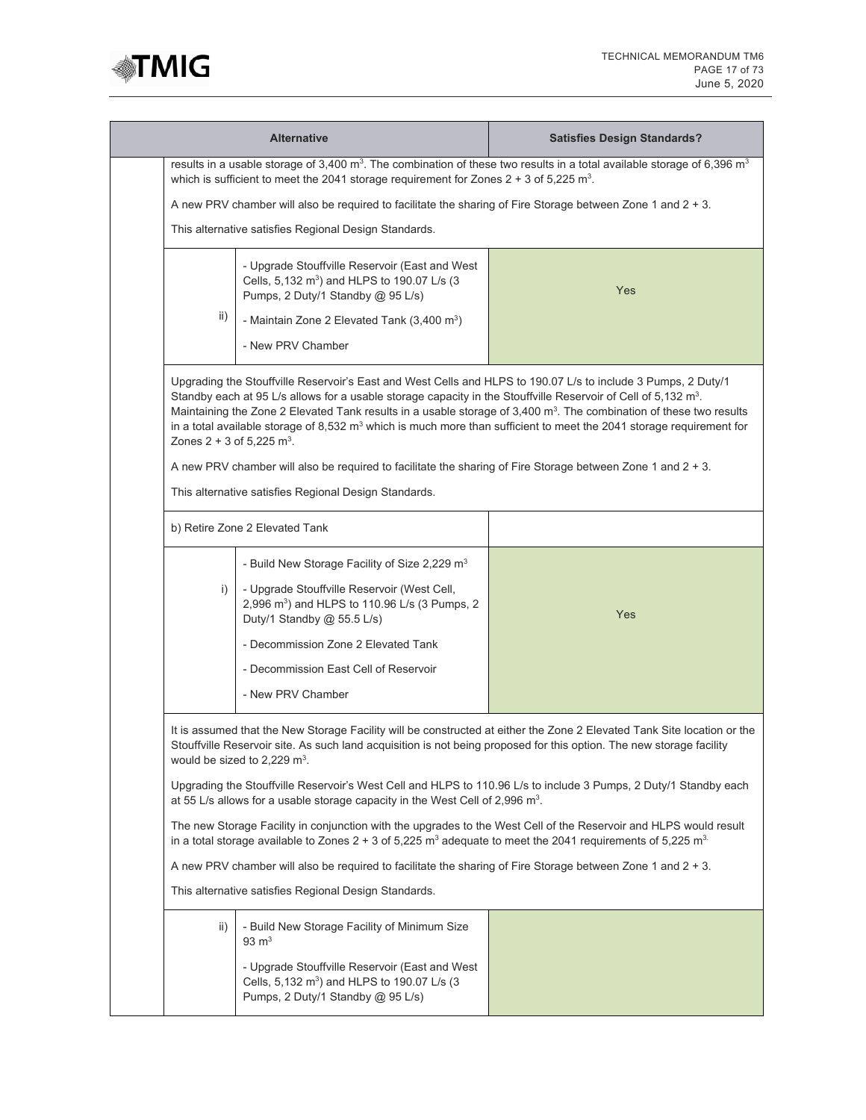

|                                                                                                                | <b>Alternative</b>                                                                                                                                                                                                                                                                                                                                            | <b>Satisfies Design Standards?</b>                                                                                                                                                                                                                                  |  |  |  |  |
|----------------------------------------------------------------------------------------------------------------|---------------------------------------------------------------------------------------------------------------------------------------------------------------------------------------------------------------------------------------------------------------------------------------------------------------------------------------------------------------|---------------------------------------------------------------------------------------------------------------------------------------------------------------------------------------------------------------------------------------------------------------------|--|--|--|--|
|                                                                                                                | which is sufficient to meet the 2041 storage requirement for Zones $2 + 3$ of 5,225 m <sup>3</sup> .                                                                                                                                                                                                                                                          | results in a usable storage of 3,400 m <sup>3</sup> . The combination of these two results in a total available storage of 6,396 m <sup>3</sup>                                                                                                                     |  |  |  |  |
| A new PRV chamber will also be required to facilitate the sharing of Fire Storage between Zone 1 and $2 + 3$ . |                                                                                                                                                                                                                                                                                                                                                               |                                                                                                                                                                                                                                                                     |  |  |  |  |
|                                                                                                                | This alternative satisfies Regional Design Standards.                                                                                                                                                                                                                                                                                                         |                                                                                                                                                                                                                                                                     |  |  |  |  |
| ii)                                                                                                            | - Upgrade Stouffville Reservoir (East and West<br>Cells, 5,132 m <sup>3</sup> ) and HLPS to 190.07 L/s (3<br>Pumps, 2 Duty/1 Standby @ 95 L/s)<br>- Maintain Zone 2 Elevated Tank $(3,400 \text{ m}^3)$<br>- New PRV Chamber                                                                                                                                  | Yes                                                                                                                                                                                                                                                                 |  |  |  |  |
| Zones $2 + 3$ of 5,225 m <sup>3</sup> .                                                                        | Upgrading the Stouffville Reservoir's East and West Cells and HLPS to 190.07 L/s to include 3 Pumps, 2 Duty/1<br>Standby each at 95 L/s allows for a usable storage capacity in the Stouffville Reservoir of Cell of 5,132 m <sup>3</sup> .<br>A new PRV chamber will also be required to facilitate the sharing of Fire Storage between Zone 1 and $2 + 3$ . | Maintaining the Zone 2 Elevated Tank results in a usable storage of 3,400 m <sup>3</sup> . The combination of these two results<br>in a total available storage of 8,532 m <sup>3</sup> which is much more than sufficient to meet the 2041 storage requirement for |  |  |  |  |
|                                                                                                                | This alternative satisfies Regional Design Standards.                                                                                                                                                                                                                                                                                                         |                                                                                                                                                                                                                                                                     |  |  |  |  |
|                                                                                                                | b) Retire Zone 2 Elevated Tank                                                                                                                                                                                                                                                                                                                                |                                                                                                                                                                                                                                                                     |  |  |  |  |
| i)                                                                                                             | - Build New Storage Facility of Size 2,229 m <sup>3</sup><br>- Upgrade Stouffville Reservoir (West Cell,<br>2,996 m <sup>3</sup> ) and HLPS to 110.96 L/s (3 Pumps, 2<br>Duty/1 Standby @ 55.5 L/s)<br>- Decommission Zone 2 Elevated Tank<br>- Decommission East Cell of Reservoir<br>- New PRV Chamber                                                      | Yes                                                                                                                                                                                                                                                                 |  |  |  |  |
|                                                                                                                | Stouffville Reservoir site. As such land acquisition is not being proposed for this option. The new storage facility<br>would be sized to 2,229 $m3$ .                                                                                                                                                                                                        | It is assumed that the New Storage Facility will be constructed at either the Zone 2 Elevated Tank Site location or the                                                                                                                                             |  |  |  |  |
|                                                                                                                | at 55 L/s allows for a usable storage capacity in the West Cell of 2,996 $m3$ .                                                                                                                                                                                                                                                                               | Upgrading the Stouffville Reservoir's West Cell and HLPS to 110.96 L/s to include 3 Pumps, 2 Duty/1 Standby each                                                                                                                                                    |  |  |  |  |
|                                                                                                                | The new Storage Facility in conjunction with the upgrades to the West Cell of the Reservoir and HLPS would result<br>in a total storage available to Zones $2 + 3$ of 5,225 m <sup>3</sup> adequate to meet the 2041 requirements of 5,225 m <sup>3</sup>                                                                                                     |                                                                                                                                                                                                                                                                     |  |  |  |  |
| A new PRV chamber will also be required to facilitate the sharing of Fire Storage between Zone 1 and 2 + 3.    |                                                                                                                                                                                                                                                                                                                                                               |                                                                                                                                                                                                                                                                     |  |  |  |  |
| This alternative satisfies Regional Design Standards.                                                          |                                                                                                                                                                                                                                                                                                                                                               |                                                                                                                                                                                                                                                                     |  |  |  |  |
| ii)                                                                                                            | - Build New Storage Facility of Minimum Size<br>$93 \text{ m}^3$<br>- Upgrade Stouffville Reservoir (East and West<br>Cells, 5,132 m <sup>3</sup> ) and HLPS to 190.07 L/s (3<br>Pumps, 2 Duty/1 Standby @ 95 L/s)                                                                                                                                            |                                                                                                                                                                                                                                                                     |  |  |  |  |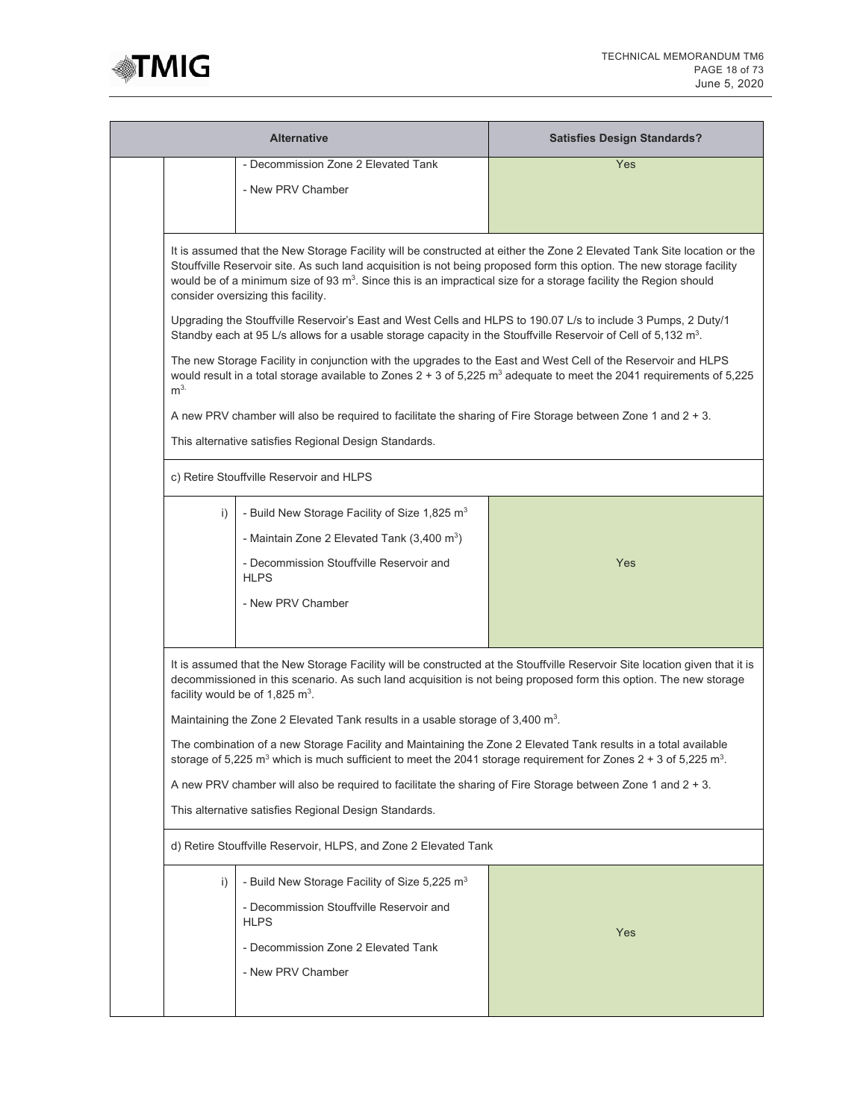

| <b>Alternative</b>                                              |                                                                                                                                                                                                                                                                                                                                                                                                               | <b>Satisfies Design Standards?</b>                                                                                                                                                                                                               |  |  |  |
|-----------------------------------------------------------------|---------------------------------------------------------------------------------------------------------------------------------------------------------------------------------------------------------------------------------------------------------------------------------------------------------------------------------------------------------------------------------------------------------------|--------------------------------------------------------------------------------------------------------------------------------------------------------------------------------------------------------------------------------------------------|--|--|--|
|                                                                 | - Decommission Zone 2 Elevated Tank<br>- New PRV Chamber                                                                                                                                                                                                                                                                                                                                                      | Yes                                                                                                                                                                                                                                              |  |  |  |
|                                                                 | It is assumed that the New Storage Facility will be constructed at either the Zone 2 Elevated Tank Site location or the<br>Stouffville Reservoir site. As such land acquisition is not being proposed form this option. The new storage facility<br>would be of a minimum size of 93 $m^3$ . Since this is an impractical size for a storage facility the Region should<br>consider oversizing this facility. |                                                                                                                                                                                                                                                  |  |  |  |
|                                                                 | Upgrading the Stouffville Reservoir's East and West Cells and HLPS to 190.07 L/s to include 3 Pumps, 2 Duty/1<br>Standby each at 95 L/s allows for a usable storage capacity in the Stouffville Reservoir of Cell of 5,132 m <sup>3</sup> .                                                                                                                                                                   |                                                                                                                                                                                                                                                  |  |  |  |
| m <sup>3</sup>                                                  | The new Storage Facility in conjunction with the upgrades to the East and West Cell of the Reservoir and HLPS                                                                                                                                                                                                                                                                                                 | would result in a total storage available to Zones 2 + 3 of 5,225 m <sup>3</sup> adequate to meet the 2041 requirements of 5,225                                                                                                                 |  |  |  |
|                                                                 | A new PRV chamber will also be required to facilitate the sharing of Fire Storage between Zone 1 and $2 + 3$ .                                                                                                                                                                                                                                                                                                |                                                                                                                                                                                                                                                  |  |  |  |
|                                                                 | This alternative satisfies Regional Design Standards.                                                                                                                                                                                                                                                                                                                                                         |                                                                                                                                                                                                                                                  |  |  |  |
|                                                                 | c) Retire Stouffville Reservoir and HLPS                                                                                                                                                                                                                                                                                                                                                                      |                                                                                                                                                                                                                                                  |  |  |  |
| i)                                                              | - Build New Storage Facility of Size 1,825 m <sup>3</sup>                                                                                                                                                                                                                                                                                                                                                     |                                                                                                                                                                                                                                                  |  |  |  |
|                                                                 | - Maintain Zone 2 Elevated Tank $(3,400 \text{ m}^3)$                                                                                                                                                                                                                                                                                                                                                         |                                                                                                                                                                                                                                                  |  |  |  |
|                                                                 | - Decommission Stouffville Reservoir and<br><b>HLPS</b>                                                                                                                                                                                                                                                                                                                                                       | Yes                                                                                                                                                                                                                                              |  |  |  |
|                                                                 | - New PRV Chamber                                                                                                                                                                                                                                                                                                                                                                                             |                                                                                                                                                                                                                                                  |  |  |  |
|                                                                 | facility would be of 1,825 $m^3$ .                                                                                                                                                                                                                                                                                                                                                                            | It is assumed that the New Storage Facility will be constructed at the Stouffville Reservoir Site location given that it is<br>decommissioned in this scenario. As such land acquisition is not being proposed form this option. The new storage |  |  |  |
|                                                                 | Maintaining the Zone 2 Elevated Tank results in a usable storage of 3,400 m <sup>3</sup> .                                                                                                                                                                                                                                                                                                                    |                                                                                                                                                                                                                                                  |  |  |  |
|                                                                 | The combination of a new Storage Facility and Maintaining the Zone 2 Elevated Tank results in a total available<br>storage of 5,225 m <sup>3</sup> which is much sufficient to meet the 2041 storage requirement for Zones 2 + 3 of 5,225 m <sup>3</sup> .                                                                                                                                                    |                                                                                                                                                                                                                                                  |  |  |  |
|                                                                 | A new PRV chamber will also be required to facilitate the sharing of Fire Storage between Zone 1 and $2 + 3$ .                                                                                                                                                                                                                                                                                                |                                                                                                                                                                                                                                                  |  |  |  |
|                                                                 | This alternative satisfies Regional Design Standards.                                                                                                                                                                                                                                                                                                                                                         |                                                                                                                                                                                                                                                  |  |  |  |
| d) Retire Stouffville Reservoir, HLPS, and Zone 2 Elevated Tank |                                                                                                                                                                                                                                                                                                                                                                                                               |                                                                                                                                                                                                                                                  |  |  |  |
| i)                                                              | - Build New Storage Facility of Size 5,225 $m3$                                                                                                                                                                                                                                                                                                                                                               |                                                                                                                                                                                                                                                  |  |  |  |
|                                                                 | - Decommission Stouffville Reservoir and<br><b>HLPS</b>                                                                                                                                                                                                                                                                                                                                                       |                                                                                                                                                                                                                                                  |  |  |  |
|                                                                 | - Decommission Zone 2 Elevated Tank                                                                                                                                                                                                                                                                                                                                                                           | Yes                                                                                                                                                                                                                                              |  |  |  |
|                                                                 | - New PRV Chamber                                                                                                                                                                                                                                                                                                                                                                                             |                                                                                                                                                                                                                                                  |  |  |  |
|                                                                 |                                                                                                                                                                                                                                                                                                                                                                                                               |                                                                                                                                                                                                                                                  |  |  |  |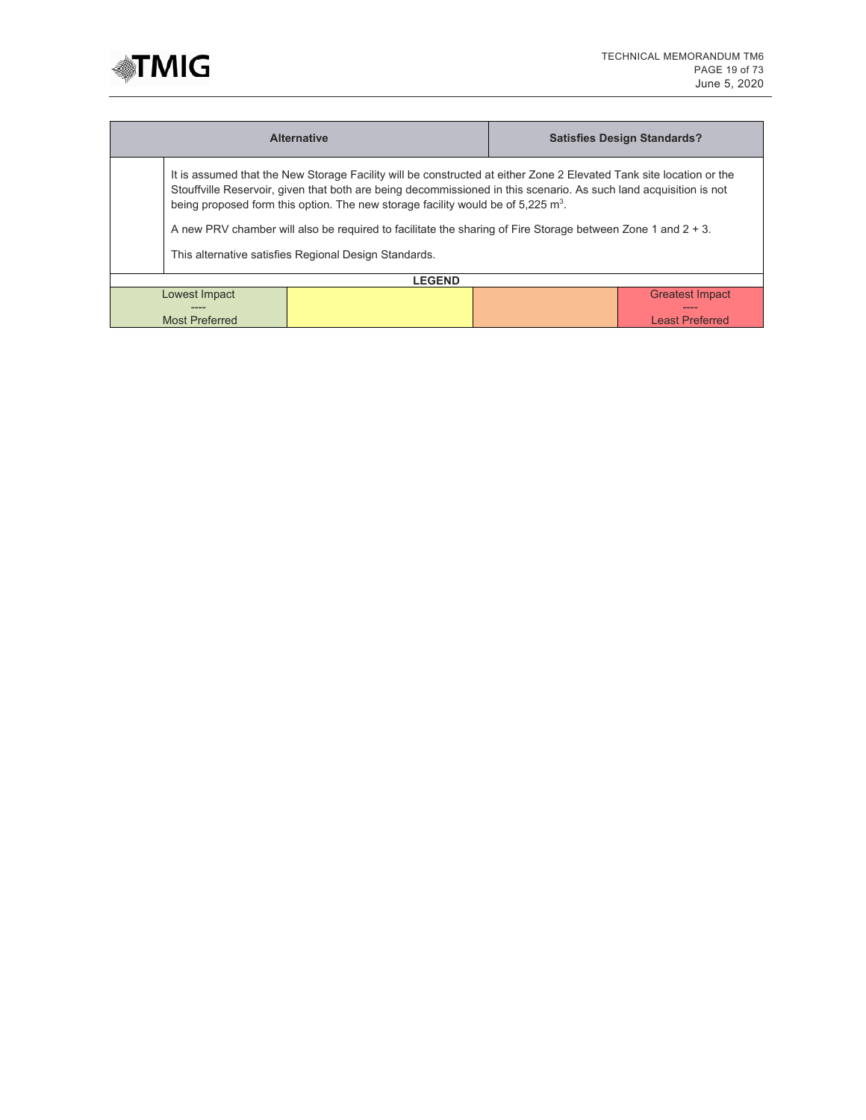

|                                                | <b>Alternative</b>                                                                                                                                                                                                                                                                                                                                                                                                                                                                                                 |  | <b>Satisfies Design Standards?</b>                       |  |
|------------------------------------------------|--------------------------------------------------------------------------------------------------------------------------------------------------------------------------------------------------------------------------------------------------------------------------------------------------------------------------------------------------------------------------------------------------------------------------------------------------------------------------------------------------------------------|--|----------------------------------------------------------|--|
|                                                | It is assumed that the New Storage Facility will be constructed at either Zone 2 Elevated Tank site location or the<br>Stouffville Reservoir, given that both are being decommissioned in this scenario. As such land acquisition is not<br>being proposed form this option. The new storage facility would be of $5.225 \text{ m}^3$ .<br>A new PRV chamber will also be required to facilitate the sharing of Fire Storage between Zone 1 and $2 + 3$ .<br>This alternative satisfies Regional Design Standards. |  |                                                          |  |
| <b>LEGEND</b>                                  |                                                                                                                                                                                                                                                                                                                                                                                                                                                                                                                    |  |                                                          |  |
| Lowest Impact<br>----<br><b>Most Preferred</b> |                                                                                                                                                                                                                                                                                                                                                                                                                                                                                                                    |  | <b>Greatest Impact</b><br>____<br><b>Least Preferred</b> |  |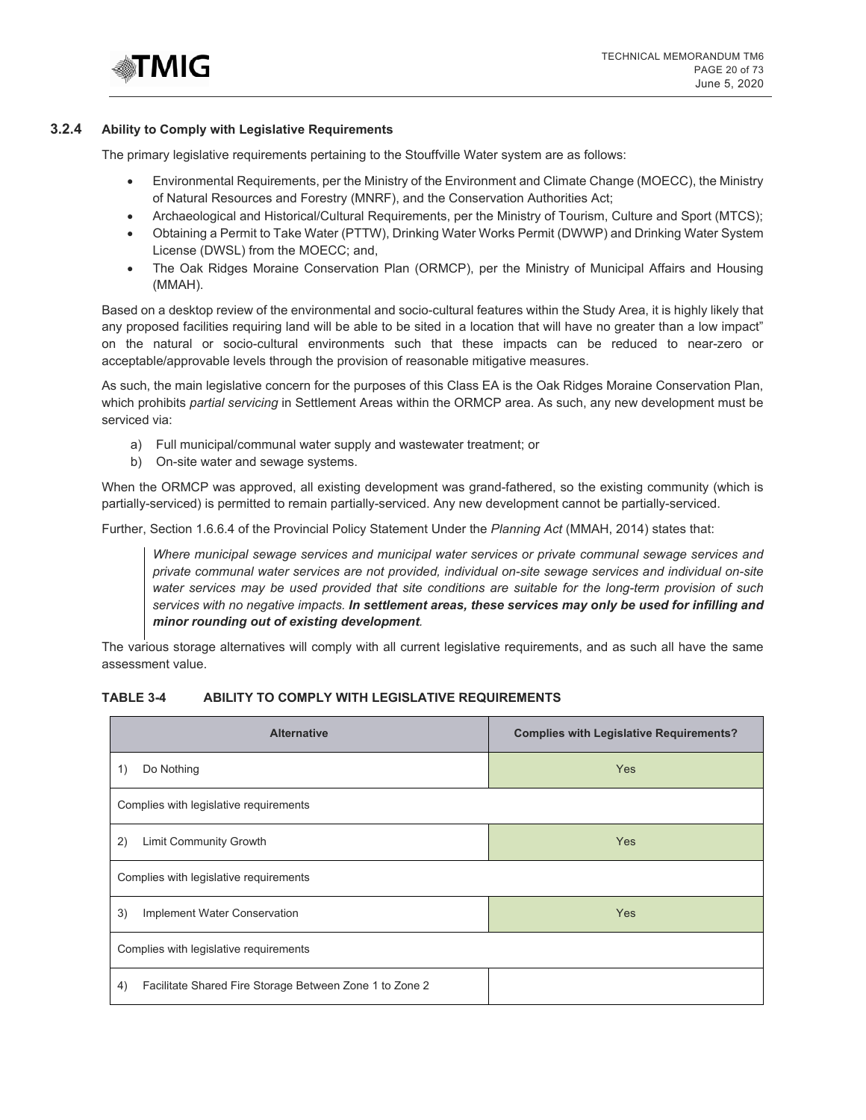

#### **3.2.4 Ability to Comply with Legislative Requirements**

The primary legislative requirements pertaining to the Stouffville Water system are as follows:

- Environmental Requirements, per the Ministry of the Environment and Climate Change (MOECC), the Ministry of Natural Resources and Forestry (MNRF), and the Conservation Authorities Act;
- Archaeological and Historical/Cultural Requirements, per the Ministry of Tourism, Culture and Sport (MTCS);
- Obtaining a Permit to Take Water (PTTW), Drinking Water Works Permit (DWWP) and Drinking Water System License (DWSL) from the MOECC; and,
- The Oak Ridges Moraine Conservation Plan (ORMCP), per the Ministry of Municipal Affairs and Housing (MMAH).

Based on a desktop review of the environmental and socio-cultural features within the Study Area, it is highly likely that any proposed facilities requiring land will be able to be sited in a location that will have no greater than a low impact" on the natural or socio-cultural environments such that these impacts can be reduced to near-zero or acceptable/approvable levels through the provision of reasonable mitigative measures.

As such, the main legislative concern for the purposes of this Class EA is the Oak Ridges Moraine Conservation Plan, which prohibits *partial servicing* in Settlement Areas within the ORMCP area. As such, any new development must be serviced via:

- a) Full municipal/communal water supply and wastewater treatment; or
- b) On-site water and sewage systems.

When the ORMCP was approved, all existing development was grand-fathered, so the existing community (which is partially-serviced) is permitted to remain partially-serviced. Any new development cannot be partially-serviced.

Further, Section 1.6.6.4 of the Provincial Policy Statement Under the *Planning Act* (MMAH, 2014) states that:

*Where municipal sewage services and municipal water services or private communal sewage services and private communal water services are not provided, individual on-site sewage services and individual on-site water services may be used provided that site conditions are suitable for the long-term provision of such services with no negative impacts. In settlement areas, these services may only be used for infilling and minor rounding out of existing development.* 

The various storage alternatives will comply with all current legislative requirements, and as such all have the same assessment value.

#### **TABLE 3-4 ABILITY TO COMPLY WITH LEGISLATIVE REQUIREMENTS**

| <b>Alternative</b>                                            | <b>Complies with Legislative Requirements?</b> |  |  |  |
|---------------------------------------------------------------|------------------------------------------------|--|--|--|
| Do Nothing<br>1)                                              | Yes                                            |  |  |  |
| Complies with legislative requirements                        |                                                |  |  |  |
| 2)<br><b>Limit Community Growth</b>                           | Yes                                            |  |  |  |
| Complies with legislative requirements                        |                                                |  |  |  |
| 3)<br>Implement Water Conservation                            | Yes                                            |  |  |  |
| Complies with legislative requirements                        |                                                |  |  |  |
| Facilitate Shared Fire Storage Between Zone 1 to Zone 2<br>4) |                                                |  |  |  |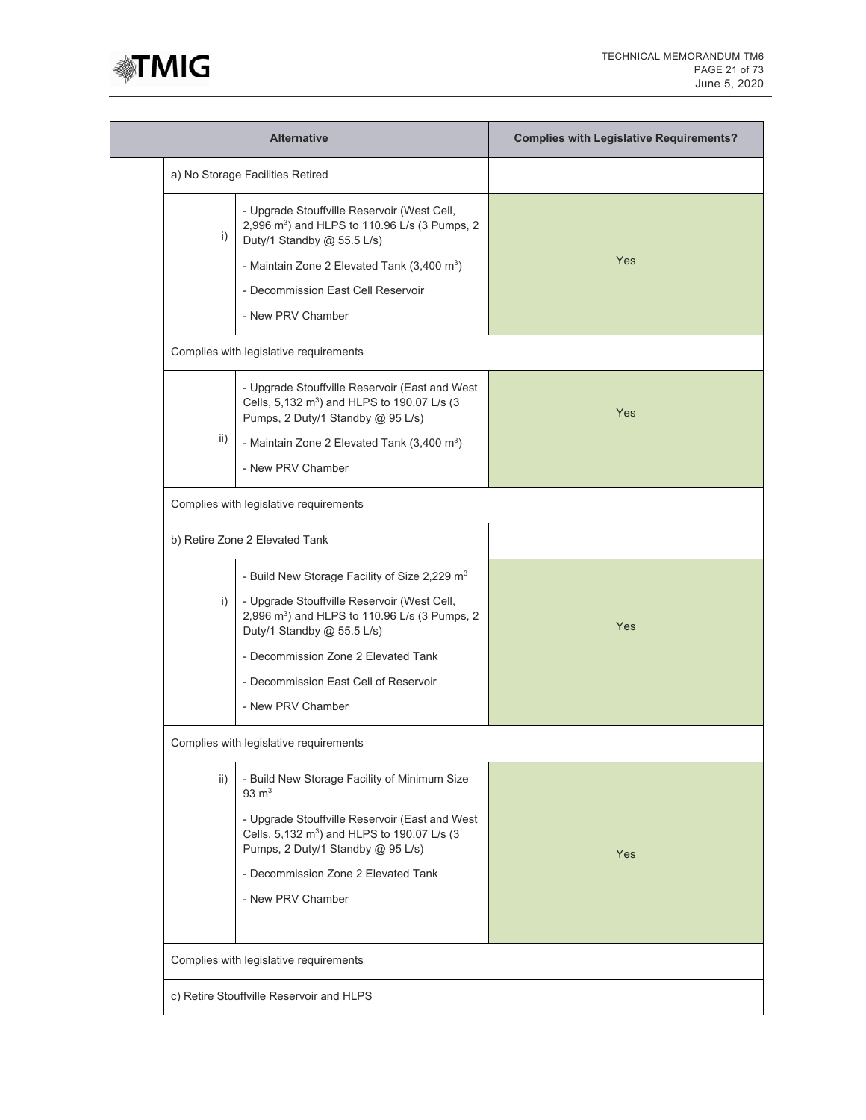

|     | <b>Alternative</b>                                                                                                                                                                                                                                                                                       | <b>Complies with Legislative Requirements?</b> |
|-----|----------------------------------------------------------------------------------------------------------------------------------------------------------------------------------------------------------------------------------------------------------------------------------------------------------|------------------------------------------------|
|     | a) No Storage Facilities Retired                                                                                                                                                                                                                                                                         |                                                |
| i)  | - Upgrade Stouffville Reservoir (West Cell,<br>2,996 m <sup>3</sup> ) and HLPS to 110.96 L/s (3 Pumps, 2<br>Duty/1 Standby @ 55.5 L/s)<br>- Maintain Zone 2 Elevated Tank $(3,400 \text{ m}^3)$<br>- Decommission East Cell Reservoir<br>- New PRV Chamber                                               | Yes                                            |
|     | Complies with legislative requirements                                                                                                                                                                                                                                                                   |                                                |
| ii) | - Upgrade Stouffville Reservoir (East and West<br>Cells, 5,132 m <sup>3</sup> ) and HLPS to 190.07 L/s (3<br>Pumps, 2 Duty/1 Standby @ 95 L/s)<br>- Maintain Zone 2 Elevated Tank (3,400 m <sup>3</sup> )<br>- New PRV Chamber                                                                           | Yes                                            |
|     | Complies with legislative requirements                                                                                                                                                                                                                                                                   |                                                |
|     | b) Retire Zone 2 Elevated Tank                                                                                                                                                                                                                                                                           |                                                |
| i)  | - Build New Storage Facility of Size 2,229 m <sup>3</sup><br>- Upgrade Stouffville Reservoir (West Cell,<br>2,996 m <sup>3</sup> ) and HLPS to 110.96 L/s (3 Pumps, 2<br>Duty/1 Standby @ 55.5 L/s)<br>- Decommission Zone 2 Elevated Tank<br>- Decommission East Cell of Reservoir<br>- New PRV Chamber | Yes                                            |
|     | Complies with legislative requirements                                                                                                                                                                                                                                                                   |                                                |
| ii) | - Build New Storage Facility of Minimum Size<br>$93 \text{ m}^3$<br>- Upgrade Stouffville Reservoir (East and West<br>Cells, 5,132 m <sup>3</sup> ) and HLPS to 190.07 L/s (3<br>Pumps, 2 Duty/1 Standby @ 95 L/s)<br>- Decommission Zone 2 Elevated Tank<br>- New PRV Chamber                           | Yes                                            |
|     |                                                                                                                                                                                                                                                                                                          |                                                |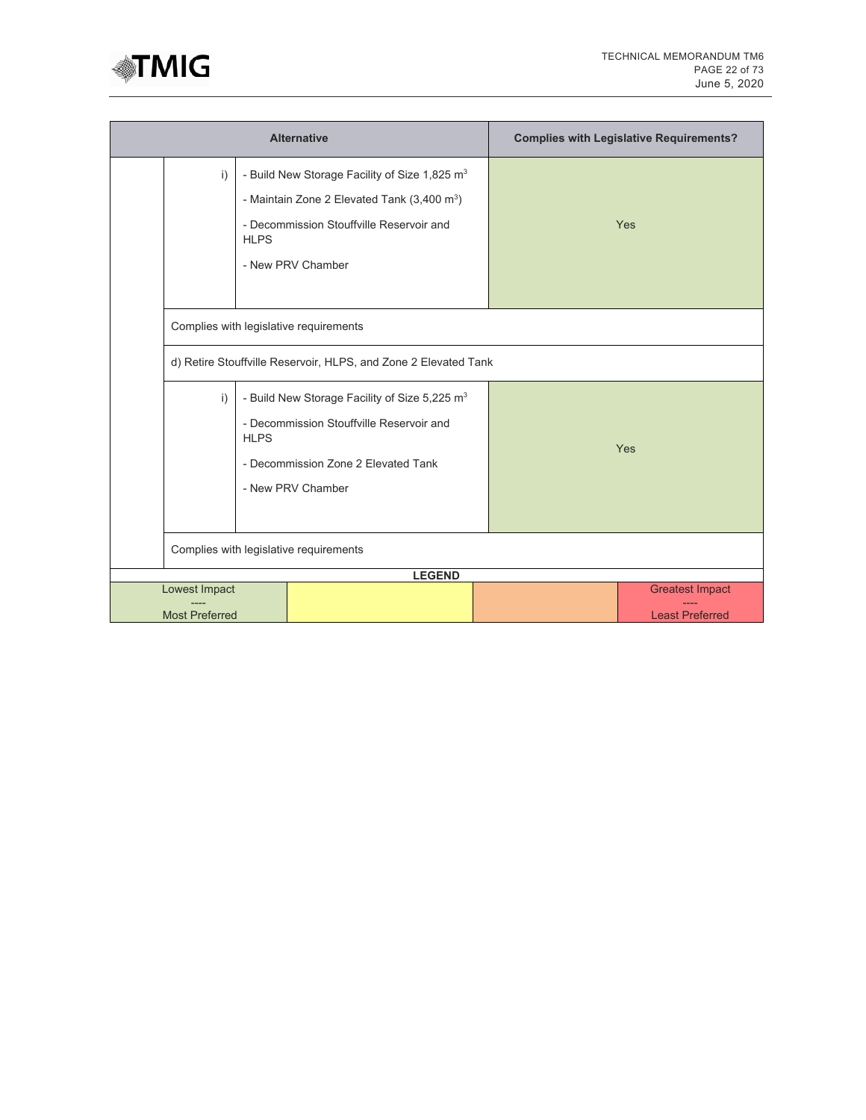

|                                        | <b>Alternative</b>                                                                                                                                                                     |             |                                                                                                                                                                                     |                                                  |     | <b>Complies with Legislative Requirements?</b> |
|----------------------------------------|----------------------------------------------------------------------------------------------------------------------------------------------------------------------------------------|-------------|-------------------------------------------------------------------------------------------------------------------------------------------------------------------------------------|--------------------------------------------------|-----|------------------------------------------------|
|                                        | i)                                                                                                                                                                                     | <b>HLPS</b> | - Build New Storage Facility of Size 1,825 m <sup>3</sup><br>- Maintain Zone 2 Elevated Tank $(3,400 \text{ m}^3)$<br>- Decommission Stouffville Reservoir and<br>- New PRV Chamber |                                                  |     | Yes                                            |
|                                        |                                                                                                                                                                                        |             | Complies with legislative requirements                                                                                                                                              |                                                  |     |                                                |
|                                        |                                                                                                                                                                                        |             | d) Retire Stouffville Reservoir, HLPS, and Zone 2 Elevated Tank                                                                                                                     |                                                  |     |                                                |
|                                        | - Build New Storage Facility of Size 5,225 m <sup>3</sup><br>i)<br>- Decommission Stouffville Reservoir and<br><b>HLPS</b><br>- Decommission Zone 2 Elevated Tank<br>- New PRV Chamber |             |                                                                                                                                                                                     |                                                  | Yes |                                                |
|                                        | Complies with legislative requirements                                                                                                                                                 |             |                                                                                                                                                                                     |                                                  |     |                                                |
|                                        |                                                                                                                                                                                        |             | <b>LEGEND</b>                                                                                                                                                                       |                                                  |     |                                                |
| Lowest Impact<br><b>Most Preferred</b> |                                                                                                                                                                                        |             |                                                                                                                                                                                     | <b>Greatest Impact</b><br><b>Least Preferred</b> |     |                                                |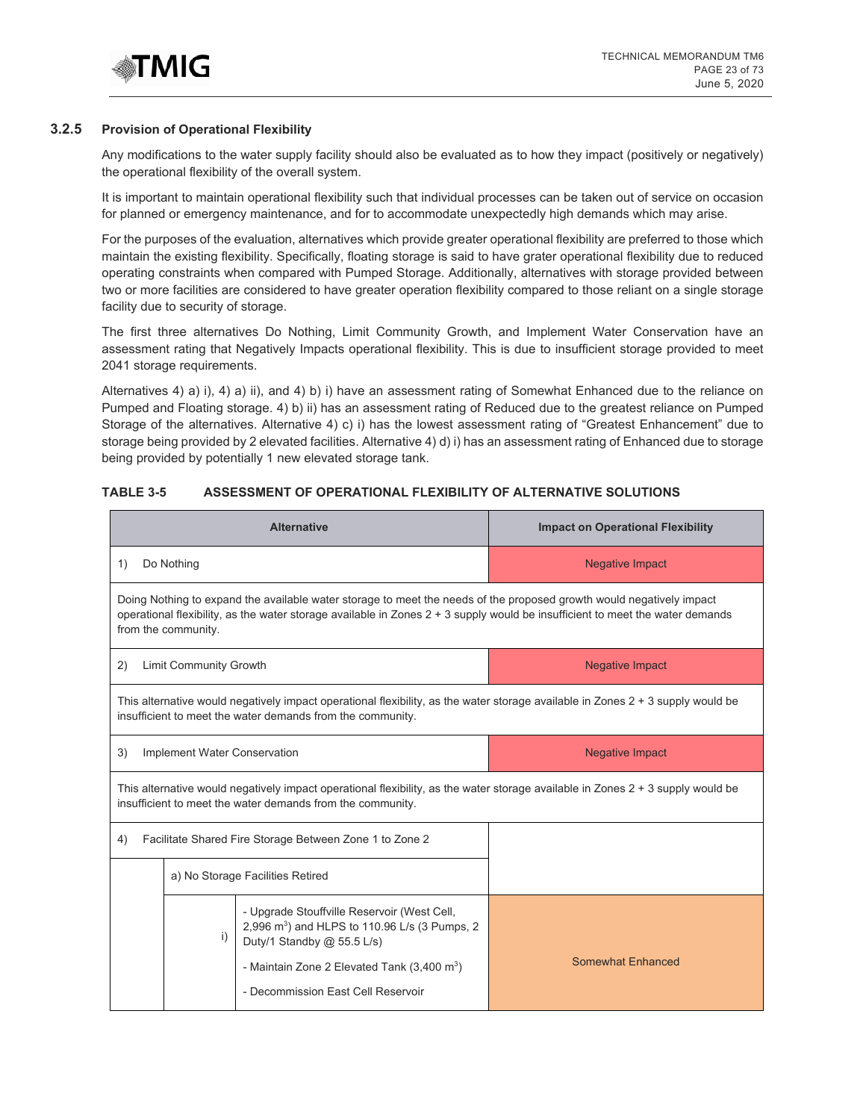

#### **3.2.5 Provision of Operational Flexibility**

Any modifications to the water supply facility should also be evaluated as to how they impact (positively or negatively) the operational flexibility of the overall system.

It is important to maintain operational flexibility such that individual processes can be taken out of service on occasion for planned or emergency maintenance, and for to accommodate unexpectedly high demands which may arise.

For the purposes of the evaluation, alternatives which provide greater operational flexibility are preferred to those which maintain the existing flexibility. Specifically, floating storage is said to have grater operational flexibility due to reduced operating constraints when compared with Pumped Storage. Additionally, alternatives with storage provided between two or more facilities are considered to have greater operation flexibility compared to those reliant on a single storage facility due to security of storage.

The first three alternatives Do Nothing, Limit Community Growth, and Implement Water Conservation have an assessment rating that Negatively Impacts operational flexibility. This is due to insufficient storage provided to meet 2041 storage requirements.

Alternatives 4) a) i), 4) a) ii), and 4) b) i) have an assessment rating of Somewhat Enhanced due to the reliance on Pumped and Floating storage. 4) b) ii) has an assessment rating of Reduced due to the greatest reliance on Pumped Storage of the alternatives. Alternative 4) c) i) has the lowest assessment rating of "Greatest Enhancement" due to storage being provided by 2 elevated facilities. Alternative 4) d) i) has an assessment rating of Enhanced due to storage being provided by potentially 1 new elevated storage tank.

## **TABLE 3-5 ASSESSMENT OF OPERATIONAL FLEXIBILITY OF ALTERNATIVE SOLUTIONS**

| <b>Alternative</b>                                                                                                                                                                                                                                                           |                                                        |                                                                                                                                                                                                 | <b>Impact on Operational Flexibility</b> |
|------------------------------------------------------------------------------------------------------------------------------------------------------------------------------------------------------------------------------------------------------------------------------|--------------------------------------------------------|-------------------------------------------------------------------------------------------------------------------------------------------------------------------------------------------------|------------------------------------------|
| Do Nothing<br>1)                                                                                                                                                                                                                                                             |                                                        |                                                                                                                                                                                                 | <b>Negative Impact</b>                   |
| Doing Nothing to expand the available water storage to meet the needs of the proposed growth would negatively impact<br>operational flexibility, as the water storage available in Zones 2 + 3 supply would be insufficient to meet the water demands<br>from the community. |                                                        |                                                                                                                                                                                                 |                                          |
| 2)                                                                                                                                                                                                                                                                           | <b>Limit Community Growth</b>                          |                                                                                                                                                                                                 | <b>Negative Impact</b>                   |
|                                                                                                                                                                                                                                                                              |                                                        | This alternative would negatively impact operational flexibility, as the water storage available in Zones $2 + 3$ supply would be<br>insufficient to meet the water demands from the community. |                                          |
| 3)                                                                                                                                                                                                                                                                           | Implement Water Conservation<br><b>Negative Impact</b> |                                                                                                                                                                                                 |                                          |
| This alternative would negatively impact operational flexibility, as the water storage available in Zones 2 + 3 supply would be<br>insufficient to meet the water demands from the community.                                                                                |                                                        |                                                                                                                                                                                                 |                                          |
| Facilitate Shared Fire Storage Between Zone 1 to Zone 2<br>4)                                                                                                                                                                                                                |                                                        |                                                                                                                                                                                                 |                                          |
| a) No Storage Facilities Retired                                                                                                                                                                                                                                             |                                                        |                                                                                                                                                                                                 |                                          |
|                                                                                                                                                                                                                                                                              | $\mathsf{i}$                                           | - Upgrade Stouffville Reservoir (West Cell,<br>2,996 m <sup>3</sup> ) and HLPS to 110.96 L/s (3 Pumps, 2<br>Duty/1 Standby @ 55.5 L/s)                                                          |                                          |
|                                                                                                                                                                                                                                                                              |                                                        | - Maintain Zone 2 Elevated Tank $(3,400 \text{ m}^3)$<br>- Decommission East Cell Reservoir                                                                                                     | <b>Somewhat Enhanced</b>                 |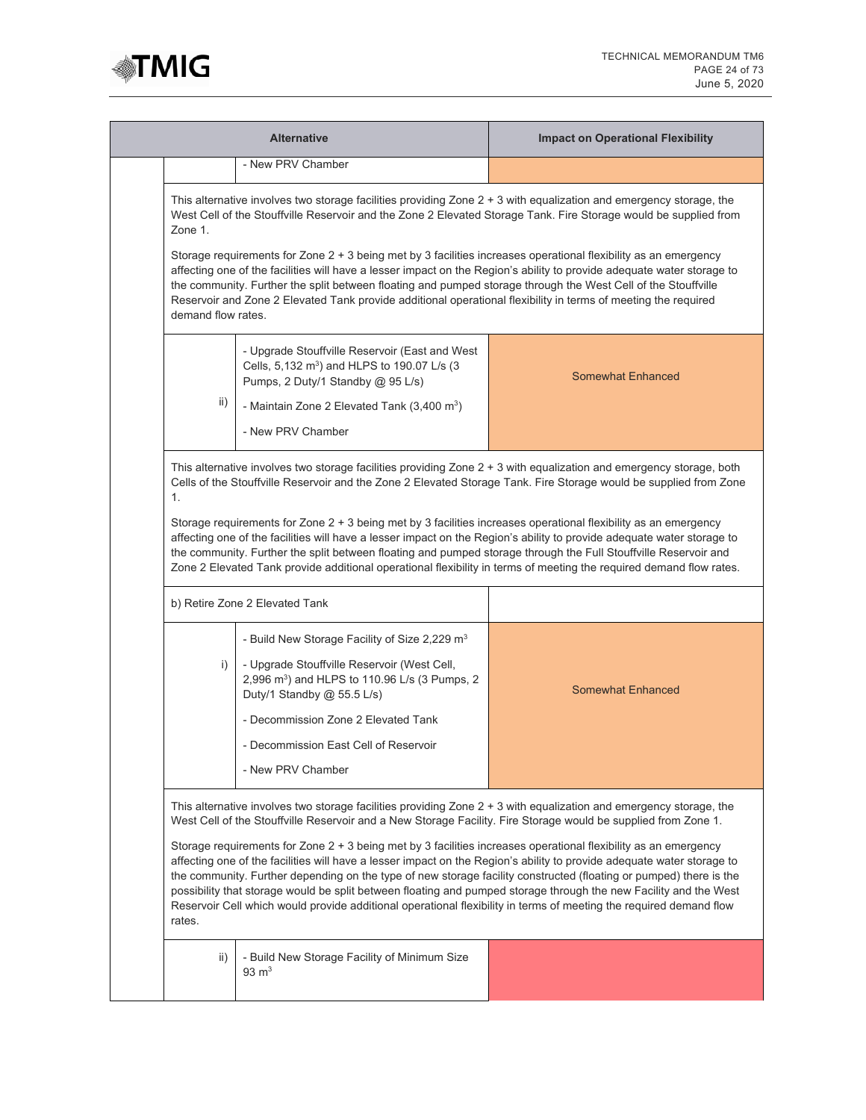

| <b>Alternative</b>                                                                                                                                                                                                                                                                                                                                                                                                                                                                                                                                                                                                                                                                                                                                                                                                                                           |                                                                                                                                                                                                                                                                                                          | <b>Impact on Operational Flexibility</b> |  |  |
|--------------------------------------------------------------------------------------------------------------------------------------------------------------------------------------------------------------------------------------------------------------------------------------------------------------------------------------------------------------------------------------------------------------------------------------------------------------------------------------------------------------------------------------------------------------------------------------------------------------------------------------------------------------------------------------------------------------------------------------------------------------------------------------------------------------------------------------------------------------|----------------------------------------------------------------------------------------------------------------------------------------------------------------------------------------------------------------------------------------------------------------------------------------------------------|------------------------------------------|--|--|
|                                                                                                                                                                                                                                                                                                                                                                                                                                                                                                                                                                                                                                                                                                                                                                                                                                                              | - New PRV Chamber                                                                                                                                                                                                                                                                                        |                                          |  |  |
| This alternative involves two storage facilities providing Zone 2 + 3 with equalization and emergency storage, the<br>West Cell of the Stouffville Reservoir and the Zone 2 Elevated Storage Tank. Fire Storage would be supplied from<br>Zone 1.                                                                                                                                                                                                                                                                                                                                                                                                                                                                                                                                                                                                            |                                                                                                                                                                                                                                                                                                          |                                          |  |  |
| Storage requirements for Zone 2 + 3 being met by 3 facilities increases operational flexibility as an emergency<br>affecting one of the facilities will have a lesser impact on the Region's ability to provide adequate water storage to<br>the community. Further the split between floating and pumped storage through the West Cell of the Stouffville<br>Reservoir and Zone 2 Elevated Tank provide additional operational flexibility in terms of meeting the required<br>demand flow rates.                                                                                                                                                                                                                                                                                                                                                           |                                                                                                                                                                                                                                                                                                          |                                          |  |  |
|                                                                                                                                                                                                                                                                                                                                                                                                                                                                                                                                                                                                                                                                                                                                                                                                                                                              | - Upgrade Stouffville Reservoir (East and West<br>Cells, 5,132 m <sup>3</sup> ) and HLPS to 190.07 L/s (3<br>Pumps, 2 Duty/1 Standby @ 95 L/s)                                                                                                                                                           | <b>Somewhat Enhanced</b>                 |  |  |
| ii)                                                                                                                                                                                                                                                                                                                                                                                                                                                                                                                                                                                                                                                                                                                                                                                                                                                          | - Maintain Zone 2 Elevated Tank $(3,400 \text{ m}^3)$<br>- New PRV Chamber                                                                                                                                                                                                                               |                                          |  |  |
| This alternative involves two storage facilities providing Zone 2 + 3 with equalization and emergency storage, both<br>Cells of the Stouffville Reservoir and the Zone 2 Elevated Storage Tank. Fire Storage would be supplied from Zone<br>1.<br>Storage requirements for Zone 2 + 3 being met by 3 facilities increases operational flexibility as an emergency<br>affecting one of the facilities will have a lesser impact on the Region's ability to provide adequate water storage to<br>the community. Further the split between floating and pumped storage through the Full Stouffville Reservoir and<br>Zone 2 Elevated Tank provide additional operational flexibility in terms of meeting the required demand flow rates.                                                                                                                        |                                                                                                                                                                                                                                                                                                          |                                          |  |  |
|                                                                                                                                                                                                                                                                                                                                                                                                                                                                                                                                                                                                                                                                                                                                                                                                                                                              | b) Retire Zone 2 Elevated Tank                                                                                                                                                                                                                                                                           |                                          |  |  |
| i)                                                                                                                                                                                                                                                                                                                                                                                                                                                                                                                                                                                                                                                                                                                                                                                                                                                           | - Build New Storage Facility of Size 2,229 m <sup>3</sup><br>- Upgrade Stouffville Reservoir (West Cell,<br>2,996 m <sup>3</sup> ) and HLPS to 110.96 L/s (3 Pumps, 2<br>Duty/1 Standby @ 55.5 L/s)<br>- Decommission Zone 2 Elevated Tank<br>- Decommission East Cell of Reservoir<br>- New PRV Chamber | <b>Somewhat Enhanced</b>                 |  |  |
| This alternative involves two storage facilities providing Zone 2 + 3 with equalization and emergency storage, the<br>West Cell of the Stouffville Reservoir and a New Storage Facility. Fire Storage would be supplied from Zone 1.<br>Storage requirements for Zone 2 + 3 being met by 3 facilities increases operational flexibility as an emergency<br>affecting one of the facilities will have a lesser impact on the Region's ability to provide adequate water storage to<br>the community. Further depending on the type of new storage facility constructed (floating or pumped) there is the<br>possibility that storage would be split between floating and pumped storage through the new Facility and the West<br>Reservoir Cell which would provide additional operational flexibility in terms of meeting the required demand flow<br>rates. |                                                                                                                                                                                                                                                                                                          |                                          |  |  |
| ii)                                                                                                                                                                                                                                                                                                                                                                                                                                                                                                                                                                                                                                                                                                                                                                                                                                                          | - Build New Storage Facility of Minimum Size<br>$93 \text{ m}^3$                                                                                                                                                                                                                                         |                                          |  |  |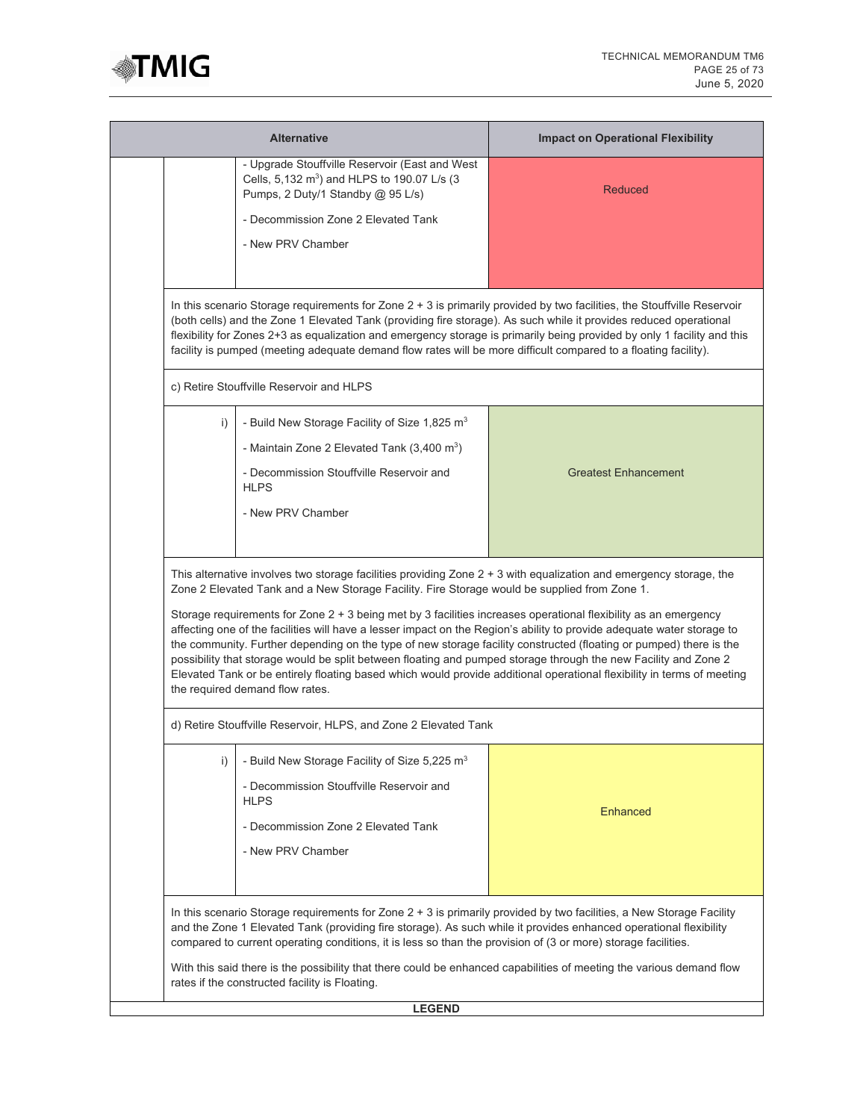

|    | <b>Alternative</b>                                                                                                                                                                                                                                                                                                                                                                                                                                                                                                                                                                                                                              | <b>Impact on Operational Flexibility</b>                                                                                |  |  |  |
|----|-------------------------------------------------------------------------------------------------------------------------------------------------------------------------------------------------------------------------------------------------------------------------------------------------------------------------------------------------------------------------------------------------------------------------------------------------------------------------------------------------------------------------------------------------------------------------------------------------------------------------------------------------|-------------------------------------------------------------------------------------------------------------------------|--|--|--|
|    | - Upgrade Stouffville Reservoir (East and West<br>Cells, 5,132 m <sup>3</sup> ) and HLPS to 190.07 L/s (3<br>Pumps, 2 Duty/1 Standby @ 95 L/s)                                                                                                                                                                                                                                                                                                                                                                                                                                                                                                  | Reduced                                                                                                                 |  |  |  |
|    | - Decommission Zone 2 Elevated Tank                                                                                                                                                                                                                                                                                                                                                                                                                                                                                                                                                                                                             |                                                                                                                         |  |  |  |
|    | - New PRV Chamber                                                                                                                                                                                                                                                                                                                                                                                                                                                                                                                                                                                                                               |                                                                                                                         |  |  |  |
|    |                                                                                                                                                                                                                                                                                                                                                                                                                                                                                                                                                                                                                                                 |                                                                                                                         |  |  |  |
|    | In this scenario Storage requirements for Zone 2 + 3 is primarily provided by two facilities, the Stouffville Reservoir<br>(both cells) and the Zone 1 Elevated Tank (providing fire storage). As such while it provides reduced operational<br>facility is pumped (meeting adequate demand flow rates will be more difficult compared to a floating facility).                                                                                                                                                                                                                                                                                 | flexibility for Zones 2+3 as equalization and emergency storage is primarily being provided by only 1 facility and this |  |  |  |
|    | c) Retire Stouffville Reservoir and HLPS                                                                                                                                                                                                                                                                                                                                                                                                                                                                                                                                                                                                        |                                                                                                                         |  |  |  |
| i) | - Build New Storage Facility of Size 1,825 m <sup>3</sup>                                                                                                                                                                                                                                                                                                                                                                                                                                                                                                                                                                                       |                                                                                                                         |  |  |  |
|    | - Maintain Zone 2 Elevated Tank $(3,400 \text{ m}^3)$                                                                                                                                                                                                                                                                                                                                                                                                                                                                                                                                                                                           |                                                                                                                         |  |  |  |
|    | - Decommission Stouffville Reservoir and<br><b>HLPS</b>                                                                                                                                                                                                                                                                                                                                                                                                                                                                                                                                                                                         | <b>Greatest Enhancement</b>                                                                                             |  |  |  |
|    | - New PRV Chamber                                                                                                                                                                                                                                                                                                                                                                                                                                                                                                                                                                                                                               |                                                                                                                         |  |  |  |
|    |                                                                                                                                                                                                                                                                                                                                                                                                                                                                                                                                                                                                                                                 |                                                                                                                         |  |  |  |
|    | This alternative involves two storage facilities providing Zone 2 + 3 with equalization and emergency storage, the<br>Zone 2 Elevated Tank and a New Storage Facility. Fire Storage would be supplied from Zone 1.                                                                                                                                                                                                                                                                                                                                                                                                                              |                                                                                                                         |  |  |  |
|    | Storage requirements for Zone 2 + 3 being met by 3 facilities increases operational flexibility as an emergency<br>affecting one of the facilities will have a lesser impact on the Region's ability to provide adequate water storage to<br>the community. Further depending on the type of new storage facility constructed (floating or pumped) there is the<br>possibility that storage would be split between floating and pumped storage through the new Facility and Zone 2<br>Elevated Tank or be entirely floating based which would provide additional operational flexibility in terms of meeting<br>the required demand flow rates. |                                                                                                                         |  |  |  |
|    | d) Retire Stouffville Reservoir, HLPS, and Zone 2 Elevated Tank                                                                                                                                                                                                                                                                                                                                                                                                                                                                                                                                                                                 |                                                                                                                         |  |  |  |
| i) | - Build New Storage Facility of Size 5,225 m <sup>3</sup><br>- Decommission Stouffyille Reservoir and                                                                                                                                                                                                                                                                                                                                                                                                                                                                                                                                           |                                                                                                                         |  |  |  |
|    | <b>HLPS</b>                                                                                                                                                                                                                                                                                                                                                                                                                                                                                                                                                                                                                                     | <b>Enhanced</b>                                                                                                         |  |  |  |
|    | - Decommission Zone 2 Elevated Tank<br>- New PRV Chamber                                                                                                                                                                                                                                                                                                                                                                                                                                                                                                                                                                                        |                                                                                                                         |  |  |  |
|    |                                                                                                                                                                                                                                                                                                                                                                                                                                                                                                                                                                                                                                                 |                                                                                                                         |  |  |  |
|    | In this scenario Storage requirements for Zone 2 + 3 is primarily provided by two facilities, a New Storage Facility<br>and the Zone 1 Elevated Tank (providing fire storage). As such while it provides enhanced operational flexibility<br>compared to current operating conditions, it is less so than the provision of (3 or more) storage facilities.                                                                                                                                                                                                                                                                                      |                                                                                                                         |  |  |  |
|    | With this said there is the possibility that there could be enhanced capabilities of meeting the various demand flow<br>rates if the constructed facility is Floating.                                                                                                                                                                                                                                                                                                                                                                                                                                                                          |                                                                                                                         |  |  |  |
|    | <b>LEGEND</b>                                                                                                                                                                                                                                                                                                                                                                                                                                                                                                                                                                                                                                   |                                                                                                                         |  |  |  |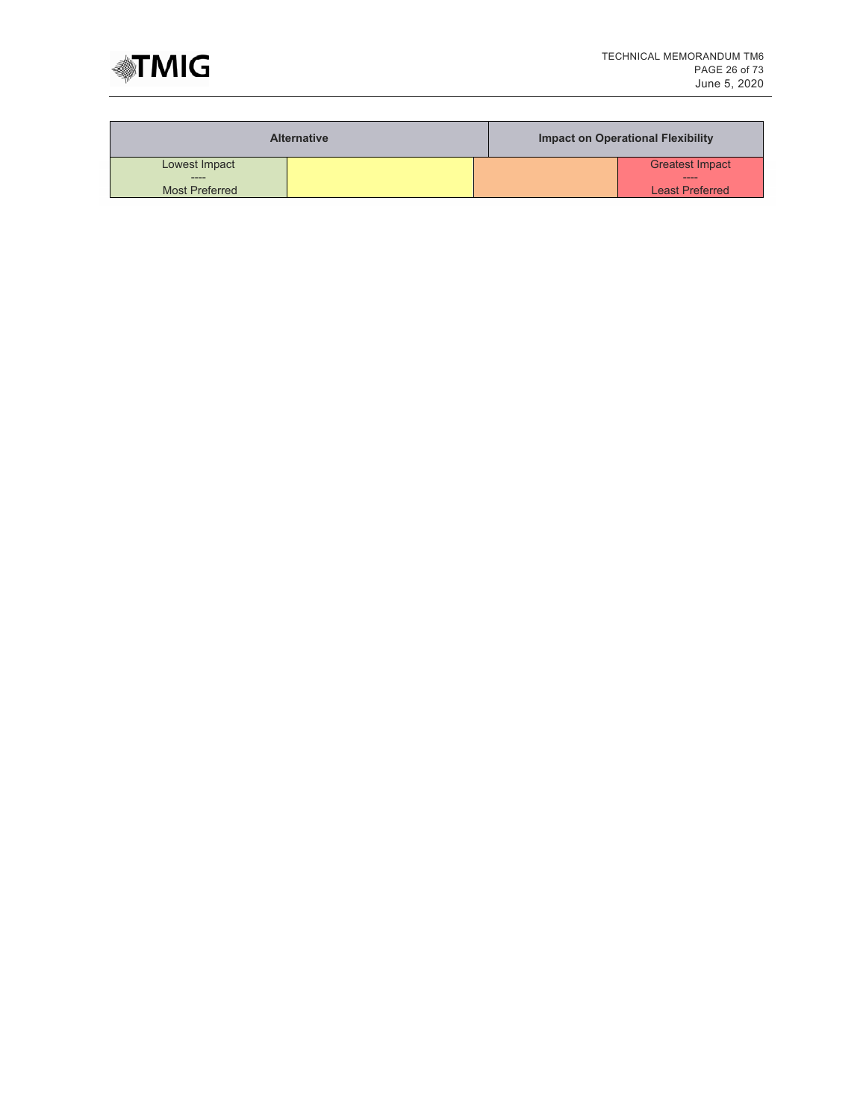

|                       | <b>Alternative</b> | Impact on Operational Flexibility |
|-----------------------|--------------------|-----------------------------------|
| Lowest Impact         |                    | <b>Greatest Impact</b>            |
| -----                 |                    | ----                              |
| <b>Most Preferred</b> |                    | <b>Least Preferred</b>            |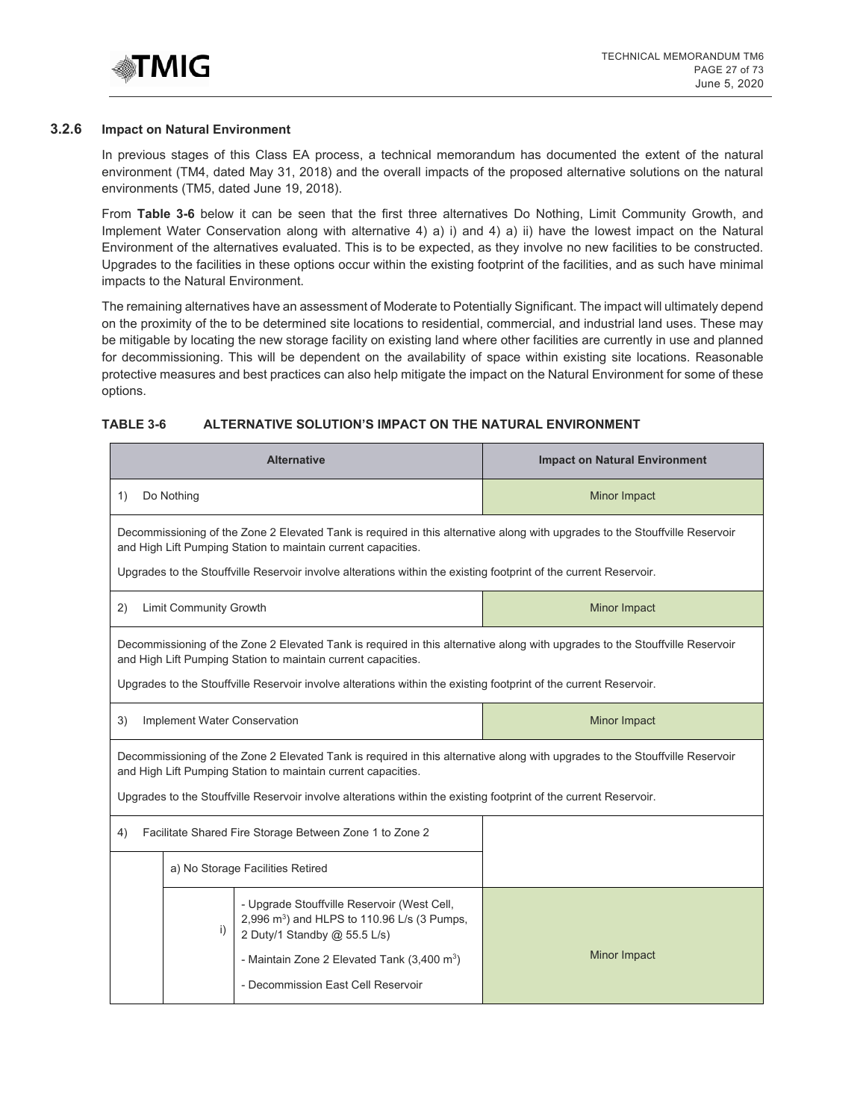

#### **3.2.6 Impact on Natural Environment**

In previous stages of this Class EA process, a technical memorandum has documented the extent of the natural environment (TM4, dated May 31, 2018) and the overall impacts of the proposed alternative solutions on the natural environments (TM5, dated June 19, 2018).

From **Table 3-6** below it can be seen that the first three alternatives Do Nothing, Limit Community Growth, and Implement Water Conservation along with alternative 4) a) i) and 4) a) ii) have the lowest impact on the Natural Environment of the alternatives evaluated. This is to be expected, as they involve no new facilities to be constructed. Upgrades to the facilities in these options occur within the existing footprint of the facilities, and as such have minimal impacts to the Natural Environment.

The remaining alternatives have an assessment of Moderate to Potentially Significant. The impact will ultimately depend on the proximity of the to be determined site locations to residential, commercial, and industrial land uses. These may be mitigable by locating the new storage facility on existing land where other facilities are currently in use and planned for decommissioning. This will be dependent on the availability of space within existing site locations. Reasonable protective measures and best practices can also help mitigate the impact on the Natural Environment for some of these options.

## **TABLE 3-6 ALTERNATIVE SOLUTION'S IMPACT ON THE NATURAL ENVIRONMENT**

| <b>Alternative</b>                                                                                                                                                                            |                                                                                                                                                                                               |                                                                                                                                        | <b>Impact on Natural Environment</b>                                                                                         |
|-----------------------------------------------------------------------------------------------------------------------------------------------------------------------------------------------|-----------------------------------------------------------------------------------------------------------------------------------------------------------------------------------------------|----------------------------------------------------------------------------------------------------------------------------------------|------------------------------------------------------------------------------------------------------------------------------|
| Do Nothing<br>1)                                                                                                                                                                              |                                                                                                                                                                                               |                                                                                                                                        | Minor Impact                                                                                                                 |
| Decommissioning of the Zone 2 Elevated Tank is required in this alternative along with upgrades to the Stouffville Reservoir<br>and High Lift Pumping Station to maintain current capacities. |                                                                                                                                                                                               |                                                                                                                                        |                                                                                                                              |
|                                                                                                                                                                                               |                                                                                                                                                                                               | Upgrades to the Stouffville Reservoir involve alterations within the existing footprint of the current Reservoir.                      |                                                                                                                              |
| (2)                                                                                                                                                                                           | <b>Limit Community Growth</b>                                                                                                                                                                 |                                                                                                                                        | Minor Impact                                                                                                                 |
|                                                                                                                                                                                               |                                                                                                                                                                                               | and High Lift Pumping Station to maintain current capacities.                                                                          | Decommissioning of the Zone 2 Elevated Tank is required in this alternative along with upgrades to the Stouffville Reservoir |
|                                                                                                                                                                                               |                                                                                                                                                                                               | Upgrades to the Stouffville Reservoir involve alterations within the existing footprint of the current Reservoir.                      |                                                                                                                              |
| 3)                                                                                                                                                                                            | Minor Impact<br>Implement Water Conservation                                                                                                                                                  |                                                                                                                                        |                                                                                                                              |
|                                                                                                                                                                                               | Decommissioning of the Zone 2 Elevated Tank is required in this alternative along with upgrades to the Stouffville Reservoir<br>and High Lift Pumping Station to maintain current capacities. |                                                                                                                                        |                                                                                                                              |
|                                                                                                                                                                                               |                                                                                                                                                                                               | Upgrades to the Stouffville Reservoir involve alterations within the existing footprint of the current Reservoir.                      |                                                                                                                              |
| Facilitate Shared Fire Storage Between Zone 1 to Zone 2<br>4)                                                                                                                                 |                                                                                                                                                                                               |                                                                                                                                        |                                                                                                                              |
| a) No Storage Facilities Retired                                                                                                                                                              |                                                                                                                                                                                               |                                                                                                                                        |                                                                                                                              |
|                                                                                                                                                                                               | i)                                                                                                                                                                                            | - Upgrade Stouffville Reservoir (West Cell,<br>2,996 m <sup>3</sup> ) and HLPS to 110.96 L/s (3 Pumps,<br>2 Duty/1 Standby @ 55.5 L/s) |                                                                                                                              |
|                                                                                                                                                                                               |                                                                                                                                                                                               | - Maintain Zone 2 Elevated Tank $(3,400 \text{ m}^3)$<br>- Decommission East Cell Reservoir                                            | Minor Impact                                                                                                                 |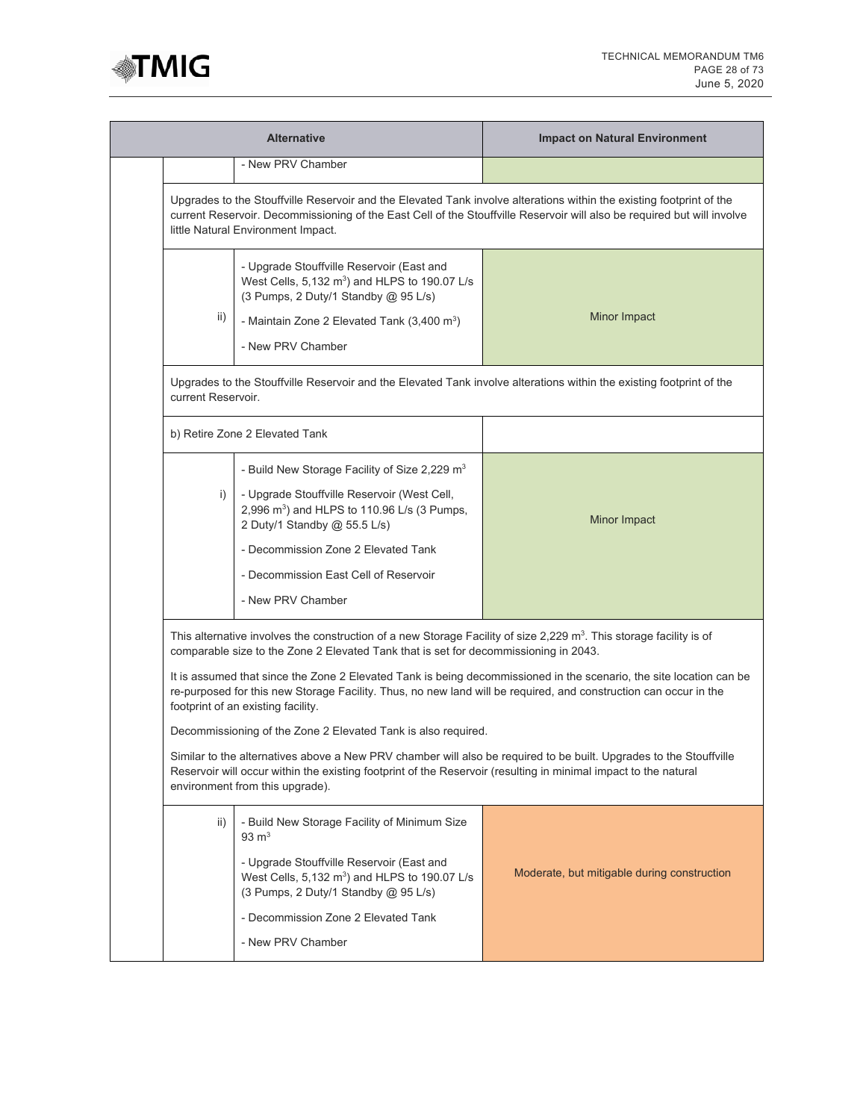

|                                                                                                                                                                                                                                                                                                                                                                                                                                                                                                                                                                                                                                                                                                                                                                                                                                                       | <b>Alternative</b>                                                                                                                                                                                                                                                                                       | <b>Impact on Natural Environment</b>                                                                                 |
|-------------------------------------------------------------------------------------------------------------------------------------------------------------------------------------------------------------------------------------------------------------------------------------------------------------------------------------------------------------------------------------------------------------------------------------------------------------------------------------------------------------------------------------------------------------------------------------------------------------------------------------------------------------------------------------------------------------------------------------------------------------------------------------------------------------------------------------------------------|----------------------------------------------------------------------------------------------------------------------------------------------------------------------------------------------------------------------------------------------------------------------------------------------------------|----------------------------------------------------------------------------------------------------------------------|
|                                                                                                                                                                                                                                                                                                                                                                                                                                                                                                                                                                                                                                                                                                                                                                                                                                                       | - New PRV Chamber                                                                                                                                                                                                                                                                                        |                                                                                                                      |
| Upgrades to the Stouffville Reservoir and the Elevated Tank involve alterations within the existing footprint of the<br>current Reservoir. Decommissioning of the East Cell of the Stouffville Reservoir will also be required but will involve<br>little Natural Environment Impact.                                                                                                                                                                                                                                                                                                                                                                                                                                                                                                                                                                 |                                                                                                                                                                                                                                                                                                          |                                                                                                                      |
| ii)                                                                                                                                                                                                                                                                                                                                                                                                                                                                                                                                                                                                                                                                                                                                                                                                                                                   | - Upgrade Stouffville Reservoir (East and<br>West Cells, 5,132 m <sup>3</sup> ) and HLPS to 190.07 L/s<br>(3 Pumps, 2 Duty/1 Standby @ 95 L/s)<br>- Maintain Zone 2 Elevated Tank $(3,400 \text{ m}^3)$<br>- New PRV Chamber                                                                             | Minor Impact                                                                                                         |
| current Reservoir.                                                                                                                                                                                                                                                                                                                                                                                                                                                                                                                                                                                                                                                                                                                                                                                                                                    |                                                                                                                                                                                                                                                                                                          | Upgrades to the Stouffville Reservoir and the Elevated Tank involve alterations within the existing footprint of the |
|                                                                                                                                                                                                                                                                                                                                                                                                                                                                                                                                                                                                                                                                                                                                                                                                                                                       | b) Retire Zone 2 Elevated Tank                                                                                                                                                                                                                                                                           |                                                                                                                      |
| i)                                                                                                                                                                                                                                                                                                                                                                                                                                                                                                                                                                                                                                                                                                                                                                                                                                                    | - Build New Storage Facility of Size 2,229 m <sup>3</sup><br>- Upgrade Stouffville Reservoir (West Cell,<br>2,996 m <sup>3</sup> ) and HLPS to 110.96 L/s (3 Pumps,<br>2 Duty/1 Standby @ 55.5 L/s)<br>- Decommission Zone 2 Elevated Tank<br>- Decommission East Cell of Reservoir<br>- New PRV Chamber | Minor Impact                                                                                                         |
| This alternative involves the construction of a new Storage Facility of size 2,229 m <sup>3</sup> . This storage facility is of<br>comparable size to the Zone 2 Elevated Tank that is set for decommissioning in 2043.<br>It is assumed that since the Zone 2 Elevated Tank is being decommissioned in the scenario, the site location can be<br>re-purposed for this new Storage Facility. Thus, no new land will be required, and construction can occur in the<br>footprint of an existing facility.<br>Decommissioning of the Zone 2 Elevated Tank is also required.<br>Similar to the alternatives above a New PRV chamber will also be required to be built. Upgrades to the Stouffville<br>Reservoir will occur within the existing footprint of the Reservoir (resulting in minimal impact to the natural<br>environment from this upgrade). |                                                                                                                                                                                                                                                                                                          |                                                                                                                      |
| ii)                                                                                                                                                                                                                                                                                                                                                                                                                                                                                                                                                                                                                                                                                                                                                                                                                                                   | - Build New Storage Facility of Minimum Size<br>$93 \text{ m}^3$<br>- Upgrade Stouffville Reservoir (East and<br>West Cells, $5,132 \text{ m}^3$ ) and HLPS to 190.07 L/s<br>(3 Pumps, 2 Duty/1 Standby @ 95 L/s)<br>- Decommission Zone 2 Elevated Tank<br>- New PRV Chamber                            | Moderate, but mitigable during construction                                                                          |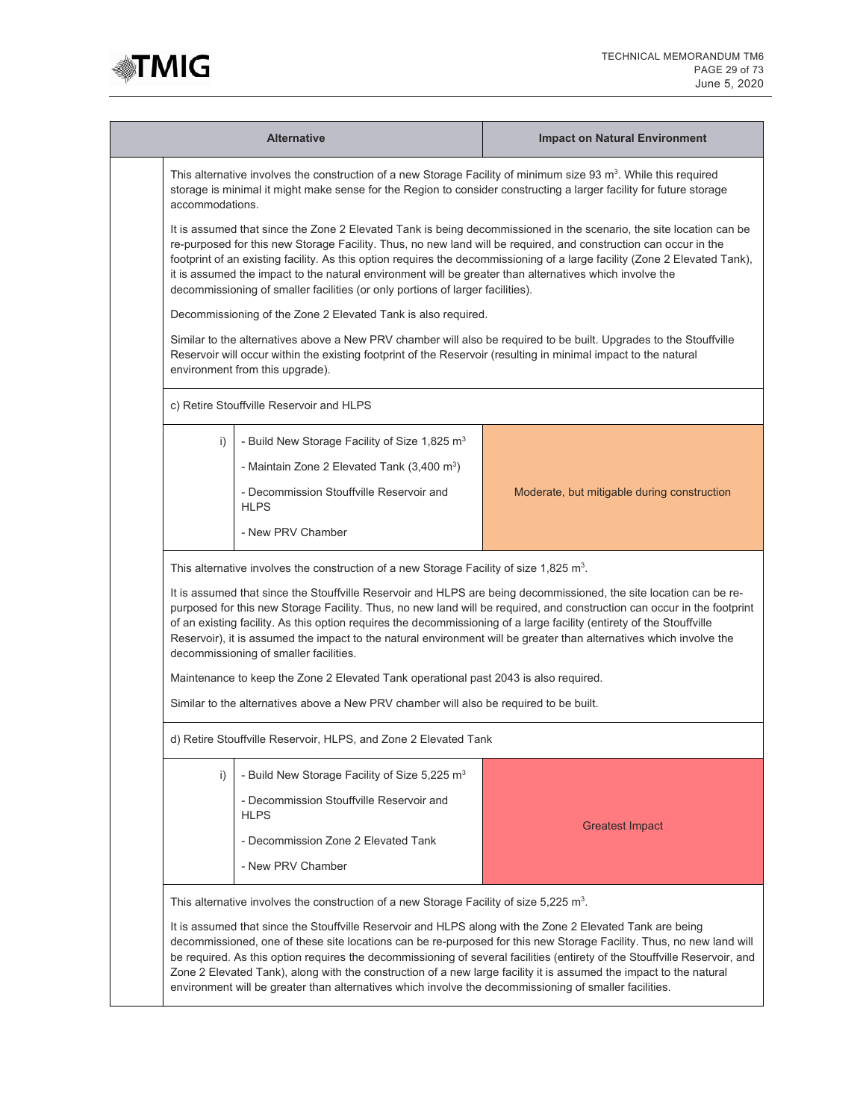

| <b>Alternative</b>                                                                                                                                                                                                                                                                                                                                                                                                                                                                                                                                                                              |                                                                                                                                                                                                                                                                                                                                                                                                                                                                                                                                                                    | <b>Impact on Natural Environment</b>                                                                               |  |  |
|-------------------------------------------------------------------------------------------------------------------------------------------------------------------------------------------------------------------------------------------------------------------------------------------------------------------------------------------------------------------------------------------------------------------------------------------------------------------------------------------------------------------------------------------------------------------------------------------------|--------------------------------------------------------------------------------------------------------------------------------------------------------------------------------------------------------------------------------------------------------------------------------------------------------------------------------------------------------------------------------------------------------------------------------------------------------------------------------------------------------------------------------------------------------------------|--------------------------------------------------------------------------------------------------------------------|--|--|
|                                                                                                                                                                                                                                                                                                                                                                                                                                                                                                                                                                                                 | This alternative involves the construction of a new Storage Facility of minimum size 93 m <sup>3</sup> . While this required<br>storage is minimal it might make sense for the Region to consider constructing a larger facility for future storage<br>accommodations.                                                                                                                                                                                                                                                                                             |                                                                                                                    |  |  |
|                                                                                                                                                                                                                                                                                                                                                                                                                                                                                                                                                                                                 | It is assumed that since the Zone 2 Elevated Tank is being decommissioned in the scenario, the site location can be<br>re-purposed for this new Storage Facility. Thus, no new land will be required, and construction can occur in the<br>footprint of an existing facility. As this option requires the decommissioning of a large facility (Zone 2 Elevated Tank),<br>it is assumed the impact to the natural environment will be greater than alternatives which involve the<br>decommissioning of smaller facilities (or only portions of larger facilities). |                                                                                                                    |  |  |
|                                                                                                                                                                                                                                                                                                                                                                                                                                                                                                                                                                                                 | Decommissioning of the Zone 2 Elevated Tank is also required.                                                                                                                                                                                                                                                                                                                                                                                                                                                                                                      |                                                                                                                    |  |  |
|                                                                                                                                                                                                                                                                                                                                                                                                                                                                                                                                                                                                 | Reservoir will occur within the existing footprint of the Reservoir (resulting in minimal impact to the natural<br>environment from this upgrade).                                                                                                                                                                                                                                                                                                                                                                                                                 | Similar to the alternatives above a New PRV chamber will also be required to be built. Upgrades to the Stouffville |  |  |
|                                                                                                                                                                                                                                                                                                                                                                                                                                                                                                                                                                                                 | c) Retire Stouffville Reservoir and HLPS                                                                                                                                                                                                                                                                                                                                                                                                                                                                                                                           |                                                                                                                    |  |  |
| i)                                                                                                                                                                                                                                                                                                                                                                                                                                                                                                                                                                                              | - Build New Storage Facility of Size 1,825 $m3$                                                                                                                                                                                                                                                                                                                                                                                                                                                                                                                    |                                                                                                                    |  |  |
|                                                                                                                                                                                                                                                                                                                                                                                                                                                                                                                                                                                                 | - Maintain Zone 2 Elevated Tank $(3,400 \text{ m}^3)$                                                                                                                                                                                                                                                                                                                                                                                                                                                                                                              |                                                                                                                    |  |  |
|                                                                                                                                                                                                                                                                                                                                                                                                                                                                                                                                                                                                 | - Decommission Stouffville Reservoir and<br><b>HLPS</b>                                                                                                                                                                                                                                                                                                                                                                                                                                                                                                            | Moderate, but mitigable during construction                                                                        |  |  |
|                                                                                                                                                                                                                                                                                                                                                                                                                                                                                                                                                                                                 | - New PRV Chamber                                                                                                                                                                                                                                                                                                                                                                                                                                                                                                                                                  |                                                                                                                    |  |  |
| This alternative involves the construction of a new Storage Facility of size 1,825 m <sup>3</sup> .                                                                                                                                                                                                                                                                                                                                                                                                                                                                                             |                                                                                                                                                                                                                                                                                                                                                                                                                                                                                                                                                                    |                                                                                                                    |  |  |
| It is assumed that since the Stouffville Reservoir and HLPS are being decommissioned, the site location can be re-<br>purposed for this new Storage Facility. Thus, no new land will be required, and construction can occur in the footprint<br>of an existing facility. As this option requires the decommissioning of a large facility (entirety of the Stouffville<br>Reservoir), it is assumed the impact to the natural environment will be greater than alternatives which involve the<br>decommissioning of smaller facilities.                                                         |                                                                                                                                                                                                                                                                                                                                                                                                                                                                                                                                                                    |                                                                                                                    |  |  |
|                                                                                                                                                                                                                                                                                                                                                                                                                                                                                                                                                                                                 | Maintenance to keep the Zone 2 Elevated Tank operational past 2043 is also required.                                                                                                                                                                                                                                                                                                                                                                                                                                                                               |                                                                                                                    |  |  |
|                                                                                                                                                                                                                                                                                                                                                                                                                                                                                                                                                                                                 | Similar to the alternatives above a New PRV chamber will also be required to be built.                                                                                                                                                                                                                                                                                                                                                                                                                                                                             |                                                                                                                    |  |  |
|                                                                                                                                                                                                                                                                                                                                                                                                                                                                                                                                                                                                 | d) Retire Stouffville Reservoir, HLPS, and Zone 2 Elevated Tank                                                                                                                                                                                                                                                                                                                                                                                                                                                                                                    |                                                                                                                    |  |  |
| i)                                                                                                                                                                                                                                                                                                                                                                                                                                                                                                                                                                                              | - Build New Storage Facility of Size 5,225 m <sup>3</sup>                                                                                                                                                                                                                                                                                                                                                                                                                                                                                                          |                                                                                                                    |  |  |
|                                                                                                                                                                                                                                                                                                                                                                                                                                                                                                                                                                                                 | - Decommission Stouffyille Reservoir and<br><b>HLPS</b>                                                                                                                                                                                                                                                                                                                                                                                                                                                                                                            |                                                                                                                    |  |  |
|                                                                                                                                                                                                                                                                                                                                                                                                                                                                                                                                                                                                 | - Decommission Zone 2 Elevated Tank                                                                                                                                                                                                                                                                                                                                                                                                                                                                                                                                | <b>Greatest Impact</b>                                                                                             |  |  |
|                                                                                                                                                                                                                                                                                                                                                                                                                                                                                                                                                                                                 | - New PRV Chamber                                                                                                                                                                                                                                                                                                                                                                                                                                                                                                                                                  |                                                                                                                    |  |  |
|                                                                                                                                                                                                                                                                                                                                                                                                                                                                                                                                                                                                 | This alternative involves the construction of a new Storage Facility of size 5,225 m <sup>3</sup> .                                                                                                                                                                                                                                                                                                                                                                                                                                                                |                                                                                                                    |  |  |
| It is assumed that since the Stouffville Reservoir and HLPS along with the Zone 2 Elevated Tank are being<br>decommissioned, one of these site locations can be re-purposed for this new Storage Facility. Thus, no new land will<br>be required. As this option requires the decommissioning of several facilities (entirety of the Stouffville Reservoir, and<br>Zone 2 Elevated Tank), along with the construction of a new large facility it is assumed the impact to the natural<br>environment will be greater than alternatives which involve the decommissioning of smaller facilities. |                                                                                                                                                                                                                                                                                                                                                                                                                                                                                                                                                                    |                                                                                                                    |  |  |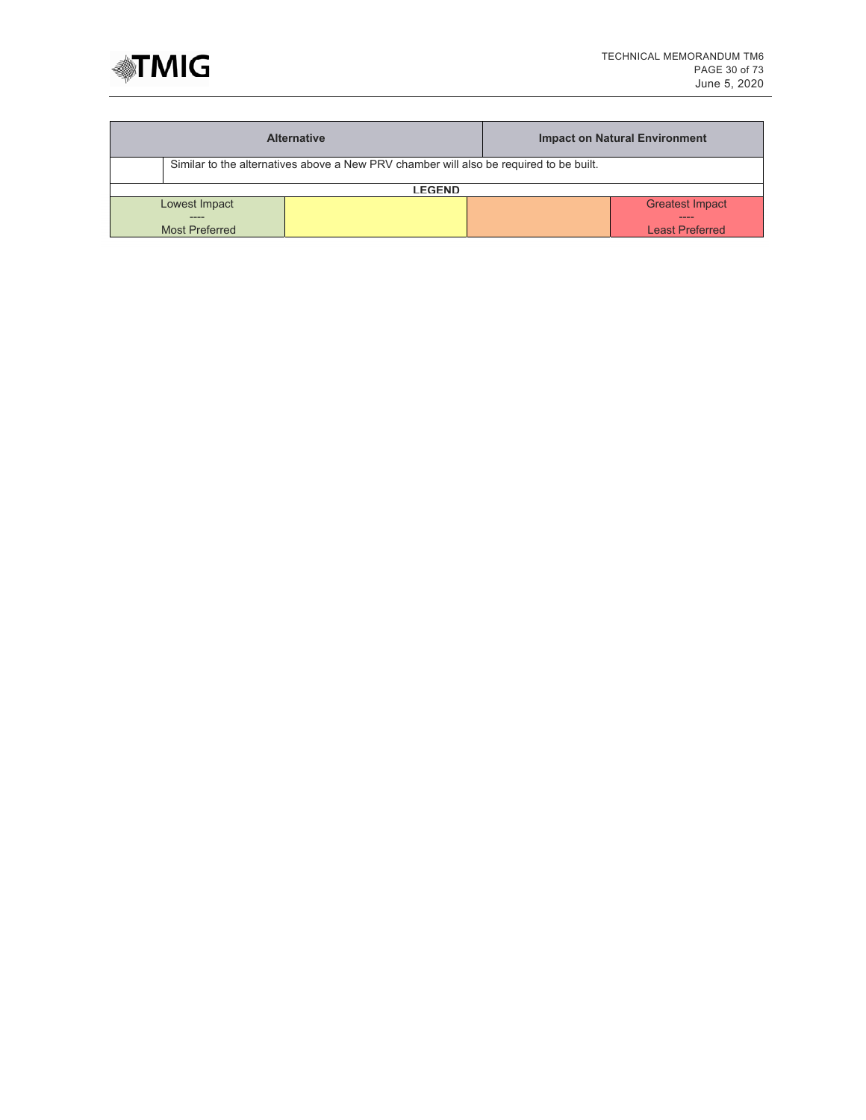

| <b>Alternative</b>                                                                     |  | <b>Impact on Natural Environment</b> |  |  |
|----------------------------------------------------------------------------------------|--|--------------------------------------|--|--|
| Similar to the alternatives above a New PRV chamber will also be required to be built. |  |                                      |  |  |
| <b>LEGEND</b>                                                                          |  |                                      |  |  |
| Lowest Impact                                                                          |  | <b>Greatest Impact</b>               |  |  |
| -----<br><b>Most Preferred</b>                                                         |  | ----<br><b>Least Preferred</b>       |  |  |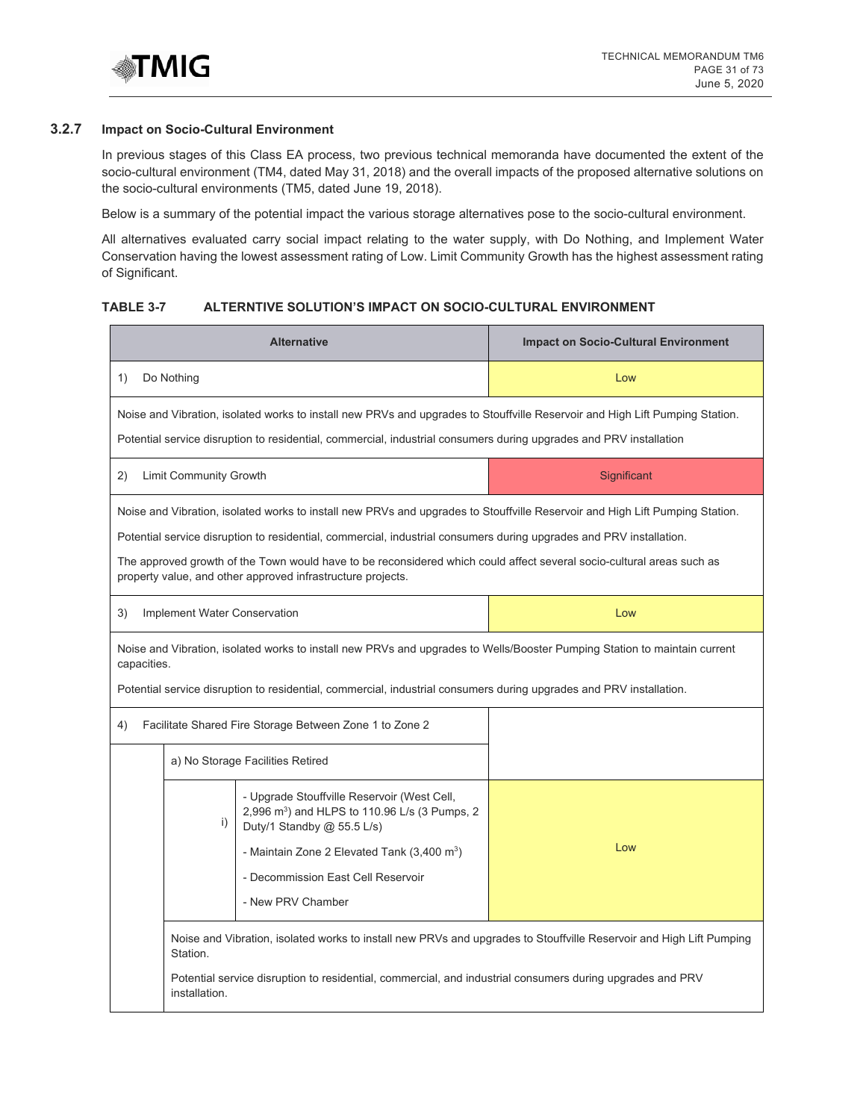

# **3.2.7 Impact on Socio-Cultural Environment**

In previous stages of this Class EA process, two previous technical memoranda have documented the extent of the socio-cultural environment (TM4, dated May 31, 2018) and the overall impacts of the proposed alternative solutions on the socio-cultural environments (TM5, dated June 19, 2018).

Below is a summary of the potential impact the various storage alternatives pose to the socio-cultural environment.

All alternatives evaluated carry social impact relating to the water supply, with Do Nothing, and Implement Water Conservation having the lowest assessment rating of Low. Limit Community Growth has the highest assessment rating of Significant.

## **TABLE 3-7 ALTERNTIVE SOLUTION'S IMPACT ON SOCIO-CULTURAL ENVIRONMENT**

| <b>Alternative</b>                                                                                                                                                                                                                                 |                                                                                                                                                                                                                                                                                                                                                                                                                                             |                                                                                                                                                                                                                                                            | <b>Impact on Socio-Cultural Environment</b> |
|----------------------------------------------------------------------------------------------------------------------------------------------------------------------------------------------------------------------------------------------------|---------------------------------------------------------------------------------------------------------------------------------------------------------------------------------------------------------------------------------------------------------------------------------------------------------------------------------------------------------------------------------------------------------------------------------------------|------------------------------------------------------------------------------------------------------------------------------------------------------------------------------------------------------------------------------------------------------------|---------------------------------------------|
| 1)<br>Do Nothing                                                                                                                                                                                                                                   |                                                                                                                                                                                                                                                                                                                                                                                                                                             |                                                                                                                                                                                                                                                            | Low                                         |
| Noise and Vibration, isolated works to install new PRVs and upgrades to Stouffville Reservoir and High Lift Pumping Station.<br>Potential service disruption to residential, commercial, industrial consumers during upgrades and PRV installation |                                                                                                                                                                                                                                                                                                                                                                                                                                             |                                                                                                                                                                                                                                                            |                                             |
| 2)                                                                                                                                                                                                                                                 | <b>Limit Community Growth</b><br>Significant                                                                                                                                                                                                                                                                                                                                                                                                |                                                                                                                                                                                                                                                            |                                             |
|                                                                                                                                                                                                                                                    | Noise and Vibration, isolated works to install new PRVs and upgrades to Stouffville Reservoir and High Lift Pumping Station.<br>Potential service disruption to residential, commercial, industrial consumers during upgrades and PRV installation.<br>The approved growth of the Town would have to be reconsidered which could affect several socio-cultural areas such as<br>property value, and other approved infrastructure projects. |                                                                                                                                                                                                                                                            |                                             |
| 3)                                                                                                                                                                                                                                                 | Implement Water Conservation<br>Low                                                                                                                                                                                                                                                                                                                                                                                                         |                                                                                                                                                                                                                                                            |                                             |
|                                                                                                                                                                                                                                                    | Noise and Vibration, isolated works to install new PRVs and upgrades to Wells/Booster Pumping Station to maintain current<br>capacities.<br>Potential service disruption to residential, commercial, industrial consumers during upgrades and PRV installation.                                                                                                                                                                             |                                                                                                                                                                                                                                                            |                                             |
| 4)                                                                                                                                                                                                                                                 | Facilitate Shared Fire Storage Between Zone 1 to Zone 2                                                                                                                                                                                                                                                                                                                                                                                     |                                                                                                                                                                                                                                                            |                                             |
|                                                                                                                                                                                                                                                    | a) No Storage Facilities Retired                                                                                                                                                                                                                                                                                                                                                                                                            |                                                                                                                                                                                                                                                            |                                             |
|                                                                                                                                                                                                                                                    | i)                                                                                                                                                                                                                                                                                                                                                                                                                                          | - Upgrade Stouffville Reservoir (West Cell,<br>2,996 m <sup>3</sup> ) and HLPS to 110.96 L/s (3 Pumps, 2<br>Duty/1 Standby @ 55.5 L/s)<br>- Maintain Zone 2 Elevated Tank $(3,400 \text{ m}^3)$<br>- Decommission East Cell Reservoir<br>- New PRV Chamber | Low                                         |
|                                                                                                                                                                                                                                                    | Noise and Vibration, isolated works to install new PRVs and upgrades to Stouffville Reservoir and High Lift Pumping<br>Station.<br>Potential service disruption to residential, commercial, and industrial consumers during upgrades and PRV<br>installation.                                                                                                                                                                               |                                                                                                                                                                                                                                                            |                                             |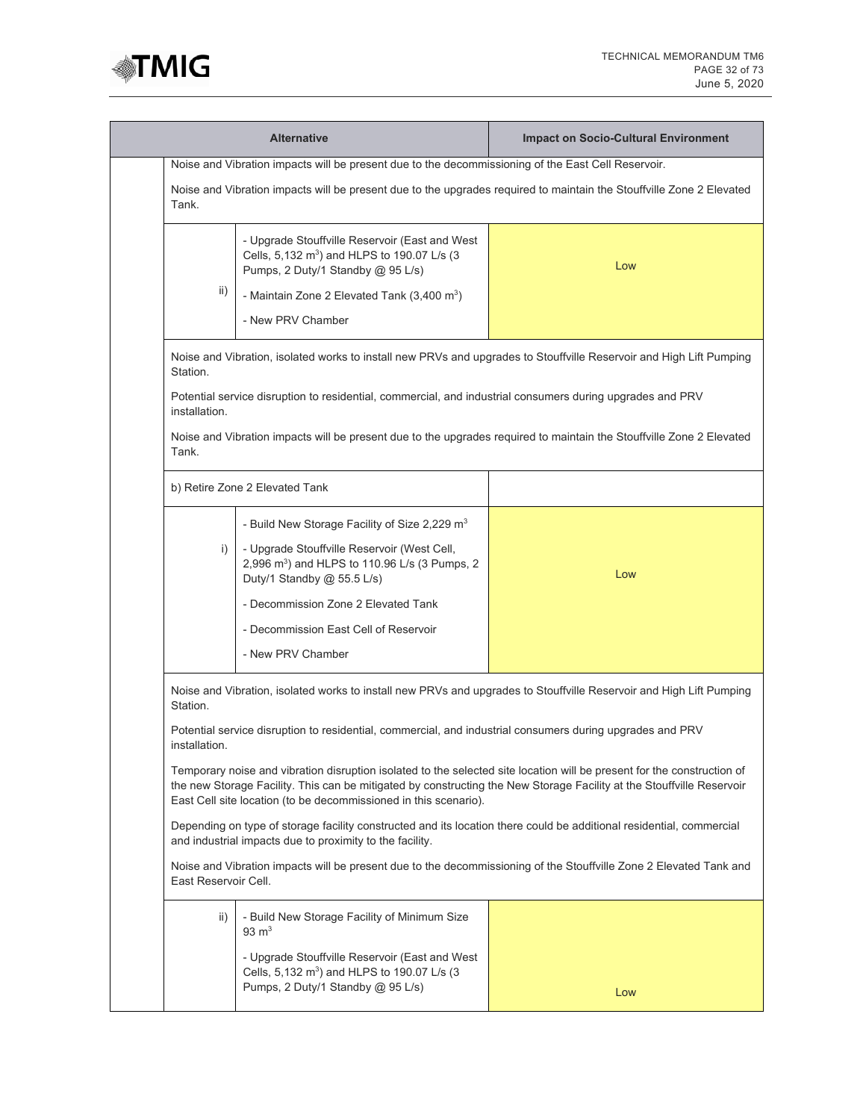

| <b>Alternative</b>                                                                                                                                                                                                                                                                                                   |                                                                                                                                                | <b>Impact on Socio-Cultural Environment</b>                                                                          |
|----------------------------------------------------------------------------------------------------------------------------------------------------------------------------------------------------------------------------------------------------------------------------------------------------------------------|------------------------------------------------------------------------------------------------------------------------------------------------|----------------------------------------------------------------------------------------------------------------------|
| Noise and Vibration impacts will be present due to the decommissioning of the East Cell Reservoir.                                                                                                                                                                                                                   |                                                                                                                                                |                                                                                                                      |
| Noise and Vibration impacts will be present due to the upgrades required to maintain the Stouffville Zone 2 Elevated<br>Tank.                                                                                                                                                                                        |                                                                                                                                                |                                                                                                                      |
|                                                                                                                                                                                                                                                                                                                      | - Upgrade Stouffville Reservoir (East and West<br>Cells, 5,132 m <sup>3</sup> ) and HLPS to 190.07 L/s (3<br>Pumps, 2 Duty/1 Standby @ 95 L/s) | Low                                                                                                                  |
| ii)                                                                                                                                                                                                                                                                                                                  | - Maintain Zone 2 Elevated Tank (3,400 m <sup>3</sup> )                                                                                        |                                                                                                                      |
|                                                                                                                                                                                                                                                                                                                      | - New PRV Chamber                                                                                                                              |                                                                                                                      |
| Station.                                                                                                                                                                                                                                                                                                             |                                                                                                                                                | Noise and Vibration, isolated works to install new PRVs and upgrades to Stouffville Reservoir and High Lift Pumping  |
| installation.                                                                                                                                                                                                                                                                                                        | Potential service disruption to residential, commercial, and industrial consumers during upgrades and PRV                                      |                                                                                                                      |
| Tank.                                                                                                                                                                                                                                                                                                                |                                                                                                                                                | Noise and Vibration impacts will be present due to the upgrades required to maintain the Stouffville Zone 2 Elevated |
|                                                                                                                                                                                                                                                                                                                      | b) Retire Zone 2 Elevated Tank                                                                                                                 |                                                                                                                      |
|                                                                                                                                                                                                                                                                                                                      | - Build New Storage Facility of Size 2,229 m <sup>3</sup>                                                                                      |                                                                                                                      |
| i)                                                                                                                                                                                                                                                                                                                   | - Upgrade Stouffville Reservoir (West Cell,<br>2,996 m <sup>3</sup> ) and HLPS to 110.96 L/s (3 Pumps, 2<br>Duty/1 Standby @ 55.5 L/s)         | Low                                                                                                                  |
|                                                                                                                                                                                                                                                                                                                      | - Decommission Zone 2 Elevated Tank                                                                                                            |                                                                                                                      |
|                                                                                                                                                                                                                                                                                                                      | - Decommission East Cell of Reservoir                                                                                                          |                                                                                                                      |
|                                                                                                                                                                                                                                                                                                                      | - New PRV Chamber                                                                                                                              |                                                                                                                      |
| Noise and Vibration, isolated works to install new PRVs and upgrades to Stouffville Reservoir and High Lift Pumping<br>Station.                                                                                                                                                                                      |                                                                                                                                                |                                                                                                                      |
| Potential service disruption to residential, commercial, and industrial consumers during upgrades and PRV<br>installation.                                                                                                                                                                                           |                                                                                                                                                |                                                                                                                      |
| Temporary noise and vibration disruption isolated to the selected site location will be present for the construction of<br>the new Storage Facility. This can be mitigated by constructing the New Storage Facility at the Stouffville Reservoir<br>East Cell site location (to be decommissioned in this scenario). |                                                                                                                                                |                                                                                                                      |
| Depending on type of storage facility constructed and its location there could be additional residential, commercial<br>and industrial impacts due to proximity to the facility.                                                                                                                                     |                                                                                                                                                |                                                                                                                      |
| Noise and Vibration impacts will be present due to the decommissioning of the Stouffville Zone 2 Elevated Tank and<br>East Reservoir Cell.                                                                                                                                                                           |                                                                                                                                                |                                                                                                                      |
| ii)                                                                                                                                                                                                                                                                                                                  | - Build New Storage Facility of Minimum Size<br>$93 \text{ m}^3$                                                                               |                                                                                                                      |
|                                                                                                                                                                                                                                                                                                                      | - Upgrade Stouffville Reservoir (East and West<br>Cells, 5,132 m <sup>3</sup> ) and HLPS to 190.07 L/s (3<br>Pumps, 2 Duty/1 Standby @ 95 L/s) | Low                                                                                                                  |
|                                                                                                                                                                                                                                                                                                                      |                                                                                                                                                |                                                                                                                      |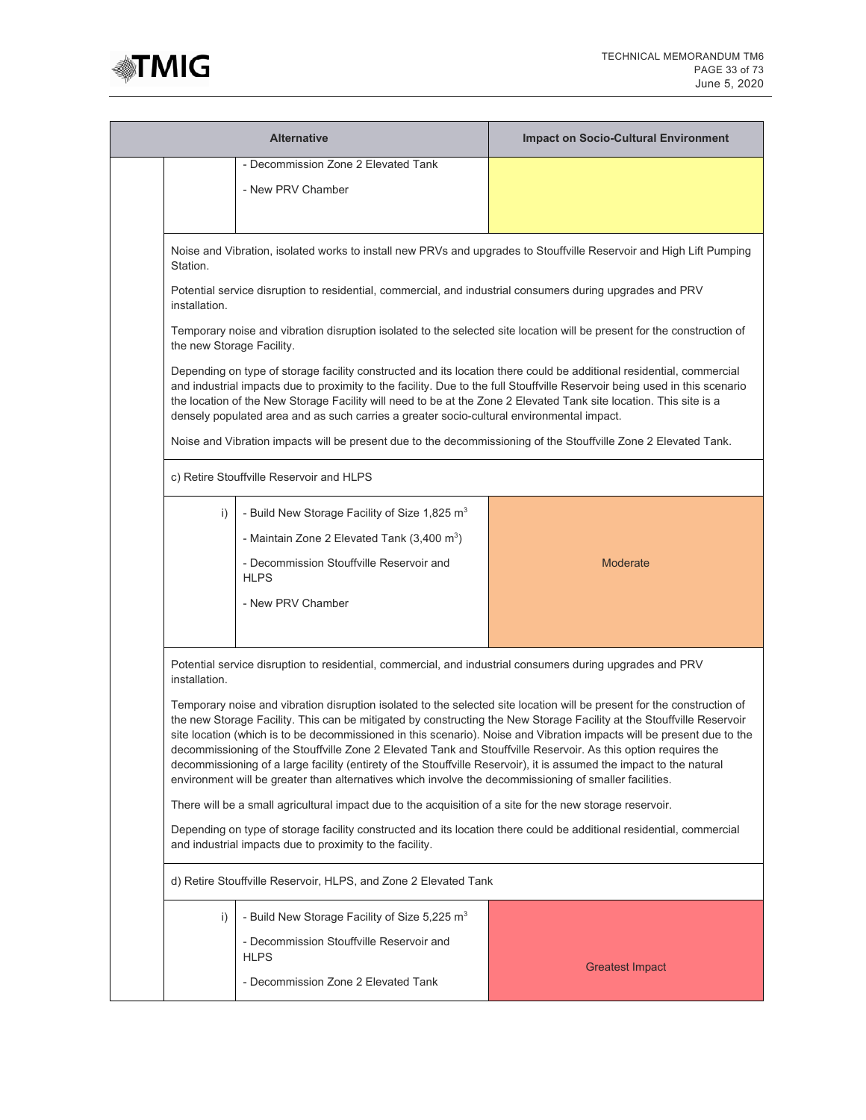

| <b>Alternative</b>                                                                                                                                                                                                                                                                                                                                                                                                                                                                                                                                                                                                                                                                                                             |                                                                                                                 | <b>Impact on Socio-Cultural Environment</b> |
|--------------------------------------------------------------------------------------------------------------------------------------------------------------------------------------------------------------------------------------------------------------------------------------------------------------------------------------------------------------------------------------------------------------------------------------------------------------------------------------------------------------------------------------------------------------------------------------------------------------------------------------------------------------------------------------------------------------------------------|-----------------------------------------------------------------------------------------------------------------|---------------------------------------------|
| - Decommission Zone 2 Elevated Tank                                                                                                                                                                                                                                                                                                                                                                                                                                                                                                                                                                                                                                                                                            |                                                                                                                 |                                             |
|                                                                                                                                                                                                                                                                                                                                                                                                                                                                                                                                                                                                                                                                                                                                | - New PRV Chamber                                                                                               |                                             |
|                                                                                                                                                                                                                                                                                                                                                                                                                                                                                                                                                                                                                                                                                                                                |                                                                                                                 |                                             |
|                                                                                                                                                                                                                                                                                                                                                                                                                                                                                                                                                                                                                                                                                                                                |                                                                                                                 |                                             |
| Noise and Vibration, isolated works to install new PRVs and upgrades to Stouffville Reservoir and High Lift Pumping<br>Station.                                                                                                                                                                                                                                                                                                                                                                                                                                                                                                                                                                                                |                                                                                                                 |                                             |
| Potential service disruption to residential, commercial, and industrial consumers during upgrades and PRV<br>installation.                                                                                                                                                                                                                                                                                                                                                                                                                                                                                                                                                                                                     |                                                                                                                 |                                             |
| Temporary noise and vibration disruption isolated to the selected site location will be present for the construction of<br>the new Storage Facility.                                                                                                                                                                                                                                                                                                                                                                                                                                                                                                                                                                           |                                                                                                                 |                                             |
| Depending on type of storage facility constructed and its location there could be additional residential, commercial<br>and industrial impacts due to proximity to the facility. Due to the full Stouffville Reservoir being used in this scenario<br>the location of the New Storage Facility will need to be at the Zone 2 Elevated Tank site location. This site is a<br>densely populated area and as such carries a greater socio-cultural environmental impact.                                                                                                                                                                                                                                                          |                                                                                                                 |                                             |
|                                                                                                                                                                                                                                                                                                                                                                                                                                                                                                                                                                                                                                                                                                                                | Noise and Vibration impacts will be present due to the decommissioning of the Stouffville Zone 2 Elevated Tank. |                                             |
|                                                                                                                                                                                                                                                                                                                                                                                                                                                                                                                                                                                                                                                                                                                                | c) Retire Stouffville Reservoir and HLPS                                                                        |                                             |
| i)                                                                                                                                                                                                                                                                                                                                                                                                                                                                                                                                                                                                                                                                                                                             | - Build New Storage Facility of Size 1,825 m <sup>3</sup>                                                       |                                             |
|                                                                                                                                                                                                                                                                                                                                                                                                                                                                                                                                                                                                                                                                                                                                | - Maintain Zone 2 Elevated Tank $(3,400 \text{ m}^3)$                                                           |                                             |
|                                                                                                                                                                                                                                                                                                                                                                                                                                                                                                                                                                                                                                                                                                                                | - Decommission Stouffville Reservoir and                                                                        | <b>Moderate</b>                             |
|                                                                                                                                                                                                                                                                                                                                                                                                                                                                                                                                                                                                                                                                                                                                | <b>HLPS</b>                                                                                                     |                                             |
|                                                                                                                                                                                                                                                                                                                                                                                                                                                                                                                                                                                                                                                                                                                                | - New PRV Chamber                                                                                               |                                             |
|                                                                                                                                                                                                                                                                                                                                                                                                                                                                                                                                                                                                                                                                                                                                |                                                                                                                 |                                             |
|                                                                                                                                                                                                                                                                                                                                                                                                                                                                                                                                                                                                                                                                                                                                |                                                                                                                 |                                             |
| Potential service disruption to residential, commercial, and industrial consumers during upgrades and PRV<br>installation.                                                                                                                                                                                                                                                                                                                                                                                                                                                                                                                                                                                                     |                                                                                                                 |                                             |
| Temporary noise and vibration disruption isolated to the selected site location will be present for the construction of<br>the new Storage Facility. This can be mitigated by constructing the New Storage Facility at the Stouffville Reservoir<br>site location (which is to be decommissioned in this scenario). Noise and Vibration impacts will be present due to the<br>decommissioning of the Stouffville Zone 2 Elevated Tank and Stouffville Reservoir. As this option requires the<br>decommissioning of a large facility (entirety of the Stouffville Reservoir), it is assumed the impact to the natural<br>environment will be greater than alternatives which involve the decommissioning of smaller facilities. |                                                                                                                 |                                             |
| There will be a small agricultural impact due to the acquisition of a site for the new storage reservoir.                                                                                                                                                                                                                                                                                                                                                                                                                                                                                                                                                                                                                      |                                                                                                                 |                                             |
| Depending on type of storage facility constructed and its location there could be additional residential, commercial<br>and industrial impacts due to proximity to the facility.                                                                                                                                                                                                                                                                                                                                                                                                                                                                                                                                               |                                                                                                                 |                                             |
| d) Retire Stouffville Reservoir, HLPS, and Zone 2 Elevated Tank                                                                                                                                                                                                                                                                                                                                                                                                                                                                                                                                                                                                                                                                |                                                                                                                 |                                             |
| i)                                                                                                                                                                                                                                                                                                                                                                                                                                                                                                                                                                                                                                                                                                                             | - Build New Storage Facility of Size 5,225 m <sup>3</sup>                                                       |                                             |
|                                                                                                                                                                                                                                                                                                                                                                                                                                                                                                                                                                                                                                                                                                                                | - Decommission Stouffville Reservoir and<br><b>HLPS</b>                                                         |                                             |
|                                                                                                                                                                                                                                                                                                                                                                                                                                                                                                                                                                                                                                                                                                                                | - Decommission Zone 2 Elevated Tank                                                                             | <b>Greatest Impact</b>                      |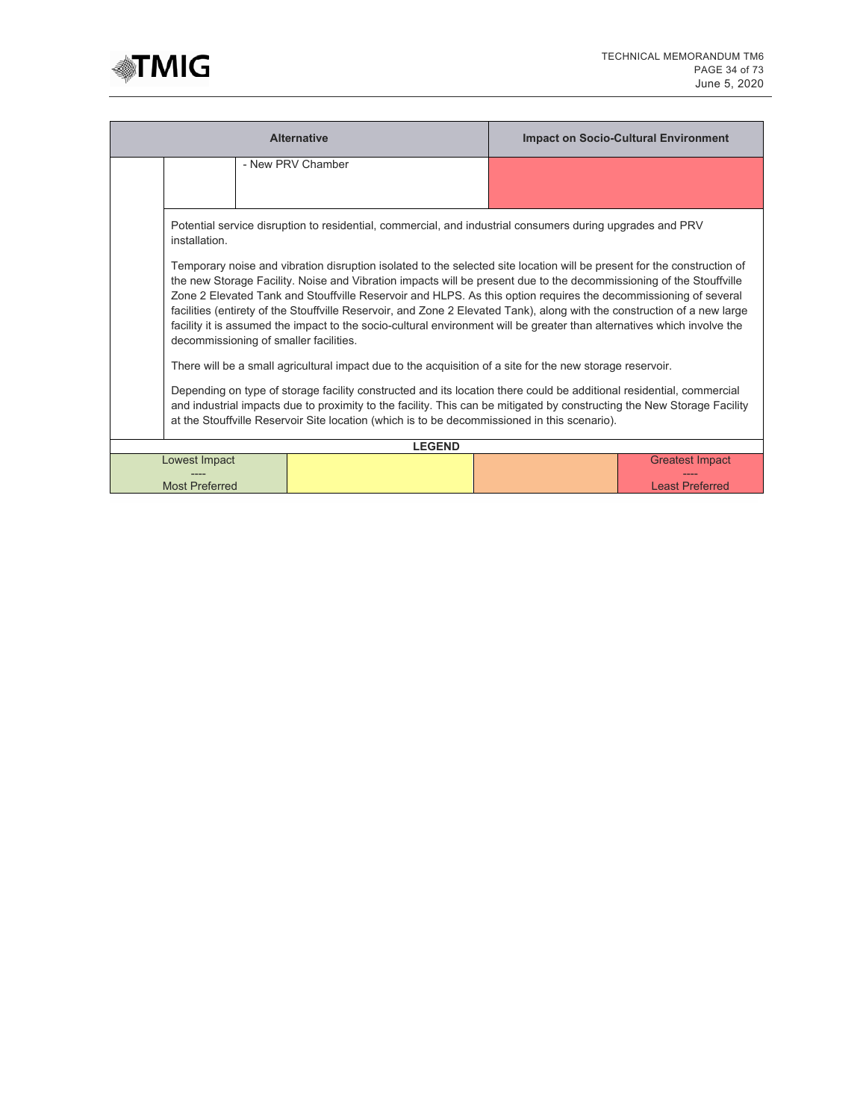

| <b>Alternative</b>                                                                                                                                                                                                                                                                                                                              |                                                                                                                                                                                                                                                                                                                                                                                                                                                                                                                                                                                                                                                                    |                   | <b>Impact on Socio-Cultural Environment</b> |                        |
|-------------------------------------------------------------------------------------------------------------------------------------------------------------------------------------------------------------------------------------------------------------------------------------------------------------------------------------------------|--------------------------------------------------------------------------------------------------------------------------------------------------------------------------------------------------------------------------------------------------------------------------------------------------------------------------------------------------------------------------------------------------------------------------------------------------------------------------------------------------------------------------------------------------------------------------------------------------------------------------------------------------------------------|-------------------|---------------------------------------------|------------------------|
|                                                                                                                                                                                                                                                                                                                                                 |                                                                                                                                                                                                                                                                                                                                                                                                                                                                                                                                                                                                                                                                    | - New PRV Chamber |                                             |                        |
|                                                                                                                                                                                                                                                                                                                                                 |                                                                                                                                                                                                                                                                                                                                                                                                                                                                                                                                                                                                                                                                    |                   |                                             |                        |
|                                                                                                                                                                                                                                                                                                                                                 | Potential service disruption to residential, commercial, and industrial consumers during upgrades and PRV<br>installation.                                                                                                                                                                                                                                                                                                                                                                                                                                                                                                                                         |                   |                                             |                        |
|                                                                                                                                                                                                                                                                                                                                                 | Temporary noise and vibration disruption isolated to the selected site location will be present for the construction of<br>the new Storage Facility. Noise and Vibration impacts will be present due to the decommissioning of the Stouffville<br>Zone 2 Elevated Tank and Stouffville Reservoir and HLPS. As this option requires the decommissioning of several<br>facilities (entirety of the Stouffville Reservoir, and Zone 2 Elevated Tank), along with the construction of a new large<br>facility it is assumed the impact to the socio-cultural environment will be greater than alternatives which involve the<br>decommissioning of smaller facilities. |                   |                                             |                        |
|                                                                                                                                                                                                                                                                                                                                                 | There will be a small agricultural impact due to the acquisition of a site for the new storage reservoir.                                                                                                                                                                                                                                                                                                                                                                                                                                                                                                                                                          |                   |                                             |                        |
| Depending on type of storage facility constructed and its location there could be additional residential, commercial<br>and industrial impacts due to proximity to the facility. This can be mitigated by constructing the New Storage Facility<br>at the Stouffville Reservoir Site location (which is to be decommissioned in this scenario). |                                                                                                                                                                                                                                                                                                                                                                                                                                                                                                                                                                                                                                                                    |                   |                                             |                        |
|                                                                                                                                                                                                                                                                                                                                                 | <b>LEGEND</b>                                                                                                                                                                                                                                                                                                                                                                                                                                                                                                                                                                                                                                                      |                   |                                             |                        |
|                                                                                                                                                                                                                                                                                                                                                 | Lowest Impact                                                                                                                                                                                                                                                                                                                                                                                                                                                                                                                                                                                                                                                      |                   |                                             | <b>Greatest Impact</b> |
| <b>Most Preferred</b>                                                                                                                                                                                                                                                                                                                           |                                                                                                                                                                                                                                                                                                                                                                                                                                                                                                                                                                                                                                                                    |                   | <b>Least Preferred</b>                      |                        |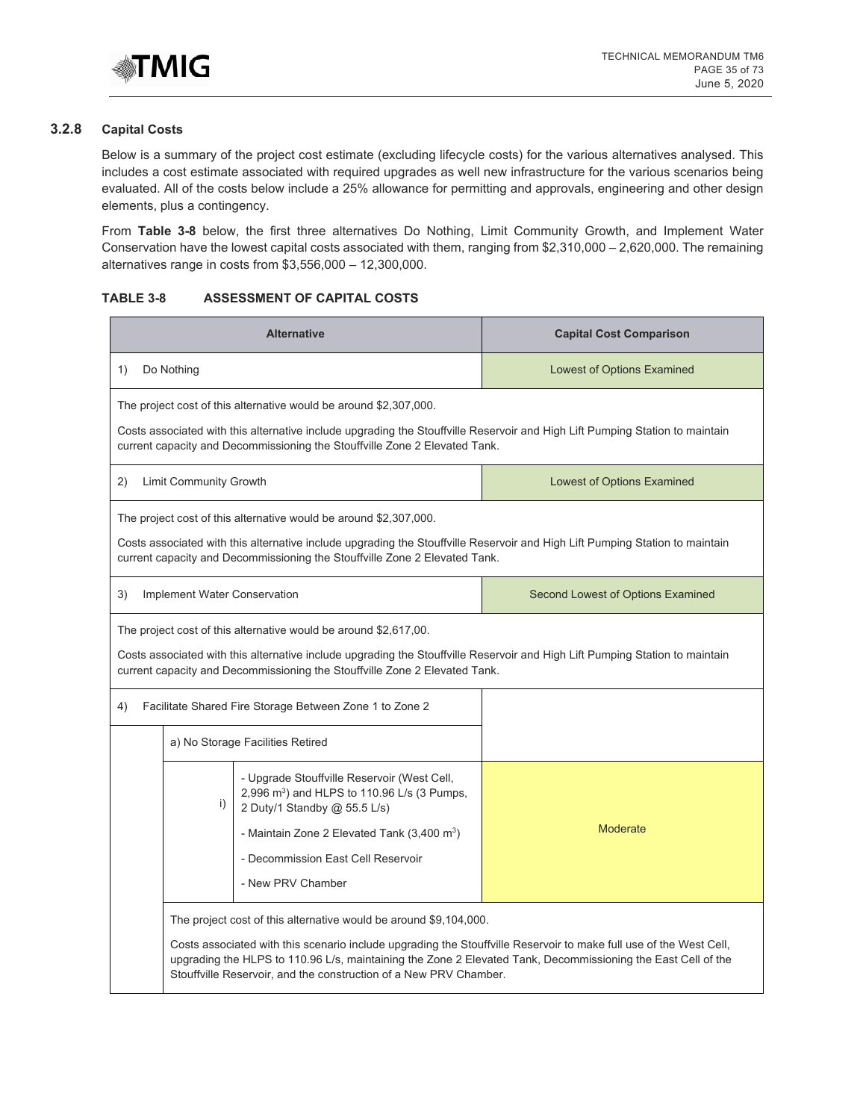

# **3.2.8 Capital Costs**

Below is a summary of the project cost estimate (excluding lifecycle costs) for the various alternatives analysed. This includes a cost estimate associated with required upgrades as well new infrastructure for the various scenarios being evaluated. All of the costs below include a 25% allowance for permitting and approvals, engineering and other design elements, plus a contingency.

From **Table 3-8** below, the first three alternatives Do Nothing, Limit Community Growth, and Implement Water Conservation have the lowest capital costs associated with them, ranging from \$2,310,000 – 2,620,000. The remaining alternatives range in costs from \$3,556,000 – 12,300,000.

#### **TABLE 3-8 ASSESSMENT OF CAPITAL COSTS**

| <b>Alternative</b>                                                                                                                                                                                                                                                                                                                                                           | <b>Capital Cost Comparison</b>    |  |  |
|------------------------------------------------------------------------------------------------------------------------------------------------------------------------------------------------------------------------------------------------------------------------------------------------------------------------------------------------------------------------------|-----------------------------------|--|--|
| Do Nothing<br>1)                                                                                                                                                                                                                                                                                                                                                             | <b>Lowest of Options Examined</b> |  |  |
| The project cost of this alternative would be around \$2,307,000.<br>Costs associated with this alternative include upgrading the Stouffville Reservoir and High Lift Pumping Station to maintain<br>current capacity and Decommissioning the Stouffville Zone 2 Elevated Tank.                                                                                              |                                   |  |  |
| <b>Limit Community Growth</b><br>2)                                                                                                                                                                                                                                                                                                                                          | <b>Lowest of Options Examined</b> |  |  |
| The project cost of this alternative would be around \$2,307,000.<br>Costs associated with this alternative include upgrading the Stouffville Reservoir and High Lift Pumping Station to maintain<br>current capacity and Decommissioning the Stouffville Zone 2 Elevated Tank.                                                                                              |                                   |  |  |
| 3)<br>Implement Water Conservation                                                                                                                                                                                                                                                                                                                                           | Second Lowest of Options Examined |  |  |
| The project cost of this alternative would be around \$2,617,00.<br>Costs associated with this alternative include upgrading the Stouffville Reservoir and High Lift Pumping Station to maintain<br>current capacity and Decommissioning the Stouffville Zone 2 Elevated Tank.                                                                                               |                                   |  |  |
| Facilitate Shared Fire Storage Between Zone 1 to Zone 2<br>4)                                                                                                                                                                                                                                                                                                                |                                   |  |  |
| a) No Storage Facilities Retired                                                                                                                                                                                                                                                                                                                                             |                                   |  |  |
| - Upgrade Stouffville Reservoir (West Cell,<br>2,996 m <sup>3</sup> ) and HLPS to 110.96 L/s (3 Pumps,<br>i)<br>2 Duty/1 Standby @ 55.5 L/s)<br>- Maintain Zone 2 Elevated Tank $(3,400 \text{ m}^3)$<br>- Decommission East Cell Reservoir<br>- New PRV Chamber                                                                                                             | Moderate                          |  |  |
| The project cost of this alternative would be around \$9,104,000.<br>Costs associated with this scenario include upgrading the Stouffville Reservoir to make full use of the West Cell,<br>upgrading the HLPS to 110.96 L/s, maintaining the Zone 2 Elevated Tank, Decommissioning the East Cell of the<br>Stouffville Reservoir, and the construction of a New PRV Chamber. |                                   |  |  |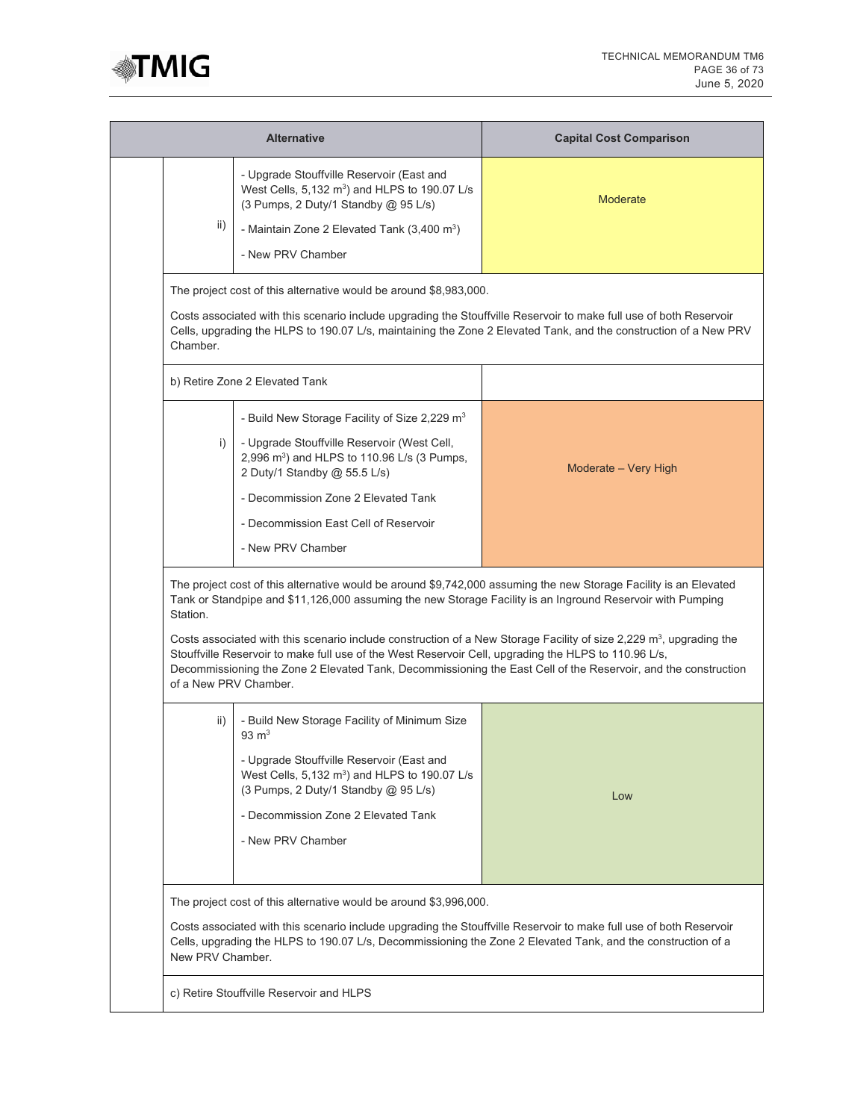

| <b>Alternative</b> |                                                                                                                                                                                                                                                                                                                                                                                                                                                                                                                                                                                                                       | <b>Capital Cost Comparison</b>                                                                                                                                                                                                         |  |
|--------------------|-----------------------------------------------------------------------------------------------------------------------------------------------------------------------------------------------------------------------------------------------------------------------------------------------------------------------------------------------------------------------------------------------------------------------------------------------------------------------------------------------------------------------------------------------------------------------------------------------------------------------|----------------------------------------------------------------------------------------------------------------------------------------------------------------------------------------------------------------------------------------|--|
| ii)                | - Upgrade Stouffville Reservoir (East and<br>West Cells, $5,132 \text{ m}^3$ ) and HLPS to 190.07 L/s<br>(3 Pumps, 2 Duty/1 Standby @ 95 L/s)<br>- Maintain Zone 2 Elevated Tank (3,400 m <sup>3</sup> )<br>- New PRV Chamber                                                                                                                                                                                                                                                                                                                                                                                         | <b>Moderate</b>                                                                                                                                                                                                                        |  |
| Chamber.           | The project cost of this alternative would be around \$8,983,000.                                                                                                                                                                                                                                                                                                                                                                                                                                                                                                                                                     | Costs associated with this scenario include upgrading the Stouffville Reservoir to make full use of both Reservoir<br>Cells, upgrading the HLPS to 190.07 L/s, maintaining the Zone 2 Elevated Tank, and the construction of a New PRV |  |
|                    | b) Retire Zone 2 Elevated Tank                                                                                                                                                                                                                                                                                                                                                                                                                                                                                                                                                                                        |                                                                                                                                                                                                                                        |  |
| i)                 | - Build New Storage Facility of Size 2,229 m <sup>3</sup><br>- Upgrade Stouffville Reservoir (West Cell,<br>2,996 m <sup>3</sup> ) and HLPS to 110.96 L/s (3 Pumps,<br>2 Duty/1 Standby @ 55.5 L/s)<br>- Decommission Zone 2 Elevated Tank<br>- Decommission East Cell of Reservoir<br>- New PRV Chamber                                                                                                                                                                                                                                                                                                              | Moderate - Very High                                                                                                                                                                                                                   |  |
| Station.           | The project cost of this alternative would be around \$9,742,000 assuming the new Storage Facility is an Elevated<br>Tank or Standpipe and \$11,126,000 assuming the new Storage Facility is an Inground Reservoir with Pumping<br>Costs associated with this scenario include construction of a New Storage Facility of size 2,229 m <sup>3</sup> , upgrading the<br>Stouffville Reservoir to make full use of the West Reservoir Cell, upgrading the HLPS to 110.96 L/s,<br>Decommissioning the Zone 2 Elevated Tank, Decommissioning the East Cell of the Reservoir, and the construction<br>of a New PRV Chamber. |                                                                                                                                                                                                                                        |  |
| ii)                | - Build New Storage Facility of Minimum Size<br>$93 \text{ m}^3$<br>- Upgrade Stouffville Reservoir (East and<br>West Cells, $5,132 \text{ m}^3$ ) and HLPS to 190.07 L/s<br>(3 Pumps, 2 Duty/1 Standby @ 95 L/s)<br>- Decommission Zone 2 Elevated Tank<br>- New PRV Chamber                                                                                                                                                                                                                                                                                                                                         | Low                                                                                                                                                                                                                                    |  |
|                    | The project cost of this alternative would be around \$3,996,000.<br>Costs associated with this scenario include upgrading the Stouffville Reservoir to make full use of both Reservoir<br>Cells, upgrading the HLPS to 190.07 L/s, Decommissioning the Zone 2 Elevated Tank, and the construction of a<br>New PRV Chamber.                                                                                                                                                                                                                                                                                           |                                                                                                                                                                                                                                        |  |
|                    | c) Retire Stouffville Reservoir and HLPS                                                                                                                                                                                                                                                                                                                                                                                                                                                                                                                                                                              |                                                                                                                                                                                                                                        |  |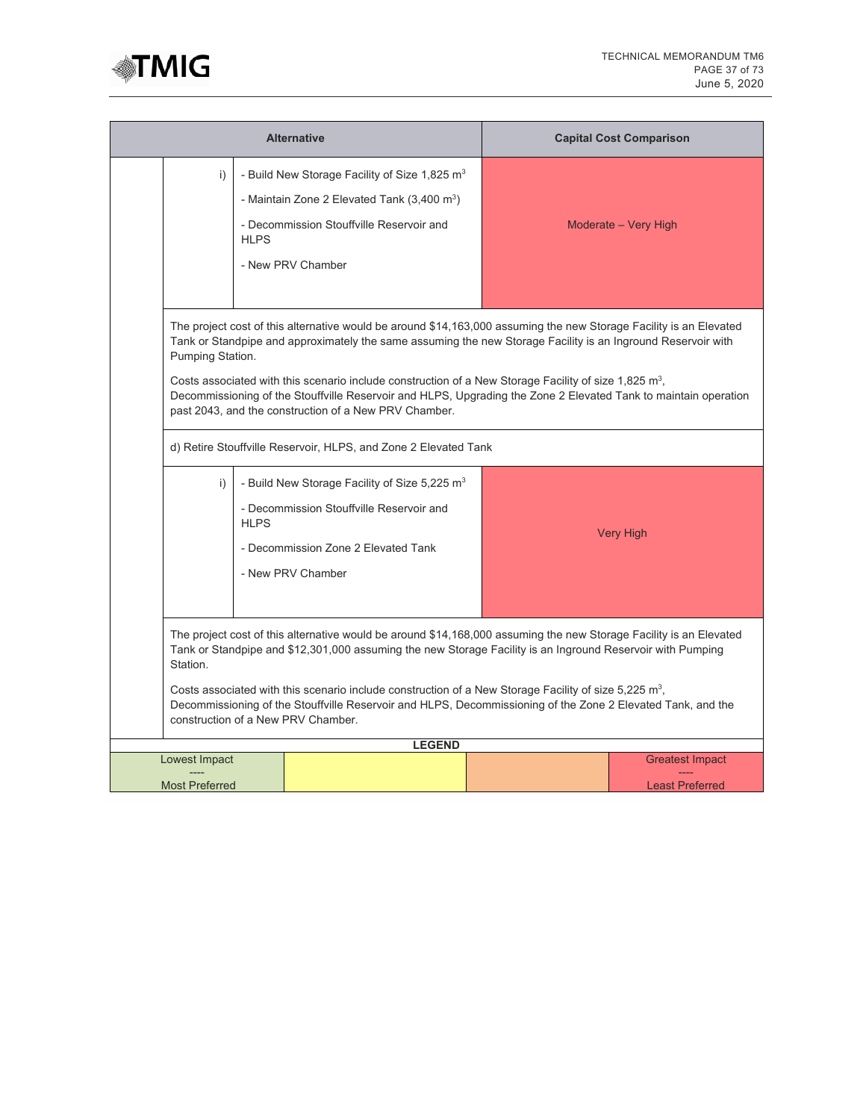

|                                                                                                                                                                                                                                                                                                                                                                                                                                                                                                               |                                                                                                                                                                                                                                                                                                                                                                                                                                                                                                                                                         | <b>Alternative</b>                                                                                                                                                                  |  | <b>Capital Cost Comparison</b>                   |  |  |  |
|---------------------------------------------------------------------------------------------------------------------------------------------------------------------------------------------------------------------------------------------------------------------------------------------------------------------------------------------------------------------------------------------------------------------------------------------------------------------------------------------------------------|---------------------------------------------------------------------------------------------------------------------------------------------------------------------------------------------------------------------------------------------------------------------------------------------------------------------------------------------------------------------------------------------------------------------------------------------------------------------------------------------------------------------------------------------------------|-------------------------------------------------------------------------------------------------------------------------------------------------------------------------------------|--|--------------------------------------------------|--|--|--|
| i)                                                                                                                                                                                                                                                                                                                                                                                                                                                                                                            | HI <sub>PS</sub>                                                                                                                                                                                                                                                                                                                                                                                                                                                                                                                                        | - Build New Storage Facility of Size 1,825 m <sup>3</sup><br>- Maintain Zone 2 Elevated Tank $(3,400 \text{ m}^3)$<br>- Decommission Stouffville Reservoir and<br>- New PRV Chamber |  | Moderate - Very High                             |  |  |  |
|                                                                                                                                                                                                                                                                                                                                                                                                                                                                                                               | The project cost of this alternative would be around \$14,163,000 assuming the new Storage Facility is an Elevated<br>Tank or Standpipe and approximately the same assuming the new Storage Facility is an Inground Reservoir with<br>Pumping Station.<br>Costs associated with this scenario include construction of a New Storage Facility of size 1,825 m <sup>3</sup> ,<br>Decommissioning of the Stouffville Reservoir and HLPS, Upgrading the Zone 2 Elevated Tank to maintain operation<br>past 2043, and the construction of a New PRV Chamber. |                                                                                                                                                                                     |  |                                                  |  |  |  |
|                                                                                                                                                                                                                                                                                                                                                                                                                                                                                                               |                                                                                                                                                                                                                                                                                                                                                                                                                                                                                                                                                         | d) Retire Stouffville Reservoir, HLPS, and Zone 2 Elevated Tank                                                                                                                     |  |                                                  |  |  |  |
| i)                                                                                                                                                                                                                                                                                                                                                                                                                                                                                                            | <b>HLPS</b>                                                                                                                                                                                                                                                                                                                                                                                                                                                                                                                                             | - Build New Storage Facility of Size 5,225 m <sup>3</sup><br>- Decommission Stouffville Reservoir and<br>- Decommission Zone 2 Elevated Tank<br>- New PRV Chamber                   |  | <b>Very High</b>                                 |  |  |  |
| The project cost of this alternative would be around \$14,168,000 assuming the new Storage Facility is an Elevated<br>Tank or Standpipe and \$12,301,000 assuming the new Storage Facility is an Inground Reservoir with Pumping<br>Station.<br>Costs associated with this scenario include construction of a New Storage Facility of size 5,225 $m^3$ ,<br>Decommissioning of the Stouffville Reservoir and HLPS, Decommissioning of the Zone 2 Elevated Tank, and the<br>construction of a New PRV Chamber. |                                                                                                                                                                                                                                                                                                                                                                                                                                                                                                                                                         |                                                                                                                                                                                     |  |                                                  |  |  |  |
|                                                                                                                                                                                                                                                                                                                                                                                                                                                                                                               |                                                                                                                                                                                                                                                                                                                                                                                                                                                                                                                                                         | <b>LEGEND</b>                                                                                                                                                                       |  |                                                  |  |  |  |
| Lowest Impact<br><b>Most Preferred</b>                                                                                                                                                                                                                                                                                                                                                                                                                                                                        |                                                                                                                                                                                                                                                                                                                                                                                                                                                                                                                                                         |                                                                                                                                                                                     |  | <b>Greatest Impact</b><br><b>Least Preferred</b> |  |  |  |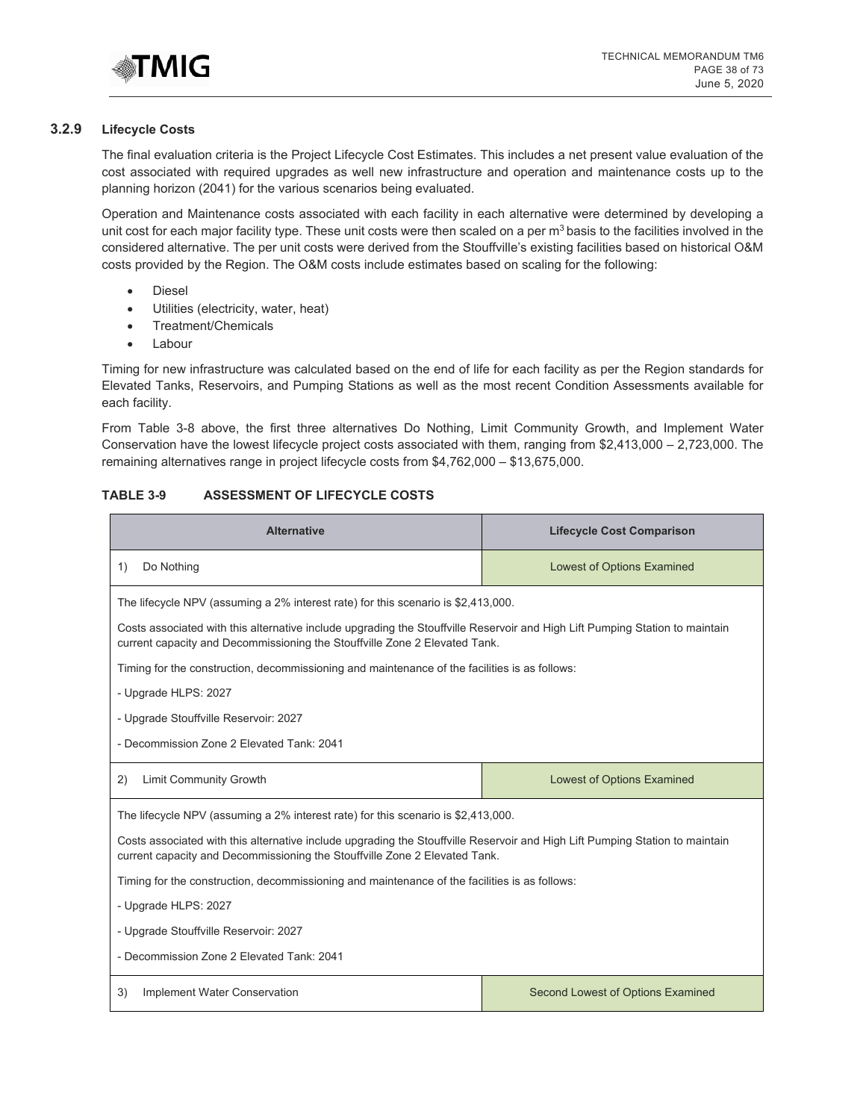

## **3.2.9 Lifecycle Costs**

The final evaluation criteria is the Project Lifecycle Cost Estimates. This includes a net present value evaluation of the cost associated with required upgrades as well new infrastructure and operation and maintenance costs up to the planning horizon (2041) for the various scenarios being evaluated.

Operation and Maintenance costs associated with each facility in each alternative were determined by developing a unit cost for each major facility type. These unit costs were then scaled on a per  $m<sup>3</sup>$  basis to the facilities involved in the considered alternative. The per unit costs were derived from the Stouffville's existing facilities based on historical O&M costs provided by the Region. The O&M costs include estimates based on scaling for the following:

- Diesel
- Utilities (electricity, water, heat)
- Treatment/Chemicals
- **Labour**

Timing for new infrastructure was calculated based on the end of life for each facility as per the Region standards for Elevated Tanks, Reservoirs, and Pumping Stations as well as the most recent Condition Assessments available for each facility.

From Table 3-8 above, the first three alternatives Do Nothing, Limit Community Growth, and Implement Water Conservation have the lowest lifecycle project costs associated with them, ranging from \$2,413,000 – 2,723,000. The remaining alternatives range in project lifecycle costs from \$4,762,000 – \$13,675,000.

#### **TABLE 3-9 ASSESSMENT OF LIFECYCLE COSTS**

| <b>Alternative</b>                                                                                                                                                                                         | <b>Lifecycle Cost Comparison</b>                                                              |  |  |  |  |  |  |
|------------------------------------------------------------------------------------------------------------------------------------------------------------------------------------------------------------|-----------------------------------------------------------------------------------------------|--|--|--|--|--|--|
| Do Nothing<br>1)                                                                                                                                                                                           | <b>Lowest of Options Examined</b>                                                             |  |  |  |  |  |  |
| The lifecycle NPV (assuming a 2% interest rate) for this scenario is \$2,413,000.                                                                                                                          |                                                                                               |  |  |  |  |  |  |
| Costs associated with this alternative include upgrading the Stouffville Reservoir and High Lift Pumping Station to maintain<br>current capacity and Decommissioning the Stouffville Zone 2 Elevated Tank. |                                                                                               |  |  |  |  |  |  |
| Timing for the construction, decommissioning and maintenance of the facilities is as follows:                                                                                                              |                                                                                               |  |  |  |  |  |  |
| - Upgrade HLPS: 2027                                                                                                                                                                                       |                                                                                               |  |  |  |  |  |  |
| - Upgrade Stouffville Reservoir: 2027                                                                                                                                                                      |                                                                                               |  |  |  |  |  |  |
| - Decommission Zone 2 Elevated Tank: 2041                                                                                                                                                                  |                                                                                               |  |  |  |  |  |  |
| <b>Limit Community Growth</b><br>2)                                                                                                                                                                        | <b>Lowest of Options Examined</b>                                                             |  |  |  |  |  |  |
| The lifecycle NPV (assuming a 2% interest rate) for this scenario is \$2,413,000.                                                                                                                          |                                                                                               |  |  |  |  |  |  |
| Costs associated with this alternative include upgrading the Stouffville Reservoir and High Lift Pumping Station to maintain<br>current capacity and Decommissioning the Stouffville Zone 2 Elevated Tank. |                                                                                               |  |  |  |  |  |  |
|                                                                                                                                                                                                            | Timing for the construction, decommissioning and maintenance of the facilities is as follows: |  |  |  |  |  |  |
| - Upgrade HLPS: 2027                                                                                                                                                                                       |                                                                                               |  |  |  |  |  |  |
|                                                                                                                                                                                                            |                                                                                               |  |  |  |  |  |  |
| - Upgrade Stouffville Reservoir: 2027                                                                                                                                                                      |                                                                                               |  |  |  |  |  |  |
| - Decommission Zone 2 Elevated Tank: 2041                                                                                                                                                                  |                                                                                               |  |  |  |  |  |  |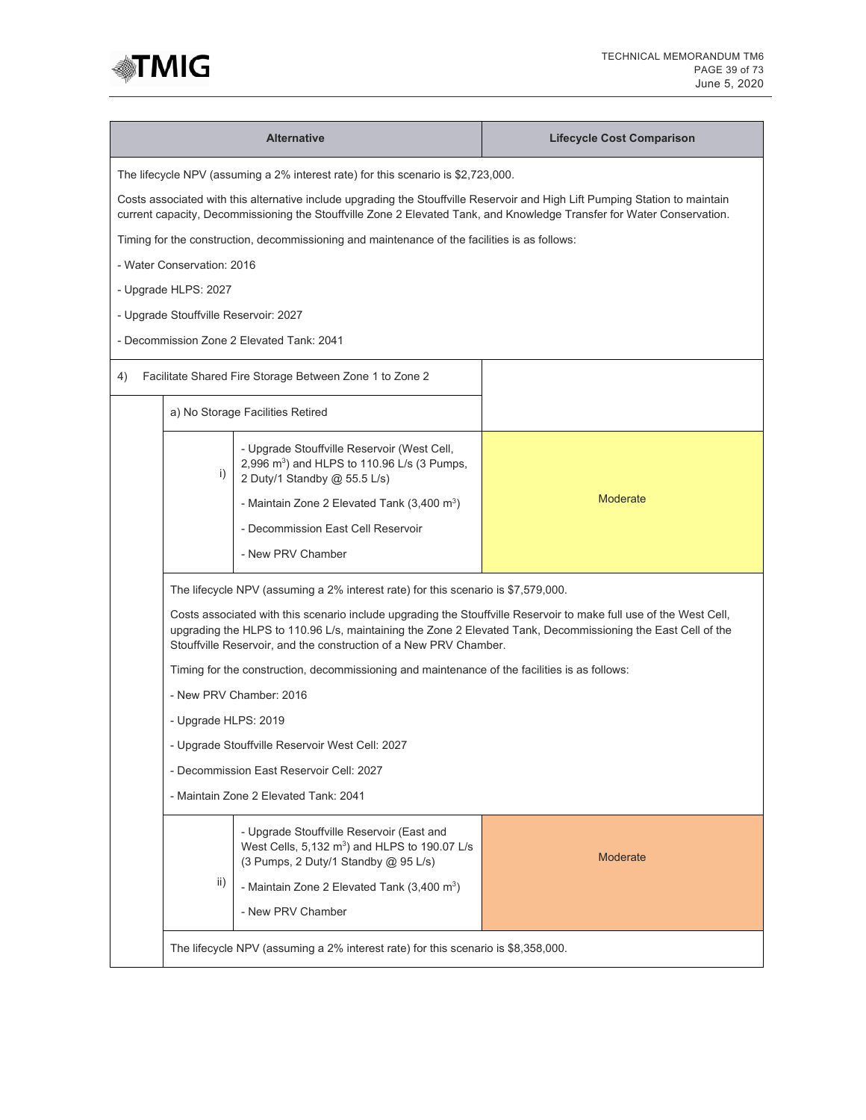

|                                                                                   |                                                                                                                                                | <b>Alternative</b>                                                                                                                     | <b>Lifecycle Cost Comparison</b>                                                                                                                                                                                                                       |  |  |  |  |
|-----------------------------------------------------------------------------------|------------------------------------------------------------------------------------------------------------------------------------------------|----------------------------------------------------------------------------------------------------------------------------------------|--------------------------------------------------------------------------------------------------------------------------------------------------------------------------------------------------------------------------------------------------------|--|--|--|--|
| The lifecycle NPV (assuming a 2% interest rate) for this scenario is \$2,723,000. |                                                                                                                                                |                                                                                                                                        |                                                                                                                                                                                                                                                        |  |  |  |  |
|                                                                                   |                                                                                                                                                |                                                                                                                                        | Costs associated with this alternative include upgrading the Stouffville Reservoir and High Lift Pumping Station to maintain<br>current capacity, Decommissioning the Stouffville Zone 2 Elevated Tank, and Knowledge Transfer for Water Conservation. |  |  |  |  |
|                                                                                   |                                                                                                                                                | Timing for the construction, decommissioning and maintenance of the facilities is as follows:                                          |                                                                                                                                                                                                                                                        |  |  |  |  |
| - Water Conservation: 2016                                                        |                                                                                                                                                |                                                                                                                                        |                                                                                                                                                                                                                                                        |  |  |  |  |
| - Upgrade HLPS: 2027                                                              |                                                                                                                                                |                                                                                                                                        |                                                                                                                                                                                                                                                        |  |  |  |  |
|                                                                                   |                                                                                                                                                | - Upgrade Stouffville Reservoir: 2027                                                                                                  |                                                                                                                                                                                                                                                        |  |  |  |  |
|                                                                                   |                                                                                                                                                | - Decommission Zone 2 Elevated Tank: 2041                                                                                              |                                                                                                                                                                                                                                                        |  |  |  |  |
| 4)                                                                                |                                                                                                                                                | Facilitate Shared Fire Storage Between Zone 1 to Zone 2                                                                                |                                                                                                                                                                                                                                                        |  |  |  |  |
|                                                                                   |                                                                                                                                                | a) No Storage Facilities Retired                                                                                                       |                                                                                                                                                                                                                                                        |  |  |  |  |
|                                                                                   | i)                                                                                                                                             | - Upgrade Stouffville Reservoir (West Cell,<br>2,996 m <sup>3</sup> ) and HLPS to 110.96 L/s (3 Pumps,<br>2 Duty/1 Standby @ 55.5 L/s) |                                                                                                                                                                                                                                                        |  |  |  |  |
|                                                                                   |                                                                                                                                                | - Maintain Zone 2 Elevated Tank $(3,400 \text{ m}^3)$                                                                                  | <b>Moderate</b>                                                                                                                                                                                                                                        |  |  |  |  |
|                                                                                   |                                                                                                                                                | - Decommission East Cell Reservoir                                                                                                     |                                                                                                                                                                                                                                                        |  |  |  |  |
|                                                                                   |                                                                                                                                                | - New PRV Chamber                                                                                                                      |                                                                                                                                                                                                                                                        |  |  |  |  |
|                                                                                   |                                                                                                                                                | The lifecycle NPV (assuming a 2% interest rate) for this scenario is \$7,579,000.                                                      |                                                                                                                                                                                                                                                        |  |  |  |  |
|                                                                                   |                                                                                                                                                | Stouffville Reservoir, and the construction of a New PRV Chamber.                                                                      | Costs associated with this scenario include upgrading the Stouffville Reservoir to make full use of the West Cell,<br>upgrading the HLPS to 110.96 L/s, maintaining the Zone 2 Elevated Tank, Decommissioning the East Cell of the                     |  |  |  |  |
|                                                                                   |                                                                                                                                                | Timing for the construction, decommissioning and maintenance of the facilities is as follows:                                          |                                                                                                                                                                                                                                                        |  |  |  |  |
|                                                                                   |                                                                                                                                                | - New PRV Chamber: 2016                                                                                                                |                                                                                                                                                                                                                                                        |  |  |  |  |
|                                                                                   | - Upgrade HLPS: 2019                                                                                                                           |                                                                                                                                        |                                                                                                                                                                                                                                                        |  |  |  |  |
|                                                                                   |                                                                                                                                                | - Upgrade Stouffville Reservoir West Cell: 2027                                                                                        |                                                                                                                                                                                                                                                        |  |  |  |  |
|                                                                                   |                                                                                                                                                | - Decommission East Reservoir Cell: 2027                                                                                               |                                                                                                                                                                                                                                                        |  |  |  |  |
|                                                                                   |                                                                                                                                                | - Maintain Zone 2 Elevated Tank: 2041                                                                                                  |                                                                                                                                                                                                                                                        |  |  |  |  |
|                                                                                   | - Upgrade Stouffville Reservoir (East and<br>West Cells, 5,132 m <sup>3</sup> ) and HLPS to 190.07 L/s<br>(3 Pumps, 2 Duty/1 Standby @ 95 L/s) |                                                                                                                                        | <b>Moderate</b>                                                                                                                                                                                                                                        |  |  |  |  |
|                                                                                   | ii)                                                                                                                                            | - Maintain Zone 2 Elevated Tank (3,400 m <sup>3</sup> )                                                                                |                                                                                                                                                                                                                                                        |  |  |  |  |
|                                                                                   |                                                                                                                                                | - New PRV Chamber                                                                                                                      |                                                                                                                                                                                                                                                        |  |  |  |  |
|                                                                                   |                                                                                                                                                | The lifecycle NPV (assuming a 2% interest rate) for this scenario is \$8,358,000.                                                      |                                                                                                                                                                                                                                                        |  |  |  |  |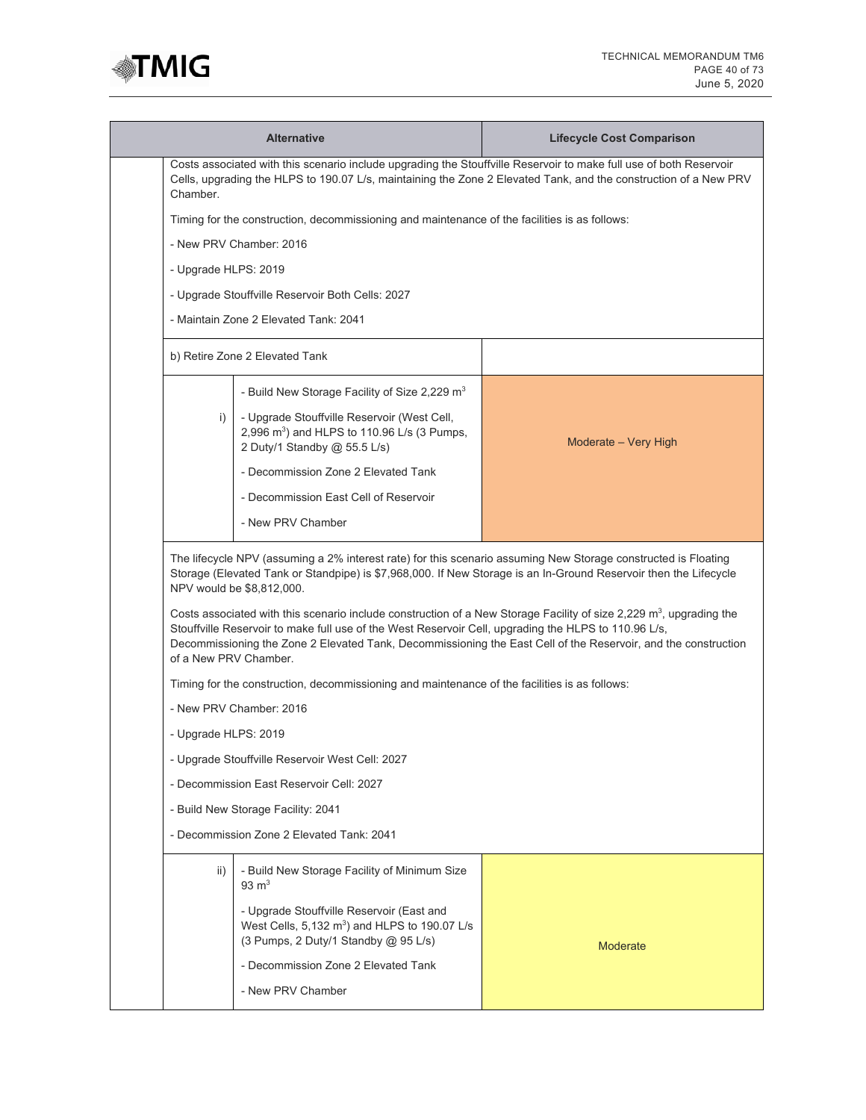

|                                                                                                                                                                                                                                                    | <b>Alternative</b>                                                                                                                            | <b>Lifecycle Cost Comparison</b>                                                                                                                                                                                                                  |  |  |  |
|----------------------------------------------------------------------------------------------------------------------------------------------------------------------------------------------------------------------------------------------------|-----------------------------------------------------------------------------------------------------------------------------------------------|---------------------------------------------------------------------------------------------------------------------------------------------------------------------------------------------------------------------------------------------------|--|--|--|
| Costs associated with this scenario include upgrading the Stouffville Reservoir to make full use of both Reservoir<br>Cells, upgrading the HLPS to 190.07 L/s, maintaining the Zone 2 Elevated Tank, and the construction of a New PRV<br>Chamber. |                                                                                                                                               |                                                                                                                                                                                                                                                   |  |  |  |
|                                                                                                                                                                                                                                                    | Timing for the construction, decommissioning and maintenance of the facilities is as follows:                                                 |                                                                                                                                                                                                                                                   |  |  |  |
|                                                                                                                                                                                                                                                    | - New PRV Chamber: 2016                                                                                                                       |                                                                                                                                                                                                                                                   |  |  |  |
| - Upgrade HLPS: 2019                                                                                                                                                                                                                               |                                                                                                                                               |                                                                                                                                                                                                                                                   |  |  |  |
|                                                                                                                                                                                                                                                    | - Upgrade Stouffville Reservoir Both Cells: 2027                                                                                              |                                                                                                                                                                                                                                                   |  |  |  |
|                                                                                                                                                                                                                                                    | - Maintain Zone 2 Elevated Tank: 2041                                                                                                         |                                                                                                                                                                                                                                                   |  |  |  |
|                                                                                                                                                                                                                                                    | b) Retire Zone 2 Elevated Tank                                                                                                                |                                                                                                                                                                                                                                                   |  |  |  |
|                                                                                                                                                                                                                                                    | - Build New Storage Facility of Size 2,229 m <sup>3</sup>                                                                                     |                                                                                                                                                                                                                                                   |  |  |  |
| i)                                                                                                                                                                                                                                                 | - Upgrade Stouffville Reservoir (West Cell,<br>2,996 m <sup>3</sup> ) and HLPS to 110.96 L/s (3 Pumps,<br>2 Duty/1 Standby @ 55.5 L/s)        | Moderate - Very High                                                                                                                                                                                                                              |  |  |  |
|                                                                                                                                                                                                                                                    | - Decommission Zone 2 Elevated Tank                                                                                                           |                                                                                                                                                                                                                                                   |  |  |  |
|                                                                                                                                                                                                                                                    | - Decommission East Cell of Reservoir                                                                                                         |                                                                                                                                                                                                                                                   |  |  |  |
|                                                                                                                                                                                                                                                    | - New PRV Chamber                                                                                                                             |                                                                                                                                                                                                                                                   |  |  |  |
|                                                                                                                                                                                                                                                    | NPV would be \$8,812,000.                                                                                                                     | The lifecycle NPV (assuming a 2% interest rate) for this scenario assuming New Storage constructed is Floating<br>Storage (Elevated Tank or Standpipe) is \$7,968,000. If New Storage is an In-Ground Reservoir then the Lifecycle                |  |  |  |
| of a New PRV Chamber.                                                                                                                                                                                                                              | Stouffville Reservoir to make full use of the West Reservoir Cell, upgrading the HLPS to 110.96 L/s,                                          | Costs associated with this scenario include construction of a New Storage Facility of size 2,229 m <sup>3</sup> , upgrading the<br>Decommissioning the Zone 2 Elevated Tank, Decommissioning the East Cell of the Reservoir, and the construction |  |  |  |
|                                                                                                                                                                                                                                                    | Timing for the construction, decommissioning and maintenance of the facilities is as follows:                                                 |                                                                                                                                                                                                                                                   |  |  |  |
|                                                                                                                                                                                                                                                    | - New PRV Chamber: 2016                                                                                                                       |                                                                                                                                                                                                                                                   |  |  |  |
| - Upgrade HLPS: 2019                                                                                                                                                                                                                               |                                                                                                                                               |                                                                                                                                                                                                                                                   |  |  |  |
|                                                                                                                                                                                                                                                    | - Upgrade Stouffville Reservoir West Cell: 2027                                                                                               |                                                                                                                                                                                                                                                   |  |  |  |
|                                                                                                                                                                                                                                                    | - Decommission East Reservoir Cell: 2027                                                                                                      |                                                                                                                                                                                                                                                   |  |  |  |
|                                                                                                                                                                                                                                                    | - Build New Storage Facility: 2041                                                                                                            |                                                                                                                                                                                                                                                   |  |  |  |
|                                                                                                                                                                                                                                                    | - Decommission Zone 2 Elevated Tank: 2041                                                                                                     |                                                                                                                                                                                                                                                   |  |  |  |
| $\mathsf{ii}$ )                                                                                                                                                                                                                                    | - Build New Storage Facility of Minimum Size<br>$93 \text{ m}^3$                                                                              |                                                                                                                                                                                                                                                   |  |  |  |
|                                                                                                                                                                                                                                                    | - Upgrade Stouffville Reservoir (East and<br>West Cells, $5,132 \text{ m}^3$ ) and HLPS to 190.07 L/s<br>(3 Pumps, 2 Duty/1 Standby @ 95 L/s) | <b>Moderate</b>                                                                                                                                                                                                                                   |  |  |  |
|                                                                                                                                                                                                                                                    | - Decommission Zone 2 Elevated Tank                                                                                                           |                                                                                                                                                                                                                                                   |  |  |  |
|                                                                                                                                                                                                                                                    | - New PRV Chamber                                                                                                                             |                                                                                                                                                                                                                                                   |  |  |  |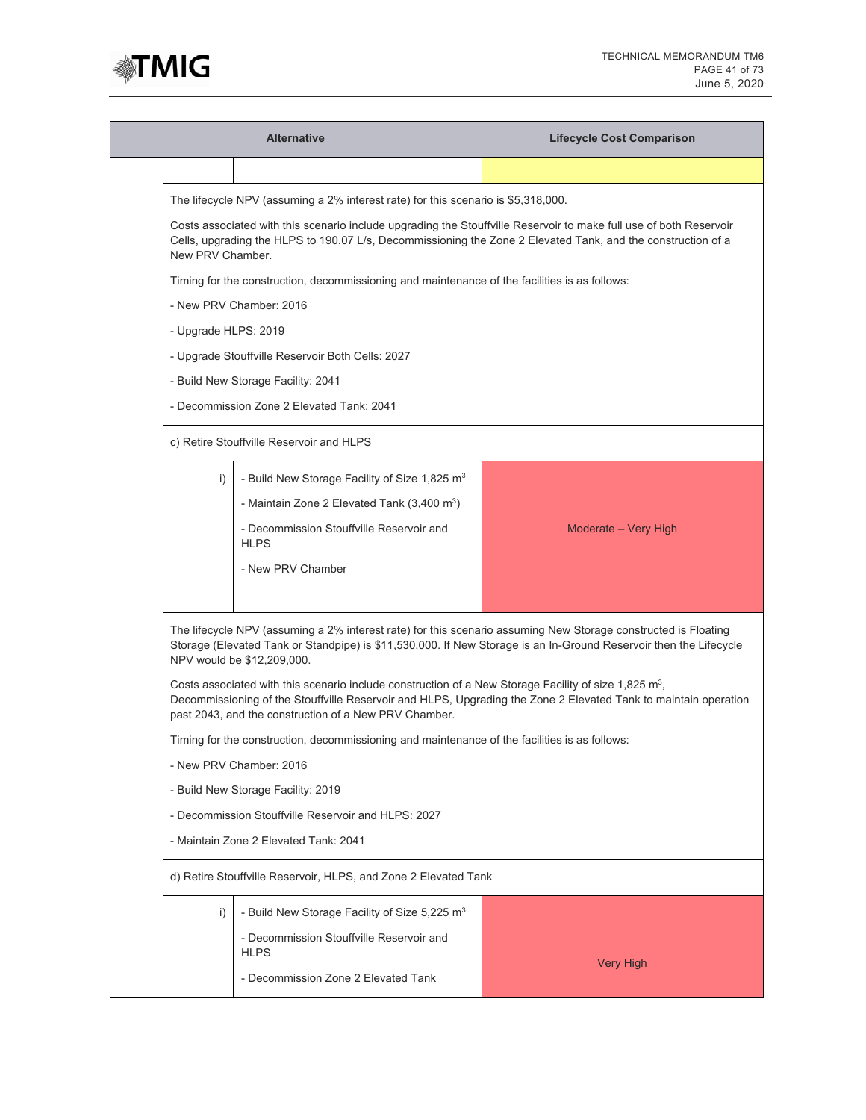

|                      | <b>Alternative</b>                                                                                                                                                                                                                                     | <b>Lifecycle Cost Comparison</b>                                                                                  |  |  |  |  |  |  |
|----------------------|--------------------------------------------------------------------------------------------------------------------------------------------------------------------------------------------------------------------------------------------------------|-------------------------------------------------------------------------------------------------------------------|--|--|--|--|--|--|
|                      |                                                                                                                                                                                                                                                        |                                                                                                                   |  |  |  |  |  |  |
|                      | The lifecycle NPV (assuming a 2% interest rate) for this scenario is \$5,318,000.                                                                                                                                                                      |                                                                                                                   |  |  |  |  |  |  |
|                      | Costs associated with this scenario include upgrading the Stouffville Reservoir to make full use of both Reservoir<br>Cells, upgrading the HLPS to 190.07 L/s, Decommissioning the Zone 2 Elevated Tank, and the construction of a<br>New PRV Chamber. |                                                                                                                   |  |  |  |  |  |  |
|                      | Timing for the construction, decommissioning and maintenance of the facilities is as follows:                                                                                                                                                          |                                                                                                                   |  |  |  |  |  |  |
|                      | - New PRV Chamber: 2016                                                                                                                                                                                                                                |                                                                                                                   |  |  |  |  |  |  |
| - Upgrade HLPS: 2019 |                                                                                                                                                                                                                                                        |                                                                                                                   |  |  |  |  |  |  |
|                      | - Upgrade Stouffville Reservoir Both Cells: 2027                                                                                                                                                                                                       |                                                                                                                   |  |  |  |  |  |  |
|                      | - Build New Storage Facility: 2041                                                                                                                                                                                                                     |                                                                                                                   |  |  |  |  |  |  |
|                      | - Decommission Zone 2 Elevated Tank: 2041                                                                                                                                                                                                              |                                                                                                                   |  |  |  |  |  |  |
|                      | c) Retire Stouffville Reservoir and HLPS                                                                                                                                                                                                               |                                                                                                                   |  |  |  |  |  |  |
| i)                   | - Build New Storage Facility of Size 1,825 m <sup>3</sup>                                                                                                                                                                                              |                                                                                                                   |  |  |  |  |  |  |
|                      | - Maintain Zone 2 Elevated Tank $(3,400 \text{ m}^3)$                                                                                                                                                                                                  |                                                                                                                   |  |  |  |  |  |  |
|                      | - Decommission Stouffville Reservoir and<br><b>HLPS</b>                                                                                                                                                                                                | Moderate - Very High                                                                                              |  |  |  |  |  |  |
|                      | - New PRV Chamber                                                                                                                                                                                                                                      |                                                                                                                   |  |  |  |  |  |  |
|                      |                                                                                                                                                                                                                                                        |                                                                                                                   |  |  |  |  |  |  |
|                      | The lifecycle NPV (assuming a 2% interest rate) for this scenario assuming New Storage constructed is Floating<br>NPV would be \$12,209,000.                                                                                                           | Storage (Elevated Tank or Standpipe) is \$11,530,000. If New Storage is an In-Ground Reservoir then the Lifecycle |  |  |  |  |  |  |
|                      | Costs associated with this scenario include construction of a New Storage Facility of size 1,825 m <sup>3</sup> ,<br>past 2043, and the construction of a New PRV Chamber.                                                                             | Decommissioning of the Stouffville Reservoir and HLPS, Upgrading the Zone 2 Elevated Tank to maintain operation   |  |  |  |  |  |  |
|                      | Timing for the construction, decommissioning and maintenance of the facilities is as follows:                                                                                                                                                          |                                                                                                                   |  |  |  |  |  |  |
|                      | - New PRV Chamber: 2016                                                                                                                                                                                                                                |                                                                                                                   |  |  |  |  |  |  |
|                      | - Build New Storage Facility: 2019                                                                                                                                                                                                                     |                                                                                                                   |  |  |  |  |  |  |
|                      | - Decommission Stouffville Reservoir and HLPS: 2027                                                                                                                                                                                                    |                                                                                                                   |  |  |  |  |  |  |
|                      | - Maintain Zone 2 Elevated Tank: 2041                                                                                                                                                                                                                  |                                                                                                                   |  |  |  |  |  |  |
|                      | d) Retire Stouffville Reservoir, HLPS, and Zone 2 Elevated Tank                                                                                                                                                                                        |                                                                                                                   |  |  |  |  |  |  |
| i)                   | - Build New Storage Facility of Size 5,225 m <sup>3</sup>                                                                                                                                                                                              |                                                                                                                   |  |  |  |  |  |  |
|                      | - Decommission Stouffville Reservoir and<br><b>HLPS</b>                                                                                                                                                                                                |                                                                                                                   |  |  |  |  |  |  |
|                      | - Decommission Zone 2 Elevated Tank                                                                                                                                                                                                                    | <b>Very High</b>                                                                                                  |  |  |  |  |  |  |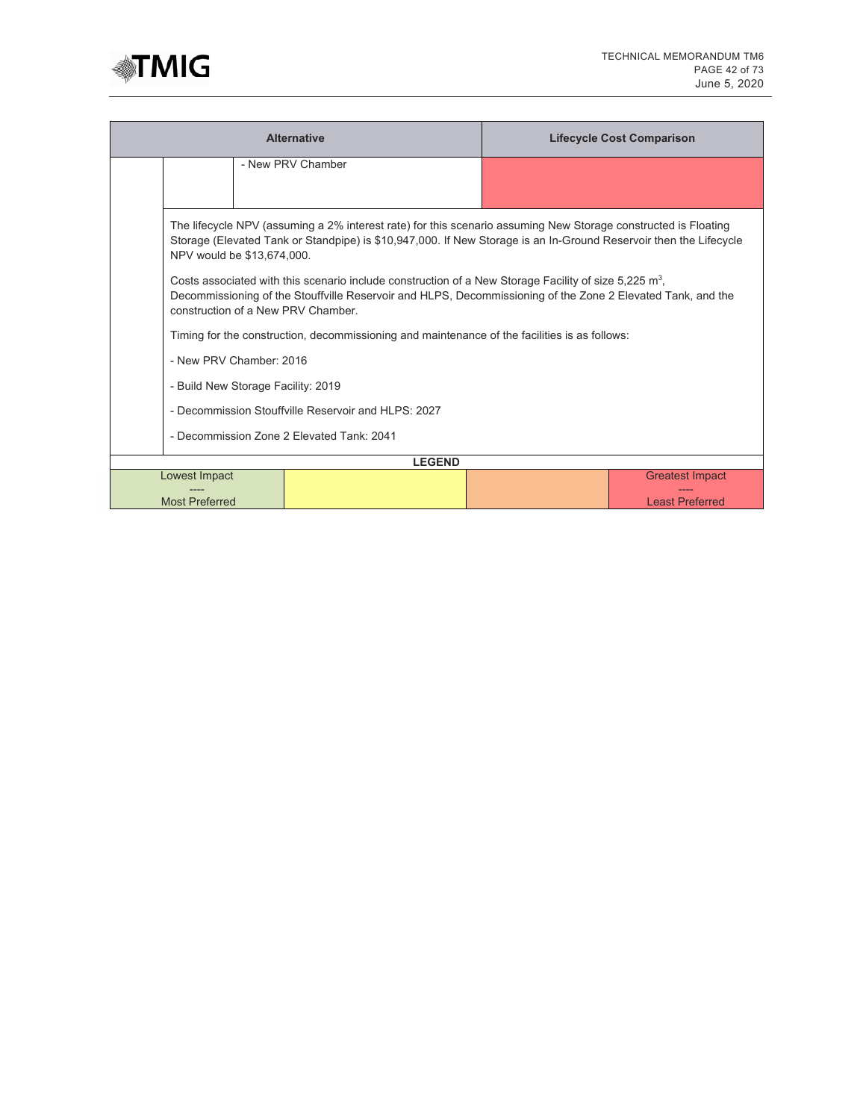

|                                                                                                                                                                                                                                                                   | <b>Alternative</b>                                                                                                                                                                                                      |  | <b>Lifecycle Cost Comparison</b> |  |  |  |  |
|-------------------------------------------------------------------------------------------------------------------------------------------------------------------------------------------------------------------------------------------------------------------|-------------------------------------------------------------------------------------------------------------------------------------------------------------------------------------------------------------------------|--|----------------------------------|--|--|--|--|
|                                                                                                                                                                                                                                                                   | - New PRV Chamber                                                                                                                                                                                                       |  |                                  |  |  |  |  |
|                                                                                                                                                                                                                                                                   |                                                                                                                                                                                                                         |  |                                  |  |  |  |  |
| The lifecycle NPV (assuming a 2% interest rate) for this scenario assuming New Storage constructed is Floating<br>Storage (Elevated Tank or Standpipe) is \$10,947,000. If New Storage is an In-Ground Reservoir then the Lifecycle<br>NPV would be \$13,674,000. |                                                                                                                                                                                                                         |  |                                  |  |  |  |  |
| construction of a New PRV Chamber.                                                                                                                                                                                                                                | Costs associated with this scenario include construction of a New Storage Facility of size 5,225 $m^3$ ,<br>Decommissioning of the Stouffville Reservoir and HLPS, Decommissioning of the Zone 2 Elevated Tank, and the |  |                                  |  |  |  |  |
|                                                                                                                                                                                                                                                                   | Timing for the construction, decommissioning and maintenance of the facilities is as follows:                                                                                                                           |  |                                  |  |  |  |  |
| - New PRV Chamber: 2016                                                                                                                                                                                                                                           |                                                                                                                                                                                                                         |  |                                  |  |  |  |  |
| - Build New Storage Facility: 2019                                                                                                                                                                                                                                |                                                                                                                                                                                                                         |  |                                  |  |  |  |  |
|                                                                                                                                                                                                                                                                   | - Decommission Stouffville Reservoir and HLPS: 2027                                                                                                                                                                     |  |                                  |  |  |  |  |
| - Decommission Zone 2 Elevated Tank: 2041                                                                                                                                                                                                                         |                                                                                                                                                                                                                         |  |                                  |  |  |  |  |
|                                                                                                                                                                                                                                                                   | <b>LEGEND</b>                                                                                                                                                                                                           |  |                                  |  |  |  |  |
| Lowest Impact                                                                                                                                                                                                                                                     |                                                                                                                                                                                                                         |  | <b>Greatest Impact</b>           |  |  |  |  |
| <b>Most Preferred</b>                                                                                                                                                                                                                                             |                                                                                                                                                                                                                         |  | <b>Least Preferred</b>           |  |  |  |  |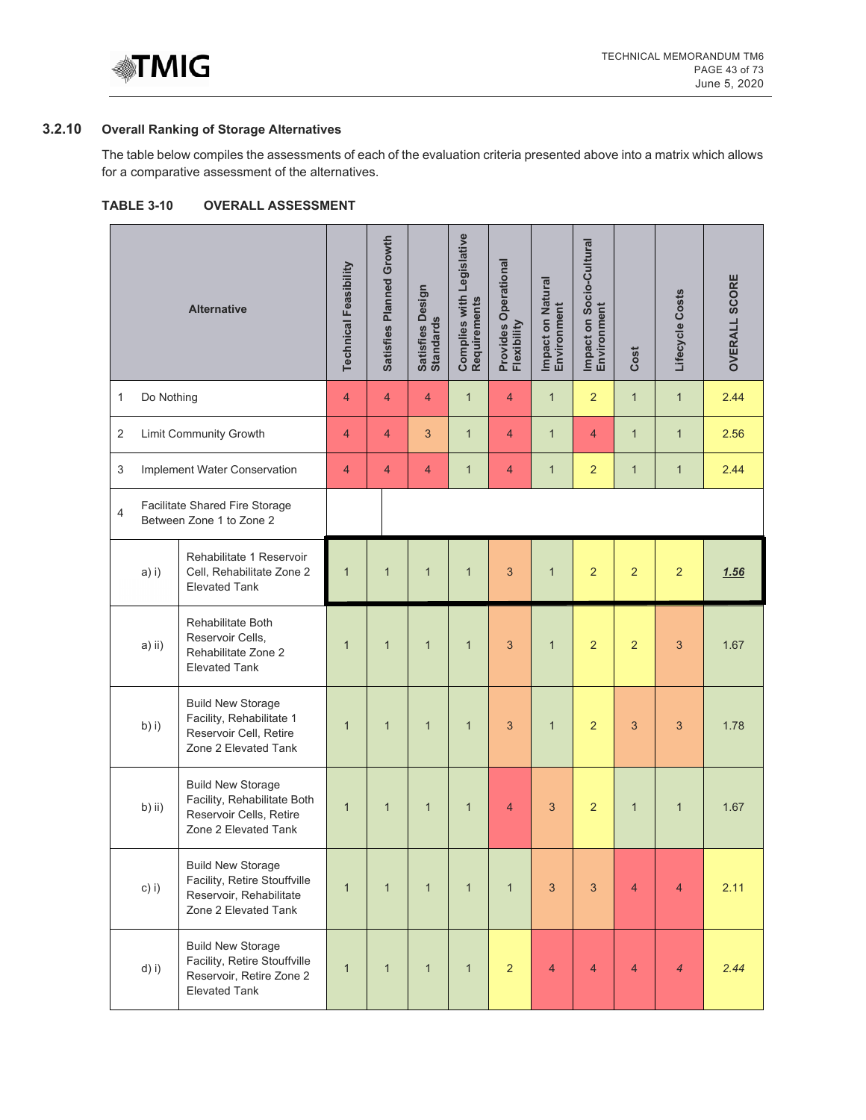

# **3.2.10 Overall Ranking of Storage Alternatives**

The table below compiles the assessments of each of the evaluation criteria presented above into a matrix which allows for a comparative assessment of the alternatives.

| <b>TABLE 3-10</b> |  | <b>OVERALL ASSESSMENT</b> |
|-------------------|--|---------------------------|
|-------------------|--|---------------------------|

|                |            | <b>Alternative</b>                                                                                           | <b>Technical Feasibility</b> | Satisfies Planned Growth | Satisfies Design<br>Standards | Complies with Legislative<br>Requirements | Provides Operational<br>Flexibility | Impact on Natural<br>Environment | Impact on Socio-Cultural<br>Environment | Cost           | Lifecycle Costs | <b>OVERALL SCORE</b> |
|----------------|------------|--------------------------------------------------------------------------------------------------------------|------------------------------|--------------------------|-------------------------------|-------------------------------------------|-------------------------------------|----------------------------------|-----------------------------------------|----------------|-----------------|----------------------|
| 1              | Do Nothing |                                                                                                              | $\overline{4}$               | $\overline{4}$           | $\overline{4}$                | $\mathbf{1}$                              | $\overline{4}$                      | $\mathbf{1}$                     | $\overline{2}$                          | $\mathbf{1}$   | $\mathbf{1}$    | 2.44                 |
| 2              |            | Limit Community Growth                                                                                       | 4                            | $\overline{4}$           | 3                             | $\mathbf{1}$                              | $\overline{4}$                      | $\mathbf{1}$                     | $\overline{4}$                          | $\mathbf{1}$   | $\mathbf{1}$    | 2.56                 |
| 3              |            | Implement Water Conservation                                                                                 | $\overline{4}$               | $\overline{4}$           | 4                             | $\mathbf{1}$                              | $\overline{4}$                      | $\mathbf{1}$                     | $\overline{2}$                          | $\mathbf{1}$   | $\mathbf{1}$    | 2.44                 |
| $\overline{4}$ |            | Facilitate Shared Fire Storage<br>Between Zone 1 to Zone 2                                                   |                              |                          |                               |                                           |                                     |                                  |                                         |                |                 |                      |
|                | a) i)      | Rehabilitate 1 Reservoir<br>Cell, Rehabilitate Zone 2<br><b>Elevated Tank</b>                                | $\overline{1}$               | $\mathbf{1}$             | $\mathbf{1}$                  | $\mathbf{1}$                              | 3                                   | $\overline{1}$                   | $\overline{2}$                          | $\overline{2}$ | $\overline{2}$  | 1.56                 |
|                | $a)$ ii)   | Rehabilitate Both<br>Reservoir Cells,<br>Rehabilitate Zone 2<br><b>Elevated Tank</b>                         | $\mathbf{1}$                 | $\mathbf{1}$             | $\mathbf{1}$                  | $\mathbf{1}$                              | 3                                   | $\mathbf{1}$                     | $\overline{2}$                          | $\overline{2}$ | 3               | 1.67                 |
|                | b) i)      | <b>Build New Storage</b><br>Facility, Rehabilitate 1<br>Reservoir Cell, Retire<br>Zone 2 Elevated Tank       | $\mathbf{1}$                 | $\mathbf{1}$             | $\mathbf{1}$                  | $\mathbf{1}$                              | $\overline{3}$                      | $\mathbf{1}$                     | $\overline{2}$                          | 3              | 3               | 1.78                 |
|                | b) ii)     | <b>Build New Storage</b><br>Facility, Rehabilitate Both<br>Reservoir Cells, Retire<br>Zone 2 Elevated Tank   | $\mathbf{1}$                 | $\mathbf{1}$             | $\mathbf{1}$                  | $\mathbf{1}$                              | $\overline{4}$                      | 3                                | $\overline{2}$                          | $\mathbf{1}$   | $\mathbf{1}$    | 1.67                 |
|                | c) i)      | <b>Build New Storage</b><br>Facility, Retire Stouffville<br>Reservoir, Rehabilitate<br>Zone 2 Elevated Tank  | $\mathbf{1}$                 | $\mathbf{1}$             | $\mathbf{1}$                  | $\mathbf{1}$                              | $\mathbf{1}$                        | 3                                | 3                                       | $\overline{4}$ | $\overline{4}$  | 2.11                 |
|                | $d)$ i)    | <b>Build New Storage</b><br>Facility, Retire Stouffville<br>Reservoir, Retire Zone 2<br><b>Elevated Tank</b> | $\mathbf{1}$                 | $\mathbf{1}$             | $\mathbf{1}$                  | $\mathbf{1}$                              | $\overline{2}$                      | $\overline{4}$                   | $\overline{4}$                          | $\overline{4}$ | $\overline{4}$  | 2.44                 |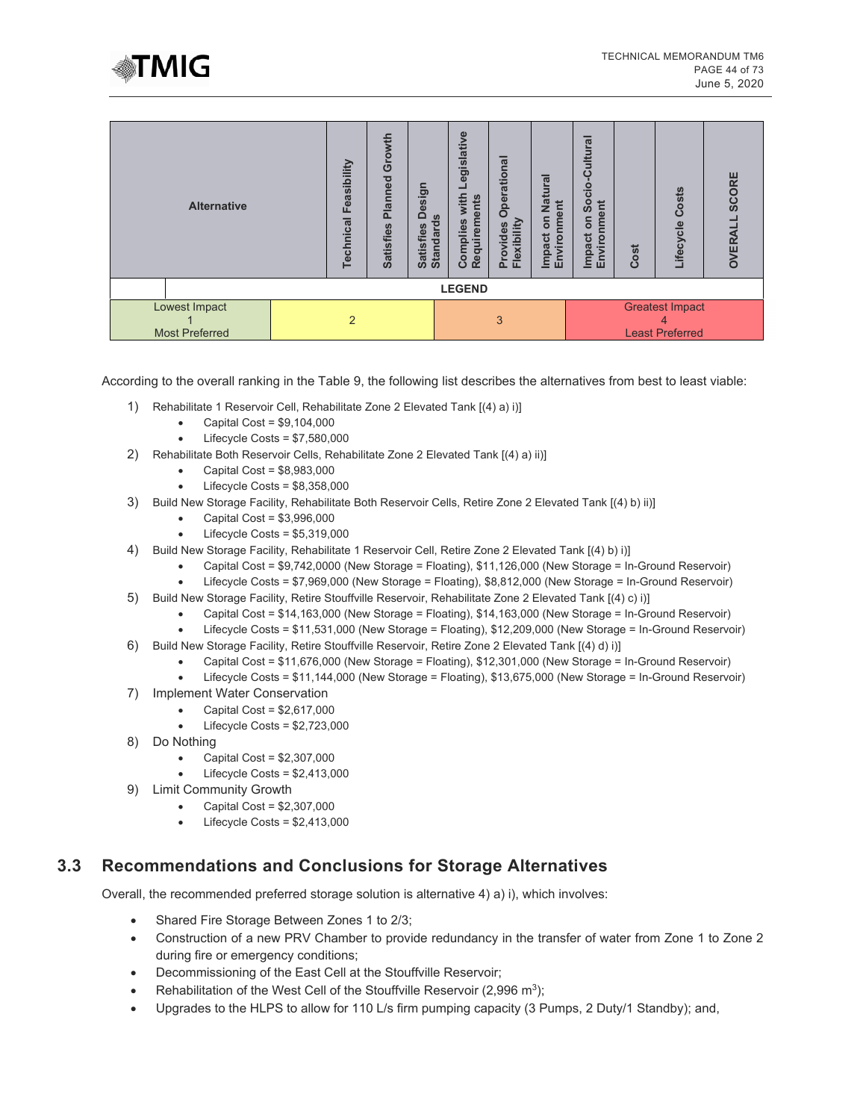

| <b>Alternative</b>                     |  | Feasibility<br>Technical | Growth<br>Planned<br><b>Satisfies</b> | ngise<br>$\Omega$<br><b>Standards</b><br><b>Satisfies</b> | Legislative<br>with<br>Requirements<br>Complies | <b>Operational</b><br>Provides<br>Flexibility | <b>Natural</b><br>nment<br>5<br>Impact<br>Enviror | cio-Cultural<br>စ်<br>စ<br>nment<br>S<br><b>Impact</b><br>Enviror | Cost | Costs<br>Lifecycle                                    | SCORE<br><b>OVERAL</b> |
|----------------------------------------|--|--------------------------|---------------------------------------|-----------------------------------------------------------|-------------------------------------------------|-----------------------------------------------|---------------------------------------------------|-------------------------------------------------------------------|------|-------------------------------------------------------|------------------------|
| <b>LEGEND</b>                          |  |                          |                                       |                                                           |                                                 |                                               |                                                   |                                                                   |      |                                                       |                        |
| Lowest Impact<br><b>Most Preferred</b> |  | 2                        |                                       |                                                           |                                                 | 3                                             |                                                   |                                                                   |      | <b>Greatest Impact</b><br>4<br><b>Least Preferred</b> |                        |

According to the overall ranking in the Table 9, the following list describes the alternatives from best to least viable:

- 1) Rehabilitate 1 Reservoir Cell, Rehabilitate Zone 2 Elevated Tank [(4) a) i)]
	- $\bullet$  Capital Cost = \$9,104,000
	- Lifecycle Costs = \$7,580,000
- 2) Rehabilitate Both Reservoir Cells, Rehabilitate Zone 2 Elevated Tank [(4) a) ii)]
	- Capital Cost = \$8,983,000
	- Lifecycle Costs =  $$8,358,000$
- 3) Build New Storage Facility, Rehabilitate Both Reservoir Cells, Retire Zone 2 Elevated Tank [(4) b) ii)]
	- Capital Cost = \$3,996,000
	- Lifecycle Costs =  $$5,319,000$
- 4) Build New Storage Facility, Rehabilitate 1 Reservoir Cell, Retire Zone 2 Elevated Tank [(4) b) i)]
	- Capital Cost = \$9,742,0000 (New Storage = Floating), \$11,126,000 (New Storage = In-Ground Reservoir)
	- Lifecycle Costs = \$7,969,000 (New Storage = Floating), \$8,812,000 (New Storage = In-Ground Reservoir)
- 5) Build New Storage Facility, Retire Stouffville Reservoir, Rehabilitate Zone 2 Elevated Tank [(4) c) i)]
	- Capital Cost = \$14,163,000 (New Storage = Floating), \$14,163,000 (New Storage = In-Ground Reservoir)
	- Lifecycle Costs = \$11,531,000 (New Storage = Floating), \$12,209,000 (New Storage = In-Ground Reservoir)
- 6) Build New Storage Facility, Retire Stouffville Reservoir, Retire Zone 2 Elevated Tank [(4) d) i)]
	- Capital Cost = \$11,676,000 (New Storage = Floating), \$12,301,000 (New Storage = In-Ground Reservoir)
	- Lifecycle Costs = \$11,144,000 (New Storage = Floating), \$13,675,000 (New Storage = In-Ground Reservoir)
- 7) Implement Water Conservation
	- Capital Cost = \$2,617,000
	- Lifecycle Costs =  $$2,723,000$
- 8) Do Nothing
	- Capital Cost =  $$2,307,000$
	- Lifecycle Costs =  $$2,413,000$
- 9) Limit Community Growth
	- Capital Cost = \$2,307,000
	- $\bullet$  Lifecycle Costs = \$2,413,000

# **3.3 Recommendations and Conclusions for Storage Alternatives**

Overall, the recommended preferred storage solution is alternative 4) a) i), which involves:

- Shared Fire Storage Between Zones 1 to 2/3;
- Construction of a new PRV Chamber to provide redundancy in the transfer of water from Zone 1 to Zone 2 during fire or emergency conditions;
- Decommissioning of the East Cell at the Stouffville Reservoir;
- Rehabilitation of the West Cell of the Stouffville Reservoir  $(2,996 \text{ m}^3)$ ;
- Upgrades to the HLPS to allow for 110 L/s firm pumping capacity (3 Pumps, 2 Duty/1 Standby); and,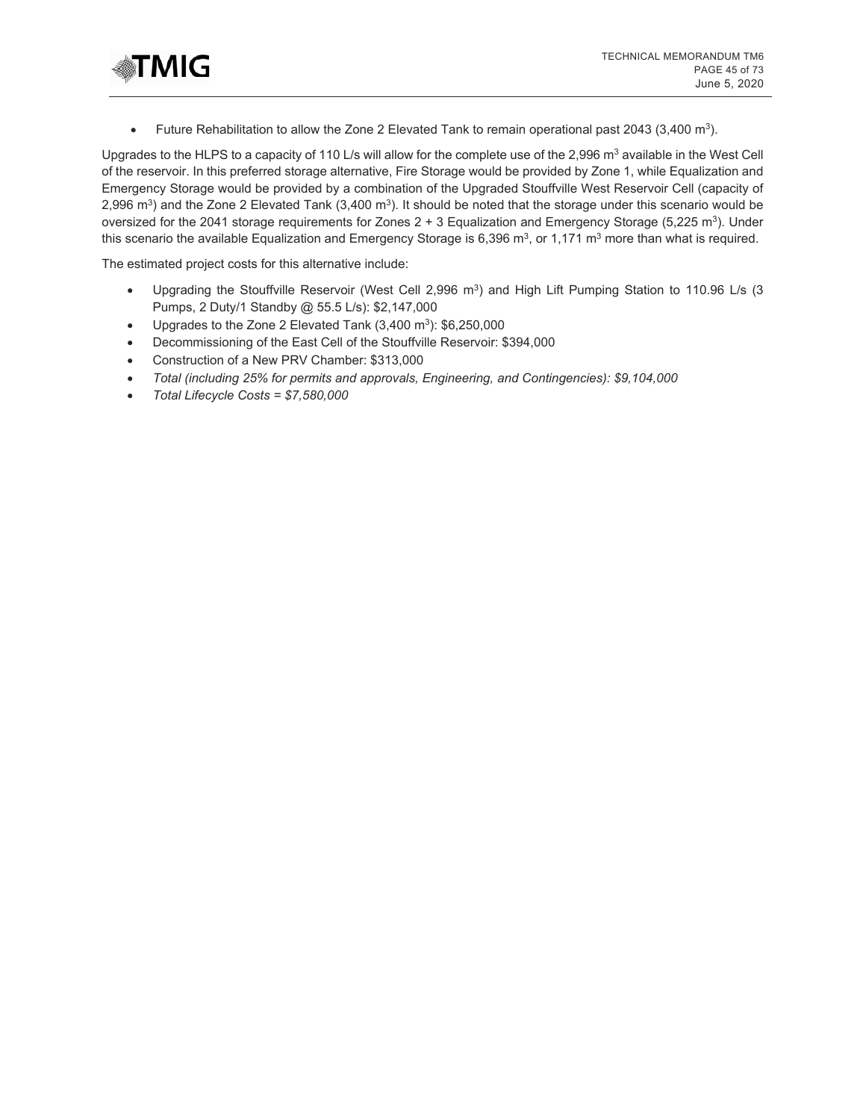

• Future Rehabilitation to allow the Zone 2 Elevated Tank to remain operational past 2043 (3,400 m<sup>3</sup>).

Upgrades to the HLPS to a capacity of 110 L/s will allow for the complete use of the 2,996 m<sup>3</sup> available in the West Cell of the reservoir. In this preferred storage alternative, Fire Storage would be provided by Zone 1, while Equalization and Emergency Storage would be provided by a combination of the Upgraded Stouffville West Reservoir Cell (capacity of 2,996 m<sup>3</sup>) and the Zone 2 Elevated Tank  $(3,400 \text{ m}^3)$ . It should be noted that the storage under this scenario would be oversized for the 2041 storage requirements for Zones  $2 + 3$  Equalization and Emergency Storage (5,225 m<sup>3</sup>). Under this scenario the available Equalization and Emergency Storage is 6,396  $\text{m}^3$ , or 1,171  $\text{m}^3$  more than what is required.

The estimated project costs for this alternative include:

- Upgrading the Stouffville Reservoir (West Cell 2,996  $m<sup>3</sup>$ ) and High Lift Pumping Station to 110.96 L/s (3 Pumps, 2 Duty/1 Standby @ 55.5 L/s): \$2,147,000
- Upgrades to the Zone 2 Elevated Tank  $(3,400 \text{ m}^3)$ : \$6,250,000
- Decommissioning of the East Cell of the Stouffville Reservoir: \$394,000
- Construction of a New PRV Chamber: \$313,000
- *Total (including 25% for permits and approvals, Engineering, and Contingencies): \$9,104,000*
- *Total Lifecycle Costs = \$7,580,000*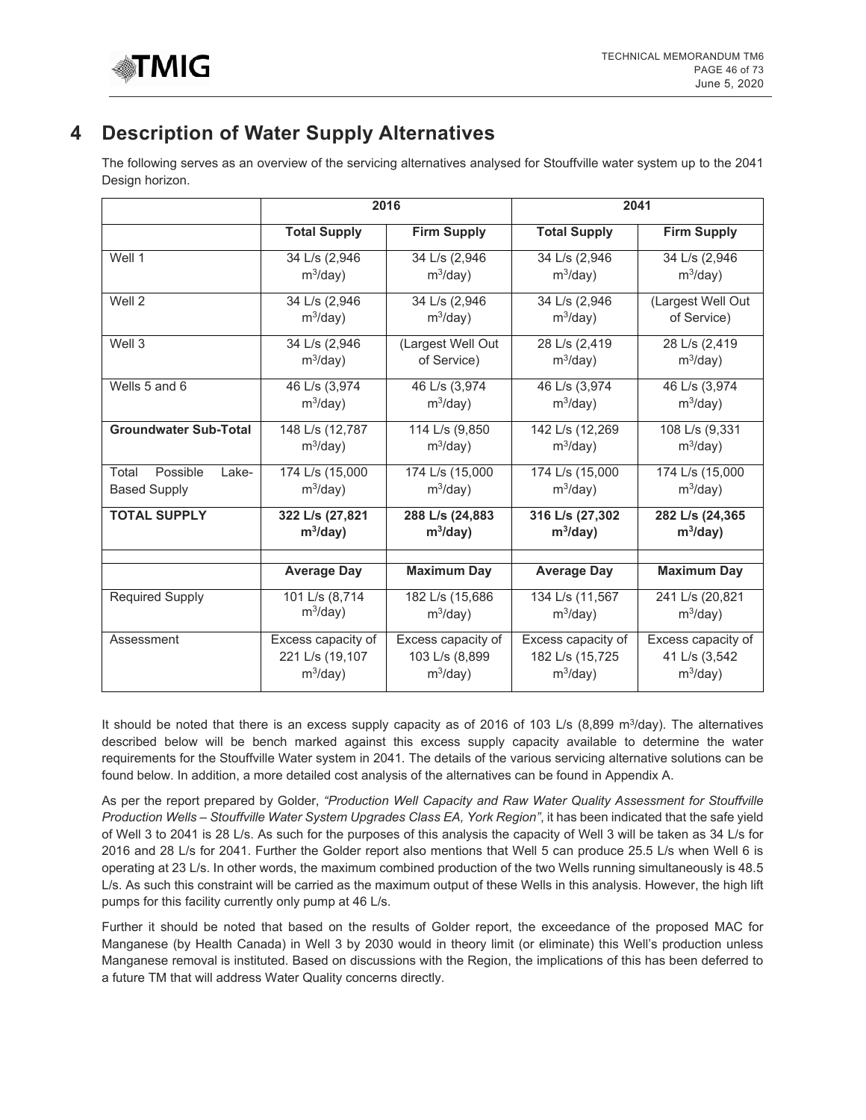

# **4 Description of Water Supply Alternatives**

The following serves as an overview of the servicing alternatives analysed for Stouffville water system up to the 2041 Design horizon.

|                              |                     | 2016               |                     | 2041               |
|------------------------------|---------------------|--------------------|---------------------|--------------------|
|                              | <b>Total Supply</b> | <b>Firm Supply</b> | <b>Total Supply</b> | <b>Firm Supply</b> |
| Well 1                       | 34 L/s (2,946       | 34 L/s (2,946      | 34 L/s (2,946       | 34 L/s (2,946      |
|                              | $m^3$ /day)         | $m^3$ /day)        | $m^3$ /day)         | $m^3$ /day)        |
| Well 2                       | 34 L/s (2,946       | 34 L/s (2,946)     | 34 L/s (2,946)      | (Largest Well Out  |
|                              | $m^3$ /day)         | $m^3$ /day)        | $m^3$ /day)         | of Service)        |
| Well 3                       | 34 L/s (2,946       | (Largest Well Out  | 28 L/s (2,419       | 28 L/s (2,419      |
|                              | $m^3$ /day)         | of Service)        | $m^3$ /day)         | $m^3$ /day)        |
| Wells 5 and 6                | 46 L/s (3,974       | 46 L/s (3,974      | 46 L/s (3,974       | 46 L/s (3,974      |
|                              | $m^3$ /day)         | $m^3$ /day)        | $m^3$ /day)         | $m^3$ /day)        |
| <b>Groundwater Sub-Total</b> | 148 L/s (12,787     | 114 L/s (9,850     | 142 L/s (12,269     | 108 L/s (9,331     |
|                              | $m^3$ /day)         | $m^3$ /day)        | $m^3$ /day)         | $m^3$ /day)        |
| Possible<br>Total<br>Lake-   | 174 L/s (15,000     | 174 L/s (15,000    | 174 L/s (15,000     | 174 L/s (15,000    |
| <b>Based Supply</b>          | $m^3$ /day)         | $m^3$ /day)        | $m^3$ /day)         | $m^3$ /day)        |
| <b>TOTAL SUPPLY</b>          | 322 L/s (27,821     | 288 L/s (24,883    | 316 L/s (27,302     | 282 L/s (24,365    |
|                              | $m^3$ /day)         | $m^3$ /day)        | $m^3$ /day)         | $m^3$ /day)        |
|                              | <b>Average Day</b>  | <b>Maximum Day</b> | <b>Average Day</b>  | <b>Maximum Day</b> |
|                              |                     |                    |                     |                    |
| <b>Required Supply</b>       | 101 L/s (8,714      | 182 L/s (15,686    | 134 L/s (11,567     | 241 L/s (20,821    |
|                              | $m^3$ /day)         | $m^3$ /day)        | $m^3$ /day)         | $m^3$ /day)        |
| Assessment                   | Excess capacity of  | Excess capacity of | Excess capacity of  | Excess capacity of |
|                              | 221 L/s (19,107     | 103 L/s (8,899     | 182 L/s (15,725     | 41 L/s (3,542      |
|                              | $m^3$ /day)         | $m^3$ /day)        | $m^3$ /day)         | $m^3$ /day)        |

It should be noted that there is an excess supply capacity as of 2016 of 103 L/s (8,899 m $3$ /day). The alternatives described below will be bench marked against this excess supply capacity available to determine the water requirements for the Stouffville Water system in 2041. The details of the various servicing alternative solutions can be found below. In addition, a more detailed cost analysis of the alternatives can be found in Appendix A.

As per the report prepared by Golder, *"Production Well Capacity and Raw Water Quality Assessment for Stouffville Production Wells – Stouffville Water System Upgrades Class EA, York Region"*, it has been indicated that the safe yield of Well 3 to 2041 is 28 L/s. As such for the purposes of this analysis the capacity of Well 3 will be taken as 34 L/s for 2016 and 28 L/s for 2041. Further the Golder report also mentions that Well 5 can produce 25.5 L/s when Well 6 is operating at 23 L/s. In other words, the maximum combined production of the two Wells running simultaneously is 48.5 L/s. As such this constraint will be carried as the maximum output of these Wells in this analysis. However, the high lift pumps for this facility currently only pump at 46 L/s.

Further it should be noted that based on the results of Golder report, the exceedance of the proposed MAC for Manganese (by Health Canada) in Well 3 by 2030 would in theory limit (or eliminate) this Well's production unless Manganese removal is instituted. Based on discussions with the Region, the implications of this has been deferred to a future TM that will address Water Quality concerns directly.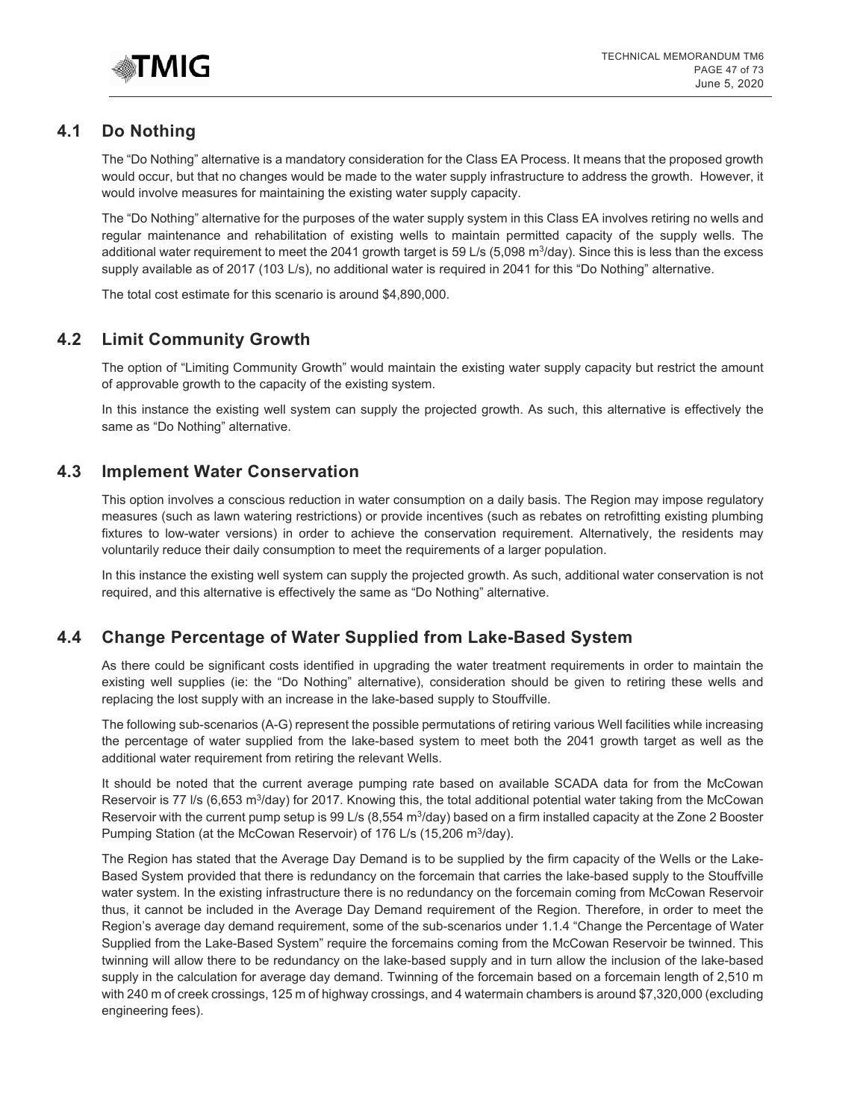

# **4.1 Do Nothing**

The "Do Nothing" alternative is a mandatory consideration for the Class EA Process. It means that the proposed growth would occur, but that no changes would be made to the water supply infrastructure to address the growth. However, it would involve measures for maintaining the existing water supply capacity.

The "Do Nothing" alternative for the purposes of the water supply system in this Class EA involves retiring no wells and regular maintenance and rehabilitation of existing wells to maintain permitted capacity of the supply wells. The additional water requirement to meet the 2041 growth target is 59 L/s (5,098 m<sup>3</sup>/day). Since this is less than the excess supply available as of 2017 (103 L/s), no additional water is required in 2041 for this "Do Nothing" alternative.

The total cost estimate for this scenario is around \$4,890,000.

# **4.2 Limit Community Growth**

The option of "Limiting Community Growth" would maintain the existing water supply capacity but restrict the amount of approvable growth to the capacity of the existing system.

In this instance the existing well system can supply the projected growth. As such, this alternative is effectively the same as "Do Nothing" alternative.

# **4.3 Implement Water Conservation**

This option involves a conscious reduction in water consumption on a daily basis. The Region may impose regulatory measures (such as lawn watering restrictions) or provide incentives (such as rebates on retrofitting existing plumbing fixtures to low-water versions) in order to achieve the conservation requirement. Alternatively, the residents may voluntarily reduce their daily consumption to meet the requirements of a larger population.

In this instance the existing well system can supply the projected growth. As such, additional water conservation is not required, and this alternative is effectively the same as "Do Nothing" alternative.

# **4.4 Change Percentage of Water Supplied from Lake-Based System**

As there could be significant costs identified in upgrading the water treatment requirements in order to maintain the existing well supplies (ie: the "Do Nothing" alternative), consideration should be given to retiring these wells and replacing the lost supply with an increase in the lake-based supply to Stouffville.

The following sub-scenarios (A-G) represent the possible permutations of retiring various Well facilities while increasing the percentage of water supplied from the lake-based system to meet both the 2041 growth target as well as the additional water requirement from retiring the relevant Wells.

It should be noted that the current average pumping rate based on available SCADA data for from the McCowan Reservoir is 77 l/s (6,653 m<sup>3</sup>/day) for 2017. Knowing this, the total additional potential water taking from the McCowan Reservoir with the current pump setup is 99 L/s  $(8,554 \text{ m}^3/\text{day})$  based on a firm installed capacity at the Zone 2 Booster Pumping Station (at the McCowan Reservoir) of 176 L/s (15,206 m<sup>3</sup>/day).

The Region has stated that the Average Day Demand is to be supplied by the firm capacity of the Wells or the Lake-Based System provided that there is redundancy on the forcemain that carries the lake-based supply to the Stouffville water system. In the existing infrastructure there is no redundancy on the forcemain coming from McCowan Reservoir thus, it cannot be included in the Average Day Demand requirement of the Region. Therefore, in order to meet the Region's average day demand requirement, some of the sub-scenarios under 1.1.4 "Change the Percentage of Water Supplied from the Lake-Based System" require the forcemains coming from the McCowan Reservoir be twinned. This twinning will allow there to be redundancy on the lake-based supply and in turn allow the inclusion of the lake-based supply in the calculation for average day demand. Twinning of the forcemain based on a forcemain length of 2,510 m with 240 m of creek crossings, 125 m of highway crossings, and 4 watermain chambers is around \$7,320,000 (excluding engineering fees).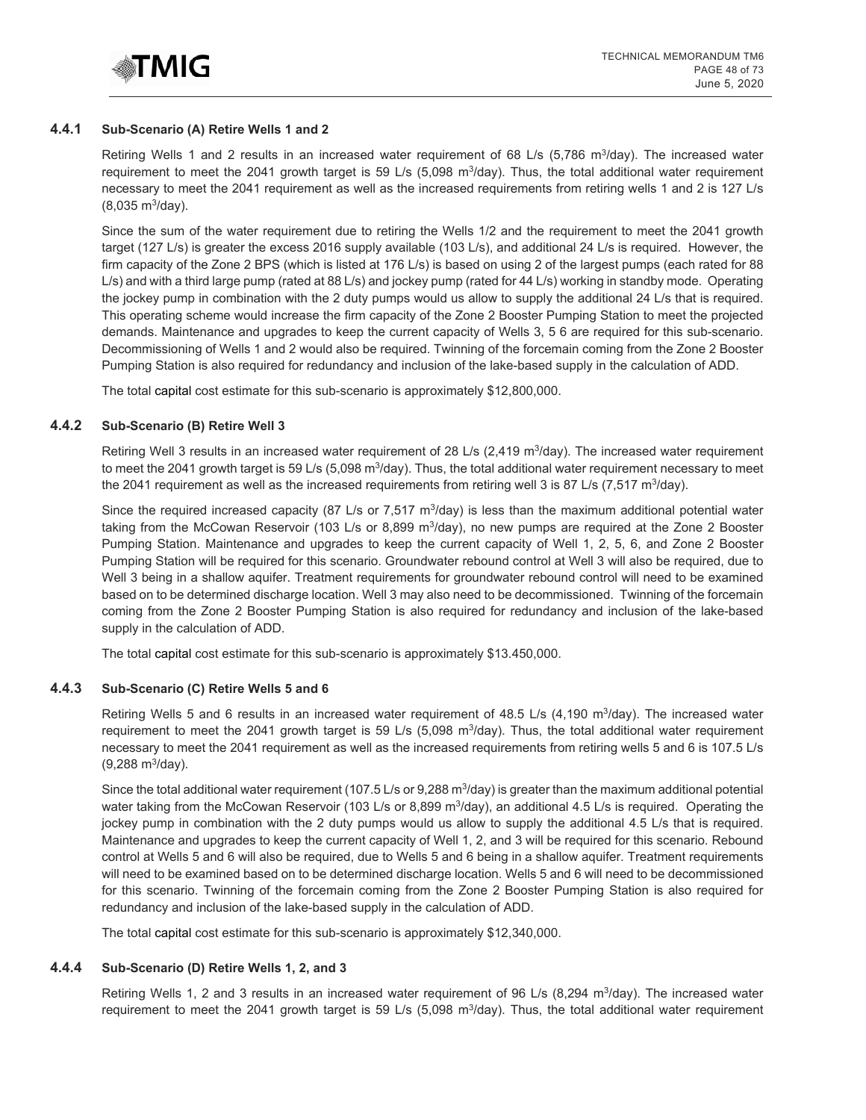

#### **4.4.1 Sub-Scenario (A) Retire Wells 1 and 2**

Retiring Wells 1 and 2 results in an increased water requirement of 68 L/s (5,786 m<sup>3</sup>/day). The increased water requirement to meet the 2041 growth target is 59 L/s (5,098 m<sup>3</sup>/day). Thus, the total additional water requirement necessary to meet the 2041 requirement as well as the increased requirements from retiring wells 1 and 2 is 127 L/s  $(8,035 \text{ m}^3/\text{day})$ .

Since the sum of the water requirement due to retiring the Wells 1/2 and the requirement to meet the 2041 growth target (127 L/s) is greater the excess 2016 supply available (103 L/s), and additional 24 L/s is required. However, the firm capacity of the Zone 2 BPS (which is listed at 176 L/s) is based on using 2 of the largest pumps (each rated for 88 L/s) and with a third large pump (rated at 88 L/s) and jockey pump (rated for 44 L/s) working in standby mode. Operating the jockey pump in combination with the 2 duty pumps would us allow to supply the additional 24 L/s that is required. This operating scheme would increase the firm capacity of the Zone 2 Booster Pumping Station to meet the projected demands. Maintenance and upgrades to keep the current capacity of Wells 3, 5 6 are required for this sub-scenario. Decommissioning of Wells 1 and 2 would also be required. Twinning of the forcemain coming from the Zone 2 Booster Pumping Station is also required for redundancy and inclusion of the lake-based supply in the calculation of ADD.

The total capital cost estimate for this sub-scenario is approximately \$12,800,000.

#### **4.4.2 Sub-Scenario (B) Retire Well 3**

Retiring Well 3 results in an increased water requirement of 28 L/s (2,419 m<sup>3</sup>/day). The increased water requirement to meet the 2041 growth target is 59 L/s (5,098 m<sup>3</sup>/day). Thus, the total additional water requirement necessary to meet the 2041 requirement as well as the increased requirements from retiring well 3 is 87 L/s (7,517 m<sup>3</sup>/day).

Since the required increased capacity (87 L/s or 7,517 m<sup>3</sup>/day) is less than the maximum additional potential water taking from the McCowan Reservoir (103 L/s or 8,899 m<sup>3</sup>/day), no new pumps are required at the Zone 2 Booster Pumping Station. Maintenance and upgrades to keep the current capacity of Well 1, 2, 5, 6, and Zone 2 Booster Pumping Station will be required for this scenario. Groundwater rebound control at Well 3 will also be required, due to Well 3 being in a shallow aquifer. Treatment requirements for groundwater rebound control will need to be examined based on to be determined discharge location. Well 3 may also need to be decommissioned. Twinning of the forcemain coming from the Zone 2 Booster Pumping Station is also required for redundancy and inclusion of the lake-based supply in the calculation of ADD.

The total capital cost estimate for this sub-scenario is approximately \$13.450,000.

#### **4.4.3 Sub-Scenario (C) Retire Wells 5 and 6**

Retiring Wells 5 and 6 results in an increased water requirement of 48.5 L/s (4,190 m<sup>3</sup>/day). The increased water requirement to meet the 2041 growth target is 59 L/s (5,098 m<sup>3</sup>/day). Thus, the total additional water requirement necessary to meet the 2041 requirement as well as the increased requirements from retiring wells 5 and 6 is 107.5 L/s  $(9,288 \text{ m}^3/\text{day})$ .

Since the total additional water requirement (107.5 L/s or 9,288 m<sup>3</sup>/day) is greater than the maximum additional potential water taking from the McCowan Reservoir (103 L/s or 8,899 m<sup>3</sup>/day), an additional 4.5 L/s is required. Operating the jockey pump in combination with the 2 duty pumps would us allow to supply the additional 4.5 L/s that is required. Maintenance and upgrades to keep the current capacity of Well 1, 2, and 3 will be required for this scenario. Rebound control at Wells 5 and 6 will also be required, due to Wells 5 and 6 being in a shallow aquifer. Treatment requirements will need to be examined based on to be determined discharge location. Wells 5 and 6 will need to be decommissioned for this scenario. Twinning of the forcemain coming from the Zone 2 Booster Pumping Station is also required for redundancy and inclusion of the lake-based supply in the calculation of ADD.

The total capital cost estimate for this sub-scenario is approximately \$12,340,000.

#### **4.4.4 Sub-Scenario (D) Retire Wells 1, 2, and 3**

Retiring Wells 1, 2 and 3 results in an increased water requirement of 96 L/s (8,294 m<sup>3</sup>/day). The increased water requirement to meet the 2041 growth target is 59 L/s (5,098 m<sup>3</sup>/day). Thus, the total additional water requirement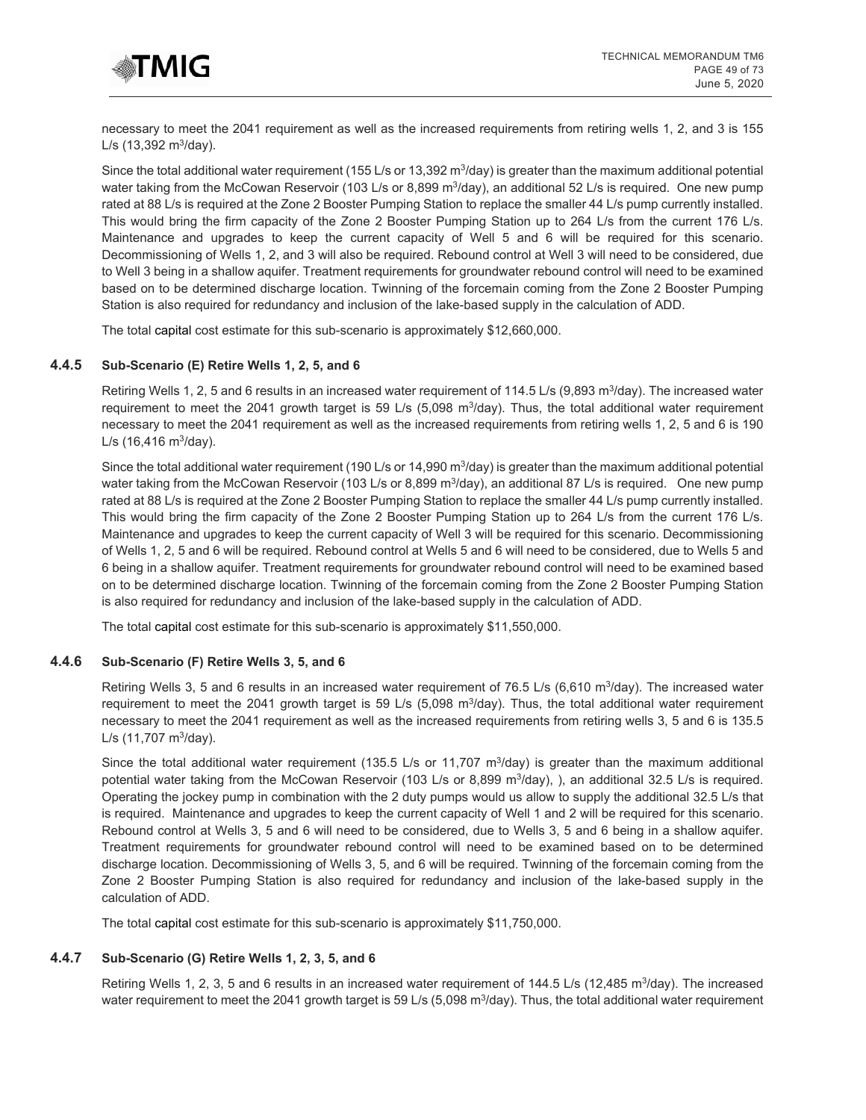

necessary to meet the 2041 requirement as well as the increased requirements from retiring wells 1, 2, and 3 is 155  $L/s$  (13,392 m<sup>3</sup>/day).

Since the total additional water requirement (155 L/s or 13,392 m<sup>3</sup>/day) is greater than the maximum additional potential water taking from the McCowan Reservoir (103 L/s or 8,899 m<sup>3</sup>/day), an additional 52 L/s is required. One new pump rated at 88 L/s is required at the Zone 2 Booster Pumping Station to replace the smaller 44 L/s pump currently installed. This would bring the firm capacity of the Zone 2 Booster Pumping Station up to 264 L/s from the current 176 L/s. Maintenance and upgrades to keep the current capacity of Well 5 and 6 will be required for this scenario. Decommissioning of Wells 1, 2, and 3 will also be required. Rebound control at Well 3 will need to be considered, due to Well 3 being in a shallow aquifer. Treatment requirements for groundwater rebound control will need to be examined based on to be determined discharge location. Twinning of the forcemain coming from the Zone 2 Booster Pumping Station is also required for redundancy and inclusion of the lake-based supply in the calculation of ADD.

The total capital cost estimate for this sub-scenario is approximately \$12,660,000.

#### **4.4.5 Sub-Scenario (E) Retire Wells 1, 2, 5, and 6**

Retiring Wells 1, 2, 5 and 6 results in an increased water requirement of 114.5 L/s (9,893 m<sup>3</sup>/day). The increased water requirement to meet the 2041 growth target is 59 L/s (5,098  $\text{m}^3$ /day). Thus, the total additional water requirement necessary to meet the 2041 requirement as well as the increased requirements from retiring wells 1, 2, 5 and 6 is 190  $L/s$  (16,416 m<sup>3</sup>/day).

Since the total additional water requirement (190 L/s or 14,990 m<sup>3</sup>/day) is greater than the maximum additional potential water taking from the McCowan Reservoir (103 L/s or 8,899 m<sup>3</sup>/day), an additional 87 L/s is required. One new pump rated at 88 L/s is required at the Zone 2 Booster Pumping Station to replace the smaller 44 L/s pump currently installed. This would bring the firm capacity of the Zone 2 Booster Pumping Station up to 264 L/s from the current 176 L/s. Maintenance and upgrades to keep the current capacity of Well 3 will be required for this scenario. Decommissioning of Wells 1, 2, 5 and 6 will be required. Rebound control at Wells 5 and 6 will need to be considered, due to Wells 5 and 6 being in a shallow aquifer. Treatment requirements for groundwater rebound control will need to be examined based on to be determined discharge location. Twinning of the forcemain coming from the Zone 2 Booster Pumping Station is also required for redundancy and inclusion of the lake-based supply in the calculation of ADD.

The total capital cost estimate for this sub-scenario is approximately \$11,550,000.

#### **4.4.6 Sub-Scenario (F) Retire Wells 3, 5, and 6**

Retiring Wells 3, 5 and 6 results in an increased water requirement of 76.5 L/s (6,610 m<sup>3</sup>/day). The increased water requirement to meet the 2041 growth target is 59 L/s (5,098 m<sup>3</sup>/day). Thus, the total additional water requirement necessary to meet the 2041 requirement as well as the increased requirements from retiring wells 3, 5 and 6 is 135.5  $L/s$  (11,707 m<sup>3</sup>/day).

Since the total additional water requirement (135.5 L/s or 11,707  $\text{m}^3$ /day) is greater than the maximum additional potential water taking from the McCowan Reservoir (103 L/s or 8,899  $m^3$ /day), ), an additional 32.5 L/s is required. Operating the jockey pump in combination with the 2 duty pumps would us allow to supply the additional 32.5 L/s that is required. Maintenance and upgrades to keep the current capacity of Well 1 and 2 will be required for this scenario. Rebound control at Wells 3, 5 and 6 will need to be considered, due to Wells 3, 5 and 6 being in a shallow aquifer. Treatment requirements for groundwater rebound control will need to be examined based on to be determined discharge location. Decommissioning of Wells 3, 5, and 6 will be required. Twinning of the forcemain coming from the Zone 2 Booster Pumping Station is also required for redundancy and inclusion of the lake-based supply in the calculation of ADD.

The total capital cost estimate for this sub-scenario is approximately \$11,750,000.

#### **4.4.7 Sub-Scenario (G) Retire Wells 1, 2, 3, 5, and 6**

Retiring Wells 1, 2, 3, 5 and 6 results in an increased water requirement of 144.5 L/s (12,485 m<sup>3</sup>/day). The increased water requirement to meet the 2041 growth target is 59 L/s (5,098 m<sup>3</sup>/day). Thus, the total additional water requirement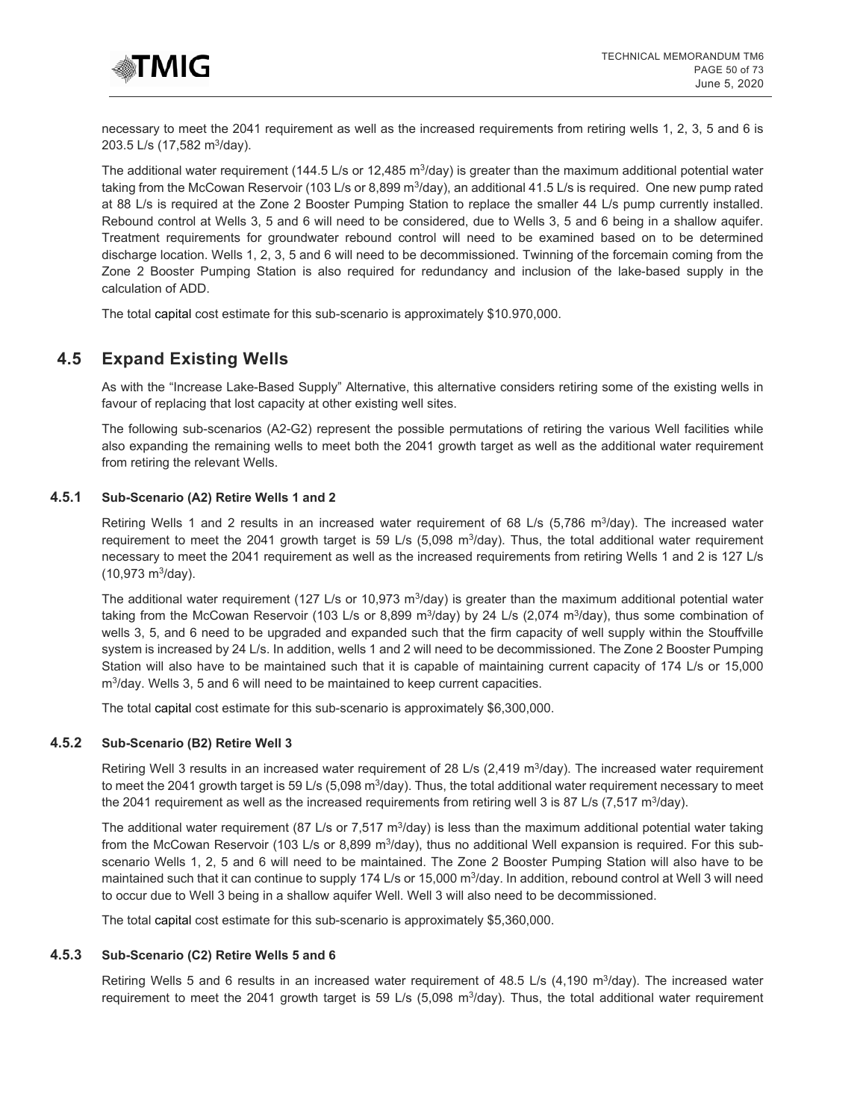

necessary to meet the 2041 requirement as well as the increased requirements from retiring wells 1, 2, 3, 5 and 6 is 203.5 L/s (17,582 m3/day).

The additional water requirement (144.5 L/s or 12,485 m<sup>3</sup>/day) is greater than the maximum additional potential water taking from the McCowan Reservoir (103 L/s or 8,899 m<sup>3</sup>/day), an additional 41.5 L/s is required. One new pump rated at 88 L/s is required at the Zone 2 Booster Pumping Station to replace the smaller 44 L/s pump currently installed. Rebound control at Wells 3, 5 and 6 will need to be considered, due to Wells 3, 5 and 6 being in a shallow aquifer. Treatment requirements for groundwater rebound control will need to be examined based on to be determined discharge location. Wells 1, 2, 3, 5 and 6 will need to be decommissioned. Twinning of the forcemain coming from the Zone 2 Booster Pumping Station is also required for redundancy and inclusion of the lake-based supply in the calculation of ADD.

The total capital cost estimate for this sub-scenario is approximately \$10.970,000.

# **4.5 Expand Existing Wells**

As with the "Increase Lake-Based Supply" Alternative, this alternative considers retiring some of the existing wells in favour of replacing that lost capacity at other existing well sites.

The following sub-scenarios (A2-G2) represent the possible permutations of retiring the various Well facilities while also expanding the remaining wells to meet both the 2041 growth target as well as the additional water requirement from retiring the relevant Wells.

## **4.5.1 Sub-Scenario (A2) Retire Wells 1 and 2**

Retiring Wells 1 and 2 results in an increased water requirement of 68 L/s (5,786 m<sup>3</sup>/day). The increased water requirement to meet the 2041 growth target is 59 L/s (5,098 m<sup>3</sup>/day). Thus, the total additional water requirement necessary to meet the 2041 requirement as well as the increased requirements from retiring Wells 1 and 2 is 127 L/s  $(10,973 \text{ m}^3/\text{day})$ .

The additional water requirement (127 L/s or 10,973 m<sup>3</sup>/day) is greater than the maximum additional potential water taking from the McCowan Reservoir (103 L/s or 8,899 m<sup>3</sup>/day) by 24 L/s (2,074 m<sup>3</sup>/day), thus some combination of wells 3, 5, and 6 need to be upgraded and expanded such that the firm capacity of well supply within the Stouffville system is increased by 24 L/s. In addition, wells 1 and 2 will need to be decommissioned. The Zone 2 Booster Pumping Station will also have to be maintained such that it is capable of maintaining current capacity of 174 L/s or 15,000 m3/day. Wells 3, 5 and 6 will need to be maintained to keep current capacities.

The total capital cost estimate for this sub-scenario is approximately \$6,300,000.

#### **4.5.2 Sub-Scenario (B2) Retire Well 3**

Retiring Well 3 results in an increased water requirement of 28 L/s (2,419 m<sup>3</sup>/day). The increased water requirement to meet the 2041 growth target is 59 L/s (5,098 m $3$ /day). Thus, the total additional water requirement necessary to meet the 2041 requirement as well as the increased requirements from retiring well 3 is 87 L/s (7,517 m<sup>3</sup>/day).

The additional water requirement (87 L/s or 7,517 m<sup>3</sup>/day) is less than the maximum additional potential water taking from the McCowan Reservoir (103 L/s or 8,899 m<sup>3</sup>/day), thus no additional Well expansion is required. For this subscenario Wells 1, 2, 5 and 6 will need to be maintained. The Zone 2 Booster Pumping Station will also have to be maintained such that it can continue to supply 174 L/s or 15,000 m<sup>3</sup>/day. In addition, rebound control at Well 3 will need to occur due to Well 3 being in a shallow aquifer Well. Well 3 will also need to be decommissioned.

The total capital cost estimate for this sub-scenario is approximately \$5,360,000.

#### **4.5.3 Sub-Scenario (C2) Retire Wells 5 and 6**

Retiring Wells 5 and 6 results in an increased water requirement of 48.5 L/s (4,190 m<sup>3</sup>/day). The increased water requirement to meet the 2041 growth target is 59 L/s (5,098  $\text{m}^3$ /day). Thus, the total additional water requirement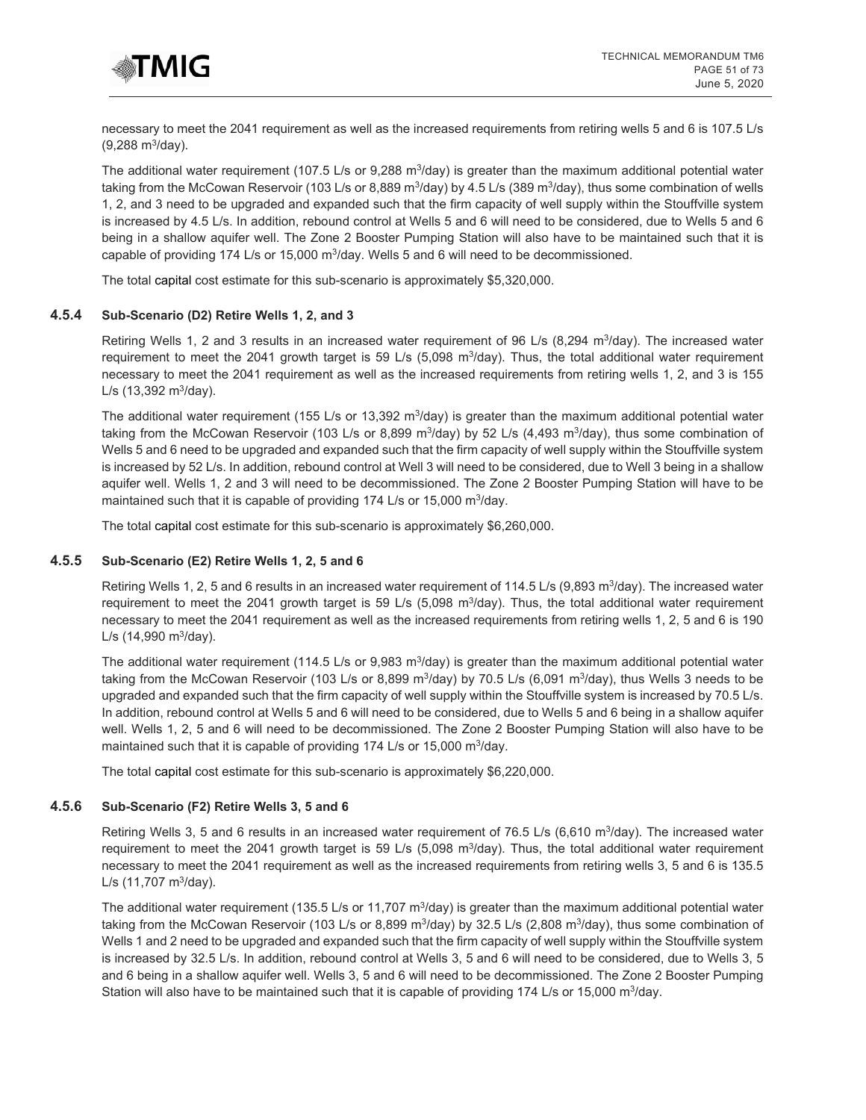

necessary to meet the 2041 requirement as well as the increased requirements from retiring wells 5 and 6 is 107.5 L/s  $(9,288 \text{ m}^3/\text{day})$ .

The additional water requirement (107.5 L/s or 9,288 m $3$ /day) is greater than the maximum additional potential water taking from the McCowan Reservoir (103 L/s or 8,889 m<sup>3</sup>/day) by 4.5 L/s (389 m<sup>3</sup>/day), thus some combination of wells 1, 2, and 3 need to be upgraded and expanded such that the firm capacity of well supply within the Stouffville system is increased by 4.5 L/s. In addition, rebound control at Wells 5 and 6 will need to be considered, due to Wells 5 and 6 being in a shallow aquifer well. The Zone 2 Booster Pumping Station will also have to be maintained such that it is capable of providing 174 L/s or 15,000 m<sup>3</sup>/day. Wells 5 and 6 will need to be decommissioned.

The total capital cost estimate for this sub-scenario is approximately \$5,320,000.

#### **4.5.4 Sub-Scenario (D2) Retire Wells 1, 2, and 3**

Retiring Wells 1, 2 and 3 results in an increased water requirement of 96 L/s (8,294 m<sup>3</sup>/day). The increased water requirement to meet the 2041 growth target is 59 L/s (5,098 m<sup>3</sup>/day). Thus, the total additional water requirement necessary to meet the 2041 requirement as well as the increased requirements from retiring wells 1, 2, and 3 is 155  $L/s$  (13,392 m<sup>3</sup>/day).

The additional water requirement (155 L/s or 13,392 m<sup>3</sup>/day) is greater than the maximum additional potential water taking from the McCowan Reservoir (103 L/s or 8,899 m<sup>3</sup>/day) by 52 L/s (4,493 m<sup>3</sup>/day), thus some combination of Wells 5 and 6 need to be upgraded and expanded such that the firm capacity of well supply within the Stouffville system is increased by 52 L/s. In addition, rebound control at Well 3 will need to be considered, due to Well 3 being in a shallow aquifer well. Wells 1, 2 and 3 will need to be decommissioned. The Zone 2 Booster Pumping Station will have to be maintained such that it is capable of providing 174 L/s or 15,000 m<sup>3</sup>/day.

The total capital cost estimate for this sub-scenario is approximately \$6,260,000.

## **4.5.5 Sub-Scenario (E2) Retire Wells 1, 2, 5 and 6**

Retiring Wells 1, 2, 5 and 6 results in an increased water requirement of 114.5 L/s (9,893 m<sup>3</sup>/day). The increased water requirement to meet the 2041 growth target is 59 L/s (5,098  $\text{m}^3$ /day). Thus, the total additional water requirement necessary to meet the 2041 requirement as well as the increased requirements from retiring wells 1, 2, 5 and 6 is 190  $L/s$  (14,990 m<sup>3</sup>/day).

The additional water requirement (114.5 L/s or 9,983 m<sup>3</sup>/day) is greater than the maximum additional potential water taking from the McCowan Reservoir (103 L/s or 8,899 m<sup>3</sup>/day) by 70.5 L/s (6,091 m<sup>3</sup>/day), thus Wells 3 needs to be upgraded and expanded such that the firm capacity of well supply within the Stouffville system is increased by 70.5 L/s. In addition, rebound control at Wells 5 and 6 will need to be considered, due to Wells 5 and 6 being in a shallow aquifer well. Wells 1, 2, 5 and 6 will need to be decommissioned. The Zone 2 Booster Pumping Station will also have to be maintained such that it is capable of providing 174 L/s or 15,000  $m^3$ /day.

The total capital cost estimate for this sub-scenario is approximately \$6,220,000.

#### **4.5.6 Sub-Scenario (F2) Retire Wells 3, 5 and 6**

Retiring Wells 3, 5 and 6 results in an increased water requirement of 76.5 L/s (6,610 m<sup>3</sup>/day). The increased water requirement to meet the 2041 growth target is 59 L/s (5,098 m<sup>3</sup>/day). Thus, the total additional water requirement necessary to meet the 2041 requirement as well as the increased requirements from retiring wells 3, 5 and 6 is 135.5  $L/s$  (11,707 m<sup>3</sup>/day).

The additional water requirement (135.5 L/s or 11,707 m<sup>3</sup>/day) is greater than the maximum additional potential water taking from the McCowan Reservoir (103 L/s or 8,899 m<sup>3</sup>/day) by 32.5 L/s (2,808 m<sup>3</sup>/day), thus some combination of Wells 1 and 2 need to be upgraded and expanded such that the firm capacity of well supply within the Stouffville system is increased by 32.5 L/s. In addition, rebound control at Wells 3, 5 and 6 will need to be considered, due to Wells 3, 5 and 6 being in a shallow aquifer well. Wells 3, 5 and 6 will need to be decommissioned. The Zone 2 Booster Pumping Station will also have to be maintained such that it is capable of providing 174 L/s or 15,000 m<sup>3</sup>/day.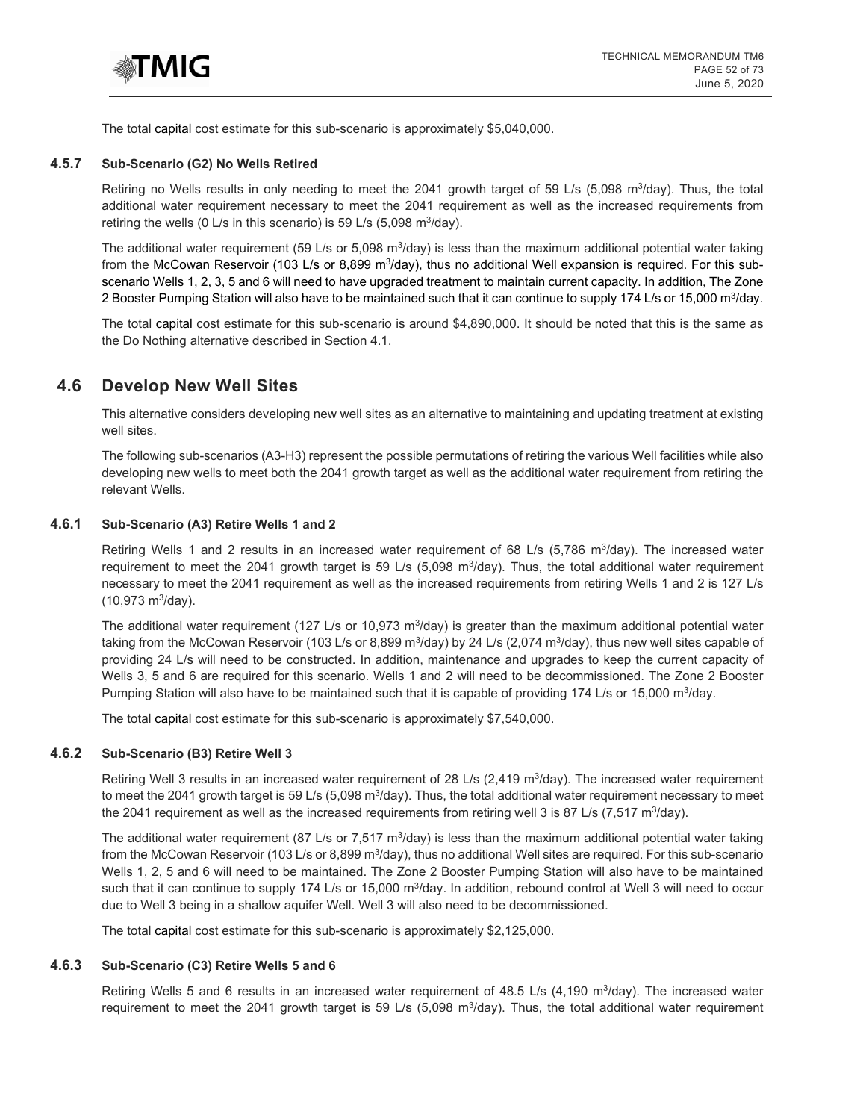

The total capital cost estimate for this sub-scenario is approximately \$5,040,000.

#### **4.5.7 Sub-Scenario (G2) No Wells Retired**

Retiring no Wells results in only needing to meet the 2041 growth target of 59 L/s (5,098 m<sup>3</sup>/day). Thus, the total additional water requirement necessary to meet the 2041 requirement as well as the increased requirements from retiring the wells (0 L/s in this scenario) is 59 L/s  $(5,098 \text{ m}^3/\text{day})$ .

The additional water requirement (59 L/s or 5,098 m<sup>3</sup>/day) is less than the maximum additional potential water taking from the McCowan Reservoir (103 L/s or 8,899 m<sup>3</sup>/day), thus no additional Well expansion is required. For this subscenario Wells 1, 2, 3, 5 and 6 will need to have upgraded treatment to maintain current capacity. In addition, The Zone 2 Booster Pumping Station will also have to be maintained such that it can continue to supply 174 L/s or 15,000 m<sup>3</sup>/day.

The total capital cost estimate for this sub-scenario is around \$4,890,000. It should be noted that this is the same as the Do Nothing alternative described in Section 4.1.

# **4.6 Develop New Well Sites**

This alternative considers developing new well sites as an alternative to maintaining and updating treatment at existing well sites.

The following sub-scenarios (A3-H3) represent the possible permutations of retiring the various Well facilities while also developing new wells to meet both the 2041 growth target as well as the additional water requirement from retiring the relevant Wells.

#### **4.6.1 Sub-Scenario (A3) Retire Wells 1 and 2**

Retiring Wells 1 and 2 results in an increased water requirement of 68 L/s (5,786 m<sup>3</sup>/day). The increased water requirement to meet the 2041 growth target is 59 L/s (5,098 m<sup>3</sup>/day). Thus, the total additional water requirement necessary to meet the 2041 requirement as well as the increased requirements from retiring Wells 1 and 2 is 127 L/s  $(10.973 \text{ m}^3/\text{day})$ .

The additional water requirement (127 L/s or 10,973 m<sup>3</sup>/day) is greater than the maximum additional potential water taking from the McCowan Reservoir (103 L/s or 8,899 m<sup>3</sup>/day) by 24 L/s (2,074 m<sup>3</sup>/day), thus new well sites capable of providing 24 L/s will need to be constructed. In addition, maintenance and upgrades to keep the current capacity of Wells 3, 5 and 6 are required for this scenario. Wells 1 and 2 will need to be decommissioned. The Zone 2 Booster Pumping Station will also have to be maintained such that it is capable of providing 174 L/s or 15,000 m<sup>3</sup>/day.

The total capital cost estimate for this sub-scenario is approximately \$7,540,000.

#### **4.6.2 Sub-Scenario (B3) Retire Well 3**

Retiring Well 3 results in an increased water requirement of 28 L/s (2,419 m<sup>3</sup>/day). The increased water requirement to meet the 2041 growth target is 59 L/s (5,098 m<sup>3</sup>/day). Thus, the total additional water requirement necessary to meet the 2041 requirement as well as the increased requirements from retiring well 3 is 87 L/s (7,517 m<sup>3</sup>/day).

The additional water requirement (87 L/s or 7,517 m<sup>3</sup>/day) is less than the maximum additional potential water taking from the McCowan Reservoir (103 L/s or 8,899 m<sup>3</sup>/day), thus no additional Well sites are required. For this sub-scenario Wells 1, 2, 5 and 6 will need to be maintained. The Zone 2 Booster Pumping Station will also have to be maintained such that it can continue to supply 174 L/s or 15,000 m<sup>3</sup>/day. In addition, rebound control at Well 3 will need to occur due to Well 3 being in a shallow aquifer Well. Well 3 will also need to be decommissioned.

The total capital cost estimate for this sub-scenario is approximately \$2,125,000.

#### **4.6.3 Sub-Scenario (C3) Retire Wells 5 and 6**

Retiring Wells 5 and 6 results in an increased water requirement of 48.5 L/s (4,190 m $3/2$ day). The increased water requirement to meet the 2041 growth target is 59 L/s  $(5.098 \text{ m}^3/\text{day})$ . Thus, the total additional water requirement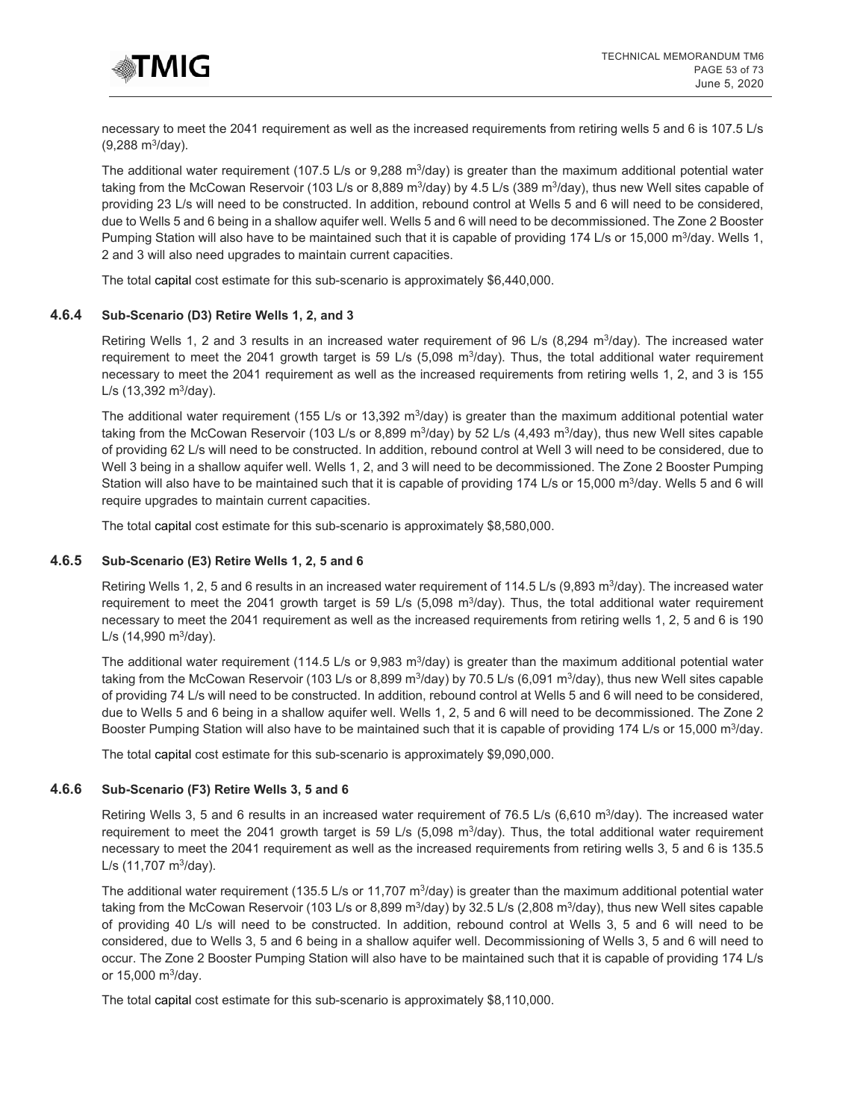

necessary to meet the 2041 requirement as well as the increased requirements from retiring wells 5 and 6 is 107.5 L/s (9,288 m3/day).

The additional water requirement (107.5 L/s or 9,288 m $3$ /day) is greater than the maximum additional potential water taking from the McCowan Reservoir (103 L/s or 8,889 m<sup>3</sup>/day) by 4.5 L/s (389 m<sup>3</sup>/day), thus new Well sites capable of providing 23 L/s will need to be constructed. In addition, rebound control at Wells 5 and 6 will need to be considered, due to Wells 5 and 6 being in a shallow aquifer well. Wells 5 and 6 will need to be decommissioned. The Zone 2 Booster Pumping Station will also have to be maintained such that it is capable of providing 174 L/s or 15,000 m<sup>3</sup>/day. Wells 1, 2 and 3 will also need upgrades to maintain current capacities.

The total capital cost estimate for this sub-scenario is approximately \$6,440,000.

#### **4.6.4 Sub-Scenario (D3) Retire Wells 1, 2, and 3**

Retiring Wells 1, 2 and 3 results in an increased water requirement of 96 L/s (8,294 m<sup>3</sup>/day). The increased water requirement to meet the 2041 growth target is 59 L/s (5,098 m<sup>3</sup>/day). Thus, the total additional water requirement necessary to meet the 2041 requirement as well as the increased requirements from retiring wells 1, 2, and 3 is 155  $L/s$  (13,392 m<sup>3</sup>/day).

The additional water requirement (155 L/s or 13,392  $\text{m}^3$ /day) is greater than the maximum additional potential water taking from the McCowan Reservoir (103 L/s or 8,899 m<sup>3</sup>/day) by 52 L/s (4,493 m<sup>3</sup>/day), thus new Well sites capable of providing 62 L/s will need to be constructed. In addition, rebound control at Well 3 will need to be considered, due to Well 3 being in a shallow aquifer well. Wells 1, 2, and 3 will need to be decommissioned. The Zone 2 Booster Pumping Station will also have to be maintained such that it is capable of providing 174 L/s or 15,000 m<sup>3</sup>/day. Wells 5 and 6 will require upgrades to maintain current capacities.

The total capital cost estimate for this sub-scenario is approximately \$8,580,000.

## **4.6.5 Sub-Scenario (E3) Retire Wells 1, 2, 5 and 6**

Retiring Wells 1, 2, 5 and 6 results in an increased water requirement of 114.5 L/s (9,893 m<sup>3</sup>/day). The increased water requirement to meet the 2041 growth target is 59 L/s (5,098  $\text{m}^3$ /day). Thus, the total additional water requirement necessary to meet the 2041 requirement as well as the increased requirements from retiring wells 1, 2, 5 and 6 is 190  $L/s$  (14,990 m<sup>3</sup>/day).

The additional water requirement (114.5 L/s or 9,983 m<sup>3</sup>/day) is greater than the maximum additional potential water taking from the McCowan Reservoir (103 L/s or 8,899 m<sup>3</sup>/day) by 70.5 L/s (6,091 m<sup>3</sup>/day), thus new Well sites capable of providing 74 L/s will need to be constructed. In addition, rebound control at Wells 5 and 6 will need to be considered, due to Wells 5 and 6 being in a shallow aquifer well. Wells 1, 2, 5 and 6 will need to be decommissioned. The Zone 2 Booster Pumping Station will also have to be maintained such that it is capable of providing 174 L/s or 15,000 m<sup>3</sup>/day.

The total capital cost estimate for this sub-scenario is approximately \$9,090,000.

#### **4.6.6 Sub-Scenario (F3) Retire Wells 3, 5 and 6**

Retiring Wells 3, 5 and 6 results in an increased water requirement of 76.5 L/s (6,610 m<sup>3</sup>/day). The increased water requirement to meet the 2041 growth target is 59 L/s (5,098 m<sup>3</sup>/day). Thus, the total additional water requirement necessary to meet the 2041 requirement as well as the increased requirements from retiring wells 3, 5 and 6 is 135.5  $L/s$  (11,707 m<sup>3</sup>/day).

The additional water requirement (135.5 L/s or 11,707 m<sup>3</sup>/day) is greater than the maximum additional potential water taking from the McCowan Reservoir (103 L/s or 8,899 m<sup>3</sup>/day) by 32.5 L/s (2,808 m<sup>3</sup>/day), thus new Well sites capable of providing 40 L/s will need to be constructed. In addition, rebound control at Wells 3, 5 and 6 will need to be considered, due to Wells 3, 5 and 6 being in a shallow aquifer well. Decommissioning of Wells 3, 5 and 6 will need to occur. The Zone 2 Booster Pumping Station will also have to be maintained such that it is capable of providing 174 L/s or  $15,000 \text{ m}^3/\text{day}$ .

The total capital cost estimate for this sub-scenario is approximately \$8,110,000.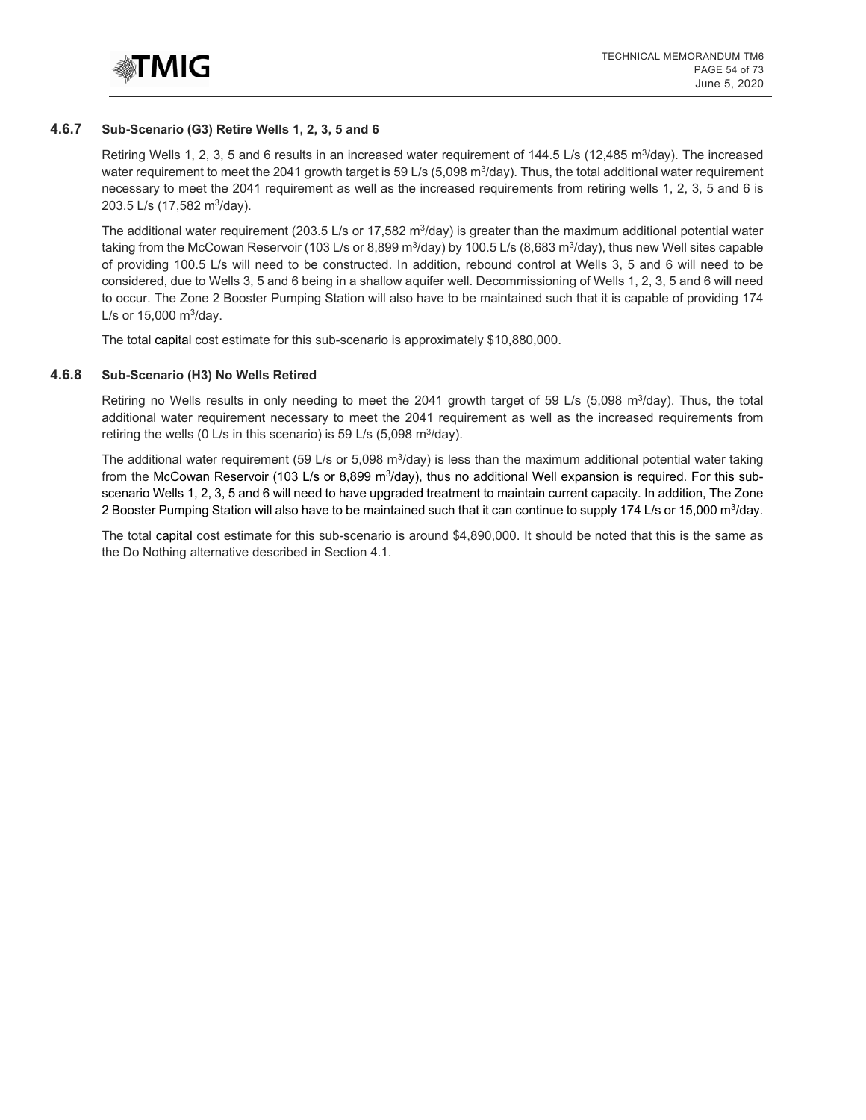

#### **4.6.7 Sub-Scenario (G3) Retire Wells 1, 2, 3, 5 and 6**

Retiring Wells 1, 2, 3, 5 and 6 results in an increased water requirement of 144.5 L/s (12,485 m<sup>3</sup>/day). The increased water requirement to meet the 2041 growth target is 59 L/s (5,098 m<sup>3</sup>/day). Thus, the total additional water requirement necessary to meet the 2041 requirement as well as the increased requirements from retiring wells 1, 2, 3, 5 and 6 is 203.5 L/s (17,582 m<sup>3</sup>/day).

The additional water requirement (203.5 L/s or 17,582 m<sup>3</sup>/day) is greater than the maximum additional potential water taking from the McCowan Reservoir (103 L/s or 8,899 m<sup>3</sup>/day) by 100.5 L/s (8,683 m<sup>3</sup>/day), thus new Well sites capable of providing 100.5 L/s will need to be constructed. In addition, rebound control at Wells 3, 5 and 6 will need to be considered, due to Wells 3, 5 and 6 being in a shallow aquifer well. Decommissioning of Wells 1, 2, 3, 5 and 6 will need to occur. The Zone 2 Booster Pumping Station will also have to be maintained such that it is capable of providing 174 L/s or  $15,000 \text{ m}^3$ /day.

The total capital cost estimate for this sub-scenario is approximately \$10,880,000.

#### **4.6.8 Sub-Scenario (H3) No Wells Retired**

Retiring no Wells results in only needing to meet the 2041 growth target of 59 L/s (5,098 m<sup>3</sup>/day). Thus, the total additional water requirement necessary to meet the 2041 requirement as well as the increased requirements from retiring the wells (0 L/s in this scenario) is 59 L/s (5,098 m $3$ /day).

The additional water requirement (59 L/s or 5,098 m<sup>3</sup>/day) is less than the maximum additional potential water taking from the McCowan Reservoir (103 L/s or 8,899 m<sup>3</sup>/day), thus no additional Well expansion is required. For this subscenario Wells 1, 2, 3, 5 and 6 will need to have upgraded treatment to maintain current capacity. In addition, The Zone 2 Booster Pumping Station will also have to be maintained such that it can continue to supply 174 L/s or 15,000 m<sup>3</sup>/day.

The total capital cost estimate for this sub-scenario is around \$4,890,000. It should be noted that this is the same as the Do Nothing alternative described in Section 4.1.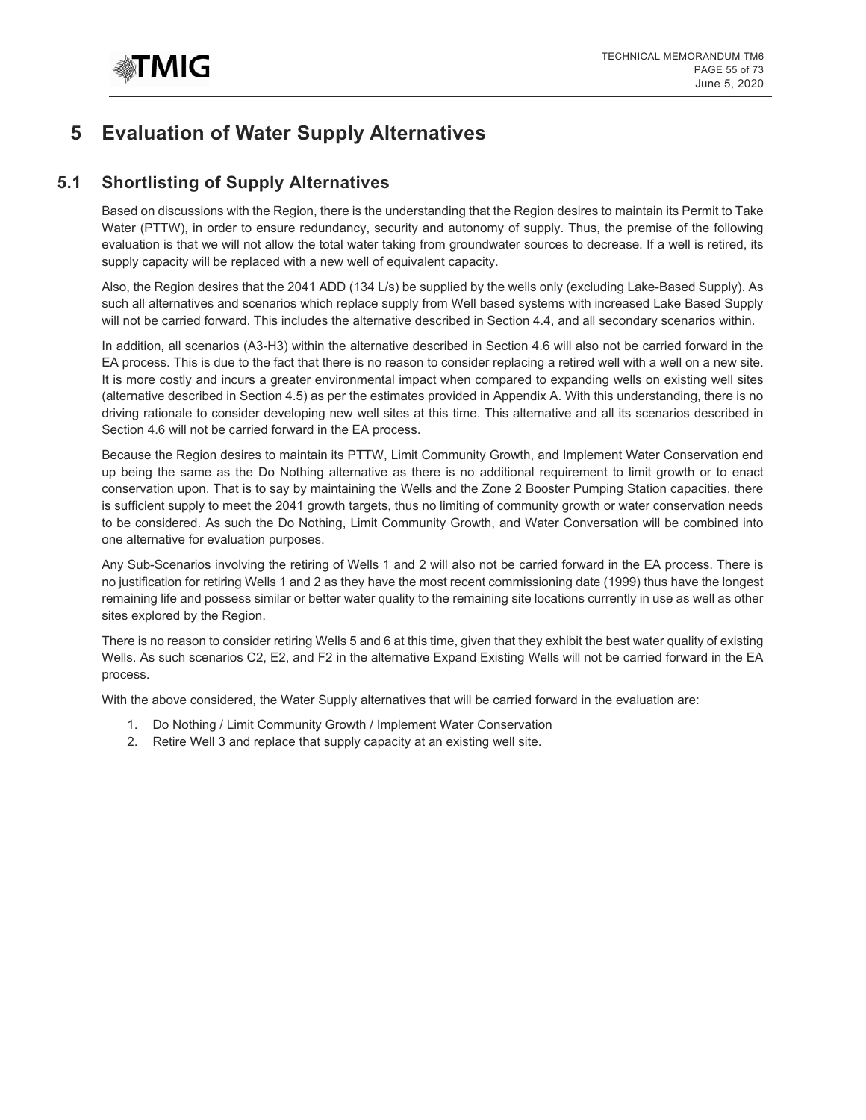# **5 Evaluation of Water Supply Alternatives**

# **5.1 Shortlisting of Supply Alternatives**

Based on discussions with the Region, there is the understanding that the Region desires to maintain its Permit to Take Water (PTTW), in order to ensure redundancy, security and autonomy of supply. Thus, the premise of the following evaluation is that we will not allow the total water taking from groundwater sources to decrease. If a well is retired, its supply capacity will be replaced with a new well of equivalent capacity.

Also, the Region desires that the 2041 ADD (134 L/s) be supplied by the wells only (excluding Lake-Based Supply). As such all alternatives and scenarios which replace supply from Well based systems with increased Lake Based Supply will not be carried forward. This includes the alternative described in Section 4.4, and all secondary scenarios within.

In addition, all scenarios (A3-H3) within the alternative described in Section 4.6 will also not be carried forward in the EA process. This is due to the fact that there is no reason to consider replacing a retired well with a well on a new site. It is more costly and incurs a greater environmental impact when compared to expanding wells on existing well sites (alternative described in Section 4.5) as per the estimates provided in Appendix A. With this understanding, there is no driving rationale to consider developing new well sites at this time. This alternative and all its scenarios described in Section 4.6 will not be carried forward in the EA process.

Because the Region desires to maintain its PTTW, Limit Community Growth, and Implement Water Conservation end up being the same as the Do Nothing alternative as there is no additional requirement to limit growth or to enact conservation upon. That is to say by maintaining the Wells and the Zone 2 Booster Pumping Station capacities, there is sufficient supply to meet the 2041 growth targets, thus no limiting of community growth or water conservation needs to be considered. As such the Do Nothing, Limit Community Growth, and Water Conversation will be combined into one alternative for evaluation purposes.

Any Sub-Scenarios involving the retiring of Wells 1 and 2 will also not be carried forward in the EA process. There is no justification for retiring Wells 1 and 2 as they have the most recent commissioning date (1999) thus have the longest remaining life and possess similar or better water quality to the remaining site locations currently in use as well as other sites explored by the Region.

There is no reason to consider retiring Wells 5 and 6 at this time, given that they exhibit the best water quality of existing Wells. As such scenarios C2, E2, and F2 in the alternative Expand Existing Wells will not be carried forward in the EA process.

With the above considered, the Water Supply alternatives that will be carried forward in the evaluation are:

- 1. Do Nothing / Limit Community Growth / Implement Water Conservation
- 2. Retire Well 3 and replace that supply capacity at an existing well site.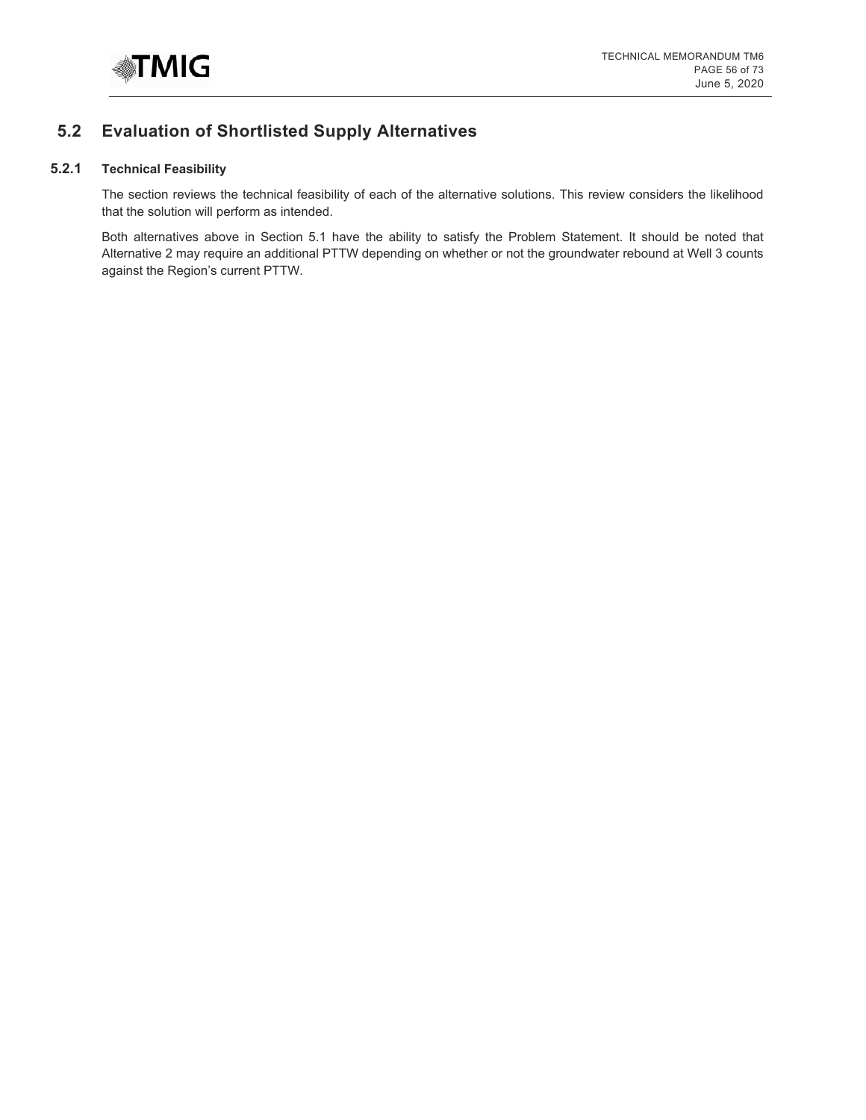

# **5.2 Evaluation of Shortlisted Supply Alternatives**

# **5.2.1 Technical Feasibility**

The section reviews the technical feasibility of each of the alternative solutions. This review considers the likelihood that the solution will perform as intended.

Both alternatives above in Section 5.1 have the ability to satisfy the Problem Statement. It should be noted that Alternative 2 may require an additional PTTW depending on whether or not the groundwater rebound at Well 3 counts against the Region's current PTTW.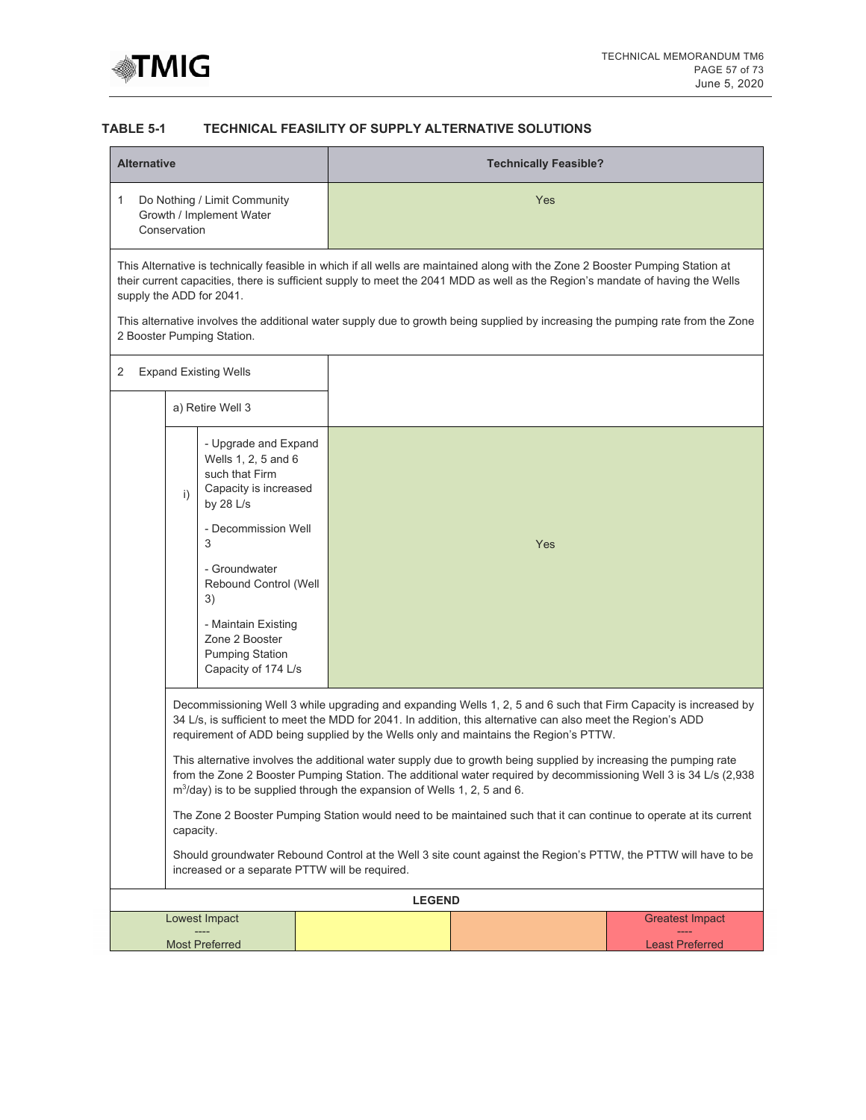

# **TABLE 5-1 TECHNICAL FEASILITY OF SUPPLY ALTERNATIVE SOLUTIONS**

| <b>Alternative</b>         |                                                                                                                                                                                                                                                                                                                                                                                                                                |                                                                             | <b>Technically Feasible?</b>                                                                                                                                                                                                                                                                                             |                        |  |  |  |
|----------------------------|--------------------------------------------------------------------------------------------------------------------------------------------------------------------------------------------------------------------------------------------------------------------------------------------------------------------------------------------------------------------------------------------------------------------------------|-----------------------------------------------------------------------------|--------------------------------------------------------------------------------------------------------------------------------------------------------------------------------------------------------------------------------------------------------------------------------------------------------------------------|------------------------|--|--|--|
| 1<br>Conservation          | Do Nothing / Limit Community<br>Growth / Implement Water                                                                                                                                                                                                                                                                                                                                                                       |                                                                             | <b>Yes</b>                                                                                                                                                                                                                                                                                                               |                        |  |  |  |
|                            | This Alternative is technically feasible in which if all wells are maintained along with the Zone 2 Booster Pumping Station at<br>their current capacities, there is sufficient supply to meet the 2041 MDD as well as the Region's mandate of having the Wells<br>supply the ADD for 2041.<br>This alternative involves the additional water supply due to growth being supplied by increasing the pumping rate from the Zone |                                                                             |                                                                                                                                                                                                                                                                                                                          |                        |  |  |  |
| 2 Booster Pumping Station. |                                                                                                                                                                                                                                                                                                                                                                                                                                |                                                                             |                                                                                                                                                                                                                                                                                                                          |                        |  |  |  |
| 2                          | <b>Expand Existing Wells</b>                                                                                                                                                                                                                                                                                                                                                                                                   |                                                                             |                                                                                                                                                                                                                                                                                                                          |                        |  |  |  |
|                            | a) Retire Well 3                                                                                                                                                                                                                                                                                                                                                                                                               |                                                                             |                                                                                                                                                                                                                                                                                                                          |                        |  |  |  |
| i)                         | - Upgrade and Expand<br>Wells 1, 2, 5 and 6<br>such that Firm<br>Capacity is increased<br>by 28 L/s<br>- Decommission Well<br>3<br>- Groundwater<br>Rebound Control (Well<br>3)<br>- Maintain Existing<br>Zone 2 Booster<br><b>Pumping Station</b><br>Capacity of 174 L/s                                                                                                                                                      |                                                                             | Yes                                                                                                                                                                                                                                                                                                                      |                        |  |  |  |
|                            |                                                                                                                                                                                                                                                                                                                                                                                                                                |                                                                             | Decommissioning Well 3 while upgrading and expanding Wells 1, 2, 5 and 6 such that Firm Capacity is increased by<br>34 L/s, is sufficient to meet the MDD for 2041. In addition, this alternative can also meet the Region's ADD<br>requirement of ADD being supplied by the Wells only and maintains the Region's PTTW. |                        |  |  |  |
|                            |                                                                                                                                                                                                                                                                                                                                                                                                                                | $m^3$ /day) is to be supplied through the expansion of Wells 1, 2, 5 and 6. | This alternative involves the additional water supply due to growth being supplied by increasing the pumping rate<br>from the Zone 2 Booster Pumping Station. The additional water required by decommissioning Well 3 is 34 L/s (2,938                                                                                   |                        |  |  |  |
|                            | capacity.                                                                                                                                                                                                                                                                                                                                                                                                                      |                                                                             | The Zone 2 Booster Pumping Station would need to be maintained such that it can continue to operate at its current                                                                                                                                                                                                       |                        |  |  |  |
|                            |                                                                                                                                                                                                                                                                                                                                                                                                                                | increased or a separate PTTW will be required.                              | Should groundwater Rebound Control at the Well 3 site count against the Region's PTTW, the PTTW will have to be                                                                                                                                                                                                          |                        |  |  |  |
|                            |                                                                                                                                                                                                                                                                                                                                                                                                                                | <b>LEGEND</b>                                                               |                                                                                                                                                                                                                                                                                                                          |                        |  |  |  |
|                            | Lowest Impact                                                                                                                                                                                                                                                                                                                                                                                                                  |                                                                             |                                                                                                                                                                                                                                                                                                                          | <b>Greatest Impact</b> |  |  |  |
|                            | <b>Most Preferred</b>                                                                                                                                                                                                                                                                                                                                                                                                          |                                                                             |                                                                                                                                                                                                                                                                                                                          | <b>Least Preferred</b> |  |  |  |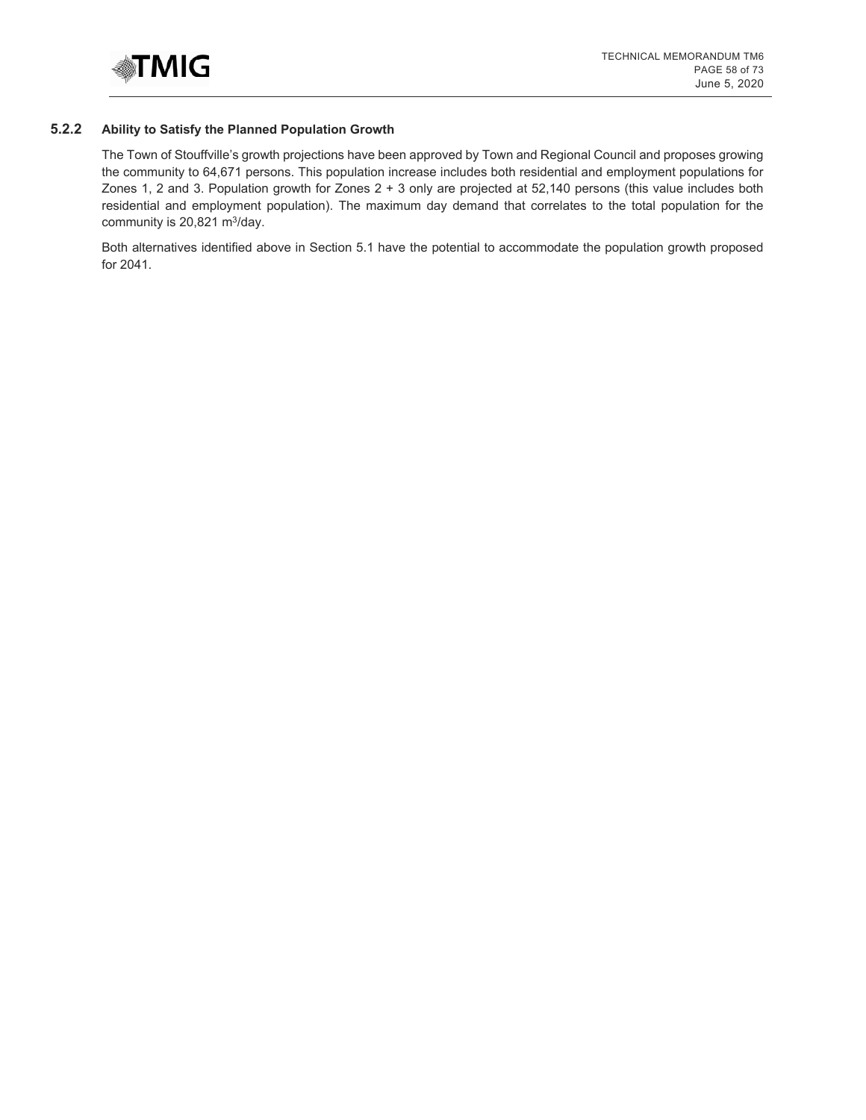

# **5.2.2 Ability to Satisfy the Planned Population Growth**

The Town of Stouffville's growth projections have been approved by Town and Regional Council and proposes growing the community to 64,671 persons. This population increase includes both residential and employment populations for Zones 1, 2 and 3. Population growth for Zones 2 + 3 only are projected at 52,140 persons (this value includes both residential and employment population). The maximum day demand that correlates to the total population for the community is 20,821 m<sup>3</sup>/day.

Both alternatives identified above in Section 5.1 have the potential to accommodate the population growth proposed for 2041.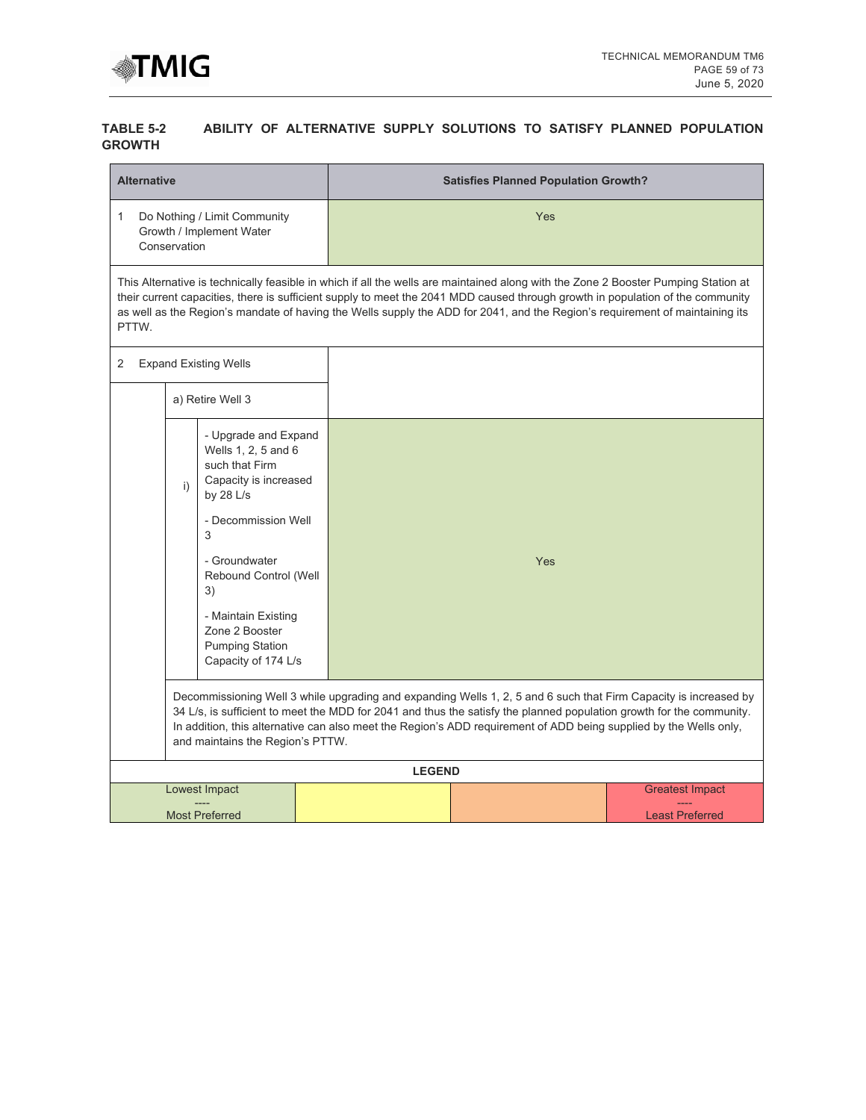

## **TABLE 5-2 ABILITY OF ALTERNATIVE SUPPLY SOLUTIONS TO SATISFY PLANNED POPULATION GROWTH**

| <b>Alternative</b>                                                                                                                                                                                                                                                                                                                                                                                |                                                                                                                                                                                                                                                                                                                                                                                                      |               | <b>Satisfies Planned Population Growth?</b>      |  |  |  |  |
|---------------------------------------------------------------------------------------------------------------------------------------------------------------------------------------------------------------------------------------------------------------------------------------------------------------------------------------------------------------------------------------------------|------------------------------------------------------------------------------------------------------------------------------------------------------------------------------------------------------------------------------------------------------------------------------------------------------------------------------------------------------------------------------------------------------|---------------|--------------------------------------------------|--|--|--|--|
| 1<br>Conservation                                                                                                                                                                                                                                                                                                                                                                                 | Do Nothing / Limit Community<br>Growth / Implement Water                                                                                                                                                                                                                                                                                                                                             |               | Yes                                              |  |  |  |  |
| PTTW.                                                                                                                                                                                                                                                                                                                                                                                             | This Alternative is technically feasible in which if all the wells are maintained along with the Zone 2 Booster Pumping Station at<br>their current capacities, there is sufficient supply to meet the 2041 MDD caused through growth in population of the community<br>as well as the Region's mandate of having the Wells supply the ADD for 2041, and the Region's requirement of maintaining its |               |                                                  |  |  |  |  |
| 2                                                                                                                                                                                                                                                                                                                                                                                                 | <b>Expand Existing Wells</b>                                                                                                                                                                                                                                                                                                                                                                         |               |                                                  |  |  |  |  |
|                                                                                                                                                                                                                                                                                                                                                                                                   | a) Retire Well 3                                                                                                                                                                                                                                                                                                                                                                                     |               |                                                  |  |  |  |  |
| i)                                                                                                                                                                                                                                                                                                                                                                                                | - Upgrade and Expand<br>Wells 1, 2, 5 and 6<br>such that Firm<br>Capacity is increased<br>by 28 L/s<br>- Decommission Well<br>3<br>- Groundwater<br>Rebound Control (Well<br>3)<br>- Maintain Existing<br>Zone 2 Booster<br><b>Pumping Station</b><br>Capacity of 174 L/s                                                                                                                            |               | Yes                                              |  |  |  |  |
| Decommissioning Well 3 while upgrading and expanding Wells 1, 2, 5 and 6 such that Firm Capacity is increased by<br>34 L/s, is sufficient to meet the MDD for 2041 and thus the satisfy the planned population growth for the community.<br>In addition, this alternative can also meet the Region's ADD requirement of ADD being supplied by the Wells only,<br>and maintains the Region's PTTW. |                                                                                                                                                                                                                                                                                                                                                                                                      |               |                                                  |  |  |  |  |
|                                                                                                                                                                                                                                                                                                                                                                                                   |                                                                                                                                                                                                                                                                                                                                                                                                      | <b>LEGEND</b> |                                                  |  |  |  |  |
|                                                                                                                                                                                                                                                                                                                                                                                                   | Lowest Impact<br><b>Most Preferred</b>                                                                                                                                                                                                                                                                                                                                                               |               | <b>Greatest Impact</b><br><b>Least Preferred</b> |  |  |  |  |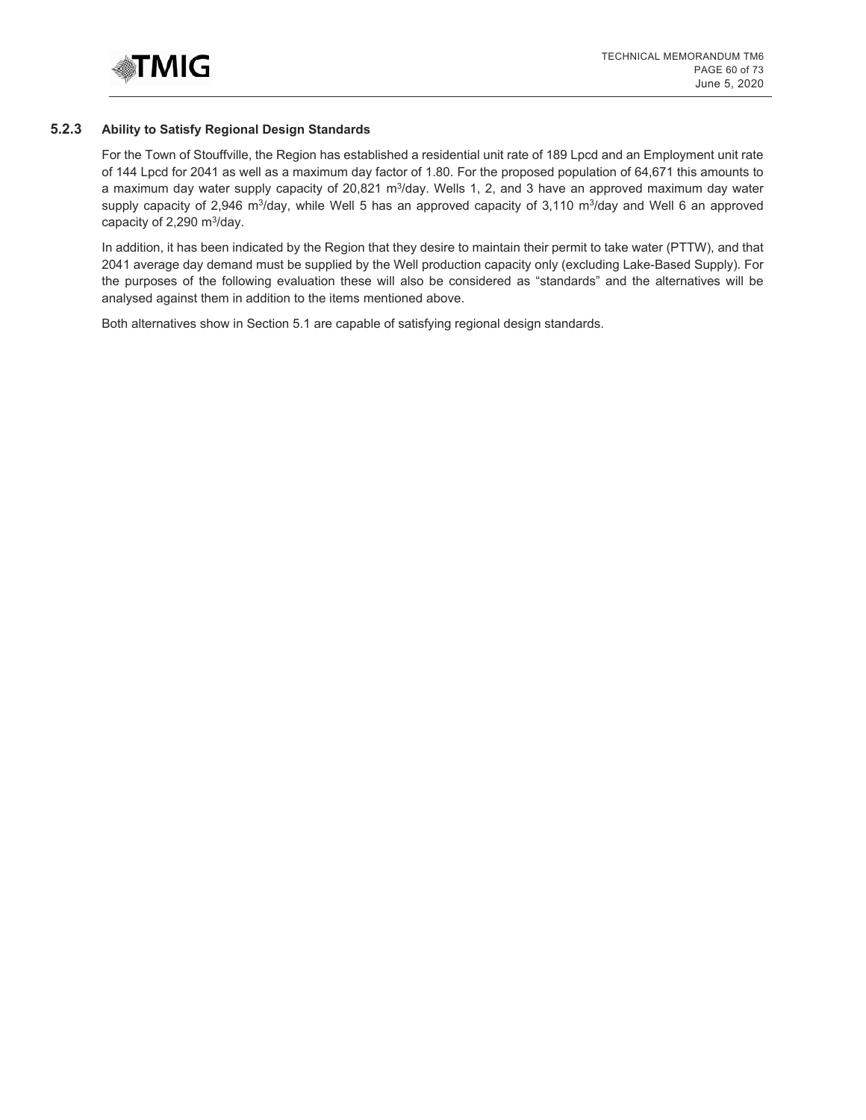

#### **5.2.3 Ability to Satisfy Regional Design Standards**

For the Town of Stouffville, the Region has established a residential unit rate of 189 Lpcd and an Employment unit rate of 144 Lpcd for 2041 as well as a maximum day factor of 1.80. For the proposed population of 64,671 this amounts to a maximum day water supply capacity of 20,821 m<sup>3</sup>/day. Wells 1, 2, and 3 have an approved maximum day water supply capacity of 2,946 m<sup>3</sup>/day, while Well 5 has an approved capacity of 3,110 m<sup>3</sup>/day and Well 6 an approved capacity of  $2,290 \text{ m}^3/\text{day}$ .

In addition, it has been indicated by the Region that they desire to maintain their permit to take water (PTTW), and that 2041 average day demand must be supplied by the Well production capacity only (excluding Lake-Based Supply). For the purposes of the following evaluation these will also be considered as "standards" and the alternatives will be analysed against them in addition to the items mentioned above.

Both alternatives show in Section 5.1 are capable of satisfying regional design standards.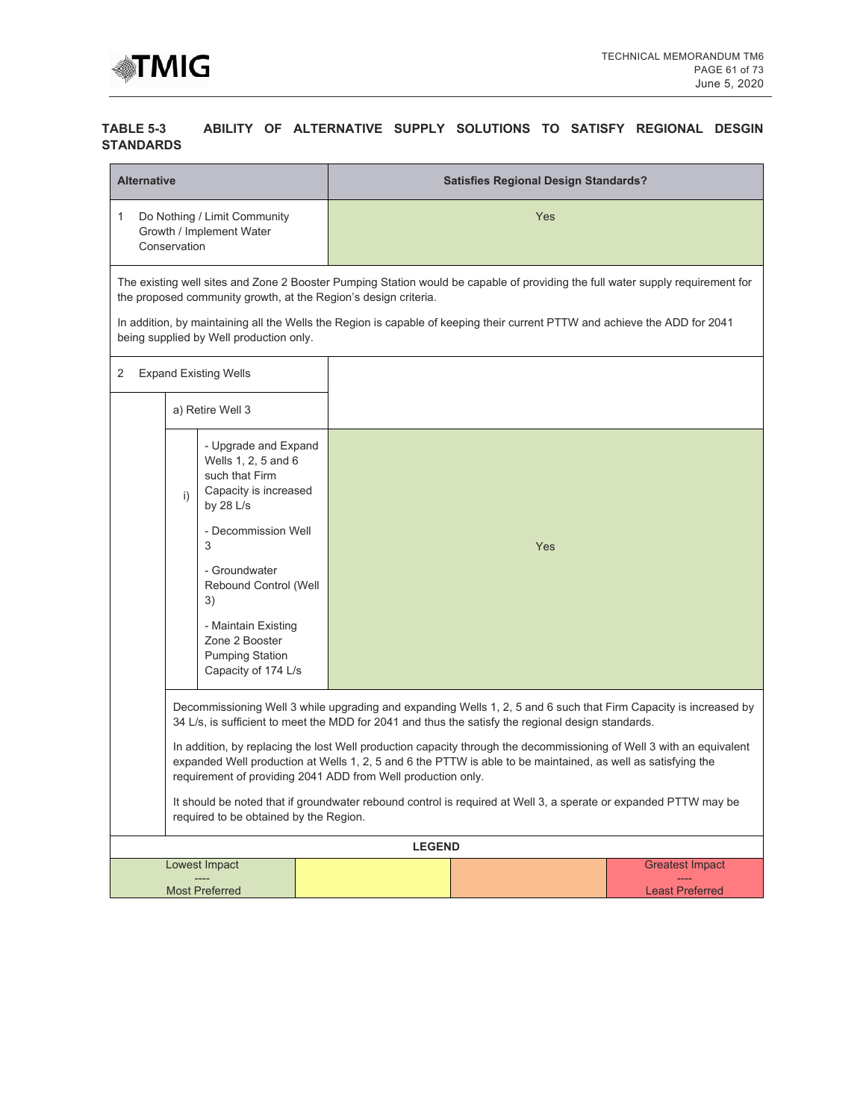

## **TABLE 5-3 ABILITY OF ALTERNATIVE SUPPLY SOLUTIONS TO SATISFY REGIONAL DESGIN STANDARDS**

| <b>Alternative</b> |                                                                                                                                                                                                                                                                                                                                                                                                                                                                                                                                                                                                                                                                                             |  | <b>Satisfies Regional Design Standards?</b> |     |                                                                                                                                                                                                                                                              |  |  |
|--------------------|---------------------------------------------------------------------------------------------------------------------------------------------------------------------------------------------------------------------------------------------------------------------------------------------------------------------------------------------------------------------------------------------------------------------------------------------------------------------------------------------------------------------------------------------------------------------------------------------------------------------------------------------------------------------------------------------|--|---------------------------------------------|-----|--------------------------------------------------------------------------------------------------------------------------------------------------------------------------------------------------------------------------------------------------------------|--|--|
| 1<br>Conservation  | Do Nothing / Limit Community<br>Growth / Implement Water                                                                                                                                                                                                                                                                                                                                                                                                                                                                                                                                                                                                                                    |  | Yes                                         |     |                                                                                                                                                                                                                                                              |  |  |
|                    | the proposed community growth, at the Region's design criteria.<br>being supplied by Well production only.                                                                                                                                                                                                                                                                                                                                                                                                                                                                                                                                                                                  |  |                                             |     | The existing well sites and Zone 2 Booster Pumping Station would be capable of providing the full water supply requirement for<br>In addition, by maintaining all the Wells the Region is capable of keeping their current PTTW and achieve the ADD for 2041 |  |  |
| 2                  | <b>Expand Existing Wells</b>                                                                                                                                                                                                                                                                                                                                                                                                                                                                                                                                                                                                                                                                |  |                                             |     |                                                                                                                                                                                                                                                              |  |  |
|                    | a) Retire Well 3                                                                                                                                                                                                                                                                                                                                                                                                                                                                                                                                                                                                                                                                            |  |                                             |     |                                                                                                                                                                                                                                                              |  |  |
|                    | - Upgrade and Expand<br>Wells 1, 2, 5 and 6<br>such that Firm<br>Capacity is increased<br>i)<br>by $28$ L/s<br>- Decommission Well<br>3<br>- Groundwater<br>Rebound Control (Well<br>3)<br>- Maintain Existing<br>Zone 2 Booster<br><b>Pumping Station</b><br>Capacity of 174 L/s                                                                                                                                                                                                                                                                                                                                                                                                           |  |                                             | Yes |                                                                                                                                                                                                                                                              |  |  |
|                    | Decommissioning Well 3 while upgrading and expanding Wells 1, 2, 5 and 6 such that Firm Capacity is increased by<br>34 L/s, is sufficient to meet the MDD for 2041 and thus the satisfy the regional design standards.<br>In addition, by replacing the lost Well production capacity through the decommissioning of Well 3 with an equivalent<br>expanded Well production at Wells 1, 2, 5 and 6 the PTTW is able to be maintained, as well as satisfying the<br>requirement of providing 2041 ADD from Well production only.<br>It should be noted that if groundwater rebound control is required at Well 3, a sperate or expanded PTTW may be<br>required to be obtained by the Region. |  |                                             |     |                                                                                                                                                                                                                                                              |  |  |
|                    |                                                                                                                                                                                                                                                                                                                                                                                                                                                                                                                                                                                                                                                                                             |  | <b>LEGEND</b>                               |     |                                                                                                                                                                                                                                                              |  |  |
|                    | Lowest Impact<br><b>Most Preferred</b>                                                                                                                                                                                                                                                                                                                                                                                                                                                                                                                                                                                                                                                      |  |                                             |     | <b>Greatest Impact</b><br><b>Least Preferred</b>                                                                                                                                                                                                             |  |  |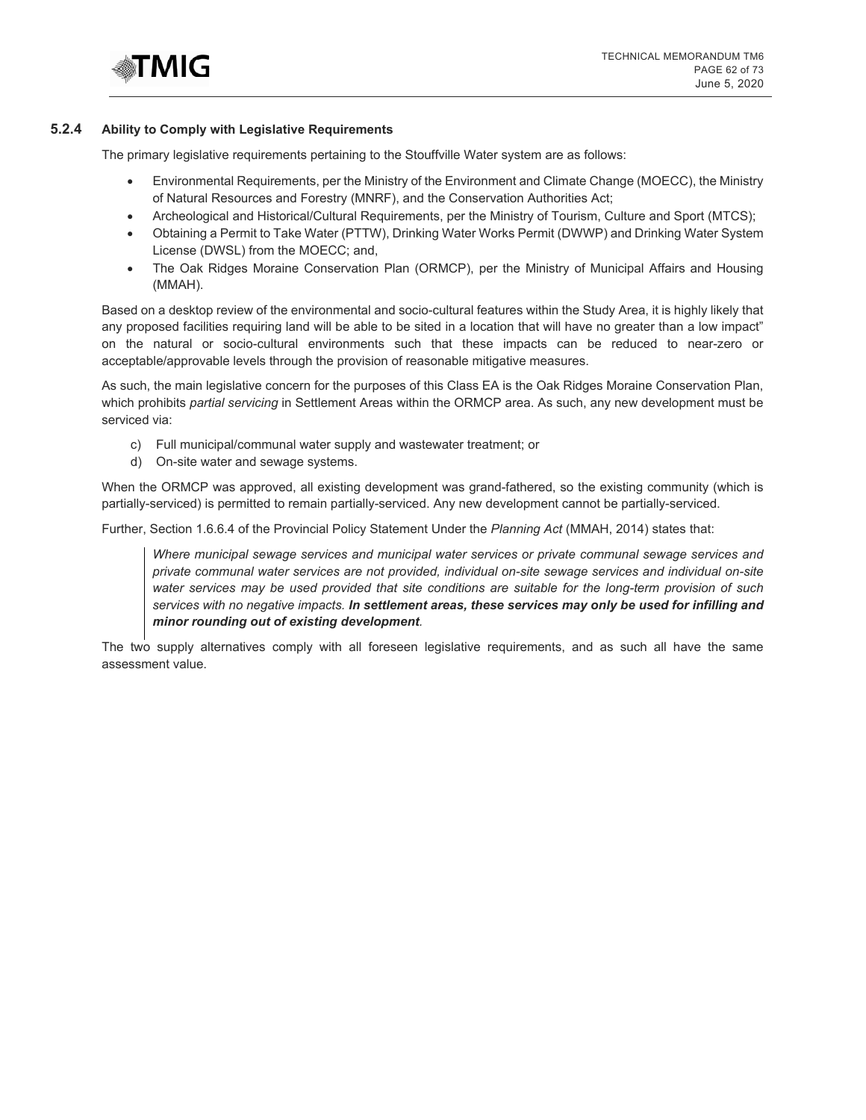

#### **5.2.4 Ability to Comply with Legislative Requirements**

The primary legislative requirements pertaining to the Stouffville Water system are as follows:

- Environmental Requirements, per the Ministry of the Environment and Climate Change (MOECC), the Ministry of Natural Resources and Forestry (MNRF), and the Conservation Authorities Act;
- Archeological and Historical/Cultural Requirements, per the Ministry of Tourism, Culture and Sport (MTCS);
- Obtaining a Permit to Take Water (PTTW), Drinking Water Works Permit (DWWP) and Drinking Water System License (DWSL) from the MOECC; and,
- The Oak Ridges Moraine Conservation Plan (ORMCP), per the Ministry of Municipal Affairs and Housing (MMAH).

Based on a desktop review of the environmental and socio-cultural features within the Study Area, it is highly likely that any proposed facilities requiring land will be able to be sited in a location that will have no greater than a low impact" on the natural or socio-cultural environments such that these impacts can be reduced to near-zero or acceptable/approvable levels through the provision of reasonable mitigative measures.

As such, the main legislative concern for the purposes of this Class EA is the Oak Ridges Moraine Conservation Plan, which prohibits *partial servicing* in Settlement Areas within the ORMCP area. As such, any new development must be serviced via:

- c) Full municipal/communal water supply and wastewater treatment; or
- d) On-site water and sewage systems.

When the ORMCP was approved, all existing development was grand-fathered, so the existing community (which is partially-serviced) is permitted to remain partially-serviced. Any new development cannot be partially-serviced.

Further, Section 1.6.6.4 of the Provincial Policy Statement Under the *Planning Act* (MMAH, 2014) states that:

*Where municipal sewage services and municipal water services or private communal sewage services and private communal water services are not provided, individual on-site sewage services and individual on-site water services may be used provided that site conditions are suitable for the long-term provision of such services with no negative impacts. In settlement areas, these services may only be used for infilling and minor rounding out of existing development.* 

The two supply alternatives comply with all foreseen legislative requirements, and as such all have the same assessment value.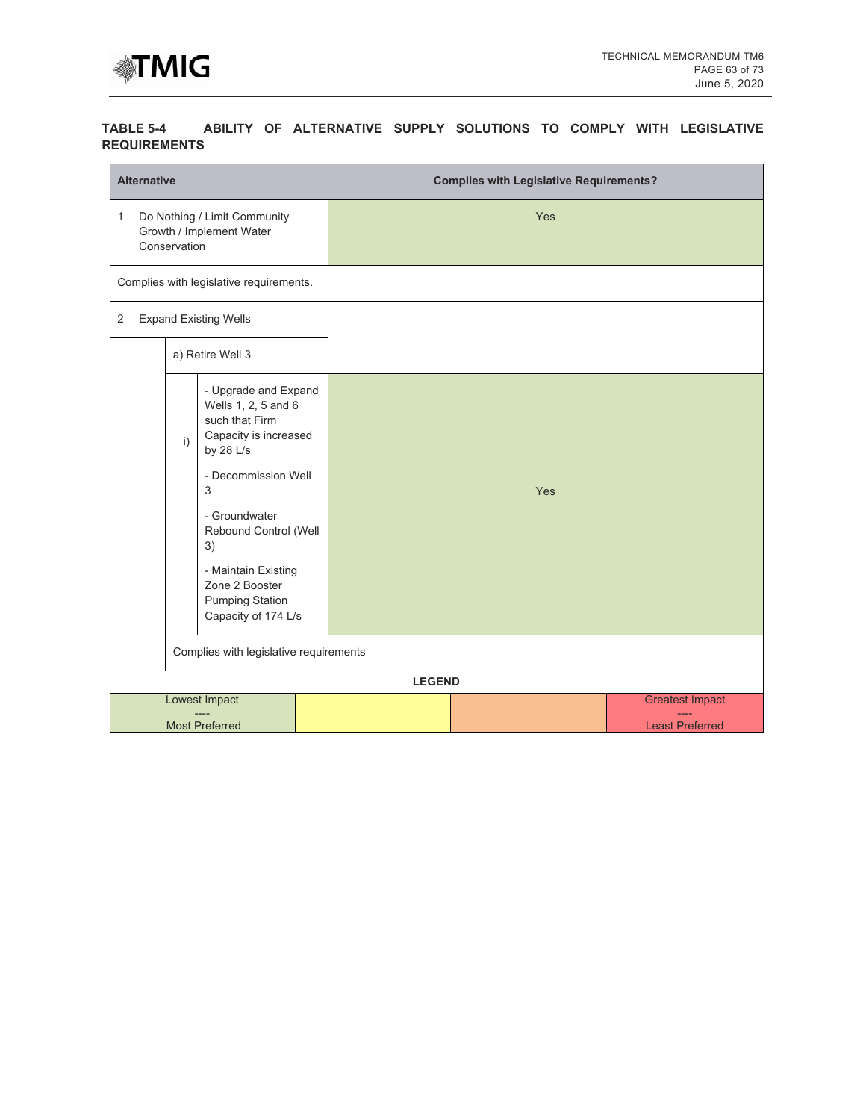

## **TABLE 5-4 ABILITY OF ALTERNATIVE SUPPLY SOLUTIONS TO COMPLY WITH LEGISLATIVE REQUIREMENTS**

| <b>Alternative</b>                                                                                                                                                                                                                                                              |                       |                                         |     | <b>Complies with Legislative Requirements?</b> |     |                        |  |  |
|---------------------------------------------------------------------------------------------------------------------------------------------------------------------------------------------------------------------------------------------------------------------------------|-----------------------|-----------------------------------------|-----|------------------------------------------------|-----|------------------------|--|--|
| Do Nothing / Limit Community<br>$\mathbf{1}$<br>Growth / Implement Water<br>Conservation                                                                                                                                                                                        |                       |                                         |     |                                                | Yes |                        |  |  |
|                                                                                                                                                                                                                                                                                 |                       | Complies with legislative requirements. |     |                                                |     |                        |  |  |
| $\mathbf{2}$                                                                                                                                                                                                                                                                    |                       | <b>Expand Existing Wells</b>            |     |                                                |     |                        |  |  |
|                                                                                                                                                                                                                                                                                 |                       | a) Retire Well 3                        |     |                                                |     |                        |  |  |
| - Upgrade and Expand<br>Wells 1, 2, 5 and 6<br>such that Firm<br>Capacity is increased<br>i)<br>by 28 L/s<br>- Decommission Well<br>3<br>- Groundwater<br>Rebound Control (Well<br>3)<br>- Maintain Existing<br>Zone 2 Booster<br><b>Pumping Station</b><br>Capacity of 174 L/s |                       |                                         | Yes |                                                |     |                        |  |  |
|                                                                                                                                                                                                                                                                                 |                       | Complies with legislative requirements  |     |                                                |     |                        |  |  |
|                                                                                                                                                                                                                                                                                 |                       |                                         |     | <b>LEGEND</b>                                  |     |                        |  |  |
|                                                                                                                                                                                                                                                                                 |                       | <b>Lowest Impact</b>                    |     |                                                |     | <b>Greatest Impact</b> |  |  |
|                                                                                                                                                                                                                                                                                 | <b>Most Preferred</b> |                                         |     |                                                |     | <b>Least Preferred</b> |  |  |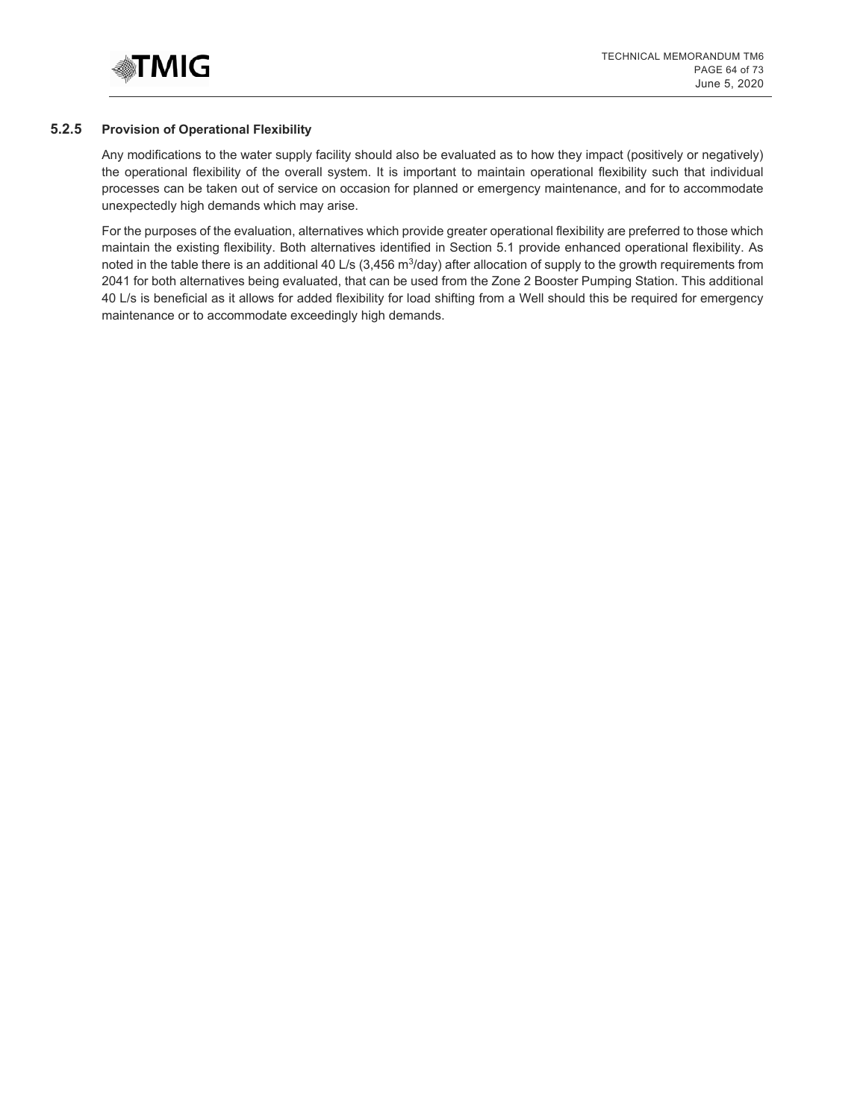

#### **5.2.5 Provision of Operational Flexibility**

Any modifications to the water supply facility should also be evaluated as to how they impact (positively or negatively) the operational flexibility of the overall system. It is important to maintain operational flexibility such that individual processes can be taken out of service on occasion for planned or emergency maintenance, and for to accommodate unexpectedly high demands which may arise.

For the purposes of the evaluation, alternatives which provide greater operational flexibility are preferred to those which maintain the existing flexibility. Both alternatives identified in Section 5.1 provide enhanced operational flexibility. As noted in the table there is an additional 40 L/s  $(3,456 \text{ m}^3/\text{day})$  after allocation of supply to the growth requirements from 2041 for both alternatives being evaluated, that can be used from the Zone 2 Booster Pumping Station. This additional 40 L/s is beneficial as it allows for added flexibility for load shifting from a Well should this be required for emergency maintenance or to accommodate exceedingly high demands.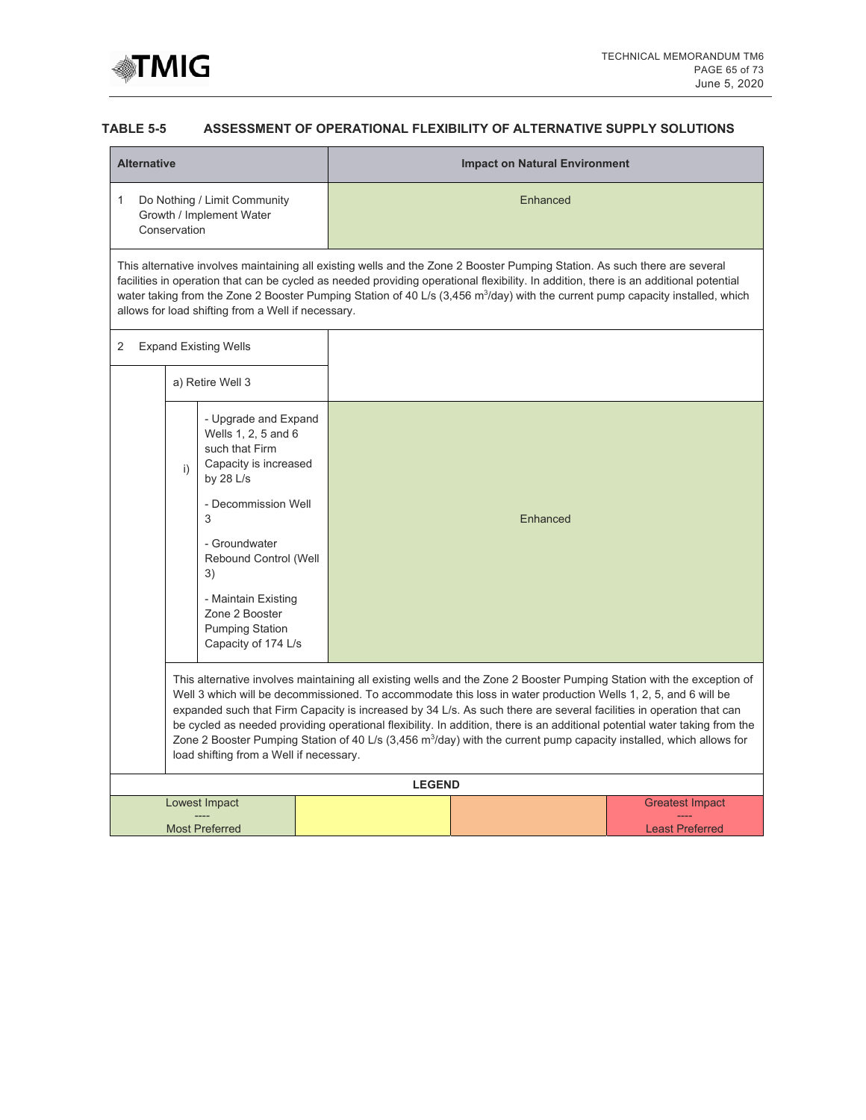

## **TABLE 5-5 ASSESSMENT OF OPERATIONAL FLEXIBILITY OF ALTERNATIVE SUPPLY SOLUTIONS**

| Enhanced<br>1<br>Do Nothing / Limit Community<br>Growth / Implement Water<br>Conservation<br>This alternative involves maintaining all existing wells and the Zone 2 Booster Pumping Station. As such there are several<br>facilities in operation that can be cycled as needed providing operational flexibility. In addition, there is an additional potential<br>water taking from the Zone 2 Booster Pumping Station of 40 L/s $(3,456 \text{ m}^3/\text{day})$ with the current pump capacity installed, which<br>allows for load shifting from a Well if necessary.<br><b>Expand Existing Wells</b><br>2<br>a) Retire Well 3<br>- Upgrade and Expand<br>Wells 1, 2, 5 and 6<br>such that Firm<br>Capacity is increased<br>i)<br>by $28$ L/s<br>- Decommission Well<br>3<br>Enhanced<br>- Groundwater<br>Rebound Control (Well<br>3)<br>- Maintain Existing<br>Zone 2 Booster<br><b>Pumping Station</b><br>Capacity of 174 L/s<br>This alternative involves maintaining all existing wells and the Zone 2 Booster Pumping Station with the exception of<br>Well 3 which will be decommissioned. To accommodate this loss in water production Wells 1, 2, 5, and 6 will be<br>expanded such that Firm Capacity is increased by 34 L/s. As such there are several facilities in operation that can<br>be cycled as needed providing operational flexibility. In addition, there is an additional potential water taking from the<br>Zone 2 Booster Pumping Station of 40 L/s (3,456 m <sup>3</sup> /day) with the current pump capacity installed, which allows for<br>load shifting from a Well if necessary.<br><b>LEGEND</b><br>Lowest Impact<br><b>Greatest Impact</b> | <b>Alternative</b> |  |  | <b>Impact on Natural Environment</b> |  |  |  |  |  |
|-------------------------------------------------------------------------------------------------------------------------------------------------------------------------------------------------------------------------------------------------------------------------------------------------------------------------------------------------------------------------------------------------------------------------------------------------------------------------------------------------------------------------------------------------------------------------------------------------------------------------------------------------------------------------------------------------------------------------------------------------------------------------------------------------------------------------------------------------------------------------------------------------------------------------------------------------------------------------------------------------------------------------------------------------------------------------------------------------------------------------------------------------------------------------------------------------------------------------------------------------------------------------------------------------------------------------------------------------------------------------------------------------------------------------------------------------------------------------------------------------------------------------------------------------------------------------------------------------------------------------------------------------------------------------------|--------------------|--|--|--------------------------------------|--|--|--|--|--|
|                                                                                                                                                                                                                                                                                                                                                                                                                                                                                                                                                                                                                                                                                                                                                                                                                                                                                                                                                                                                                                                                                                                                                                                                                                                                                                                                                                                                                                                                                                                                                                                                                                                                               |                    |  |  |                                      |  |  |  |  |  |
|                                                                                                                                                                                                                                                                                                                                                                                                                                                                                                                                                                                                                                                                                                                                                                                                                                                                                                                                                                                                                                                                                                                                                                                                                                                                                                                                                                                                                                                                                                                                                                                                                                                                               |                    |  |  |                                      |  |  |  |  |  |
|                                                                                                                                                                                                                                                                                                                                                                                                                                                                                                                                                                                                                                                                                                                                                                                                                                                                                                                                                                                                                                                                                                                                                                                                                                                                                                                                                                                                                                                                                                                                                                                                                                                                               |                    |  |  |                                      |  |  |  |  |  |
|                                                                                                                                                                                                                                                                                                                                                                                                                                                                                                                                                                                                                                                                                                                                                                                                                                                                                                                                                                                                                                                                                                                                                                                                                                                                                                                                                                                                                                                                                                                                                                                                                                                                               |                    |  |  |                                      |  |  |  |  |  |
|                                                                                                                                                                                                                                                                                                                                                                                                                                                                                                                                                                                                                                                                                                                                                                                                                                                                                                                                                                                                                                                                                                                                                                                                                                                                                                                                                                                                                                                                                                                                                                                                                                                                               |                    |  |  |                                      |  |  |  |  |  |
|                                                                                                                                                                                                                                                                                                                                                                                                                                                                                                                                                                                                                                                                                                                                                                                                                                                                                                                                                                                                                                                                                                                                                                                                                                                                                                                                                                                                                                                                                                                                                                                                                                                                               |                    |  |  |                                      |  |  |  |  |  |
|                                                                                                                                                                                                                                                                                                                                                                                                                                                                                                                                                                                                                                                                                                                                                                                                                                                                                                                                                                                                                                                                                                                                                                                                                                                                                                                                                                                                                                                                                                                                                                                                                                                                               |                    |  |  |                                      |  |  |  |  |  |
| <b>Most Preferred</b><br><b>Least Preferred</b>                                                                                                                                                                                                                                                                                                                                                                                                                                                                                                                                                                                                                                                                                                                                                                                                                                                                                                                                                                                                                                                                                                                                                                                                                                                                                                                                                                                                                                                                                                                                                                                                                               |                    |  |  |                                      |  |  |  |  |  |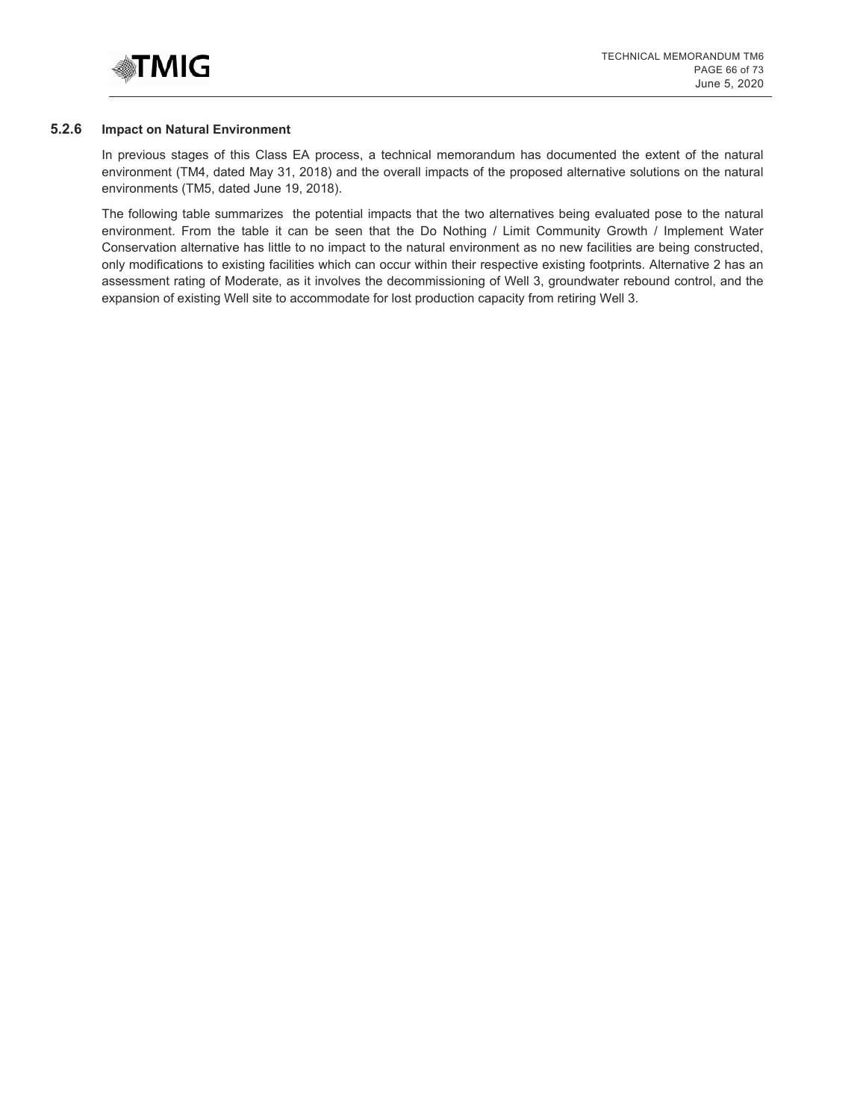

#### **5.2.6 Impact on Natural Environment**

In previous stages of this Class EA process, a technical memorandum has documented the extent of the natural environment (TM4, dated May 31, 2018) and the overall impacts of the proposed alternative solutions on the natural environments (TM5, dated June 19, 2018).

The following table summarizes the potential impacts that the two alternatives being evaluated pose to the natural environment. From the table it can be seen that the Do Nothing / Limit Community Growth / Implement Water Conservation alternative has little to no impact to the natural environment as no new facilities are being constructed, only modifications to existing facilities which can occur within their respective existing footprints. Alternative 2 has an assessment rating of Moderate, as it involves the decommissioning of Well 3, groundwater rebound control, and the expansion of existing Well site to accommodate for lost production capacity from retiring Well 3.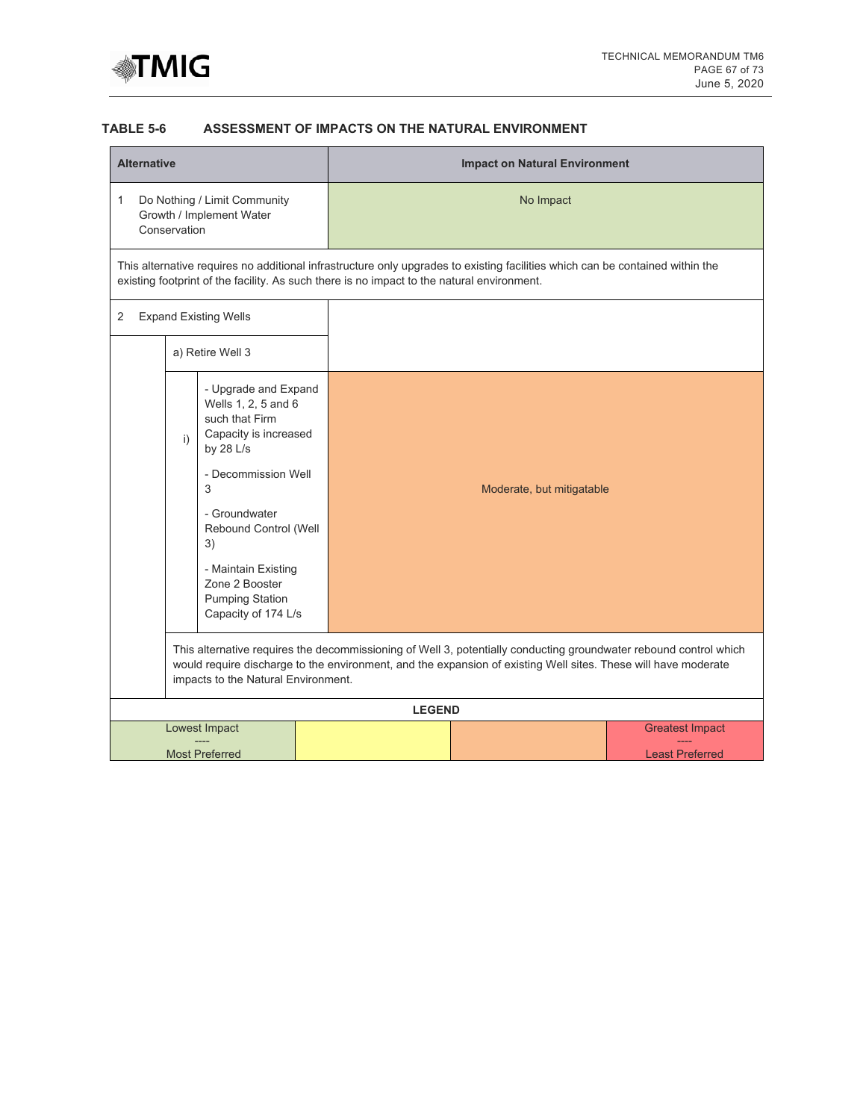

# **TABLE 5-6 ASSESSMENT OF IMPACTS ON THE NATURAL ENVIRONMENT**

| <b>Alternative</b>                                                                                                                                                                                                                                                                |                                                                                                                                                                                                                                                                            | <b>Impact on Natural Environment</b>                                                       |                                                                                                                               |                                                  |  |  |  |
|-----------------------------------------------------------------------------------------------------------------------------------------------------------------------------------------------------------------------------------------------------------------------------------|----------------------------------------------------------------------------------------------------------------------------------------------------------------------------------------------------------------------------------------------------------------------------|--------------------------------------------------------------------------------------------|-------------------------------------------------------------------------------------------------------------------------------|--------------------------------------------------|--|--|--|
| Do Nothing / Limit Community<br>1<br>Growth / Implement Water<br>Conservation                                                                                                                                                                                                     |                                                                                                                                                                                                                                                                            |                                                                                            | No Impact                                                                                                                     |                                                  |  |  |  |
|                                                                                                                                                                                                                                                                                   |                                                                                                                                                                                                                                                                            | existing footprint of the facility. As such there is no impact to the natural environment. | This alternative requires no additional infrastructure only upgrades to existing facilities which can be contained within the |                                                  |  |  |  |
| <b>Expand Existing Wells</b><br>2                                                                                                                                                                                                                                                 |                                                                                                                                                                                                                                                                            |                                                                                            |                                                                                                                               |                                                  |  |  |  |
| a) Retire Well 3                                                                                                                                                                                                                                                                  |                                                                                                                                                                                                                                                                            |                                                                                            |                                                                                                                               |                                                  |  |  |  |
| - Upgrade and Expand<br>Wells 1, 2, 5 and 6<br>such that Firm<br>Capacity is increased<br>i)<br>by $28$ L/s<br>- Decommission Well<br>3<br>- Groundwater<br>Rebound Control (Well<br>3)<br>- Maintain Existing<br>Zone 2 Booster<br><b>Pumping Station</b><br>Capacity of 174 L/s |                                                                                                                                                                                                                                                                            |                                                                                            | Moderate, but mitigatable                                                                                                     |                                                  |  |  |  |
|                                                                                                                                                                                                                                                                                   | This alternative requires the decommissioning of Well 3, potentially conducting groundwater rebound control which<br>would require discharge to the environment, and the expansion of existing Well sites. These will have moderate<br>impacts to the Natural Environment. |                                                                                            |                                                                                                                               |                                                  |  |  |  |
|                                                                                                                                                                                                                                                                                   |                                                                                                                                                                                                                                                                            | <b>LEGEND</b>                                                                              |                                                                                                                               |                                                  |  |  |  |
| Lowest Impact<br><b>Most Preferred</b>                                                                                                                                                                                                                                            |                                                                                                                                                                                                                                                                            |                                                                                            |                                                                                                                               | <b>Greatest Impact</b><br><b>Least Preferred</b> |  |  |  |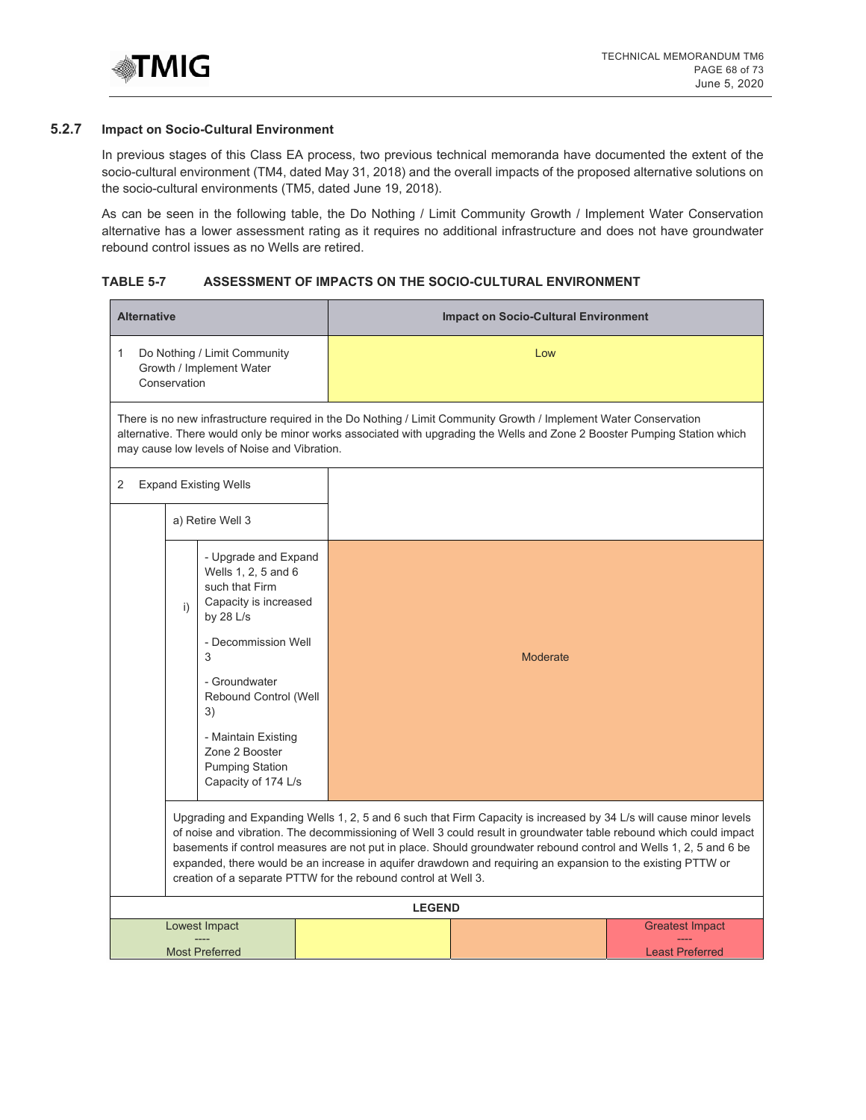

## **5.2.7 Impact on Socio-Cultural Environment**

In previous stages of this Class EA process, two previous technical memoranda have documented the extent of the socio-cultural environment (TM4, dated May 31, 2018) and the overall impacts of the proposed alternative solutions on the socio-cultural environments (TM5, dated June 19, 2018).

As can be seen in the following table, the Do Nothing / Limit Community Growth / Implement Water Conservation alternative has a lower assessment rating as it requires no additional infrastructure and does not have groundwater rebound control issues as no Wells are retired.

# **TABLE 5-7 ASSESSMENT OF IMPACTS ON THE SOCIO-CULTURAL ENVIRONMENT**

| <b>Alternative</b>                                                                                                                                                                                                                                                                             |                                                                                                                                                                                                                                                                                                                                                                                                                                                                                                                                                |                                                                 |  | <b>Impact on Socio-Cultural Environment</b> |                 |                                                  |  |  |
|------------------------------------------------------------------------------------------------------------------------------------------------------------------------------------------------------------------------------------------------------------------------------------------------|------------------------------------------------------------------------------------------------------------------------------------------------------------------------------------------------------------------------------------------------------------------------------------------------------------------------------------------------------------------------------------------------------------------------------------------------------------------------------------------------------------------------------------------------|-----------------------------------------------------------------|--|---------------------------------------------|-----------------|--------------------------------------------------|--|--|
| Do Nothing / Limit Community<br>1<br>Growth / Implement Water<br>Conservation                                                                                                                                                                                                                  |                                                                                                                                                                                                                                                                                                                                                                                                                                                                                                                                                |                                                                 |  | Low                                         |                 |                                                  |  |  |
| There is no new infrastructure required in the Do Nothing / Limit Community Growth / Implement Water Conservation<br>alternative. There would only be minor works associated with upgrading the Wells and Zone 2 Booster Pumping Station which<br>may cause low levels of Noise and Vibration. |                                                                                                                                                                                                                                                                                                                                                                                                                                                                                                                                                |                                                                 |  |                                             |                 |                                                  |  |  |
| 2                                                                                                                                                                                                                                                                                              |                                                                                                                                                                                                                                                                                                                                                                                                                                                                                                                                                | <b>Expand Existing Wells</b>                                    |  |                                             |                 |                                                  |  |  |
|                                                                                                                                                                                                                                                                                                |                                                                                                                                                                                                                                                                                                                                                                                                                                                                                                                                                | a) Retire Well 3                                                |  |                                             |                 |                                                  |  |  |
|                                                                                                                                                                                                                                                                                                | - Upgrade and Expand<br>Wells 1, 2, 5 and 6<br>such that Firm<br>Capacity is increased<br>i)<br>by $28$ L/s<br>- Decommission Well<br>3<br>- Groundwater<br>Rebound Control (Well<br>3)<br>- Maintain Existing                                                                                                                                                                                                                                                                                                                                 |                                                                 |  |                                             |                 |                                                  |  |  |
|                                                                                                                                                                                                                                                                                                |                                                                                                                                                                                                                                                                                                                                                                                                                                                                                                                                                |                                                                 |  |                                             | <b>Moderate</b> |                                                  |  |  |
|                                                                                                                                                                                                                                                                                                |                                                                                                                                                                                                                                                                                                                                                                                                                                                                                                                                                | Zone 2 Booster<br><b>Pumping Station</b><br>Capacity of 174 L/s |  |                                             |                 |                                                  |  |  |
|                                                                                                                                                                                                                                                                                                | Upgrading and Expanding Wells 1, 2, 5 and 6 such that Firm Capacity is increased by 34 L/s will cause minor levels<br>of noise and vibration. The decommissioning of Well 3 could result in groundwater table rebound which could impact<br>basements if control measures are not put in place. Should groundwater rebound control and Wells 1, 2, 5 and 6 be<br>expanded, there would be an increase in aquifer drawdown and requiring an expansion to the existing PTTW or<br>creation of a separate PTTW for the rebound control at Well 3. |                                                                 |  |                                             |                 |                                                  |  |  |
|                                                                                                                                                                                                                                                                                                |                                                                                                                                                                                                                                                                                                                                                                                                                                                                                                                                                |                                                                 |  | <b>LEGEND</b>                               |                 |                                                  |  |  |
|                                                                                                                                                                                                                                                                                                |                                                                                                                                                                                                                                                                                                                                                                                                                                                                                                                                                | Lowest Impact<br><b>Most Preferred</b>                          |  |                                             |                 | <b>Greatest Impact</b><br><b>Least Preferred</b> |  |  |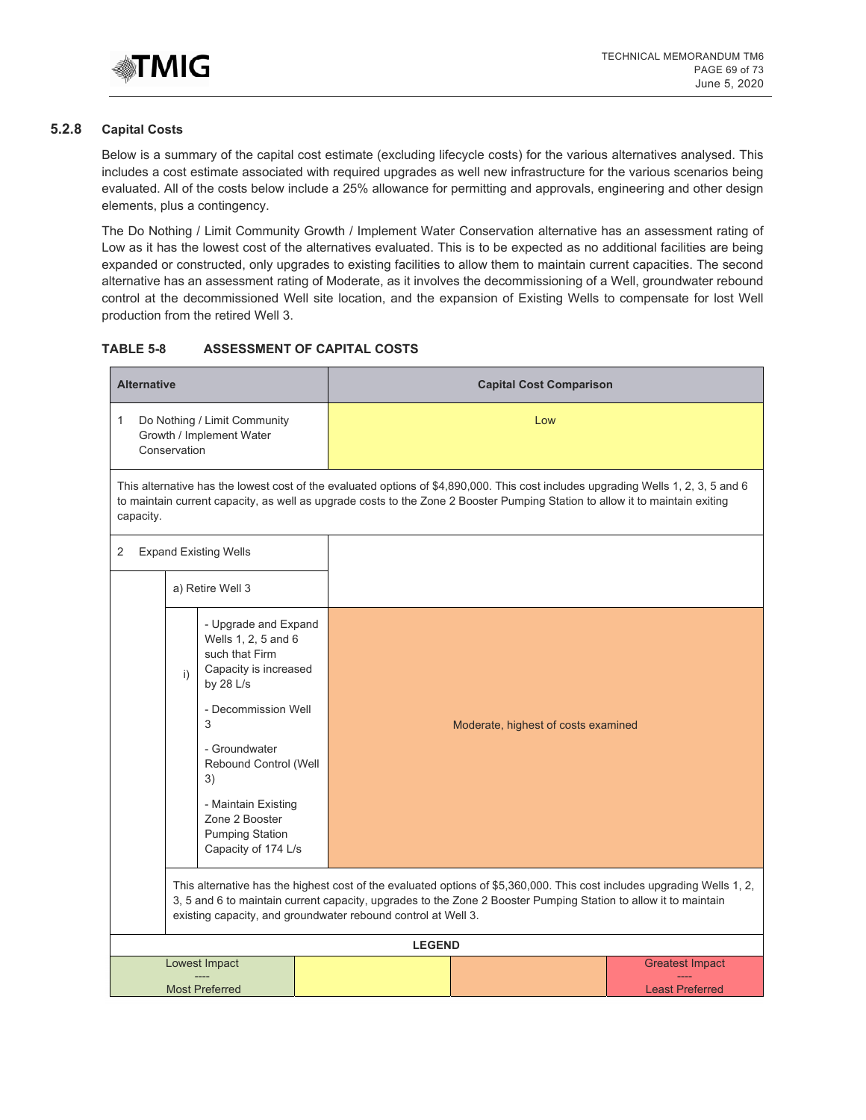

## **5.2.8 Capital Costs**

Below is a summary of the capital cost estimate (excluding lifecycle costs) for the various alternatives analysed. This includes a cost estimate associated with required upgrades as well new infrastructure for the various scenarios being evaluated. All of the costs below include a 25% allowance for permitting and approvals, engineering and other design elements, plus a contingency.

The Do Nothing / Limit Community Growth / Implement Water Conservation alternative has an assessment rating of Low as it has the lowest cost of the alternatives evaluated. This is to be expected as no additional facilities are being expanded or constructed, only upgrades to existing facilities to allow them to maintain current capacities. The second alternative has an assessment rating of Moderate, as it involves the decommissioning of a Well, groundwater rebound control at the decommissioned Well site location, and the expansion of Existing Wells to compensate for lost Well production from the retired Well 3.

#### **TABLE 5-8 ASSESSMENT OF CAPITAL COSTS**

| <b>Alternative</b>                                                                                                                                                                                                                                                                                          |  | <b>Capital Cost Comparison</b> |                                                                                                                                                                                                                                                                   |                                                  |  |  |  |
|-------------------------------------------------------------------------------------------------------------------------------------------------------------------------------------------------------------------------------------------------------------------------------------------------------------|--|--------------------------------|-------------------------------------------------------------------------------------------------------------------------------------------------------------------------------------------------------------------------------------------------------------------|--------------------------------------------------|--|--|--|
| Do Nothing / Limit Community<br>1<br>Growth / Implement Water<br>Conservation                                                                                                                                                                                                                               |  |                                | Low                                                                                                                                                                                                                                                               |                                                  |  |  |  |
| capacity.                                                                                                                                                                                                                                                                                                   |  |                                | This alternative has the lowest cost of the evaluated options of \$4,890,000. This cost includes upgrading Wells 1, 2, 3, 5 and 6<br>to maintain current capacity, as well as upgrade costs to the Zone 2 Booster Pumping Station to allow it to maintain exiting |                                                  |  |  |  |
| <b>Expand Existing Wells</b><br>2                                                                                                                                                                                                                                                                           |  |                                |                                                                                                                                                                                                                                                                   |                                                  |  |  |  |
| a) Retire Well 3                                                                                                                                                                                                                                                                                            |  |                                |                                                                                                                                                                                                                                                                   |                                                  |  |  |  |
| - Upgrade and Expand<br>Wells 1, 2, 5 and 6<br>such that Firm<br>Capacity is increased<br>i)<br>by 28 L/s<br>- Decommission Well<br>3<br>- Groundwater<br>Rebound Control (Well<br>3)<br>- Maintain Existing<br>Zone 2 Booster<br><b>Pumping Station</b><br>Capacity of 174 L/s                             |  |                                | Moderate, highest of costs examined                                                                                                                                                                                                                               |                                                  |  |  |  |
| This alternative has the highest cost of the evaluated options of \$5,360,000. This cost includes upgrading Wells 1, 2,<br>3, 5 and 6 to maintain current capacity, upgrades to the Zone 2 Booster Pumping Station to allow it to maintain<br>existing capacity, and groundwater rebound control at Well 3. |  |                                |                                                                                                                                                                                                                                                                   |                                                  |  |  |  |
|                                                                                                                                                                                                                                                                                                             |  | <b>LEGEND</b>                  |                                                                                                                                                                                                                                                                   |                                                  |  |  |  |
| Lowest Impact<br><b>Most Preferred</b>                                                                                                                                                                                                                                                                      |  |                                |                                                                                                                                                                                                                                                                   | <b>Greatest Impact</b><br><b>Least Preferred</b> |  |  |  |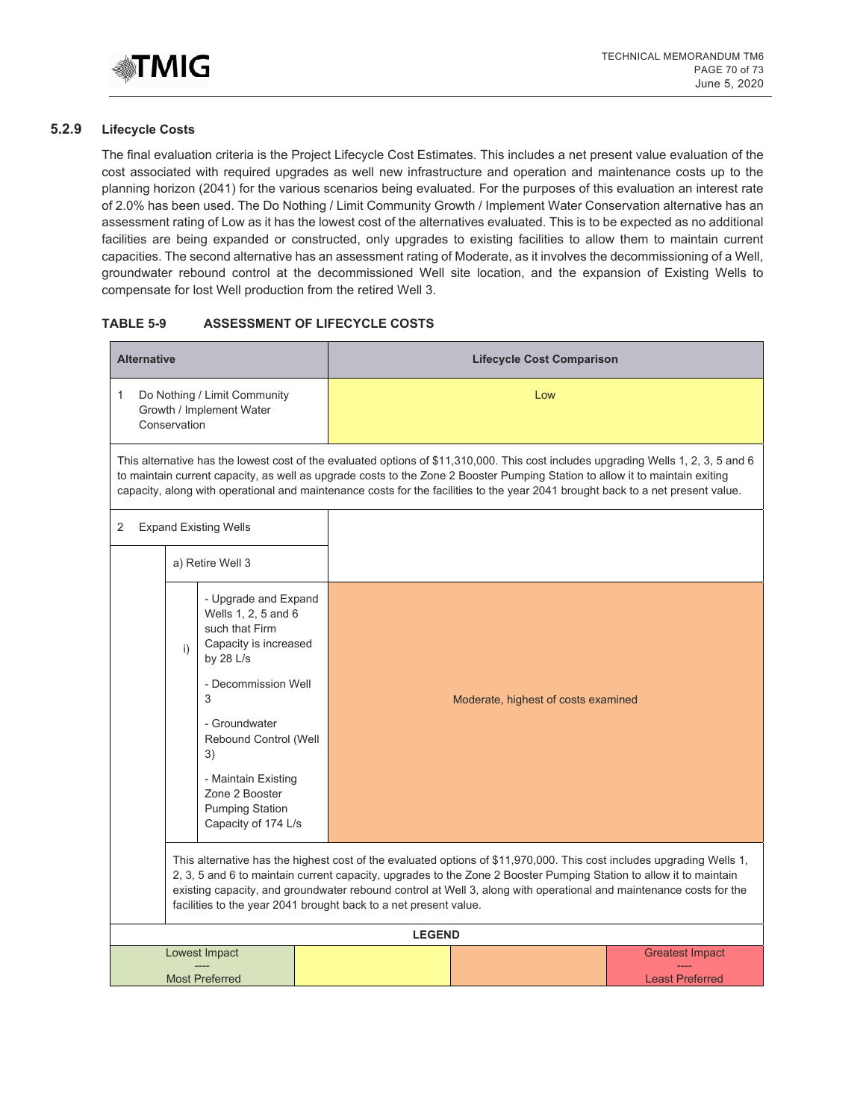

# **5.2.9 Lifecycle Costs**

The final evaluation criteria is the Project Lifecycle Cost Estimates. This includes a net present value evaluation of the cost associated with required upgrades as well new infrastructure and operation and maintenance costs up to the planning horizon (2041) for the various scenarios being evaluated. For the purposes of this evaluation an interest rate of 2.0% has been used. The Do Nothing / Limit Community Growth / Implement Water Conservation alternative has an assessment rating of Low as it has the lowest cost of the alternatives evaluated. This is to be expected as no additional facilities are being expanded or constructed, only upgrades to existing facilities to allow them to maintain current capacities. The second alternative has an assessment rating of Moderate, as it involves the decommissioning of a Well, groundwater rebound control at the decommissioned Well site location, and the expansion of Existing Wells to compensate for lost Well production from the retired Well 3.

# **TABLE 5-9 ASSESSMENT OF LIFECYCLE COSTS**

| <b>Alternative</b>                                                                                                                                                                                                                                                                                                                                                                                                                    | <b>Lifecycle Cost Comparison</b>                                                                                                                                                                                                                                                                                                                                                                      |  |  |  |  |  |  |
|---------------------------------------------------------------------------------------------------------------------------------------------------------------------------------------------------------------------------------------------------------------------------------------------------------------------------------------------------------------------------------------------------------------------------------------|-------------------------------------------------------------------------------------------------------------------------------------------------------------------------------------------------------------------------------------------------------------------------------------------------------------------------------------------------------------------------------------------------------|--|--|--|--|--|--|
| Do Nothing / Limit Community<br>1<br>Growth / Implement Water<br>Conservation                                                                                                                                                                                                                                                                                                                                                         | Low                                                                                                                                                                                                                                                                                                                                                                                                   |  |  |  |  |  |  |
|                                                                                                                                                                                                                                                                                                                                                                                                                                       | This alternative has the lowest cost of the evaluated options of \$11,310,000. This cost includes upgrading Wells 1, 2, 3, 5 and 6<br>to maintain current capacity, as well as upgrade costs to the Zone 2 Booster Pumping Station to allow it to maintain exiting<br>capacity, along with operational and maintenance costs for the facilities to the year 2041 brought back to a net present value. |  |  |  |  |  |  |
| 2<br><b>Expand Existing Wells</b>                                                                                                                                                                                                                                                                                                                                                                                                     |                                                                                                                                                                                                                                                                                                                                                                                                       |  |  |  |  |  |  |
| a) Retire Well 3                                                                                                                                                                                                                                                                                                                                                                                                                      |                                                                                                                                                                                                                                                                                                                                                                                                       |  |  |  |  |  |  |
| - Upgrade and Expand<br>Wells 1, 2, 5 and 6<br>such that Firm<br>Capacity is increased<br>i)<br>by 28 L/s<br>- Decommission Well<br>3<br>- Groundwater<br>Rebound Control (Well<br>3)<br>- Maintain Existing<br>Zone 2 Booster<br><b>Pumping Station</b><br>Capacity of 174 L/s                                                                                                                                                       | Moderate, highest of costs examined                                                                                                                                                                                                                                                                                                                                                                   |  |  |  |  |  |  |
| This alternative has the highest cost of the evaluated options of \$11,970,000. This cost includes upgrading Wells 1,<br>2, 3, 5 and 6 to maintain current capacity, upgrades to the Zone 2 Booster Pumping Station to allow it to maintain<br>existing capacity, and groundwater rebound control at Well 3, along with operational and maintenance costs for the<br>facilities to the year 2041 brought back to a net present value. |                                                                                                                                                                                                                                                                                                                                                                                                       |  |  |  |  |  |  |
|                                                                                                                                                                                                                                                                                                                                                                                                                                       | <b>LEGEND</b>                                                                                                                                                                                                                                                                                                                                                                                         |  |  |  |  |  |  |
| Lowest Impact<br><b>Most Preferred</b>                                                                                                                                                                                                                                                                                                                                                                                                | <b>Greatest Impact</b><br><b>Least Preferred</b>                                                                                                                                                                                                                                                                                                                                                      |  |  |  |  |  |  |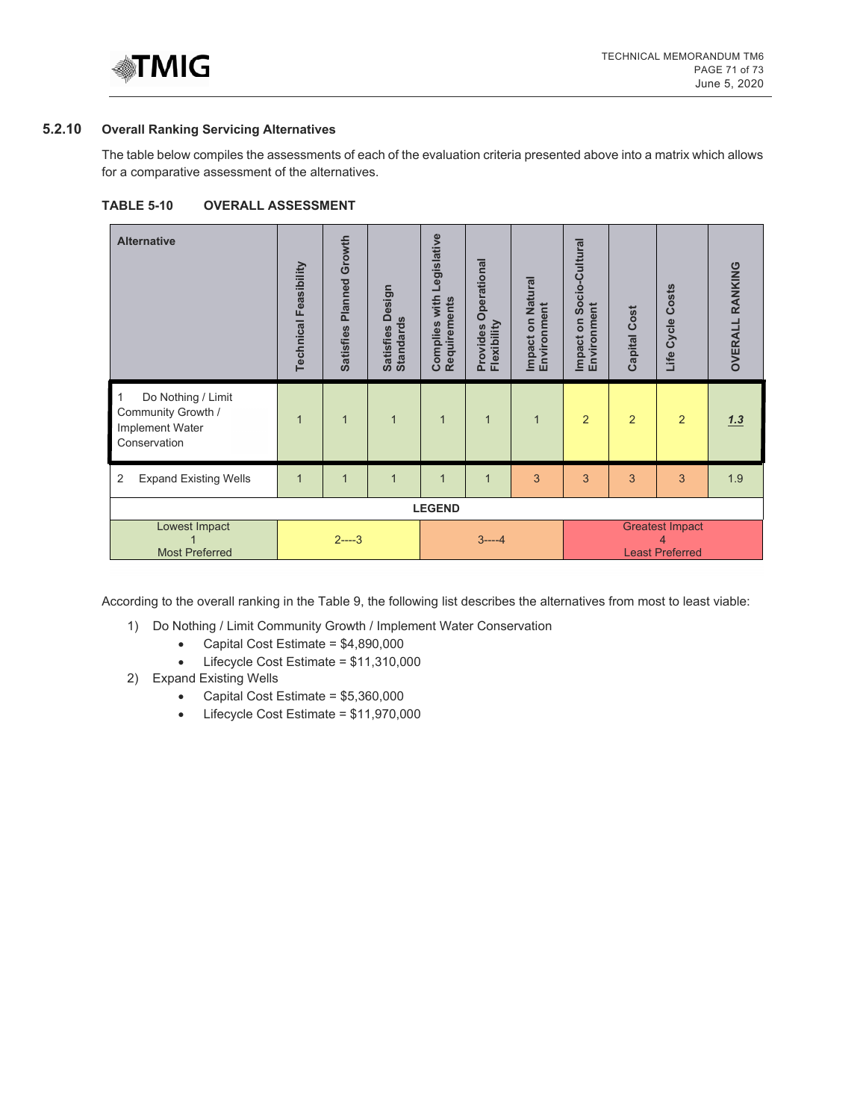

# **5.2.10 Overall Ranking Servicing Alternatives**

The table below compiles the assessments of each of the evaluation criteria presented above into a matrix which allows for a comparative assessment of the alternatives.

| TABLE 5-10 | <b>OVERALL ASSESSMENT</b> |
|------------|---------------------------|
|------------|---------------------------|

| <b>Alternative</b>                                                          | <b>Technical Feasibility</b> | Growth<br>Planned<br><b>Satisfies</b> | Design<br><b>Standards</b><br><b>Satisfies</b> | Legislative<br>Complies with<br>Requirements | Operational<br>Flexibility<br>Provides | <b>Impact on Natural</b><br>Environment | Socio-Cultural<br>Environment<br>Impact on | <b>Capital Cost</b> | Life Cycle Costs                                      | <b>OVERALL RANKING</b> |
|-----------------------------------------------------------------------------|------------------------------|---------------------------------------|------------------------------------------------|----------------------------------------------|----------------------------------------|-----------------------------------------|--------------------------------------------|---------------------|-------------------------------------------------------|------------------------|
| Do Nothing / Limit<br>Community Growth /<br>Implement Water<br>Conservation | $\mathbf{1}$                 | $\mathbf{1}$                          | 1                                              | $\mathbf{1}$                                 | $\mathbf 1$                            | $\mathbf{1}$                            | $\overline{2}$                             | $\overline{2}$      | $\overline{2}$                                        | 1.3                    |
| <b>Expand Existing Wells</b><br>2                                           | $\overline{1}$               | $\overline{1}$                        | $\overline{1}$                                 | $\overline{1}$                               | $\overline{1}$                         | 3                                       | 3                                          | 3                   | 3                                                     | 1.9                    |
| <b>LEGEND</b>                                                               |                              |                                       |                                                |                                              |                                        |                                         |                                            |                     |                                                       |                        |
| Lowest Impact<br><b>Most Preferred</b>                                      |                              | $2^{--3}$                             |                                                |                                              | $3---4$                                |                                         |                                            |                     | <b>Greatest Impact</b><br>4<br><b>Least Preferred</b> |                        |

According to the overall ranking in the Table 9, the following list describes the alternatives from most to least viable:

- 1) Do Nothing / Limit Community Growth / Implement Water Conservation
	- Capital Cost Estimate = \$4,890,000
	- Lifecycle Cost Estimate = \$11,310,000
- 2) Expand Existing Wells
	- Capital Cost Estimate = \$5,360,000
	- Lifecycle Cost Estimate = \$11,970,000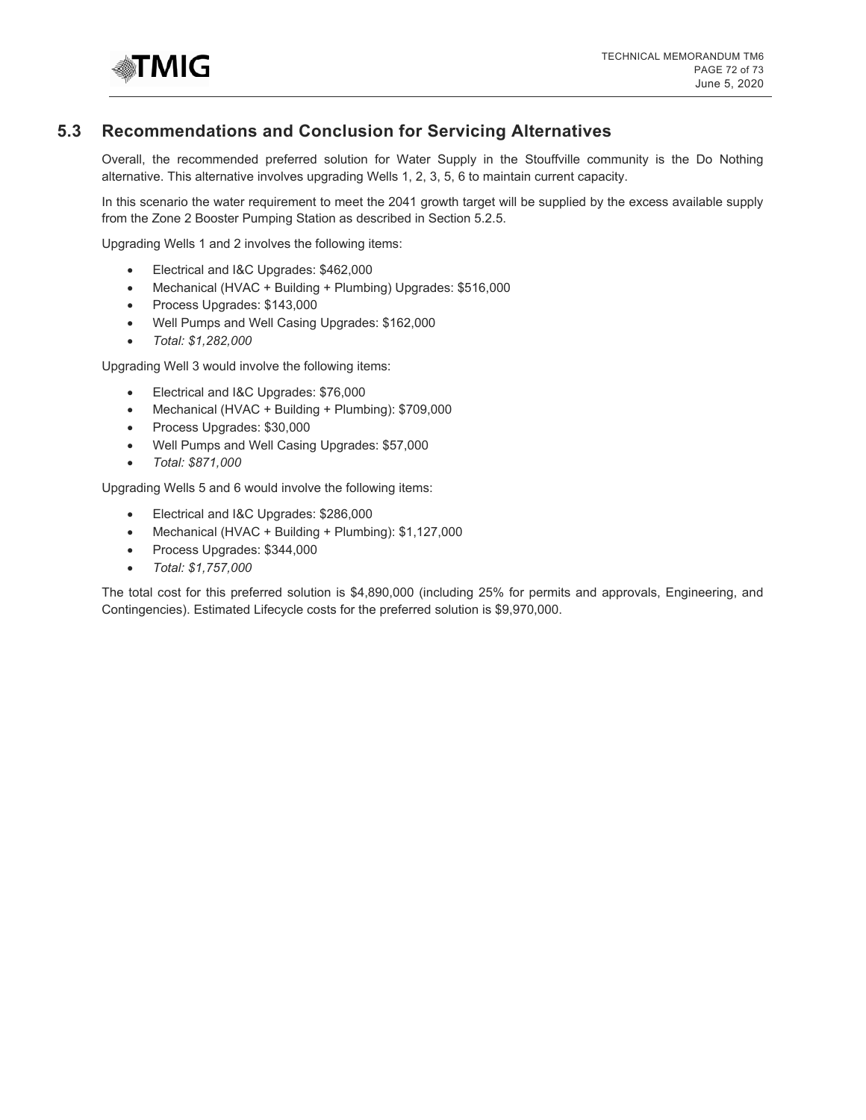

# **5.3 Recommendations and Conclusion for Servicing Alternatives**

Overall, the recommended preferred solution for Water Supply in the Stouffville community is the Do Nothing alternative. This alternative involves upgrading Wells 1, 2, 3, 5, 6 to maintain current capacity.

In this scenario the water requirement to meet the 2041 growth target will be supplied by the excess available supply from the Zone 2 Booster Pumping Station as described in Section 5.2.5.

Upgrading Wells 1 and 2 involves the following items:

- Electrical and I&C Upgrades: \$462,000
- Mechanical (HVAC + Building + Plumbing) Upgrades: \$516,000
- Process Upgrades: \$143,000
- Well Pumps and Well Casing Upgrades: \$162,000
- *Total: \$1,282,000*

Upgrading Well 3 would involve the following items:

- Electrical and I&C Upgrades: \$76,000
- Mechanical (HVAC + Building + Plumbing): \$709,000
- Process Upgrades: \$30,000
- Well Pumps and Well Casing Upgrades: \$57,000
- *Total: \$871,000*

Upgrading Wells 5 and 6 would involve the following items:

- Electrical and I&C Upgrades: \$286,000
- Mechanical (HVAC + Building + Plumbing): \$1,127,000
- Process Upgrades: \$344,000
- *Total: \$1,757,000*

The total cost for this preferred solution is \$4,890,000 (including 25% for permits and approvals, Engineering, and Contingencies). Estimated Lifecycle costs for the preferred solution is \$9,970,000.